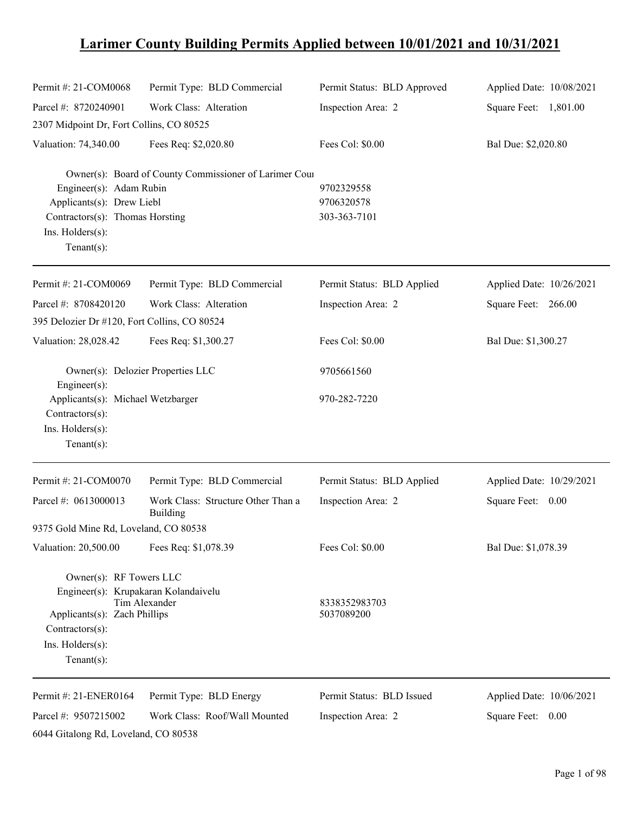# **Larimer County Building Permits Applied between 10/01/2021 and 10/31/2021**

| Permit #: 21-COM0068                                                                                                                                     | Permit Type: BLD Commercial                            | Permit Status: BLD Approved              | Applied Date: 10/08/2021 |
|----------------------------------------------------------------------------------------------------------------------------------------------------------|--------------------------------------------------------|------------------------------------------|--------------------------|
| Parcel #: 8720240901                                                                                                                                     | Work Class: Alteration                                 | Inspection Area: 2                       | Square Feet: 1,801.00    |
| 2307 Midpoint Dr, Fort Collins, CO 80525                                                                                                                 |                                                        |                                          |                          |
| Valuation: 74,340.00                                                                                                                                     | Fees Req: \$2,020.80                                   | Fees Col: \$0.00                         | Bal Due: \$2,020.80      |
| Engineer(s): Adam Rubin<br>Applicants(s): Drew Liebl<br>Contractors(s): Thomas Horsting<br>Ins. Holders(s):<br>Tenant $(s)$ :                            | Owner(s): Board of County Commissioner of Larimer Cour | 9702329558<br>9706320578<br>303-363-7101 |                          |
| Permit #: 21-COM0069                                                                                                                                     | Permit Type: BLD Commercial                            | Permit Status: BLD Applied               | Applied Date: 10/26/2021 |
| Parcel #: 8708420120<br>395 Delozier Dr #120, Fort Collins, CO 80524                                                                                     | Work Class: Alteration                                 | Inspection Area: 2                       | Square Feet: 266.00      |
| Valuation: 28,028.42                                                                                                                                     | Fees Req: \$1,300.27                                   | Fees Col: \$0.00                         | Bal Due: \$1,300.27      |
| Engineer(s):                                                                                                                                             | Owner(s): Delozier Properties LLC                      | 9705661560                               |                          |
| Applicants(s): Michael Wetzbarger<br>Contractors(s):<br>Ins. Holders(s):<br>Tenant $(s)$ :                                                               |                                                        | 970-282-7220                             |                          |
| Permit #: 21-COM0070                                                                                                                                     | Permit Type: BLD Commercial                            | Permit Status: BLD Applied               | Applied Date: 10/29/2021 |
| Parcel #: 0613000013                                                                                                                                     | Work Class: Structure Other Than a<br>Building         | Inspection Area: 2                       | Square Feet: 0.00        |
| 9375 Gold Mine Rd, Loveland, CO 80538                                                                                                                    |                                                        |                                          |                          |
| Valuation: 20,500.00                                                                                                                                     | Fees Req: \$1,078.39                                   | Fees Col: \$0.00                         | Bal Due: \$1,078.39      |
| Owner(s): RF Towers LLC<br>Engineer(s): Krupakaran Kolandaivelu<br>Applicants(s): Zach Phillips<br>Contractors(s):<br>Ins. Holders(s):<br>Tenant $(s)$ : | Tim Alexander                                          | 8338352983703<br>5037089200              |                          |
| Permit #: 21-ENER0164                                                                                                                                    | Permit Type: BLD Energy                                | Permit Status: BLD Issued                | Applied Date: 10/06/2021 |
| Parcel #: 9507215002                                                                                                                                     | Work Class: Roof/Wall Mounted                          | Inspection Area: 2                       | Square Feet: 0.00        |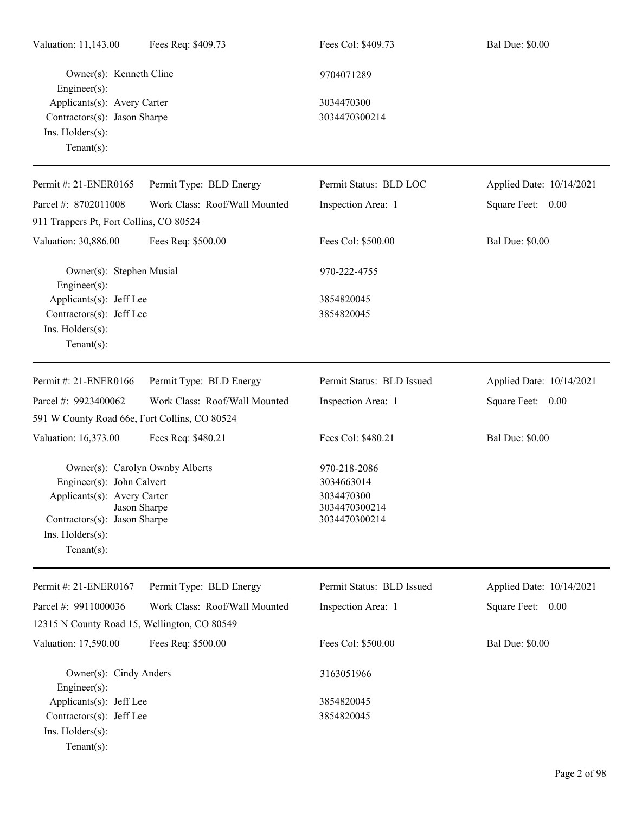| Valuation: 11,143.00                                                                                                                                                              | Fees Req: \$409.73            | Fees Col: \$409.73                                                         | <b>Bal Due: \$0.00</b>   |
|-----------------------------------------------------------------------------------------------------------------------------------------------------------------------------------|-------------------------------|----------------------------------------------------------------------------|--------------------------|
| Owner(s): Kenneth Cline<br>Engineer(s):                                                                                                                                           |                               | 9704071289                                                                 |                          |
| Applicants(s): Avery Carter<br>Contractors(s): Jason Sharpe<br>Ins. Holders(s):<br>Tenant $(s)$ :                                                                                 |                               | 3034470300<br>3034470300214                                                |                          |
| Permit #: 21-ENER0165                                                                                                                                                             | Permit Type: BLD Energy       | Permit Status: BLD LOC                                                     | Applied Date: 10/14/2021 |
| Parcel #: 8702011008                                                                                                                                                              | Work Class: Roof/Wall Mounted | Inspection Area: 1                                                         | Square Feet: 0.00        |
| 911 Trappers Pt, Fort Collins, CO 80524                                                                                                                                           |                               |                                                                            |                          |
| Valuation: 30,886.00                                                                                                                                                              | Fees Req: \$500.00            | Fees Col: \$500.00                                                         | <b>Bal Due: \$0.00</b>   |
| Owner(s): Stephen Musial<br>Engineer $(s)$ :                                                                                                                                      |                               | 970-222-4755                                                               |                          |
| Applicants(s): Jeff Lee                                                                                                                                                           |                               | 3854820045                                                                 |                          |
| Contractors(s): Jeff Lee<br>Ins. Holders(s):<br>$Tenant(s)$ :                                                                                                                     |                               | 3854820045                                                                 |                          |
| Permit #: 21-ENER0166                                                                                                                                                             | Permit Type: BLD Energy       | Permit Status: BLD Issued                                                  | Applied Date: 10/14/2021 |
| Parcel #: 9923400062                                                                                                                                                              | Work Class: Roof/Wall Mounted | Inspection Area: 1                                                         | Square Feet: 0.00        |
| 591 W County Road 66e, Fort Collins, CO 80524                                                                                                                                     |                               |                                                                            |                          |
| Valuation: 16,373.00                                                                                                                                                              | Fees Req: \$480.21            | Fees Col: \$480.21                                                         | <b>Bal Due: \$0.00</b>   |
| Owner(s): Carolyn Ownby Alberts<br>Engineer(s): John Calvert<br>Applicants(s): Avery Carter<br>Jason Sharpe<br>Contractors(s): Jason Sharpe<br>Ins. Holders(s):<br>Tenant $(s)$ : |                               | 970-218-2086<br>3034663014<br>3034470300<br>3034470300214<br>3034470300214 |                          |
| Permit #: 21-ENER0167                                                                                                                                                             | Permit Type: BLD Energy       | Permit Status: BLD Issued                                                  | Applied Date: 10/14/2021 |
| Parcel #: 9911000036                                                                                                                                                              | Work Class: Roof/Wall Mounted | Inspection Area: 1                                                         | Square Feet: 0.00        |
| 12315 N County Road 15, Wellington, CO 80549                                                                                                                                      |                               |                                                                            |                          |
| Valuation: 17,590.00                                                                                                                                                              | Fees Req: \$500.00            | Fees Col: \$500.00                                                         | <b>Bal Due: \$0.00</b>   |
| Owner(s): Cindy Anders<br>$Engineer(s)$ :                                                                                                                                         |                               | 3163051966                                                                 |                          |
| Applicants(s): Jeff Lee                                                                                                                                                           |                               | 3854820045                                                                 |                          |
| Contractors(s): Jeff Lee<br>Ins. Holders(s):<br>Tenant $(s)$ :                                                                                                                    |                               | 3854820045                                                                 |                          |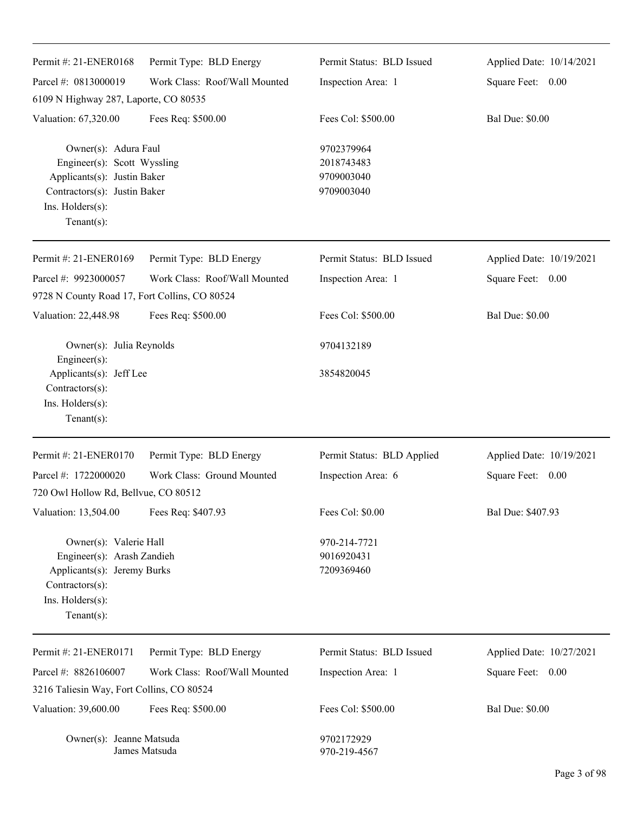| Permit #: 21-ENER0168                                                                                                                                    | Permit Type: BLD Energy       | Permit Status: BLD Issued                            | Applied Date: 10/14/2021 |
|----------------------------------------------------------------------------------------------------------------------------------------------------------|-------------------------------|------------------------------------------------------|--------------------------|
| Parcel #: 0813000019                                                                                                                                     | Work Class: Roof/Wall Mounted | Inspection Area: 1                                   | Square Feet: 0.00        |
| 6109 N Highway 287, Laporte, CO 80535                                                                                                                    |                               |                                                      |                          |
| Valuation: 67,320.00                                                                                                                                     | Fees Req: \$500.00            | Fees Col: \$500.00                                   | <b>Bal Due: \$0.00</b>   |
| Owner(s): Adura Faul<br>Engineer(s): Scott Wyssling<br>Applicants(s): Justin Baker<br>Contractors(s): Justin Baker<br>Ins. Holders(s):<br>Tenant $(s)$ : |                               | 9702379964<br>2018743483<br>9709003040<br>9709003040 |                          |
| Permit #: 21-ENER0169                                                                                                                                    | Permit Type: BLD Energy       | Permit Status: BLD Issued                            | Applied Date: 10/19/2021 |
| Parcel #: 9923000057                                                                                                                                     | Work Class: Roof/Wall Mounted | Inspection Area: 1                                   | Square Feet: 0.00        |
| 9728 N County Road 17, Fort Collins, CO 80524                                                                                                            |                               |                                                      |                          |
| Valuation: 22,448.98                                                                                                                                     | Fees Req: \$500.00            | Fees Col: \$500.00                                   | <b>Bal Due: \$0.00</b>   |
| Owner(s): Julia Reynolds<br>Engineer(s):                                                                                                                 |                               | 9704132189                                           |                          |
| Applicants(s): Jeff Lee                                                                                                                                  |                               | 3854820045                                           |                          |
| Contractors(s):<br>Ins. Holders(s):<br>Tenant $(s)$ :                                                                                                    |                               |                                                      |                          |
| Permit #: 21-ENER0170                                                                                                                                    | Permit Type: BLD Energy       | Permit Status: BLD Applied                           | Applied Date: 10/19/2021 |
| Parcel #: 1722000020<br>720 Owl Hollow Rd, Bellvue, CO 80512                                                                                             | Work Class: Ground Mounted    | Inspection Area: 6                                   | Square Feet: 0.00        |
| Valuation: 13,504.00                                                                                                                                     | Fees Req: \$407.93            | Fees Col: \$0.00                                     | Bal Due: \$407.93        |
| Owner(s): Valerie Hall<br>Engineer(s): Arash Zandieh<br>Applicants(s): Jeremy Burks<br>Contractors(s):<br>Ins. Holders(s):<br>Tenant $(s)$ :             |                               | 970-214-7721<br>9016920431<br>7209369460             |                          |
| Permit #: 21-ENER0171                                                                                                                                    | Permit Type: BLD Energy       | Permit Status: BLD Issued                            | Applied Date: 10/27/2021 |
| Parcel #: 8826106007                                                                                                                                     | Work Class: Roof/Wall Mounted | Inspection Area: 1                                   | 0.00<br>Square Feet:     |
| 3216 Taliesin Way, Fort Collins, CO 80524                                                                                                                |                               |                                                      |                          |
| Valuation: 39,600.00                                                                                                                                     | Fees Req: \$500.00            | Fees Col: \$500.00                                   | <b>Bal Due: \$0.00</b>   |
| Owner(s): Jeanne Matsuda                                                                                                                                 | James Matsuda                 | 9702172929<br>970-219-4567                           |                          |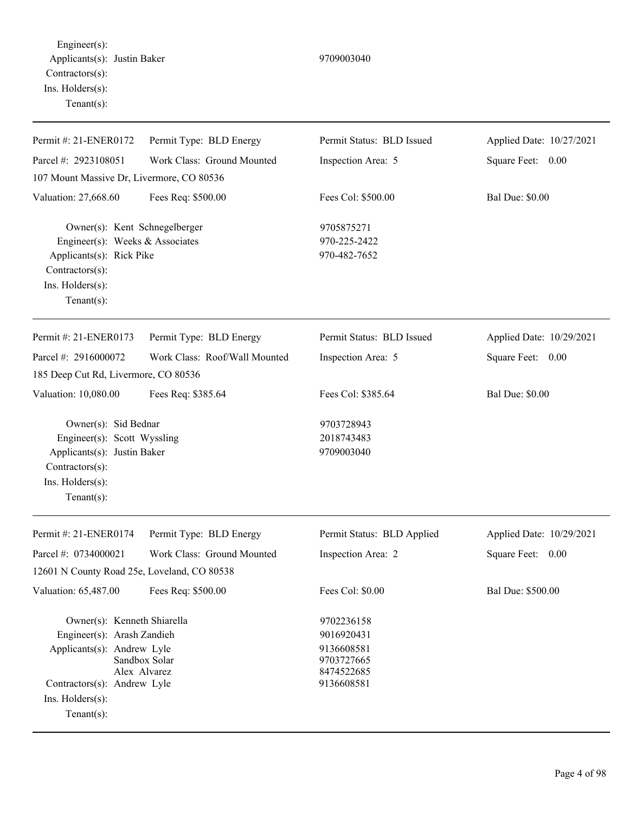Engineer(s): Applicants(s): Justin Baker 9709003040 Contractors(s): Ins. Holders(s): Tenant(s):

| Permit #: 21-ENER0172                                                                                                                                                                               | Permit Type: BLD Energy       | Permit Status: BLD Issued                                                        | Applied Date: 10/27/2021 |  |
|-----------------------------------------------------------------------------------------------------------------------------------------------------------------------------------------------------|-------------------------------|----------------------------------------------------------------------------------|--------------------------|--|
| Parcel #: 2923108051                                                                                                                                                                                | Work Class: Ground Mounted    | Inspection Area: 5                                                               | Square Feet: 0.00        |  |
| 107 Mount Massive Dr, Livermore, CO 80536                                                                                                                                                           |                               |                                                                                  |                          |  |
| Valuation: 27,668.60                                                                                                                                                                                | Fees Req: \$500.00            | Fees Col: \$500.00                                                               | <b>Bal Due: \$0.00</b>   |  |
| Owner(s): Kent Schnegelberger<br>Engineer(s): Weeks & Associates<br>Applicants(s): Rick Pike<br>Contractors(s):<br>Ins. Holders(s):<br>Tenant $(s)$ :                                               |                               | 9705875271<br>970-225-2422<br>970-482-7652                                       |                          |  |
| Permit #: 21-ENER0173                                                                                                                                                                               | Permit Type: BLD Energy       | Permit Status: BLD Issued                                                        | Applied Date: 10/29/2021 |  |
| Parcel #: 2916000072                                                                                                                                                                                | Work Class: Roof/Wall Mounted | Inspection Area: 5                                                               | Square Feet: 0.00        |  |
| 185 Deep Cut Rd, Livermore, CO 80536                                                                                                                                                                |                               |                                                                                  |                          |  |
| Valuation: 10,080.00                                                                                                                                                                                | Fees Req: \$385.64            | Fees Col: \$385.64                                                               | <b>Bal Due: \$0.00</b>   |  |
| Owner(s): Sid Bednar<br>Engineer(s): Scott Wyssling<br>Applicants(s): Justin Baker<br>Contractors(s):<br>Ins. Holders(s):<br>Tenant $(s)$ :                                                         |                               | 9703728943<br>2018743483<br>9709003040                                           |                          |  |
| Permit #: 21-ENER0174                                                                                                                                                                               | Permit Type: BLD Energy       | Permit Status: BLD Applied                                                       | Applied Date: 10/29/2021 |  |
| Parcel #: 0734000021                                                                                                                                                                                | Work Class: Ground Mounted    | Inspection Area: 2                                                               | Square Feet:<br>0.00     |  |
| 12601 N County Road 25e, Loveland, CO 80538                                                                                                                                                         |                               |                                                                                  |                          |  |
| Valuation: 65,487.00                                                                                                                                                                                | Fees Req: \$500.00            | Fees Col: \$0.00                                                                 | Bal Due: \$500.00        |  |
| Owner(s): Kenneth Shiarella<br>Engineer(s): Arash Zandieh<br>Applicants(s): Andrew Lyle<br>Sandbox Solar<br>Alex Alvarez<br>Contractors(s): Andrew Lyle<br>$Ins.$ Holders $(s)$ :<br>Tenant $(s)$ : |                               | 9702236158<br>9016920431<br>9136608581<br>9703727665<br>8474522685<br>9136608581 |                          |  |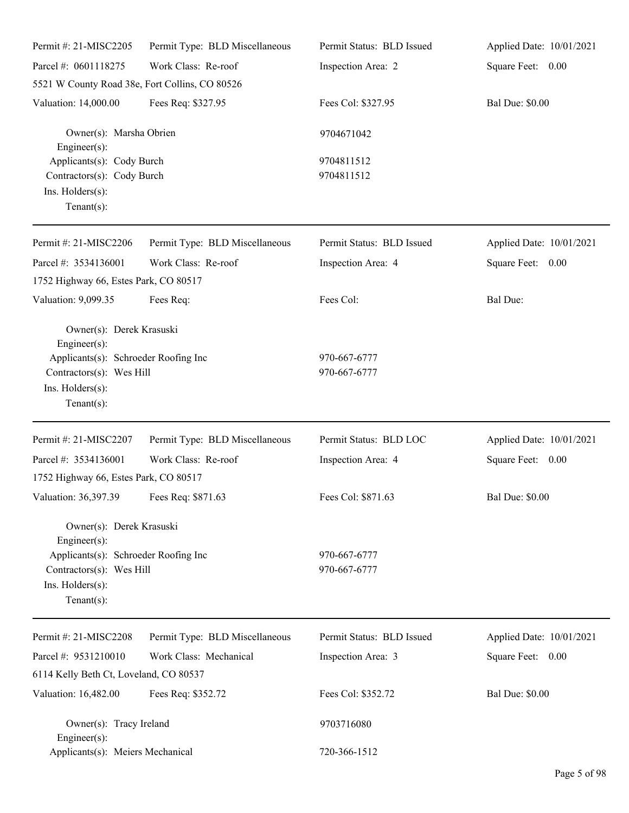| Permit #: 21-MISC2205                                                                                  | Permit Type: BLD Miscellaneous | Permit Status: BLD Issued    | Applied Date: 10/01/2021 |
|--------------------------------------------------------------------------------------------------------|--------------------------------|------------------------------|--------------------------|
| Parcel #: 0601118275                                                                                   | Work Class: Re-roof            | Inspection Area: 2           | Square Feet: 0.00        |
| 5521 W County Road 38e, Fort Collins, CO 80526                                                         |                                |                              |                          |
| Valuation: 14,000.00                                                                                   | Fees Req: \$327.95             | Fees Col: \$327.95           | <b>Bal Due: \$0.00</b>   |
| Owner(s): Marsha Obrien<br>$Engineering(s)$ :                                                          |                                | 9704671042                   |                          |
| Applicants(s): Cody Burch<br>Contractors(s): Cody Burch<br>Ins. Holders(s):<br>Tenant $(s)$ :          |                                | 9704811512<br>9704811512     |                          |
| Permit #: 21-MISC2206                                                                                  | Permit Type: BLD Miscellaneous | Permit Status: BLD Issued    | Applied Date: 10/01/2021 |
| Parcel #: 3534136001                                                                                   | Work Class: Re-roof            | Inspection Area: 4           | Square Feet: 0.00        |
| 1752 Highway 66, Estes Park, CO 80517                                                                  |                                |                              |                          |
| Valuation: 9,099.35                                                                                    | Fees Req:                      | Fees Col:                    | <b>Bal Due:</b>          |
| Owner(s): Derek Krasuski<br>$Engineering(s)$ :                                                         |                                |                              |                          |
| Applicants(s): Schroeder Roofing Inc<br>Contractors(s): Wes Hill                                       |                                | 970-667-6777<br>970-667-6777 |                          |
| Ins. Holders(s):<br>Tenant $(s)$ :                                                                     |                                |                              |                          |
| Permit #: 21-MISC2207                                                                                  | Permit Type: BLD Miscellaneous | Permit Status: BLD LOC       | Applied Date: 10/01/2021 |
| Parcel #: 3534136001                                                                                   | Work Class: Re-roof            | Inspection Area: 4           | Square Feet: 0.00        |
| 1752 Highway 66, Estes Park, CO 80517                                                                  |                                |                              |                          |
| Valuation: 36,397.39 Fees Req: \$871.63                                                                |                                | Fees Col: \$871.63           | <b>Bal Due: \$0.00</b>   |
| Owner(s): Derek Krasuski<br>$Engineering(s)$ :                                                         |                                |                              |                          |
| Applicants(s): Schroeder Roofing Inc<br>Contractors(s): Wes Hill<br>Ins. Holders(s):<br>Tenant $(s)$ : |                                | 970-667-6777<br>970-667-6777 |                          |
| Permit #: 21-MISC2208                                                                                  | Permit Type: BLD Miscellaneous | Permit Status: BLD Issued    | Applied Date: 10/01/2021 |
| Parcel #: 9531210010                                                                                   | Work Class: Mechanical         | Inspection Area: 3           | Square Feet: 0.00        |
| 6114 Kelly Beth Ct, Loveland, CO 80537                                                                 |                                |                              |                          |
| Valuation: 16,482.00                                                                                   | Fees Req: \$352.72             | Fees Col: \$352.72           | <b>Bal Due: \$0.00</b>   |
| Owner(s): Tracy Ireland<br>$Engineering(s)$ :                                                          |                                | 9703716080                   |                          |
| Applicants(s): Meiers Mechanical                                                                       |                                | 720-366-1512                 |                          |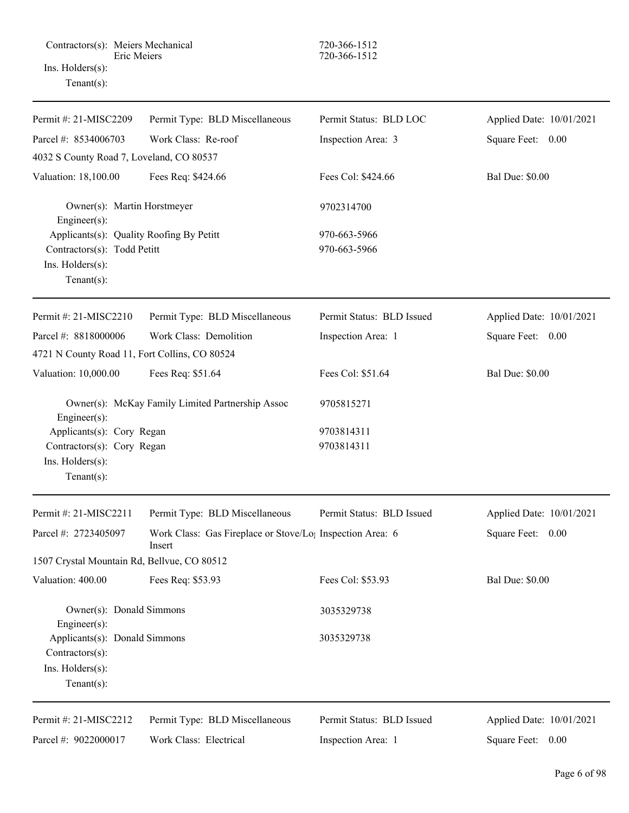| Permit #: 21-MISC2209                                                                                         | Permit Type: BLD Miscellaneous                                                  | Permit Status: BLD LOC       | Applied Date: 10/01/2021 |
|---------------------------------------------------------------------------------------------------------------|---------------------------------------------------------------------------------|------------------------------|--------------------------|
| Parcel #: 8534006703                                                                                          | Work Class: Re-roof                                                             | Inspection Area: 3           | Square Feet: 0.00        |
| 4032 S County Road 7, Loveland, CO 80537                                                                      |                                                                                 |                              |                          |
| Valuation: 18,100.00                                                                                          | Fees Req: \$424.66                                                              | Fees Col: \$424.66           | <b>Bal Due: \$0.00</b>   |
| Owner(s): Martin Horstmeyer<br>Engineer(s):                                                                   |                                                                                 | 9702314700                   |                          |
| Applicants(s): Quality Roofing By Petitt<br>Contractors(s): Todd Petitt<br>Ins. Holders(s):<br>Tenant $(s)$ : |                                                                                 | 970-663-5966<br>970-663-5966 |                          |
| Permit #: 21-MISC2210                                                                                         | Permit Type: BLD Miscellaneous                                                  | Permit Status: BLD Issued    | Applied Date: 10/01/2021 |
| Parcel #: 8818000006                                                                                          | Work Class: Demolition                                                          | Inspection Area: 1           | Square Feet: 0.00        |
| 4721 N County Road 11, Fort Collins, CO 80524                                                                 |                                                                                 |                              |                          |
| Valuation: 10,000.00                                                                                          | Fees Req: \$51.64                                                               | Fees Col: \$51.64            | <b>Bal Due: \$0.00</b>   |
| Engineer(s):                                                                                                  | Owner(s): McKay Family Limited Partnership Assoc                                | 9705815271                   |                          |
| Applicants(s): Cory Regan                                                                                     |                                                                                 | 9703814311                   |                          |
| Contractors(s): Cory Regan                                                                                    |                                                                                 | 9703814311                   |                          |
| Ins. Holders(s):<br>Tenant $(s)$ :                                                                            |                                                                                 |                              |                          |
| Permit #: 21-MISC2211                                                                                         | Permit Type: BLD Miscellaneous                                                  | Permit Status: BLD Issued    | Applied Date: 10/01/2021 |
| Parcel #: 2723405097                                                                                          | Work Class: Gas Fireplace or Stove/Lo <sub>1</sub> Inspection Area: 6<br>Insert |                              | Square Feet: 0.00        |
| 1507 Crystal Mountain Rd, Bellvue, CO 80512                                                                   |                                                                                 |                              |                          |
| Valuation: 400.00                                                                                             | Fees Req: \$53.93                                                               | Fees Col: \$53.93            | <b>Bal Due: \$0.00</b>   |
| Owner(s): Donald Simmons<br>Engineer(s):                                                                      |                                                                                 | 3035329738                   |                          |
| Applicants(s): Donald Simmons<br>Contractors(s):<br>Ins. Holders(s):<br>$Tenant(s)$ :                         |                                                                                 | 3035329738                   |                          |
| Permit #: 21-MISC2212                                                                                         | Permit Type: BLD Miscellaneous                                                  | Permit Status: BLD Issued    | Applied Date: 10/01/2021 |
| Parcel #: 9022000017                                                                                          | Work Class: Electrical                                                          | Inspection Area: 1           | Square Feet: 0.00        |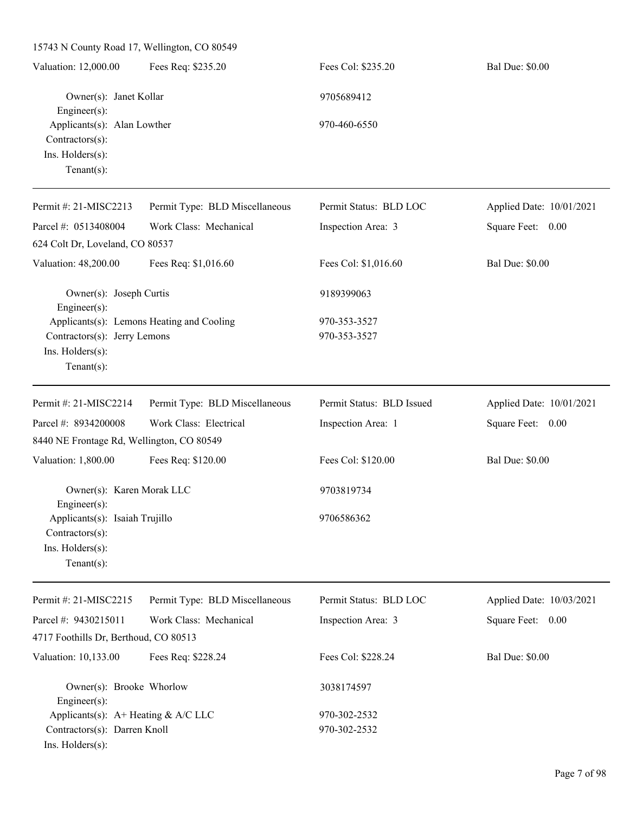15743 N County Road 17, Wellington, CO 80549 Valuation: 12,000.00 Fees Req: \$235.20 Fees Col: \$235.20 Bal Due: \$0.00 Owner(s): Janet Kollar 9705689412 Engineer(s): Applicants(s): Alan Lowther 970-460-6550 Contractors(s): Ins. Holders(s): Tenant(s): Permit #: 21-MISC2213 Parcel #: 0513408004 Permit Type: BLD Miscellaneous Work Class: Mechanical Permit Status: BLD LOC Inspection Area: 3 Applied Date: 10/01/2021 Square Feet: 0.00 624 Colt Dr, Loveland, CO 80537 Valuation: 48,200.00 Fees Req: \$1,016.60 Fees Col: \$1,016.60 Bal Due: \$0.00 Owner(s): Joseph Curtis 9189399063 Engineer(s): Applicants(s): Lemons Heating and Cooling 970-353-3527 Contractors(s): Jerry Lemons 970-353-3527 Ins. Holders(s): Tenant(s): Permit #: 21-MISC2214 Parcel #: 8934200008 Permit Type: BLD Miscellaneous Work Class: Electrical Permit Status: BLD Issued Inspection Area: 1 Applied Date: 10/01/2021 Square Feet: 0.00 8440 NE Frontage Rd, Wellington, CO 80549 Valuation: 1,800.00 Fees Req: \$120.00 Fees Col: \$120.00 Fees Col: \$120.00 Bal Due: \$0.00 Owner(s): Karen Morak LLC 9703819734 Engineer(s): Applicants(s): Isaiah Trujillo 9706586362 Contractors(s): Ins. Holders(s): Tenant(s): Permit #: 21-MISC2215 Parcel #: 9430215011 Permit Type: BLD Miscellaneous Work Class: Mechanical Permit Status: BLD LOC Inspection Area: 3 Applied Date: 10/03/2021 Square Feet: 0.00 4717 Foothills Dr, Berthoud, CO 80513 Valuation: 10,133.00 Fees Req: \$228.24 Fees Col: \$228.24 Bal Due: \$0.00

Owner(s): Brooke Whorlow 3038174597 Engineer(s): Applicants(s):  $A+$  Heating &  $A/C$  LLC 970-302-2532 Contractors(s): Darren Knoll 970-302-2532 Ins. Holders(s):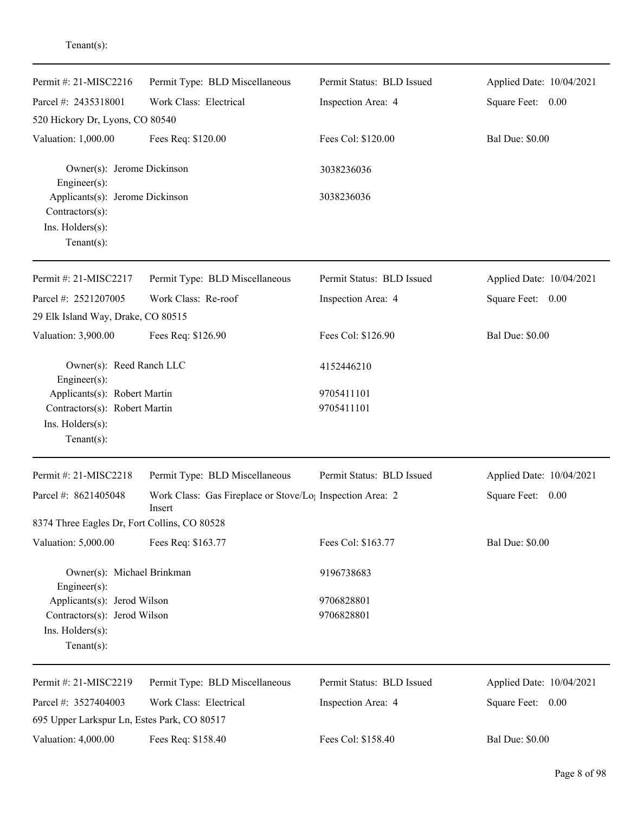| Permit #: 21-MISC2216                                                                              | Permit Type: BLD Miscellaneous                                                  | Permit Status: BLD Issued | Applied Date: 10/04/2021 |
|----------------------------------------------------------------------------------------------------|---------------------------------------------------------------------------------|---------------------------|--------------------------|
| Parcel #: 2435318001                                                                               | Work Class: Electrical                                                          | Inspection Area: 4        | Square Feet:<br>0.00     |
| 520 Hickory Dr, Lyons, CO 80540                                                                    |                                                                                 |                           |                          |
| Valuation: 1,000.00                                                                                | Fees Req: \$120.00                                                              | Fees Col: \$120.00        | <b>Bal Due: \$0.00</b>   |
| Owner(s): Jerome Dickinson<br>Engineer(s):                                                         |                                                                                 | 3038236036                |                          |
| Applicants(s): Jerome Dickinson<br>Contractors(s):<br>Ins. Holders(s):<br>Tenant $(s)$ :           |                                                                                 | 3038236036                |                          |
| Permit #: 21-MISC2217                                                                              | Permit Type: BLD Miscellaneous                                                  | Permit Status: BLD Issued | Applied Date: 10/04/2021 |
| Parcel #: 2521207005                                                                               | Work Class: Re-roof                                                             | Inspection Area: 4        | Square Feet: 0.00        |
| 29 Elk Island Way, Drake, CO 80515                                                                 |                                                                                 |                           |                          |
| Valuation: 3,900.00                                                                                | Fees Req: \$126.90                                                              | Fees Col: \$126.90        | <b>Bal Due: \$0.00</b>   |
| Owner(s): Reed Ranch LLC<br>Engineer(s):                                                           |                                                                                 | 4152446210                |                          |
| Applicants(s): Robert Martin<br>Contractors(s): Robert Martin<br>Ins. Holders(s):<br>$Tenant(s)$ : |                                                                                 | 9705411101<br>9705411101  |                          |
| Permit #: 21-MISC2218                                                                              | Permit Type: BLD Miscellaneous                                                  | Permit Status: BLD Issued | Applied Date: 10/04/2021 |
| Parcel #: 8621405048                                                                               | Work Class: Gas Fireplace or Stove/Lo <sub>1</sub> Inspection Area: 2<br>Insert |                           | Square Feet: 0.00        |
| 8374 Three Eagles Dr, Fort Collins, CO 80528                                                       |                                                                                 |                           |                          |
| Valuation: 5,000.00                                                                                | Fees Req: \$163.77                                                              | Fees Col: \$163.77        | <b>Bal Due: \$0.00</b>   |
| Owner(s): Michael Brinkman<br>Engineer(s):                                                         |                                                                                 | 9196738683                |                          |
| Applicants(s): Jerod Wilson<br>Contractors(s): Jerod Wilson<br>Ins. Holders(s):<br>Tenant $(s)$ :  |                                                                                 | 9706828801<br>9706828801  |                          |
| Permit #: 21-MISC2219                                                                              | Permit Type: BLD Miscellaneous                                                  | Permit Status: BLD Issued | Applied Date: 10/04/2021 |
| Parcel #: 3527404003                                                                               | Work Class: Electrical                                                          | Inspection Area: 4        | Square Feet: 0.00        |
| 695 Upper Larkspur Ln, Estes Park, CO 80517                                                        |                                                                                 |                           |                          |
| Valuation: 4,000.00                                                                                | Fees Req: \$158.40                                                              | Fees Col: \$158.40        | <b>Bal Due: \$0.00</b>   |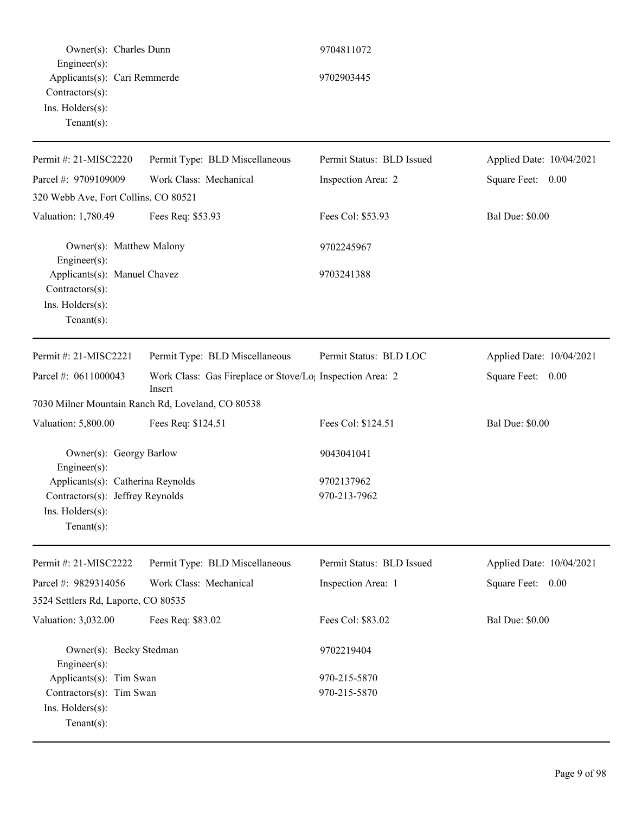| Owner(s): Charles Dunn                                                                                |                                                                                 | 9704811072                |                          |
|-------------------------------------------------------------------------------------------------------|---------------------------------------------------------------------------------|---------------------------|--------------------------|
| Engineer(s):<br>Applicants(s): Cari Remmerde<br>Contractors(s):<br>Ins. Holders(s):<br>Tenant $(s)$ : |                                                                                 | 9702903445                |                          |
| Permit #: 21-MISC2220                                                                                 | Permit Type: BLD Miscellaneous                                                  | Permit Status: BLD Issued | Applied Date: 10/04/2021 |
| Parcel #: 9709109009                                                                                  | Work Class: Mechanical                                                          | Inspection Area: 2        | Square Feet: 0.00        |
| 320 Webb Ave, Fort Collins, CO 80521                                                                  |                                                                                 |                           |                          |
| Valuation: 1,780.49                                                                                   | Fees Req: \$53.93                                                               | Fees Col: \$53.93         | <b>Bal Due: \$0.00</b>   |
| Owner(s): Matthew Malony<br>Engineer(s):                                                              |                                                                                 | 9702245967                |                          |
| Applicants(s): Manuel Chavez<br>Contractors(s):<br>Ins. Holders(s):<br>Tenant $(s)$ :                 |                                                                                 | 9703241388                |                          |
| Permit #: 21-MISC2221                                                                                 | Permit Type: BLD Miscellaneous                                                  | Permit Status: BLD LOC    | Applied Date: 10/04/2021 |
| Parcel #: 0611000043                                                                                  | Work Class: Gas Fireplace or Stove/Lo <sub>1</sub> Inspection Area: 2<br>Insert |                           | Square Feet: 0.00        |
|                                                                                                       | 7030 Milner Mountain Ranch Rd, Loveland, CO 80538                               |                           |                          |
| Valuation: 5,800.00                                                                                   | Fees Req: \$124.51                                                              | Fees Col: \$124.51        | <b>Bal Due: \$0.00</b>   |
| Owner(s): Georgy Barlow<br>Engineer(s):                                                               |                                                                                 | 9043041041                |                          |
| Applicants(s): Catherina Reynolds                                                                     |                                                                                 | 9702137962                |                          |
| Contractors(s): Jeffrey Reynolds<br>Ins. Holders(s):<br>Tenant $(s)$ :                                |                                                                                 | 970-213-7962              |                          |
| Permit #: 21-MISC2222                                                                                 | Permit Type: BLD Miscellaneous                                                  | Permit Status: BLD Issued | Applied Date: 10/04/2021 |
| Parcel #: 9829314056                                                                                  | Work Class: Mechanical                                                          | Inspection Area: 1        | Square Feet: 0.00        |
| 3524 Settlers Rd, Laporte, CO 80535                                                                   |                                                                                 |                           |                          |
| Valuation: 3,032.00                                                                                   | Fees Req: \$83.02                                                               | Fees Col: \$83.02         | <b>Bal Due: \$0.00</b>   |
| Owner(s): Becky Stedman<br>Engineer(s):                                                               |                                                                                 | 9702219404                |                          |
| Applicants(s): Tim Swan                                                                               |                                                                                 | 970-215-5870              |                          |
| Contractors(s): Tim Swan<br>Ins. Holders(s):<br>Tenant $(s)$ :                                        |                                                                                 | 970-215-5870              |                          |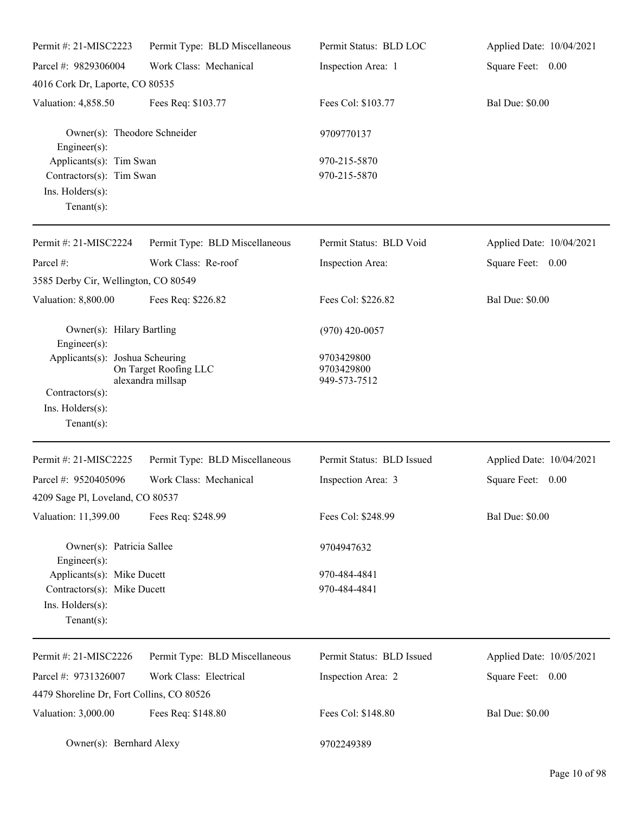| Permit #: 21-MISC2223                                                                           | Permit Type: BLD Miscellaneous             | Permit Status: BLD LOC                   | Applied Date: 10/04/2021 |
|-------------------------------------------------------------------------------------------------|--------------------------------------------|------------------------------------------|--------------------------|
| Parcel #: 9829306004                                                                            | Work Class: Mechanical                     | Inspection Area: 1                       | Square Feet: 0.00        |
| 4016 Cork Dr, Laporte, CO 80535                                                                 |                                            |                                          |                          |
| Valuation: 4,858.50                                                                             | Fees Req: \$103.77                         | Fees Col: \$103.77                       | <b>Bal Due: \$0.00</b>   |
| Owner(s): Theodore Schneider<br>Engineer(s):                                                    |                                            | 9709770137                               |                          |
| Applicants(s): Tim Swan<br>Contractors(s): Tim Swan<br>Ins. Holders(s):<br>Tenant $(s)$ :       |                                            | 970-215-5870<br>970-215-5870             |                          |
| Permit #: 21-MISC2224                                                                           | Permit Type: BLD Miscellaneous             | Permit Status: BLD Void                  | Applied Date: 10/04/2021 |
| Parcel #:<br>3585 Derby Cir, Wellington, CO 80549                                               | Work Class: Re-roof                        | Inspection Area:                         | Square Feet: 0.00        |
| Valuation: 8,800.00                                                                             | Fees Req: \$226.82                         | Fees Col: \$226.82                       | <b>Bal Due: \$0.00</b>   |
| Owner(s): Hilary Bartling<br>Engineer(s):                                                       |                                            | $(970)$ 420-0057                         |                          |
| Applicants(s): Joshua Scheuring<br>Contractors(s):<br>$Ins.$ Holders $(s)$ :<br>Tenant $(s)$ :  | On Target Roofing LLC<br>alexandra millsap | 9703429800<br>9703429800<br>949-573-7512 |                          |
| Permit #: 21-MISC2225                                                                           | Permit Type: BLD Miscellaneous             | Permit Status: BLD Issued                | Applied Date: 10/04/2021 |
| Parcel #: 9520405096                                                                            | Work Class: Mechanical                     | Inspection Area: 3                       | Square Feet:<br>0.00     |
| 4209 Sage Pl, Loveland, CO 80537                                                                |                                            |                                          |                          |
| Valuation: 11,399.00                                                                            | Fees Req: \$248.99                         | Fees Col: \$248.99                       | <b>Bal Due: \$0.00</b>   |
| Owner(s): Patricia Sallee<br>$Engineering(s)$ :                                                 |                                            | 9704947632                               |                          |
| Applicants(s): Mike Ducett<br>Contractors(s): Mike Ducett<br>Ins. Holders(s):<br>Tenant $(s)$ : |                                            | 970-484-4841<br>970-484-4841             |                          |
| Permit #: 21-MISC2226                                                                           | Permit Type: BLD Miscellaneous             | Permit Status: BLD Issued                | Applied Date: 10/05/2021 |
| Parcel #: 9731326007                                                                            | Work Class: Electrical                     | Inspection Area: 2                       | Square Feet: 0.00        |
| 4479 Shoreline Dr, Fort Collins, CO 80526                                                       |                                            |                                          |                          |
| Valuation: 3,000.00                                                                             | Fees Req: \$148.80                         | Fees Col: \$148.80                       | <b>Bal Due: \$0.00</b>   |
| Owner(s): Bernhard Alexy                                                                        |                                            | 9702249389                               |                          |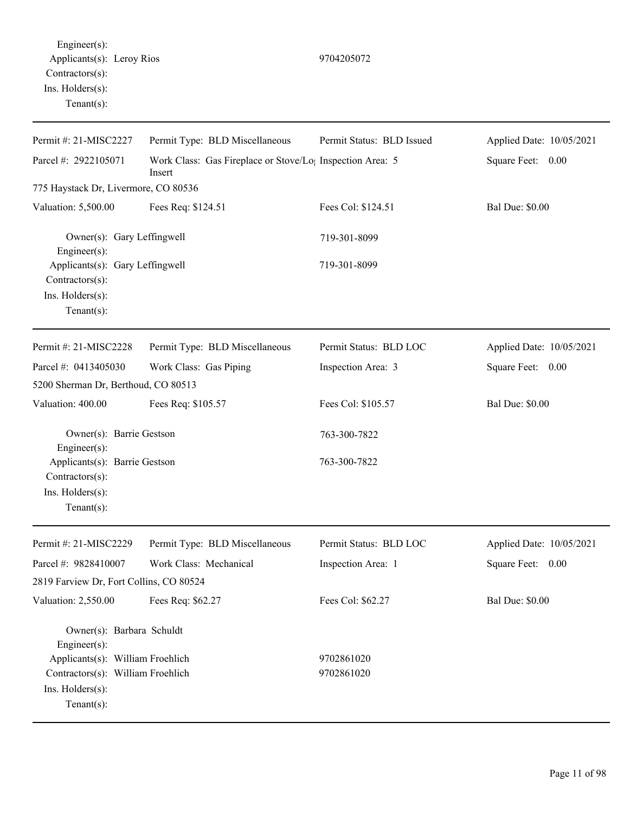Permit #: 21-MISC2227 Parcel #: 2922105071 Permit Type: BLD Miscellaneous Work Class: Gas Fireplace or Stove/Log Inspection Area: 5 Insert Permit Status: BLD Issued Applied Date: 10/05/2021 Square Feet: 0.00 775 Haystack Dr, Livermore, CO 80536 Valuation: 5,500.00 Fees Req: \$124.51 Fees Col: \$124.51 Bal Due: \$0.00 Owner(s): Gary Leffingwell 719-301-8099 Engineer(s): Applicants(s): Gary Leffingwell 719-301-8099 Contractors(s): Ins. Holders(s): Tenant(s): Permit #: 21-MISC2228 Parcel #: 0413405030 Permit Type: BLD Miscellaneous Work Class: Gas Piping Permit Status: BLD LOC Inspection Area: 3 Applied Date: 10/05/2021 Square Feet: 0.00 5200 Sherman Dr, Berthoud, CO 80513 Valuation: 400.00 Fees Req: \$105.57 Fees Col: \$105.57 Bal Due: \$0.00 Owner(s): Barrie Gestson 763-300-7822 Engineer(s): Applicants(s): Barrie Gestson 763-300-7822 Contractors(s): Ins. Holders(s): Tenant(s): Permit #: 21-MISC2229 Parcel #: 9828410007 Permit Type: BLD Miscellaneous Work Class: Mechanical Permit Status: BLD LOC Inspection Area: 1 Applied Date: 10/05/2021 Square Feet: 0.00 2819 Farview Dr, Fort Collins, CO 80524 Valuation: 2,550.00 Fees Req: \$62.27 Fees Col: \$62.27 Bal Due: \$0.00 Owner(s): Barbara Schuldt Engineer(s): Applicants(s): William Froehlich 9702861020 Contractors(s): William Froehlich 9702861020

Ins. Holders(s):

Tenant(s):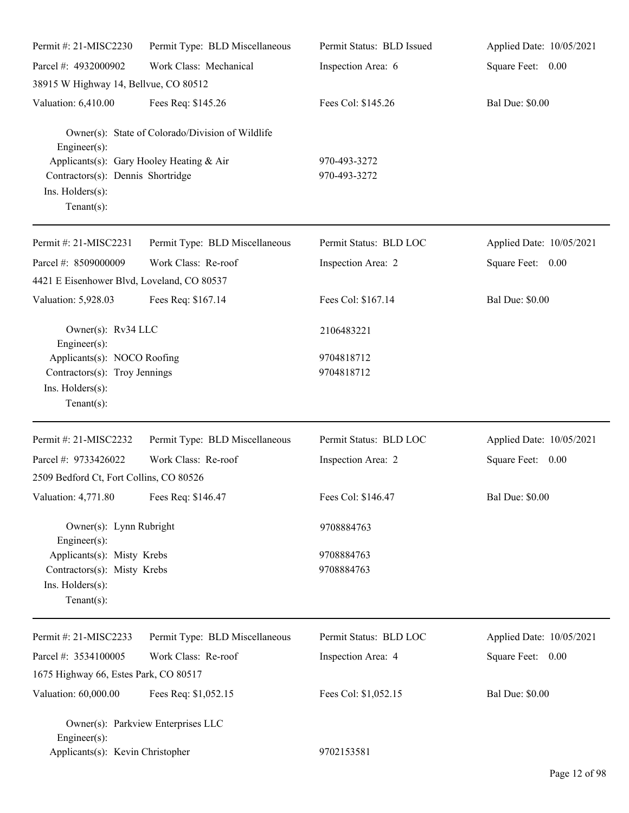| Permit #: 21-MISC2230                                                                                               | Permit Type: BLD Miscellaneous                   | Permit Status: BLD Issued    | Applied Date: 10/05/2021 |
|---------------------------------------------------------------------------------------------------------------------|--------------------------------------------------|------------------------------|--------------------------|
| Parcel #: 4932000902                                                                                                | Work Class: Mechanical                           | Inspection Area: 6           | Square Feet: 0.00        |
| 38915 W Highway 14, Bellvue, CO 80512                                                                               |                                                  |                              |                          |
| Valuation: 6,410.00                                                                                                 | Fees Req: \$145.26                               | Fees Col: \$145.26           | <b>Bal Due: \$0.00</b>   |
| $Engineering(s)$ :                                                                                                  | Owner(s): State of Colorado/Division of Wildlife |                              |                          |
| Applicants(s): Gary Hooley Heating & Air<br>Contractors(s): Dennis Shortridge<br>Ins. Holders(s):<br>Tenant $(s)$ : |                                                  | 970-493-3272<br>970-493-3272 |                          |
| Permit #: 21-MISC2231                                                                                               | Permit Type: BLD Miscellaneous                   | Permit Status: BLD LOC       | Applied Date: 10/05/2021 |
| Parcel #: 8509000009<br>4421 E Eisenhower Blvd, Loveland, CO 80537                                                  | Work Class: Re-roof                              | Inspection Area: 2           | Square Feet: 0.00        |
| Valuation: 5,928.03                                                                                                 | Fees Req: \$167.14                               | Fees Col: \$167.14           | <b>Bal Due: \$0.00</b>   |
| Owner(s): Rv34 LLC<br>$Engineering(s)$ :                                                                            |                                                  | 2106483221                   |                          |
| Applicants(s): NOCO Roofing<br>Contractors(s): Troy Jennings<br>Ins. Holders(s):<br>Tenant $(s)$ :                  |                                                  | 9704818712<br>9704818712     |                          |
| Permit #: 21-MISC2232                                                                                               | Permit Type: BLD Miscellaneous                   | Permit Status: BLD LOC       | Applied Date: 10/05/2021 |
| Parcel #: 9733426022                                                                                                | Work Class: Re-roof                              | Inspection Area: 2           | Square Feet: 0.00        |
| 2509 Bedford Ct, Fort Collins, CO 80526                                                                             |                                                  |                              |                          |
| Valuation: 4,771.80                                                                                                 | Fees Req: \$146.47                               | Fees Col: \$146.47           | <b>Bal Due: \$0.00</b>   |
| Owner(s): Lynn Rubright<br>$Engineering(s)$ :                                                                       |                                                  | 9708884763                   |                          |
| Applicants(s): Misty Krebs<br>Contractors(s): Misty Krebs<br>Ins. Holders(s):<br>Tenant $(s)$ :                     |                                                  | 9708884763<br>9708884763     |                          |
| Permit #: 21-MISC2233                                                                                               | Permit Type: BLD Miscellaneous                   | Permit Status: BLD LOC       | Applied Date: 10/05/2021 |
| Parcel #: 3534100005                                                                                                | Work Class: Re-roof                              | Inspection Area: 4           | Square Feet: 0.00        |
| 1675 Highway 66, Estes Park, CO 80517                                                                               |                                                  |                              |                          |
| Valuation: 60,000.00                                                                                                | Fees Req: \$1,052.15                             | Fees Col: \$1,052.15         | <b>Bal Due: \$0.00</b>   |
| Engineer $(s)$ :                                                                                                    | Owner(s): Parkview Enterprises LLC               |                              |                          |
| Applicants(s): Kevin Christopher                                                                                    |                                                  | 9702153581                   |                          |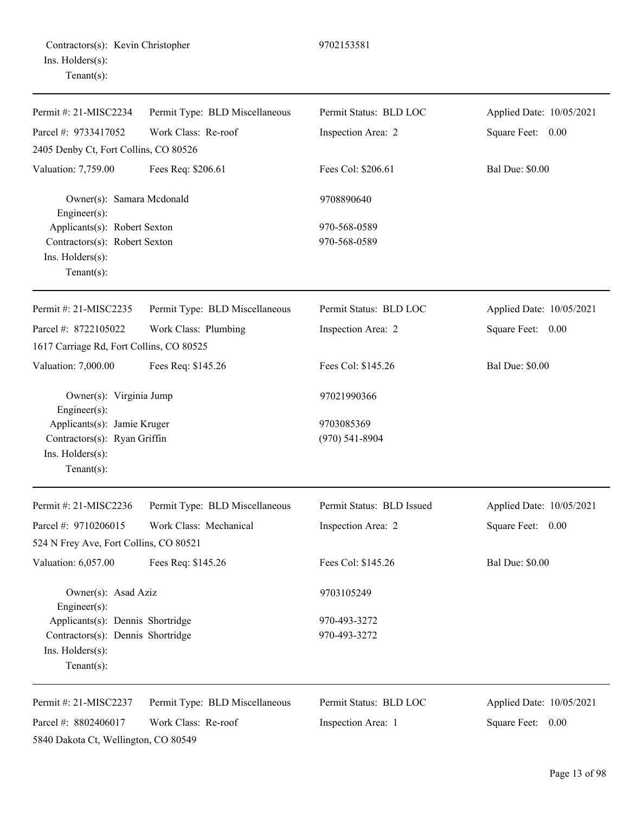| Permit #: 21-MISC2234                     | Permit Type: BLD Miscellaneous | Permit Status: BLD LOC    | Applied Date: 10/05/2021 |
|-------------------------------------------|--------------------------------|---------------------------|--------------------------|
| Parcel #: 9733417052                      | Work Class: Re-roof            | Inspection Area: 2        | Square Feet: 0.00        |
| 2405 Denby Ct, Fort Collins, CO 80526     |                                |                           |                          |
| Valuation: 7,759.00                       | Fees Req: \$206.61             | Fees Col: \$206.61        | <b>Bal Due: \$0.00</b>   |
| Owner(s): Samara Mcdonald<br>Engineer(s): |                                | 9708890640                |                          |
| Applicants(s): Robert Sexton              |                                | 970-568-0589              |                          |
| Contractors(s): Robert Sexton             |                                | 970-568-0589              |                          |
| Ins. Holders(s):<br>Tenant $(s)$ :        |                                |                           |                          |
| Permit #: 21-MISC2235                     | Permit Type: BLD Miscellaneous | Permit Status: BLD LOC    | Applied Date: 10/05/2021 |
| Parcel #: 8722105022                      | Work Class: Plumbing           | Inspection Area: 2        | Square Feet: 0.00        |
| 1617 Carriage Rd, Fort Collins, CO 80525  |                                |                           |                          |
| Valuation: 7,000.00                       | Fees Req: \$145.26             | Fees Col: \$145.26        | <b>Bal Due: \$0.00</b>   |
| Owner(s): Virginia Jump<br>Engineer(s):   |                                | 97021990366               |                          |
| Applicants(s): Jamie Kruger               |                                | 9703085369                |                          |
| Contractors(s): Ryan Griffin              |                                | $(970)$ 541-8904          |                          |
| Ins. Holders(s):<br>$Tenant(s)$ :         |                                |                           |                          |
| Permit #: 21-MISC2236                     | Permit Type: BLD Miscellaneous | Permit Status: BLD Issued | Applied Date: 10/05/2021 |
| Parcel #: 9710206015                      | Work Class: Mechanical         | Inspection Area: 2        | Square Feet:<br>0.00     |
| 524 N Frey Ave, Fort Collins, CO 80521    |                                |                           |                          |
| Valuation: 6,057.00                       | Fees Req: \$145.26             | Fees Col: \$145.26        | <b>Bal Due: \$0.00</b>   |
| Owner(s): Asad Aziz<br>Engineer(s):       |                                | 9703105249                |                          |
| Applicants(s): Dennis Shortridge          |                                | 970-493-3272              |                          |
| Contractors(s): Dennis Shortridge         |                                | 970-493-3272              |                          |
| Ins. Holders(s):<br>Tenant $(s)$ :        |                                |                           |                          |
| Permit #: 21-MISC2237                     | Permit Type: BLD Miscellaneous | Permit Status: BLD LOC    | Applied Date: 10/05/2021 |
| Parcel #: 8802406017                      | Work Class: Re-roof            | Inspection Area: 1        | Square Feet:<br>0.00     |
| 5840 Dakota Ct, Wellington, CO 80549      |                                |                           |                          |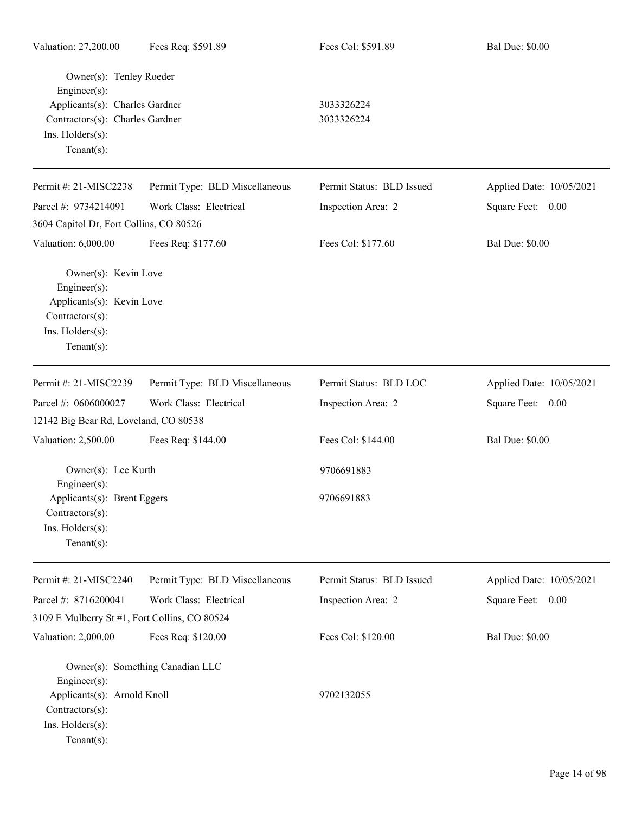| Valuation: 27,200.00                                                                                                                                    | Fees Req: \$591.89               | Fees Col: \$591.89        | <b>Bal Due: \$0.00</b>   |
|---------------------------------------------------------------------------------------------------------------------------------------------------------|----------------------------------|---------------------------|--------------------------|
| Owner(s): Tenley Roeder<br>$Engineering(s)$ :<br>Applicants(s): Charles Gardner<br>Contractors(s): Charles Gardner<br>Ins. Holders(s):<br>$Tenant(s)$ : |                                  | 3033326224<br>3033326224  |                          |
| Permit #: 21-MISC2238                                                                                                                                   | Permit Type: BLD Miscellaneous   | Permit Status: BLD Issued | Applied Date: 10/05/2021 |
| Parcel #: 9734214091                                                                                                                                    | Work Class: Electrical           | Inspection Area: 2        | Square Feet: 0.00        |
| 3604 Capitol Dr, Fort Collins, CO 80526                                                                                                                 |                                  |                           |                          |
| Valuation: 6,000.00                                                                                                                                     | Fees Req: \$177.60               | Fees Col: \$177.60        | <b>Bal Due: \$0.00</b>   |
| Owner(s): Kevin Love<br>Engineer(s):<br>Applicants(s): Kevin Love<br>Contractors(s):<br>Ins. Holders(s):<br>$Tenant(s)$ :                               |                                  |                           |                          |
| Permit #: 21-MISC2239                                                                                                                                   | Permit Type: BLD Miscellaneous   | Permit Status: BLD LOC    | Applied Date: 10/05/2021 |
| Parcel #: 0606000027                                                                                                                                    | Work Class: Electrical           | Inspection Area: 2        | Square Feet: 0.00        |
| 12142 Big Bear Rd, Loveland, CO 80538                                                                                                                   |                                  |                           |                          |
| Valuation: 2,500.00                                                                                                                                     | Fees Req: \$144.00               | Fees Col: \$144.00        | <b>Bal Due: \$0.00</b>   |
| Owner(s): Lee Kurth<br>$Engineering(s)$ :<br>Applicants(s): Brent Eggers<br>$Contractors(s)$ :<br>Ins. Holders(s):<br>$Tenant(s)$ :                     |                                  | 9706691883<br>9706691883  |                          |
| Permit #: 21-MISC2240                                                                                                                                   | Permit Type: BLD Miscellaneous   | Permit Status: BLD Issued | Applied Date: 10/05/2021 |
| Parcel #: 8716200041                                                                                                                                    | Work Class: Electrical           | Inspection Area: 2        | Square Feet: 0.00        |
| 3109 E Mulberry St #1, Fort Collins, CO 80524                                                                                                           |                                  |                           |                          |
| Valuation: 2,000.00                                                                                                                                     | Fees Req: \$120.00               | Fees Col: \$120.00        | <b>Bal Due: \$0.00</b>   |
| $Engineering(s)$ :<br>Applicants(s): Arnold Knoll<br>Contractors(s):<br>Ins. Holders(s):<br>$Tenant(s)$ :                                               | Owner(s): Something Canadian LLC | 9702132055                |                          |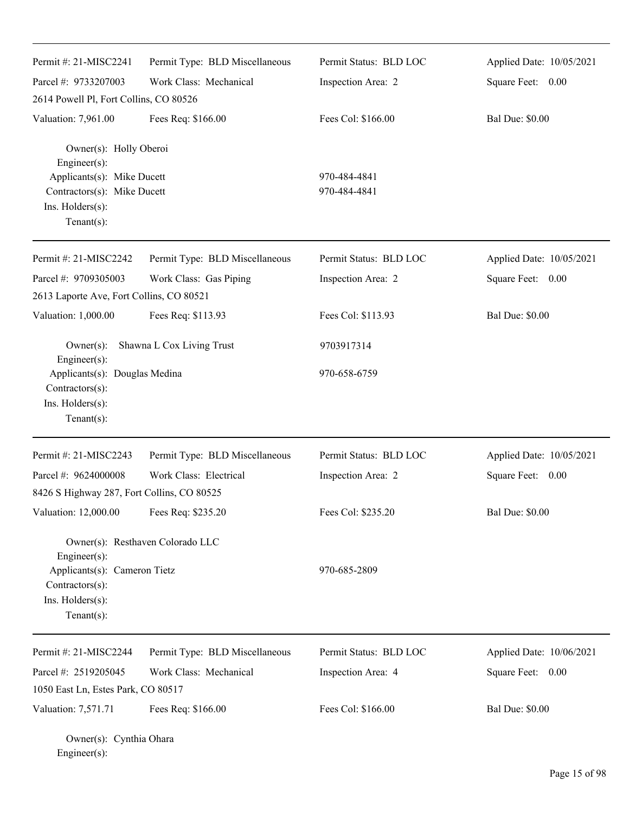| Permit #: 21-MISC2241                                                                                                                     | Permit Type: BLD Miscellaneous   | Permit Status: BLD LOC       | Applied Date: 10/05/2021 |
|-------------------------------------------------------------------------------------------------------------------------------------------|----------------------------------|------------------------------|--------------------------|
| Parcel #: 9733207003                                                                                                                      | Work Class: Mechanical           | Inspection Area: 2           | Square Feet: 0.00        |
| 2614 Powell Pl, Fort Collins, CO 80526                                                                                                    |                                  |                              |                          |
| Valuation: 7,961.00                                                                                                                       | Fees Req: \$166.00               | Fees Col: \$166.00           | <b>Bal Due: \$0.00</b>   |
| Owner(s): Holly Oberoi<br>Engineer(s):<br>Applicants(s): Mike Ducett<br>Contractors(s): Mike Ducett<br>Ins. Holders(s):<br>Tenant $(s)$ : |                                  | 970-484-4841<br>970-484-4841 |                          |
| Permit #: 21-MISC2242                                                                                                                     | Permit Type: BLD Miscellaneous   | Permit Status: BLD LOC       | Applied Date: 10/05/2021 |
| Parcel #: 9709305003                                                                                                                      | Work Class: Gas Piping           | Inspection Area: 2           | Square Feet: 0.00        |
| 2613 Laporte Ave, Fort Collins, CO 80521                                                                                                  |                                  |                              |                          |
| Valuation: 1,000.00                                                                                                                       | Fees Req: \$113.93               | Fees Col: \$113.93           | <b>Bal Due: \$0.00</b>   |
| $Owner(s)$ :<br>Engineer(s):                                                                                                              | Shawna L Cox Living Trust        | 9703917314                   |                          |
| Applicants(s): Douglas Medina<br>Contractors(s):<br>Ins. Holders(s):<br>Tenant $(s)$ :                                                    |                                  | 970-658-6759                 |                          |
| Permit #: 21-MISC2243                                                                                                                     | Permit Type: BLD Miscellaneous   | Permit Status: BLD LOC       | Applied Date: 10/05/2021 |
| Parcel #: 9624000008                                                                                                                      | Work Class: Electrical           | Inspection Area: 2           | Square Feet: 0.00        |
| 8426 S Highway 287, Fort Collins, CO 80525                                                                                                |                                  |                              |                          |
| Valuation: 12,000.00                                                                                                                      | Fees Req: \$235.20               | Fees Col: \$235.20           | <b>Bal Due: \$0.00</b>   |
| Engineer(s):<br>Applicants(s): Cameron Tietz<br>Contractors(s):<br>Ins. Holders(s):<br>Tenant $(s)$ :                                     | Owner(s): Resthaven Colorado LLC | 970-685-2809                 |                          |
| Permit #: 21-MISC2244                                                                                                                     | Permit Type: BLD Miscellaneous   | Permit Status: BLD LOC       | Applied Date: 10/06/2021 |
| Parcel #: 2519205045                                                                                                                      | Work Class: Mechanical           | Inspection Area: 4           | Square Feet: 0.00        |
| 1050 East Ln, Estes Park, CO 80517                                                                                                        |                                  |                              |                          |
| Valuation: 7,571.71                                                                                                                       | Fees Req: \$166.00               | Fees Col: \$166.00           | <b>Bal Due: \$0.00</b>   |
| Owner(s): Cynthia Ohara                                                                                                                   |                                  |                              |                          |

Engineer(s):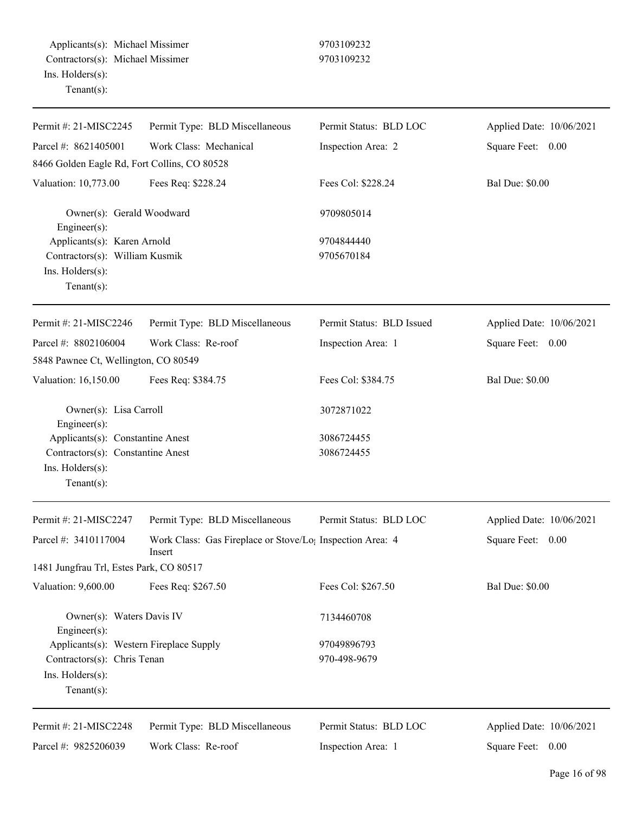| Permit #: 21-MISC2245                                                                                        | Permit Type: BLD Miscellaneous                                                  | Permit Status: BLD LOC      | Applied Date: 10/06/2021 |
|--------------------------------------------------------------------------------------------------------------|---------------------------------------------------------------------------------|-----------------------------|--------------------------|
| Parcel #: 8621405001                                                                                         | Work Class: Mechanical                                                          | Inspection Area: 2          | Square Feet: 0.00        |
| 8466 Golden Eagle Rd, Fort Collins, CO 80528                                                                 |                                                                                 |                             |                          |
| Valuation: 10,773.00                                                                                         | Fees Req: \$228.24                                                              | Fees Col: \$228.24          | <b>Bal Due: \$0.00</b>   |
| Owner(s): Gerald Woodward<br>Engineer(s):                                                                    |                                                                                 | 9709805014                  |                          |
| Applicants(s): Karen Arnold<br>Contractors(s): William Kusmik<br>Ins. Holders(s):<br>Tenant $(s)$ :          |                                                                                 | 9704844440<br>9705670184    |                          |
| Permit #: 21-MISC2246                                                                                        | Permit Type: BLD Miscellaneous                                                  | Permit Status: BLD Issued   | Applied Date: 10/06/2021 |
| Parcel #: 8802106004                                                                                         | Work Class: Re-roof                                                             | Inspection Area: 1          | Square Feet: 0.00        |
| 5848 Pawnee Ct, Wellington, CO 80549                                                                         |                                                                                 |                             |                          |
| Valuation: 16,150.00                                                                                         | Fees Req: \$384.75                                                              | Fees Col: \$384.75          | <b>Bal Due: \$0.00</b>   |
| Owner(s): Lisa Carroll<br>Engineer(s):                                                                       |                                                                                 | 3072871022                  |                          |
| Applicants(s): Constantine Anest<br>Contractors(s): Constantine Anest<br>Ins. Holders(s):<br>$Tenant(s)$ :   |                                                                                 | 3086724455<br>3086724455    |                          |
| Permit #: 21-MISC2247                                                                                        | Permit Type: BLD Miscellaneous                                                  | Permit Status: BLD LOC      | Applied Date: 10/06/2021 |
| Parcel #: 3410117004                                                                                         | Work Class: Gas Fireplace or Stove/Lo <sub>1</sub> Inspection Area: 4<br>Insert |                             | Square Feet: 0.00        |
| 1481 Jungfrau Trl, Estes Park, CO 80517                                                                      |                                                                                 |                             |                          |
| Valuation: 9,600.00                                                                                          | Fees Req: \$267.50                                                              | Fees Col: \$267.50          | <b>Bal Due: \$0.00</b>   |
| Owner(s): Waters Davis IV<br>$Engineering(s)$ :                                                              |                                                                                 | 7134460708                  |                          |
| Applicants(s): Western Fireplace Supply<br>Contractors(s): Chris Tenan<br>Ins. Holders(s):<br>Tenant $(s)$ : |                                                                                 | 97049896793<br>970-498-9679 |                          |
| Permit #: 21-MISC2248                                                                                        | Permit Type: BLD Miscellaneous                                                  | Permit Status: BLD LOC      | Applied Date: 10/06/2021 |
| Parcel #: 9825206039                                                                                         | Work Class: Re-roof                                                             | Inspection Area: 1          | Square Feet: 0.00        |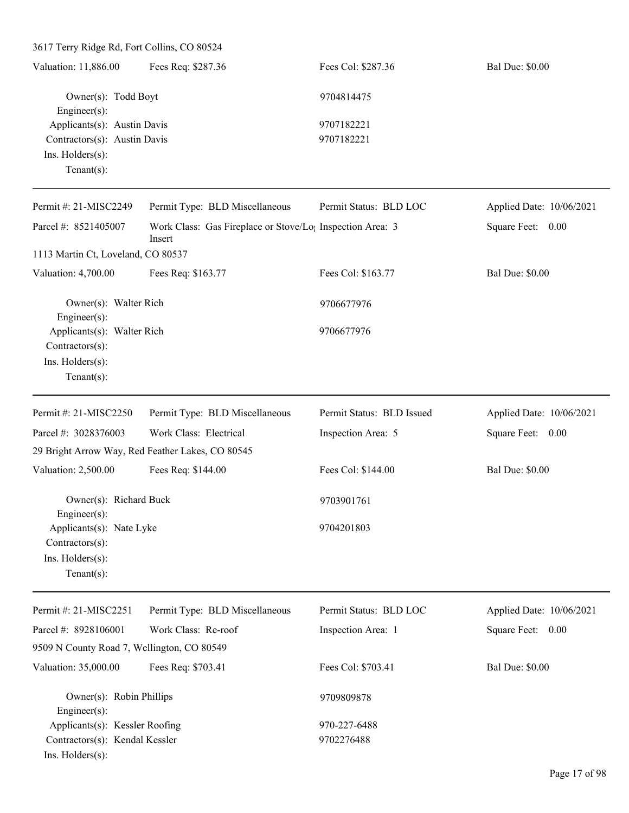| 3617 Terry Ridge Rd, Fort Collins, CO 80524   |                                                                                 |                           |                          |
|-----------------------------------------------|---------------------------------------------------------------------------------|---------------------------|--------------------------|
| Valuation: 11,886.00                          | Fees Req: \$287.36                                                              | Fees Col: \$287.36        | <b>Bal Due: \$0.00</b>   |
| Owner(s): Todd Boyt<br>Engineer(s):           |                                                                                 | 9704814475                |                          |
| Applicants(s): Austin Davis                   |                                                                                 | 9707182221                |                          |
| Contractors(s): Austin Davis                  |                                                                                 | 9707182221                |                          |
| Ins. Holders(s):                              |                                                                                 |                           |                          |
| Tenant $(s)$ :                                |                                                                                 |                           |                          |
| Permit #: 21-MISC2249                         | Permit Type: BLD Miscellaneous                                                  | Permit Status: BLD LOC    | Applied Date: 10/06/2021 |
| Parcel #: 8521405007                          | Work Class: Gas Fireplace or Stove/Lo <sub>1</sub> Inspection Area: 3<br>Insert |                           | Square Feet: 0.00        |
| 1113 Martin Ct, Loveland, CO 80537            |                                                                                 |                           |                          |
| Valuation: 4,700.00                           | Fees Req: \$163.77                                                              | Fees Col: \$163.77        | <b>Bal Due: \$0.00</b>   |
| Owner(s): Walter Rich<br>Engineer(s):         |                                                                                 | 9706677976                |                          |
| Applicants(s): Walter Rich<br>Contractors(s): |                                                                                 | 9706677976                |                          |
| Ins. Holders(s):                              |                                                                                 |                           |                          |
| Tenant $(s)$ :                                |                                                                                 |                           |                          |
| Permit #: 21-MISC2250                         | Permit Type: BLD Miscellaneous                                                  | Permit Status: BLD Issued | Applied Date: 10/06/2021 |
| Parcel #: 3028376003                          | Work Class: Electrical                                                          | Inspection Area: 5        | Square Feet: 0.00        |
|                                               | 29 Bright Arrow Way, Red Feather Lakes, CO 80545                                |                           |                          |
| Valuation: 2,500.00                           | Fees Req: \$144.00                                                              | Fees Col: \$144.00        | <b>Bal Due: \$0.00</b>   |
| Owner(s): Richard Buck                        |                                                                                 | 9703901761                |                          |
| Engineer(s):<br>Applicants(s): Nate Lyke      |                                                                                 | 9704201803                |                          |
| Contractors(s):                               |                                                                                 |                           |                          |
| Ins. Holders(s):                              |                                                                                 |                           |                          |
| Tenant $(s)$ :                                |                                                                                 |                           |                          |
| Permit #: 21-MISC2251                         | Permit Type: BLD Miscellaneous                                                  | Permit Status: BLD LOC    | Applied Date: 10/06/2021 |
| Parcel #: 8928106001                          | Work Class: Re-roof                                                             | Inspection Area: 1        | Square Feet: 0.00        |
| 9509 N County Road 7, Wellington, CO 80549    |                                                                                 |                           |                          |
| Valuation: 35,000.00                          | Fees Req: \$703.41                                                              | Fees Col: \$703.41        | <b>Bal Due: \$0.00</b>   |
| Owner(s): Robin Phillips                      |                                                                                 | 9709809878                |                          |
| Engineer(s):                                  |                                                                                 |                           |                          |
| Applicants(s): Kessler Roofing                |                                                                                 | 970-227-6488              |                          |
| Contractors(s): Kendal Kessler                |                                                                                 | 9702276488                |                          |
| Ins. Holders(s):                              |                                                                                 |                           |                          |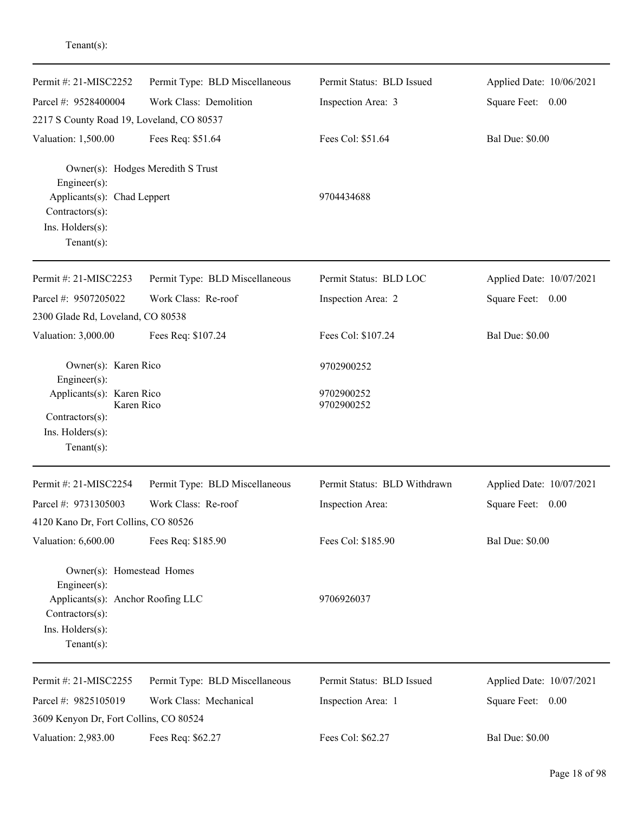| Permit #: 21-MISC2252                                                    | Permit Type: BLD Miscellaneous    | Permit Status: BLD Issued    | Applied Date: 10/06/2021 |
|--------------------------------------------------------------------------|-----------------------------------|------------------------------|--------------------------|
| Parcel #: 9528400004                                                     | Work Class: Demolition            | Inspection Area: 3           | Square Feet: 0.00        |
| 2217 S County Road 19, Loveland, CO 80537                                |                                   |                              |                          |
| Valuation: 1,500.00                                                      | Fees Req: \$51.64                 | Fees Col: \$51.64            | <b>Bal Due: \$0.00</b>   |
| Engineer(s):<br>Applicants(s): Chad Leppert<br>Contractors(s):           | Owner(s): Hodges Meredith S Trust | 9704434688                   |                          |
| Ins. Holders(s):                                                         |                                   |                              |                          |
| Tenant $(s)$ :                                                           |                                   |                              |                          |
| Permit #: 21-MISC2253                                                    | Permit Type: BLD Miscellaneous    | Permit Status: BLD LOC       | Applied Date: 10/07/2021 |
| Parcel #: 9507205022                                                     | Work Class: Re-roof               | Inspection Area: 2           | Square Feet: 0.00        |
| 2300 Glade Rd, Loveland, CO 80538                                        |                                   |                              |                          |
| Valuation: 3,000.00                                                      | Fees Req: \$107.24                | Fees Col: \$107.24           | <b>Bal Due: \$0.00</b>   |
| Owner(s): Karen Rico<br>Engineer(s):                                     |                                   | 9702900252                   |                          |
| Applicants(s): Karen Rico<br>Karen Rico                                  |                                   | 9702900252<br>9702900252     |                          |
| Contractors(s):<br>Ins. Holders(s):<br>Tenant $(s)$ :                    |                                   |                              |                          |
| Permit #: 21-MISC2254                                                    | Permit Type: BLD Miscellaneous    | Permit Status: BLD Withdrawn | Applied Date: 10/07/2021 |
| Parcel #: 9731305003                                                     | Work Class: Re-roof               | Inspection Area:             | Square Feet:<br>0.00     |
| 4120 Kano Dr, Fort Collins, CO 80526                                     |                                   |                              |                          |
| Valuation: 6,600.00                                                      | Fees Req: \$185.90                | Fees Col: \$185.90           | <b>Bal Due: \$0.00</b>   |
| Owner(s): Homestead Homes<br>$Engineering(s)$ :                          |                                   |                              |                          |
| Applicants(s): Anchor Roofing LLC<br>Contractors(s):<br>Ins. Holders(s): |                                   | 9706926037                   |                          |
| Tenant $(s)$ :                                                           |                                   |                              |                          |
| Permit #: 21-MISC2255                                                    | Permit Type: BLD Miscellaneous    | Permit Status: BLD Issued    | Applied Date: 10/07/2021 |
| Parcel #: 9825105019                                                     | Work Class: Mechanical            | Inspection Area: 1           | Square Feet: 0.00        |
| 3609 Kenyon Dr, Fort Collins, CO 80524                                   |                                   |                              |                          |
| Valuation: 2,983.00                                                      | Fees Req: \$62.27                 | Fees Col: \$62.27            | <b>Bal Due: \$0.00</b>   |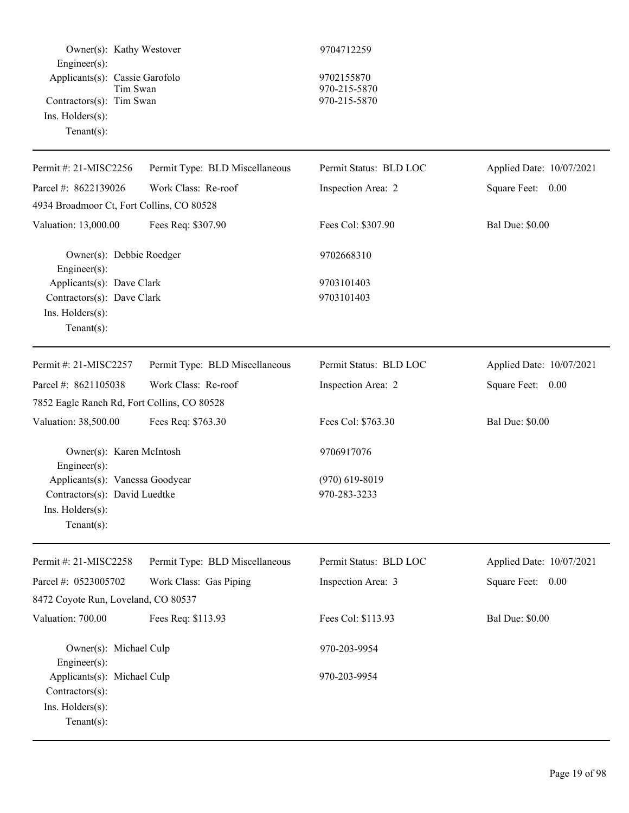| Owner(s): Kathy Westover<br>Engineer(s):                                                                          |                                | 9704712259                                 |                          |
|-------------------------------------------------------------------------------------------------------------------|--------------------------------|--------------------------------------------|--------------------------|
| Applicants(s): Cassie Garofolo<br>Tim Swan<br>Contractors(s): Tim Swan<br>$Ins.$ Holders $(s)$ :<br>$Tenant(s)$ : |                                | 9702155870<br>970-215-5870<br>970-215-5870 |                          |
| Permit #: 21-MISC2256                                                                                             | Permit Type: BLD Miscellaneous | Permit Status: BLD LOC                     | Applied Date: 10/07/2021 |
| Parcel #: 8622139026                                                                                              | Work Class: Re-roof            | Inspection Area: 2                         | Square Feet: 0.00        |
| 4934 Broadmoor Ct, Fort Collins, CO 80528                                                                         |                                |                                            |                          |
| Valuation: 13,000.00                                                                                              | Fees Req: \$307.90             | Fees Col: \$307.90                         | <b>Bal Due: \$0.00</b>   |
| Owner(s): Debbie Roedger<br>Engineer(s):                                                                          |                                | 9702668310                                 |                          |
| Applicants(s): Dave Clark<br>Contractors(s): Dave Clark<br>Ins. Holders(s):<br>Tenant $(s)$ :                     |                                | 9703101403<br>9703101403                   |                          |
| Permit #: 21-MISC2257                                                                                             | Permit Type: BLD Miscellaneous | Permit Status: BLD LOC                     | Applied Date: 10/07/2021 |
| Parcel #: 8621105038                                                                                              | Work Class: Re-roof            | Inspection Area: 2                         | Square Feet: 0.00        |
| 7852 Eagle Ranch Rd, Fort Collins, CO 80528                                                                       |                                |                                            |                          |
| Valuation: 38,500.00                                                                                              | Fees Req: \$763.30             | Fees Col: \$763.30                         | <b>Bal Due: \$0.00</b>   |
| Owner(s): Karen McIntosh<br>Engineer(s):                                                                          |                                | 9706917076                                 |                          |
| Applicants(s): Vanessa Goodyear                                                                                   |                                | $(970)$ 619-8019                           |                          |
| Contractors(s): David Luedtke<br>Ins. Holders(s):<br>$Tenant(s)$ :                                                |                                | 970-283-3233                               |                          |
| Permit #: 21-MISC2258                                                                                             | Permit Type: BLD Miscellaneous | Permit Status: BLD LOC                     | Applied Date: 10/07/2021 |
| Parcel #: 0523005702                                                                                              | Work Class: Gas Piping         | Inspection Area: 3                         | Square Feet: 0.00        |
| 8472 Coyote Run, Loveland, CO 80537                                                                               |                                |                                            |                          |
| Valuation: 700.00                                                                                                 | Fees Req: \$113.93             | Fees Col: \$113.93                         | <b>Bal Due: \$0.00</b>   |
| Owner(s): Michael Culp<br>$Engineering(s)$ :                                                                      |                                | 970-203-9954                               |                          |
| Applicants(s): Michael Culp<br>Contractors(s):<br>Ins. Holders(s):<br>$Tenant(s)$ :                               |                                | 970-203-9954                               |                          |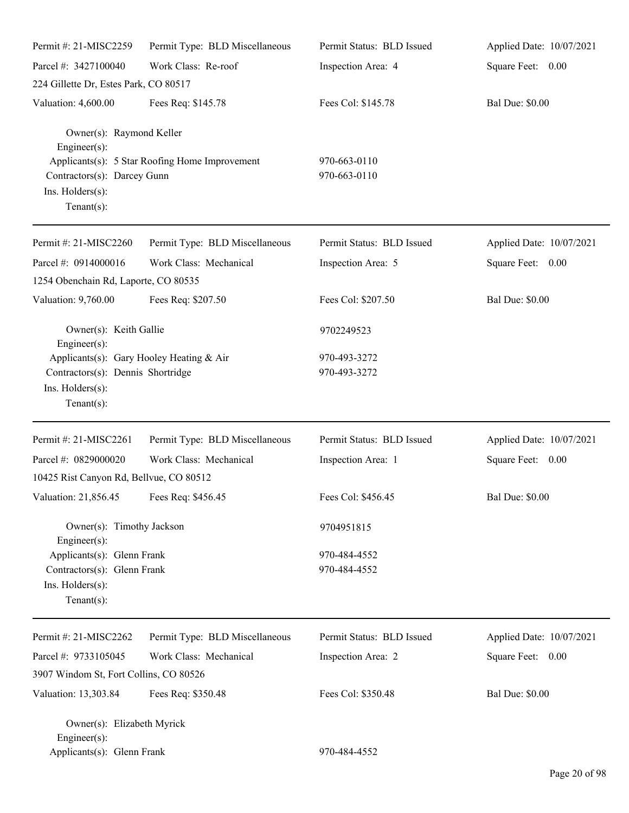| Permit #: 21-MISC2259                                                   | Permit Type: BLD Miscellaneous                 | Permit Status: BLD Issued    | Applied Date: 10/07/2021 |
|-------------------------------------------------------------------------|------------------------------------------------|------------------------------|--------------------------|
| Parcel #: 3427100040                                                    | Work Class: Re-roof                            | Inspection Area: 4           | Square Feet: 0.00        |
| 224 Gillette Dr, Estes Park, CO 80517                                   |                                                |                              |                          |
| Valuation: 4,600.00                                                     | Fees Req: \$145.78                             | Fees Col: \$145.78           | <b>Bal Due: \$0.00</b>   |
| Owner(s): Raymond Keller<br>$Engineering(s)$ :                          |                                                |                              |                          |
| Contractors(s): Darcey Gunn<br>Ins. Holders(s):<br>Tenant $(s)$ :       | Applicants(s): 5 Star Roofing Home Improvement | 970-663-0110<br>970-663-0110 |                          |
| Permit #: 21-MISC2260                                                   | Permit Type: BLD Miscellaneous                 | Permit Status: BLD Issued    | Applied Date: 10/07/2021 |
| Parcel #: 0914000016                                                    | Work Class: Mechanical                         | Inspection Area: 5           | Square Feet: 0.00        |
| 1254 Obenchain Rd, Laporte, CO 80535                                    |                                                |                              |                          |
| Valuation: 9,760.00                                                     | Fees Req: \$207.50                             | Fees Col: \$207.50           | <b>Bal Due: \$0.00</b>   |
| Owner(s): Keith Gallie<br>$Engineering(s)$ :                            |                                                | 9702249523                   |                          |
| Applicants(s): Gary Hooley Heating & Air                                |                                                | 970-493-3272                 |                          |
| Contractors(s): Dennis Shortridge<br>Ins. Holders(s):<br>Tenant $(s)$ : |                                                | 970-493-3272                 |                          |
| Permit #: 21-MISC2261                                                   | Permit Type: BLD Miscellaneous                 | Permit Status: BLD Issued    | Applied Date: 10/07/2021 |
| Parcel #: 0829000020                                                    | Work Class: Mechanical                         | Inspection Area: 1           | Square Feet: 0.00        |
| 10425 Rist Canyon Rd, Bellvue, CO 80512                                 |                                                |                              |                          |
| Valuation: 21,856.45 Fees Req: \$456.45                                 |                                                | Fees Col: \$456.45           | <b>Bal Due: \$0.00</b>   |
| Owner(s): Timothy Jackson<br>Engineer(s):                               |                                                | 9704951815                   |                          |
| Applicants(s): Glenn Frank                                              |                                                | 970-484-4552                 |                          |
| Contractors(s): Glenn Frank<br>Ins. Holders(s):<br>Tenant $(s)$ :       |                                                | 970-484-4552                 |                          |
| Permit #: 21-MISC2262                                                   | Permit Type: BLD Miscellaneous                 | Permit Status: BLD Issued    | Applied Date: 10/07/2021 |
| Parcel #: 9733105045                                                    | Work Class: Mechanical                         | Inspection Area: 2           | Square Feet: 0.00        |
| 3907 Windom St, Fort Collins, CO 80526                                  |                                                |                              |                          |
| Valuation: 13,303.84                                                    | Fees Req: \$350.48                             | Fees Col: \$350.48           | <b>Bal Due: \$0.00</b>   |
| Owner(s): Elizabeth Myrick<br>Engineer $(s)$ :                          |                                                |                              |                          |
| Applicants(s): Glenn Frank                                              |                                                | 970-484-4552                 |                          |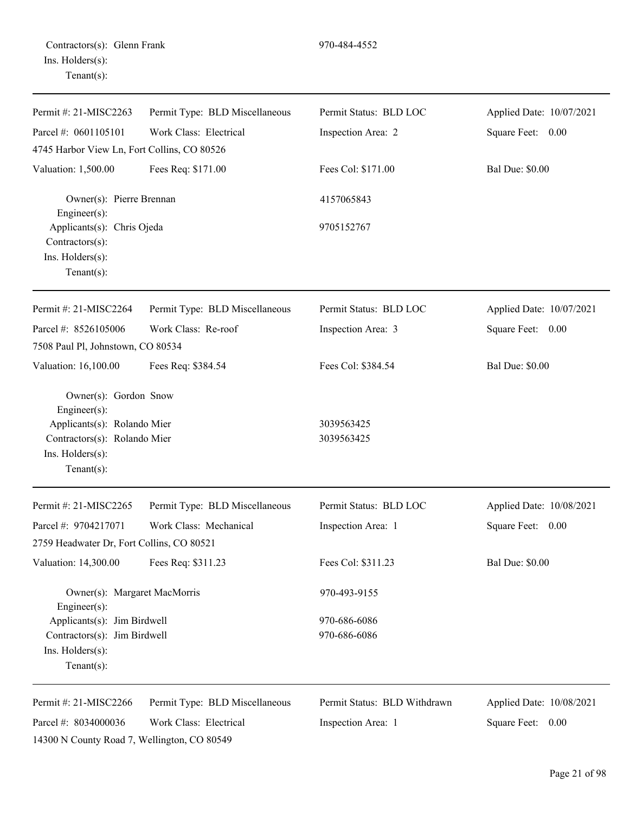| Contractors(s): Glenn Frank |  |
|-----------------------------|--|
| Ins. Holders(s):            |  |
| $Tenant(s)$ :               |  |

| Permit #: 21-MISC2263                                                                                                                      | Permit Type: BLD Miscellaneous | Permit Status: BLD LOC       | Applied Date: 10/07/2021 |
|--------------------------------------------------------------------------------------------------------------------------------------------|--------------------------------|------------------------------|--------------------------|
| Parcel #: 0601105101                                                                                                                       | Work Class: Electrical         | Inspection Area: 2           | Square Feet: 0.00        |
| 4745 Harbor View Ln, Fort Collins, CO 80526                                                                                                |                                |                              |                          |
| Valuation: 1,500.00                                                                                                                        | Fees Req: \$171.00             | Fees Col: \$171.00           | <b>Bal Due: \$0.00</b>   |
| Owner(s): Pierre Brennan<br>Engineer(s):                                                                                                   |                                | 4157065843                   |                          |
| Applicants(s): Chris Ojeda<br>Contractors(s):<br>Ins. Holders(s):<br>Tenant $(s)$ :                                                        |                                | 9705152767                   |                          |
| Permit #: 21-MISC2264                                                                                                                      | Permit Type: BLD Miscellaneous | Permit Status: BLD LOC       | Applied Date: 10/07/2021 |
| Parcel #: 8526105006                                                                                                                       | Work Class: Re-roof            | Inspection Area: 3           | Square Feet: 0.00        |
| 7508 Paul Pl, Johnstown, CO 80534                                                                                                          |                                |                              |                          |
| Valuation: 16,100.00                                                                                                                       | Fees Req: \$384.54             | Fees Col: \$384.54           | <b>Bal Due: \$0.00</b>   |
| Owner(s): Gordon Snow<br>Engineer(s):<br>Applicants(s): Rolando Mier<br>Contractors(s): Rolando Mier<br>Ins. Holders(s):<br>Tenant $(s)$ : |                                | 3039563425<br>3039563425     |                          |
| Permit #: 21-MISC2265                                                                                                                      | Permit Type: BLD Miscellaneous | Permit Status: BLD LOC       | Applied Date: 10/08/2021 |
| Parcel #: 9704217071                                                                                                                       | Work Class: Mechanical         | Inspection Area: 1           | Square Feet: 0.00        |
| 2759 Headwater Dr, Fort Collins, CO 80521                                                                                                  |                                |                              |                          |
| Valuation: 14,300.00                                                                                                                       | Fees Req: \$311.23             | Fees Col: \$311.23           | <b>Bal Due: \$0.00</b>   |
| Owner(s): Margaret MacMorris<br>Engineer(s):                                                                                               |                                | 970-493-9155                 |                          |
| Applicants(s): Jim Birdwell                                                                                                                |                                | 970-686-6086                 |                          |
| Contractors(s): Jim Birdwell<br>Ins. Holders(s):<br>Tenant $(s)$ :                                                                         |                                | 970-686-6086                 |                          |
| Permit #: 21-MISC2266                                                                                                                      | Permit Type: BLD Miscellaneous | Permit Status: BLD Withdrawn | Applied Date: 10/08/2021 |
| Parcel #: 8034000036                                                                                                                       | Work Class: Electrical         | Inspection Area: 1           | Square Feet:<br>0.00     |

14300 N County Road 7, Wellington, CO 80549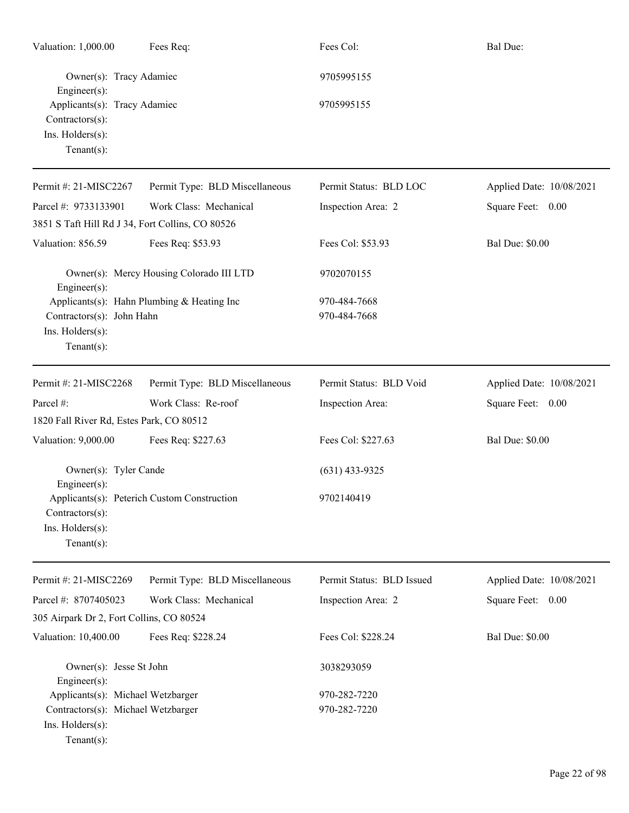| Valuation: 1,000.00                                                                   | Fees Req:                                   | Fees Col:                    | <b>Bal Due:</b>          |
|---------------------------------------------------------------------------------------|---------------------------------------------|------------------------------|--------------------------|
| Owner(s): Tracy Adamiec<br>Engineer(s):                                               |                                             | 9705995155                   |                          |
| Applicants(s): Tracy Adamiec<br>Contractors(s):<br>Ins. Holders(s):<br>Tenant $(s)$ : |                                             | 9705995155                   |                          |
| Permit #: 21-MISC2267                                                                 | Permit Type: BLD Miscellaneous              | Permit Status: BLD LOC       | Applied Date: 10/08/2021 |
| Parcel #: 9733133901                                                                  | Work Class: Mechanical                      | Inspection Area: 2           | Square Feet: 0.00        |
| 3851 S Taft Hill Rd J 34, Fort Collins, CO 80526                                      |                                             |                              |                          |
| Valuation: 856.59                                                                     | Fees Req: \$53.93                           | Fees Col: \$53.93            | <b>Bal Due: \$0.00</b>   |
| Engineer(s):                                                                          | Owner(s): Mercy Housing Colorado III LTD    | 9702070155                   |                          |
| Contractors(s): John Hahn<br>Ins. Holders(s):<br>Tenant $(s)$ :                       | Applicants(s): Hahn Plumbing & Heating Inc  | 970-484-7668<br>970-484-7668 |                          |
| Permit #: 21-MISC2268                                                                 | Permit Type: BLD Miscellaneous              | Permit Status: BLD Void      | Applied Date: 10/08/2021 |
| Parcel #:<br>1820 Fall River Rd, Estes Park, CO 80512                                 | Work Class: Re-roof                         | Inspection Area:             | Square Feet: 0.00        |
| Valuation: 9,000.00                                                                   | Fees Req: \$227.63                          | Fees Col: \$227.63           | <b>Bal Due: \$0.00</b>   |
| Owner(s): Tyler Cande<br>Engineer(s):                                                 |                                             | $(631)$ 433-9325             |                          |
| Contractors(s):<br>Ins. Holders(s):<br>Tenant $(s)$ :                                 | Applicants(s): Peterich Custom Construction | 9702140419                   |                          |
| Permit #: 21-MISC2269                                                                 | Permit Type: BLD Miscellaneous              | Permit Status: BLD Issued    | Applied Date: 10/08/2021 |
| Parcel #: 8707405023                                                                  | Work Class: Mechanical                      | Inspection Area: 2           | Square Feet: 0.00        |
| 305 Airpark Dr 2, Fort Collins, CO 80524                                              |                                             |                              |                          |
| Valuation: 10,400.00                                                                  | Fees Req: \$228.24                          | Fees Col: \$228.24           | <b>Bal Due: \$0.00</b>   |
| Owner(s): Jesse St John<br>Engineer(s):                                               |                                             | 3038293059                   |                          |
| Applicants(s): Michael Wetzbarger                                                     |                                             | 970-282-7220                 |                          |
| Contractors(s): Michael Wetzbarger<br>Ins. Holders(s):<br>$Tenant(s)$ :               |                                             | 970-282-7220                 |                          |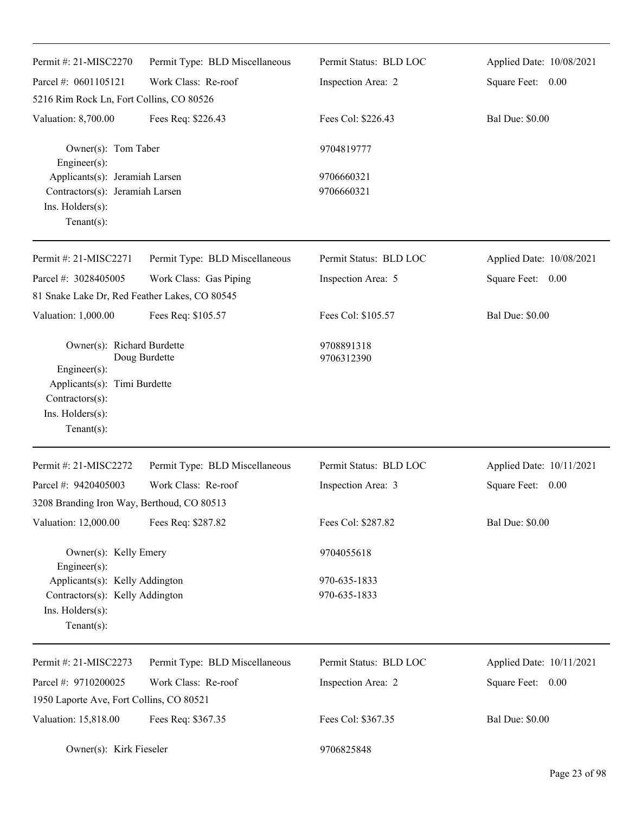| Permit #: 21-MISC2270                                                                                                               | Permit Type: BLD Miscellaneous | Permit Status: BLD LOC       | Applied Date: 10/08/2021 |
|-------------------------------------------------------------------------------------------------------------------------------------|--------------------------------|------------------------------|--------------------------|
| Parcel #: 0601105121                                                                                                                | Work Class: Re-roof            | Inspection Area: 2           | Square Feet: 0.00        |
| 5216 Rim Rock Ln, Fort Collins, CO 80526                                                                                            |                                |                              |                          |
| Valuation: 8,700.00                                                                                                                 | Fees Req: \$226.43             | Fees Col: \$226.43           | <b>Bal Due: \$0.00</b>   |
| Owner(s): Tom Taber<br>Engineer $(s)$ :                                                                                             |                                | 9704819777                   |                          |
| Applicants(s): Jeramiah Larsen<br>Contractors(s): Jeramiah Larsen<br>Ins. Holders(s):<br>Tenant $(s)$ :                             |                                | 9706660321<br>9706660321     |                          |
| Permit #: 21-MISC2271                                                                                                               | Permit Type: BLD Miscellaneous | Permit Status: BLD LOC       | Applied Date: 10/08/2021 |
| Parcel #: 3028405005                                                                                                                | Work Class: Gas Piping         | Inspection Area: 5           | Square Feet: 0.00        |
| 81 Snake Lake Dr, Red Feather Lakes, CO 80545                                                                                       |                                |                              |                          |
| Valuation: 1,000.00                                                                                                                 | Fees Req: \$105.57             | Fees Col: \$105.57           | <b>Bal Due: \$0.00</b>   |
| Owner(s): Richard Burdette<br>Engineer(s):<br>Applicants(s): Timi Burdette<br>Contractors(s):<br>Ins. Holders(s):<br>Tenant $(s)$ : | Doug Burdette                  | 9708891318<br>9706312390     |                          |
| Permit #: 21-MISC2272                                                                                                               | Permit Type: BLD Miscellaneous | Permit Status: BLD LOC       | Applied Date: 10/11/2021 |
| Parcel #: 9420405003                                                                                                                | Work Class: Re-roof            | Inspection Area: 3           | Square Feet:<br>0.00     |
| 3208 Branding Iron Way, Berthoud, CO 80513                                                                                          |                                |                              |                          |
| Valuation: 12,000.00                                                                                                                | Fees Req: \$287.82             | Fees Col: \$287.82           | <b>Bal Due: \$0.00</b>   |
| Owner(s): Kelly Emery<br>Engineer(s):                                                                                               |                                | 9704055618                   |                          |
| Applicants(s): Kelly Addington<br>Contractors(s): Kelly Addington<br>Ins. Holders(s):<br>Tenant $(s)$ :                             |                                | 970-635-1833<br>970-635-1833 |                          |
| Permit #: 21-MISC2273                                                                                                               | Permit Type: BLD Miscellaneous | Permit Status: BLD LOC       | Applied Date: 10/11/2021 |
| Parcel #: 9710200025                                                                                                                | Work Class: Re-roof            | Inspection Area: 2           | Square Feet: 0.00        |
| 1950 Laporte Ave, Fort Collins, CO 80521                                                                                            |                                |                              |                          |
| Valuation: 15,818.00                                                                                                                | Fees Req: \$367.35             | Fees Col: \$367.35           | <b>Bal Due: \$0.00</b>   |
| Owner(s): Kirk Fieseler                                                                                                             |                                | 9706825848                   |                          |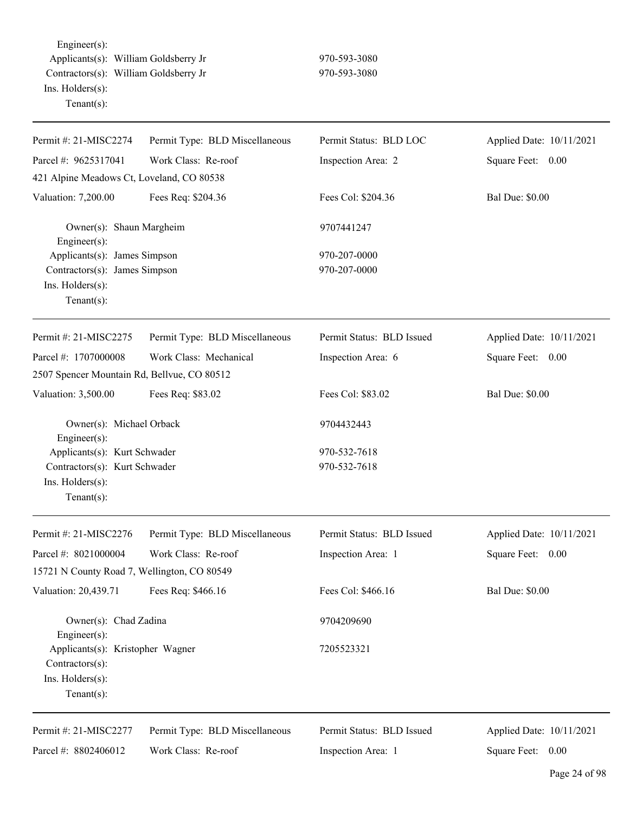Engineer(s): Applicants(s): William Goldsberry Jr 970-593-3080 Contractors(s): William Goldsberry Jr 970-593-3080 Ins. Holders(s): Tenant(s):

| Permit #: 21-MISC2274                            | Permit Type: BLD Miscellaneous | Permit Status: BLD LOC    | Applied Date: 10/11/2021 |
|--------------------------------------------------|--------------------------------|---------------------------|--------------------------|
| Parcel #: 9625317041                             | Work Class: Re-roof            | Inspection Area: 2        | Square Feet: 0.00        |
| 421 Alpine Meadows Ct, Loveland, CO 80538        |                                |                           |                          |
| Valuation: 7,200.00                              | Fees Req: \$204.36             | Fees Col: \$204.36        | <b>Bal Due: \$0.00</b>   |
| Owner(s): Shaun Margheim<br>Engineer(s):         |                                | 9707441247                |                          |
| Applicants(s): James Simpson                     |                                | 970-207-0000              |                          |
| Contractors(s): James Simpson                    |                                | 970-207-0000              |                          |
| Ins. Holders(s):                                 |                                |                           |                          |
| Tenant $(s)$ :                                   |                                |                           |                          |
| Permit #: 21-MISC2275                            | Permit Type: BLD Miscellaneous | Permit Status: BLD Issued | Applied Date: 10/11/2021 |
| Parcel #: 1707000008                             | Work Class: Mechanical         | Inspection Area: 6        | Square Feet: 0.00        |
| 2507 Spencer Mountain Rd, Bellvue, CO 80512      |                                |                           |                          |
| Valuation: 3,500.00                              | Fees Req: \$83.02              | Fees Col: \$83.02         | <b>Bal Due: \$0.00</b>   |
| Owner(s): Michael Orback<br>Engineer(s):         |                                | 9704432443                |                          |
| Applicants(s): Kurt Schwader                     |                                | 970-532-7618              |                          |
| Contractors(s): Kurt Schwader                    |                                | 970-532-7618              |                          |
| Ins. Holders(s):                                 |                                |                           |                          |
| Tenant $(s)$ :                                   |                                |                           |                          |
| Permit #: 21-MISC2276                            | Permit Type: BLD Miscellaneous | Permit Status: BLD Issued | Applied Date: 10/11/2021 |
| Parcel #: 8021000004                             | Work Class: Re-roof            | Inspection Area: 1        | Square Feet: 0.00        |
| 15721 N County Road 7, Wellington, CO 80549      |                                |                           |                          |
| Valuation: 20,439.71                             | Fees Req: \$466.16             | Fees Col: \$466.16        | <b>Bal Due: \$0.00</b>   |
| Owner(s): Chad Zadina                            |                                | 9704209690                |                          |
| Engineer(s):<br>Applicants(s): Kristopher Wagner |                                | 7205523321                |                          |
| Contractors(s):                                  |                                |                           |                          |
| Ins. Holders(s):                                 |                                |                           |                          |
| Tenant $(s)$ :                                   |                                |                           |                          |
| Permit #: 21-MISC2277                            | Permit Type: BLD Miscellaneous | Permit Status: BLD Issued | Applied Date: 10/11/2021 |
| Parcel #: 8802406012                             | Work Class: Re-roof            | Inspection Area: 1        | Square Feet: 0.00        |
|                                                  |                                |                           |                          |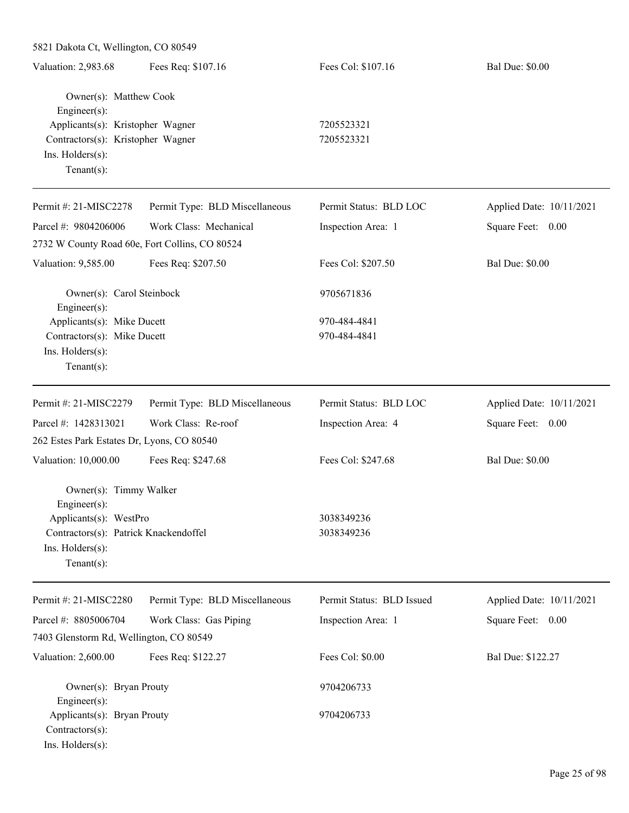| 5821 Dakota Ct, Wellington, CO 80549                                                                                                |                                |                              |                          |  |
|-------------------------------------------------------------------------------------------------------------------------------------|--------------------------------|------------------------------|--------------------------|--|
| Valuation: 2,983.68                                                                                                                 | Fees Req: \$107.16             | Fees Col: \$107.16           | <b>Bal Due: \$0.00</b>   |  |
| Owner(s): Matthew Cook<br>Engineer(s):                                                                                              |                                |                              |                          |  |
| Applicants(s): Kristopher Wagner                                                                                                    |                                | 7205523321                   |                          |  |
| Contractors(s): Kristopher Wagner<br>Ins. Holders(s):<br>Tenant $(s)$ :                                                             |                                | 7205523321                   |                          |  |
| Permit #: 21-MISC2278                                                                                                               | Permit Type: BLD Miscellaneous | Permit Status: BLD LOC       | Applied Date: 10/11/2021 |  |
| Parcel #: 9804206006                                                                                                                | Work Class: Mechanical         | Inspection Area: 1           | Square Feet: 0.00        |  |
| 2732 W County Road 60e, Fort Collins, CO 80524                                                                                      |                                |                              |                          |  |
| Valuation: 9,585.00                                                                                                                 | Fees Req: \$207.50             | Fees Col: \$207.50           | <b>Bal Due: \$0.00</b>   |  |
| Owner(s): Carol Steinbock<br>Engineer(s):                                                                                           |                                | 9705671836                   |                          |  |
| Applicants(s): Mike Ducett<br>Contractors(s): Mike Ducett<br>Ins. Holders(s):<br>Tenant $(s)$ :                                     |                                | 970-484-4841<br>970-484-4841 |                          |  |
| Permit #: 21-MISC2279                                                                                                               | Permit Type: BLD Miscellaneous | Permit Status: BLD LOC       | Applied Date: 10/11/2021 |  |
| Parcel #: 1428313021                                                                                                                | Work Class: Re-roof            | Inspection Area: 4           | Square Feet: 0.00        |  |
| 262 Estes Park Estates Dr, Lyons, CO 80540                                                                                          |                                |                              |                          |  |
| Valuation: 10,000.00                                                                                                                | Fees Req: \$247.68             | Fees Col: \$247.68           | <b>Bal Due: \$0.00</b>   |  |
| Owner(s): Timmy Walker<br>$Engineering(s)$ :<br>Applicants(s): WestPro<br>Contractors(s): Patrick Knackendoffel<br>Ins. Holders(s): |                                | 3038349236<br>3038349236     |                          |  |
| Tenant $(s)$ :                                                                                                                      |                                |                              |                          |  |
| Permit #: 21-MISC2280                                                                                                               | Permit Type: BLD Miscellaneous | Permit Status: BLD Issued    | Applied Date: 10/11/2021 |  |
| Parcel #: 8805006704<br>7403 Glenstorm Rd, Wellington, CO 80549                                                                     | Work Class: Gas Piping         | Inspection Area: 1           | Square Feet: 0.00        |  |
| Valuation: 2,600.00                                                                                                                 | Fees Req: \$122.27             | Fees Col: \$0.00             | Bal Due: \$122.27        |  |
| Owner(s): Bryan Prouty<br>Engineer(s):                                                                                              |                                | 9704206733                   |                          |  |
| Applicants(s): Bryan Prouty<br>Contractors(s):<br>Ins. Holders(s):                                                                  |                                | 9704206733                   |                          |  |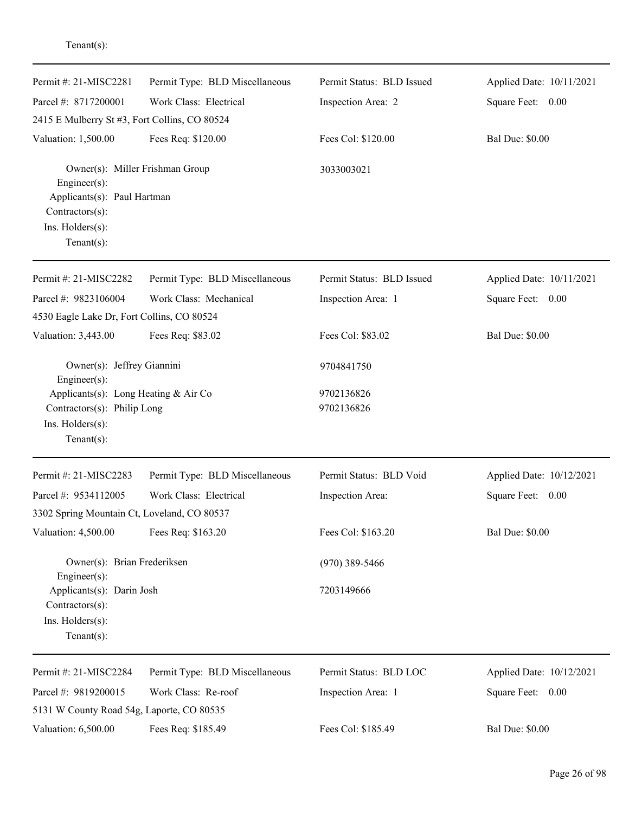| Permit Type: BLD Miscellaneous                                      | Permit Status: BLD Issued   | Applied Date: 10/11/2021 |
|---------------------------------------------------------------------|-----------------------------|--------------------------|
|                                                                     |                             |                          |
| Work Class: Electrical                                              | Inspection Area: 2          | Square Feet: 0.00        |
| 2415 E Mulberry St #3, Fort Collins, CO 80524                       |                             |                          |
| Fees Req: \$120.00                                                  | Fees Col: \$120.00          | <b>Bal Due: \$0.00</b>   |
| Owner(s): Miller Frishman Group                                     | 3033003021                  |                          |
|                                                                     |                             |                          |
|                                                                     |                             |                          |
|                                                                     |                             |                          |
| Permit Type: BLD Miscellaneous                                      | Permit Status: BLD Issued   | Applied Date: 10/11/2021 |
| Work Class: Mechanical                                              | Inspection Area: 1          | Square Feet: 0.00        |
| 4530 Eagle Lake Dr, Fort Collins, CO 80524                          |                             |                          |
| Fees Req: \$83.02                                                   | Fees Col: \$83.02           | <b>Bal Due: \$0.00</b>   |
| Owner(s): Jeffrey Giannini                                          | 9704841750                  |                          |
| Applicants(s): Long Heating & Air Co<br>Contractors(s): Philip Long | 9702136826<br>9702136826    |                          |
| Permit Type: BLD Miscellaneous                                      | Permit Status: BLD Void     | Applied Date: 10/12/2021 |
| Work Class: Electrical                                              | Inspection Area:            | Square Feet:<br>0.00     |
| 3302 Spring Mountain Ct, Loveland, CO 80537                         |                             |                          |
| Fees Req: \$163.20                                                  | Fees Col: \$163.20          | <b>Bal Due: \$0.00</b>   |
| Owner(s): Brian Frederiksen                                         | $(970)$ 389-5466            |                          |
| Applicants(s): Darin Josh                                           | 7203149666                  |                          |
|                                                                     |                             |                          |
| Permit Type: BLD Miscellaneous                                      | Permit Status: BLD LOC      | Applied Date: 10/12/2021 |
| Work Class: Re-roof                                                 | Inspection Area: 1          | Square Feet: 0.00        |
| 5131 W County Road 54g, Laporte, CO 80535                           |                             |                          |
| Fees Req: \$185.49                                                  | Fees Col: \$185.49          | <b>Bal Due: \$0.00</b>   |
|                                                                     | Applicants(s): Paul Hartman |                          |

Tenant(s):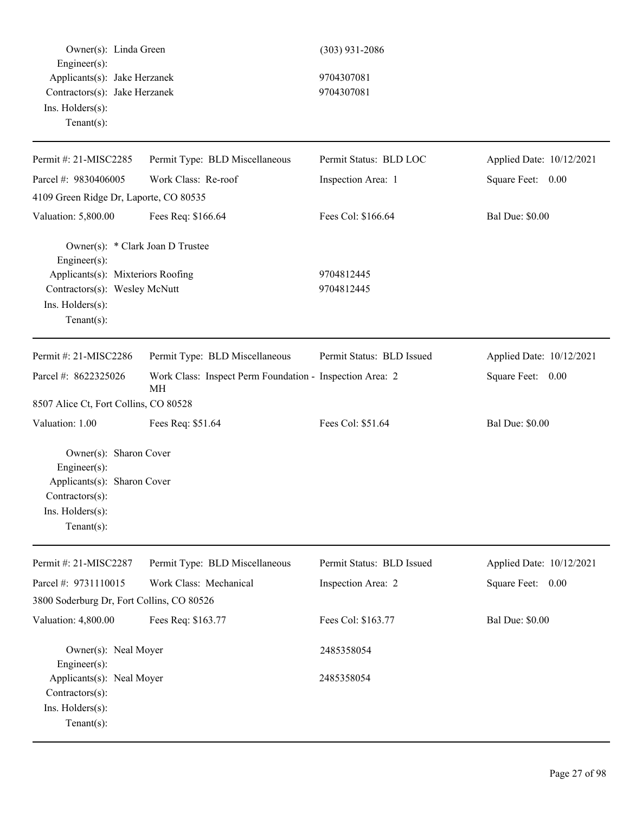| Owner(s): Linda Green<br>Engineer(s):                                                                                                                        |                                                                | $(303)$ 931-2086          |                          |
|--------------------------------------------------------------------------------------------------------------------------------------------------------------|----------------------------------------------------------------|---------------------------|--------------------------|
| Applicants(s): Jake Herzanek<br>Contractors(s): Jake Herzanek<br>Ins. Holders(s):<br>Tenant $(s)$ :                                                          |                                                                | 9704307081<br>9704307081  |                          |
| Permit #: 21-MISC2285                                                                                                                                        | Permit Type: BLD Miscellaneous                                 | Permit Status: BLD LOC    | Applied Date: 10/12/2021 |
| Parcel #: 9830406005                                                                                                                                         | Work Class: Re-roof                                            | Inspection Area: 1        | Square Feet: 0.00        |
| 4109 Green Ridge Dr, Laporte, CO 80535                                                                                                                       |                                                                |                           |                          |
| Valuation: 5,800.00                                                                                                                                          | Fees Req: \$166.64                                             | Fees Col: \$166.64        | <b>Bal Due: \$0.00</b>   |
| Owner(s): * Clark Joan D Trustee<br>Engineer(s):<br>Applicants(s): Mixteriors Roofing<br>Contractors(s): Wesley McNutt<br>Ins. Holders(s):<br>Tenant $(s)$ : |                                                                | 9704812445<br>9704812445  |                          |
| Permit #: 21-MISC2286                                                                                                                                        | Permit Type: BLD Miscellaneous                                 | Permit Status: BLD Issued | Applied Date: 10/12/2021 |
| Parcel #: 8622325026                                                                                                                                         | Work Class: Inspect Perm Foundation - Inspection Area: 2<br>MH |                           | Square Feet: 0.00        |
| 8507 Alice Ct, Fort Collins, CO 80528                                                                                                                        |                                                                |                           |                          |
| Valuation: 1.00                                                                                                                                              | Fees Req: \$51.64                                              | Fees Col: \$51.64         | <b>Bal Due: \$0.00</b>   |
| Owner(s): Sharon Cover<br>Engineer(s):<br>Applicants(s): Sharon Cover<br>Contractors(s):<br>Ins. Holders(s):<br>Tenant $(s)$ :                               |                                                                |                           |                          |
| Permit #: 21-MISC2287                                                                                                                                        | Permit Type: BLD Miscellaneous                                 | Permit Status: BLD Issued | Applied Date: 10/12/2021 |
| Parcel #: 9731110015                                                                                                                                         | Work Class: Mechanical                                         | Inspection Area: 2        | Square Feet: 0.00        |
| 3800 Soderburg Dr, Fort Collins, CO 80526                                                                                                                    |                                                                |                           |                          |
| Valuation: 4,800.00                                                                                                                                          | Fees Req: \$163.77                                             | Fees Col: \$163.77        | <b>Bal Due: \$0.00</b>   |
| Owner(s): Neal Moyer<br>Engineer(s):                                                                                                                         |                                                                | 2485358054                |                          |
| Applicants(s): Neal Moyer<br>Contractors(s):<br>Ins. Holders(s):<br>$Tenant(s)$ :                                                                            |                                                                | 2485358054                |                          |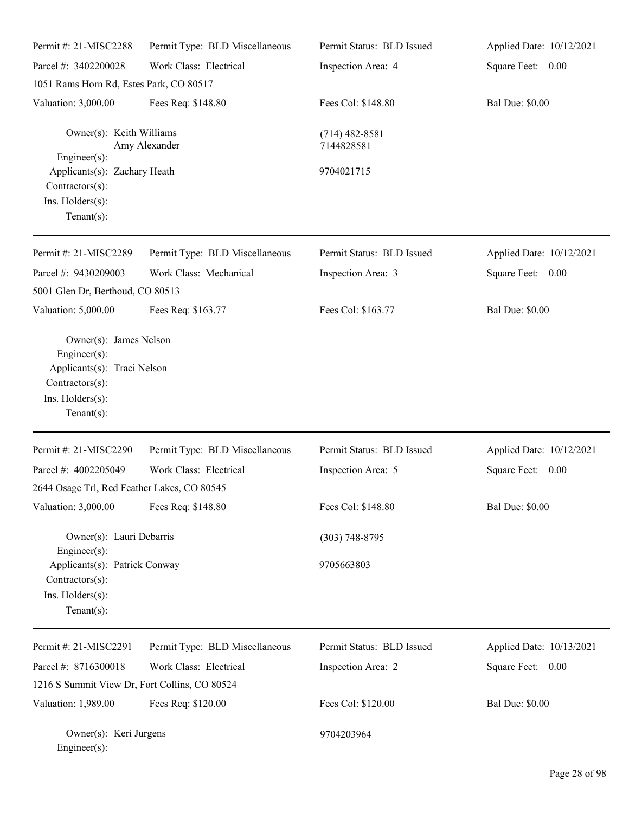| Permit #: 21-MISC2288                                                                                 |                                | Permit Status: BLD Issued      |                          |
|-------------------------------------------------------------------------------------------------------|--------------------------------|--------------------------------|--------------------------|
|                                                                                                       | Permit Type: BLD Miscellaneous |                                | Applied Date: 10/12/2021 |
| Parcel #: 3402200028                                                                                  | Work Class: Electrical         | Inspection Area: 4             | Square Feet: 0.00        |
| 1051 Rams Horn Rd, Estes Park, CO 80517                                                               |                                |                                |                          |
| Valuation: 3,000.00                                                                                   | Fees Req: \$148.80             | Fees Col: \$148.80             | <b>Bal Due: \$0.00</b>   |
| Owner(s): Keith Williams                                                                              | Amy Alexander                  | $(714)$ 482-8581<br>7144828581 |                          |
| Engineer(s):<br>Applicants(s): Zachary Heath<br>Contractors(s):<br>Ins. Holders(s):<br>Tenant $(s)$ : |                                | 9704021715                     |                          |
| Permit #: 21-MISC2289                                                                                 | Permit Type: BLD Miscellaneous | Permit Status: BLD Issued      | Applied Date: 10/12/2021 |
| Parcel #: 9430209003                                                                                  | Work Class: Mechanical         | Inspection Area: 3             | Square Feet: 0.00        |
| 5001 Glen Dr, Berthoud, CO 80513                                                                      |                                |                                |                          |
| Valuation: 5,000.00                                                                                   | Fees Req: \$163.77             | Fees Col: \$163.77             | <b>Bal Due: \$0.00</b>   |
| Engineer(s):<br>Applicants(s): Traci Nelson<br>Contractors(s):<br>Ins. Holders(s):<br>Tenant $(s)$ :  |                                |                                |                          |
| Permit #: 21-MISC2290                                                                                 | Permit Type: BLD Miscellaneous | Permit Status: BLD Issued      | Applied Date: 10/12/2021 |
| Parcel #: 4002205049                                                                                  | Work Class: Electrical         | Inspection Area: 5             | Square Feet: 0.00        |
| 2644 Osage Trl, Red Feather Lakes, CO 80545                                                           |                                |                                |                          |
| Valuation: 3,000.00                                                                                   | Fees Req: \$148.80             | Fees Col: \$148.80             | <b>Bal Due: \$0.00</b>   |
| Owner(s): Lauri Debarris<br>Engineer $(s)$ :                                                          |                                | $(303) 748 - 8795$             |                          |
| Applicants(s): Patrick Conway<br>Contractors(s):<br>Ins. Holders(s):<br>Tenant $(s)$ :                |                                | 9705663803                     |                          |
| Permit #: 21-MISC2291                                                                                 | Permit Type: BLD Miscellaneous | Permit Status: BLD Issued      | Applied Date: 10/13/2021 |
| Parcel #: 8716300018                                                                                  | Work Class: Electrical         | Inspection Area: 2             | Square Feet: 0.00        |
| 1216 S Summit View Dr, Fort Collins, CO 80524                                                         |                                |                                |                          |
| Valuation: 1,989.00                                                                                   | Fees Req: \$120.00             | Fees Col: \$120.00             | <b>Bal Due: \$0.00</b>   |
| Owner(s): Keri Jurgens<br>Engineer(s):                                                                |                                | 9704203964                     |                          |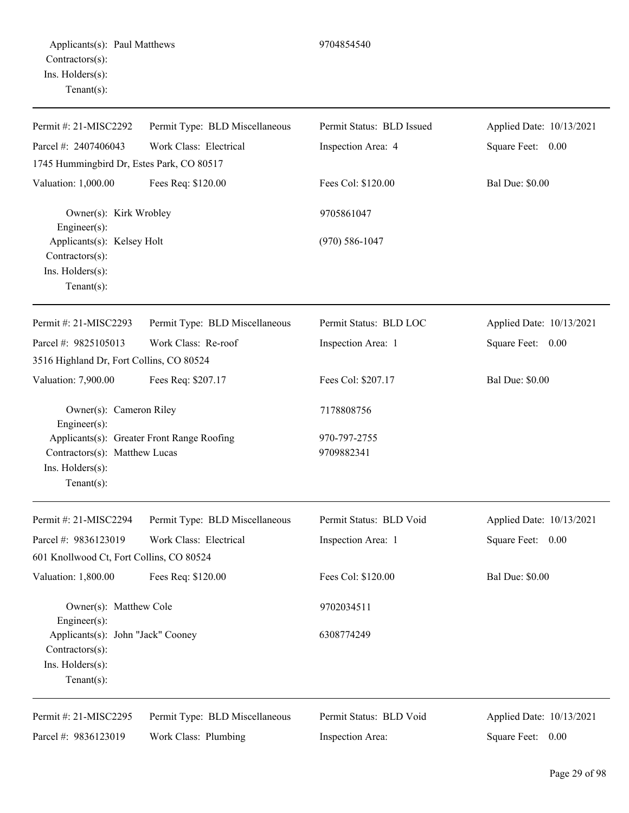| Permit #: 21-MISC2292                                                                      | Permit Type: BLD Miscellaneous             | Permit Status: BLD Issued  | Applied Date: 10/13/2021 |
|--------------------------------------------------------------------------------------------|--------------------------------------------|----------------------------|--------------------------|
| Parcel #: 2407406043                                                                       | Work Class: Electrical                     | Inspection Area: 4         | Square Feet: 0.00        |
| 1745 Hummingbird Dr, Estes Park, CO 80517                                                  |                                            |                            |                          |
| Valuation: 1,000.00                                                                        | Fees Req: \$120.00                         | Fees Col: \$120.00         | <b>Bal Due: \$0.00</b>   |
| Owner(s): Kirk Wrobley<br>Engineer(s):                                                     |                                            | 9705861047                 |                          |
| Applicants(s): Kelsey Holt<br>Contractors(s):<br>Ins. Holders(s):<br>Tenant $(s)$ :        |                                            | $(970) 586 - 1047$         |                          |
| Permit #: 21-MISC2293                                                                      | Permit Type: BLD Miscellaneous             | Permit Status: BLD LOC     | Applied Date: 10/13/2021 |
| Parcel #: 9825105013                                                                       | Work Class: Re-roof                        | Inspection Area: 1         | Square Feet: 0.00        |
| 3516 Highland Dr, Fort Collins, CO 80524                                                   |                                            |                            |                          |
| Valuation: 7,900.00                                                                        | Fees Req: \$207.17                         | Fees Col: \$207.17         | <b>Bal Due: \$0.00</b>   |
| Owner(s): Cameron Riley<br>Engineer $(s)$ :                                                |                                            | 7178808756                 |                          |
| Contractors(s): Matthew Lucas<br>Ins. Holders(s):<br>Tenant $(s)$ :                        | Applicants(s): Greater Front Range Roofing | 970-797-2755<br>9709882341 |                          |
| Permit #: 21-MISC2294                                                                      | Permit Type: BLD Miscellaneous             | Permit Status: BLD Void    | Applied Date: 10/13/2021 |
| Parcel #: 9836123019                                                                       | Work Class: Electrical                     | Inspection Area: 1         | Square Feet: 0.00        |
| 601 Knollwood Ct, Fort Collins, CO 80524                                                   |                                            |                            |                          |
| Valuation: 1,800.00                                                                        | Fees Req: \$120.00                         | Fees Col: \$120.00         | <b>Bal Due: \$0.00</b>   |
| Owner(s): Matthew Cole<br>Engineer(s):                                                     |                                            | 9702034511                 |                          |
| Applicants(s): John "Jack" Cooney<br>Contractors(s):<br>Ins. Holders(s):<br>Tenant $(s)$ : |                                            | 6308774249                 |                          |
| Permit #: 21-MISC2295                                                                      | Permit Type: BLD Miscellaneous             | Permit Status: BLD Void    | Applied Date: 10/13/2021 |
| Parcel #: 9836123019                                                                       | Work Class: Plumbing                       | Inspection Area:           | Square Feet: 0.00        |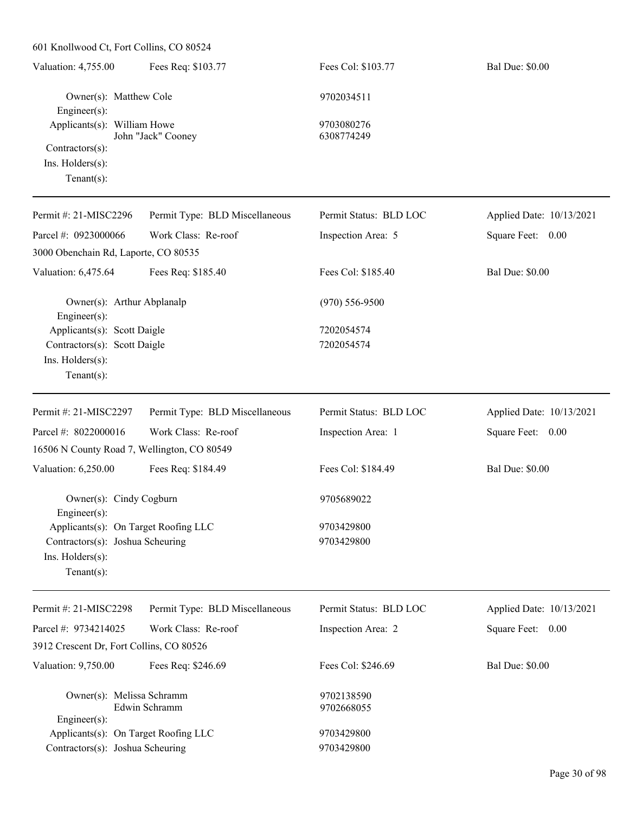| 601 Knollwood Ct, Fort Collins, CO 80524                                                                       |                                |                          |                          |
|----------------------------------------------------------------------------------------------------------------|--------------------------------|--------------------------|--------------------------|
| Valuation: 4,755.00                                                                                            | Fees Req: \$103.77             | Fees Col: \$103.77       | <b>Bal Due: \$0.00</b>   |
| Owner(s): Matthew Cole<br>Engineer(s):                                                                         |                                | 9702034511               |                          |
| Applicants(s): William Howe                                                                                    |                                | 9703080276               |                          |
| Contractors(s):<br>Ins. Holders(s):<br>Tenant $(s)$ :                                                          | John "Jack" Cooney             | 6308774249               |                          |
| Permit #: 21-MISC2296                                                                                          | Permit Type: BLD Miscellaneous | Permit Status: BLD LOC   | Applied Date: 10/13/2021 |
| Parcel #: 0923000066<br>3000 Obenchain Rd, Laporte, CO 80535                                                   | Work Class: Re-roof            | Inspection Area: 5       | Square Feet: 0.00        |
| Valuation: 6,475.64                                                                                            | Fees Req: \$185.40             | Fees Col: \$185.40       | <b>Bal Due: \$0.00</b>   |
| Owner(s): Arthur Abplanalp<br>Engineer(s):                                                                     |                                | $(970) 556 - 9500$       |                          |
| Applicants(s): Scott Daigle<br>Contractors(s): Scott Daigle<br>Ins. Holders(s):<br>Tenant $(s)$ :              |                                | 7202054574<br>7202054574 |                          |
| Permit #: 21-MISC2297                                                                                          | Permit Type: BLD Miscellaneous | Permit Status: BLD LOC   | Applied Date: 10/13/2021 |
| Parcel #: 8022000016                                                                                           | Work Class: Re-roof            | Inspection Area: 1       | Square Feet: 0.00        |
| 16506 N County Road 7, Wellington, CO 80549                                                                    |                                |                          |                          |
| Valuation: 6,250.00                                                                                            | Fees Req: \$184.49             | Fees Col: \$184.49       | <b>Bal Due: \$0.00</b>   |
| Owner(s): Cindy Cogburn<br>Engineer(s):                                                                        |                                | 9705689022               |                          |
| Applicants(s): On Target Roofing LLC<br>Contractors(s): Joshua Scheuring<br>Ins. Holders(s):<br>Tenant $(s)$ : |                                | 9703429800<br>9703429800 |                          |
| Permit #: 21-MISC2298                                                                                          | Permit Type: BLD Miscellaneous | Permit Status: BLD LOC   | Applied Date: 10/13/2021 |
| Parcel #: 9734214025                                                                                           | Work Class: Re-roof            | Inspection Area: 2       | Square Feet: 0.00        |
| 3912 Crescent Dr, Fort Collins, CO 80526                                                                       |                                |                          |                          |
| Valuation: 9,750.00                                                                                            | Fees Req: \$246.69             | Fees Col: \$246.69       | <b>Bal Due: \$0.00</b>   |
| Owner(s): Melissa Schramm<br>$Engineering(s)$ :                                                                | Edwin Schramm                  | 9702138590<br>9702668055 |                          |
| Applicants(s): On Target Roofing LLC<br>Contractors(s): Joshua Scheuring                                       |                                | 9703429800<br>9703429800 |                          |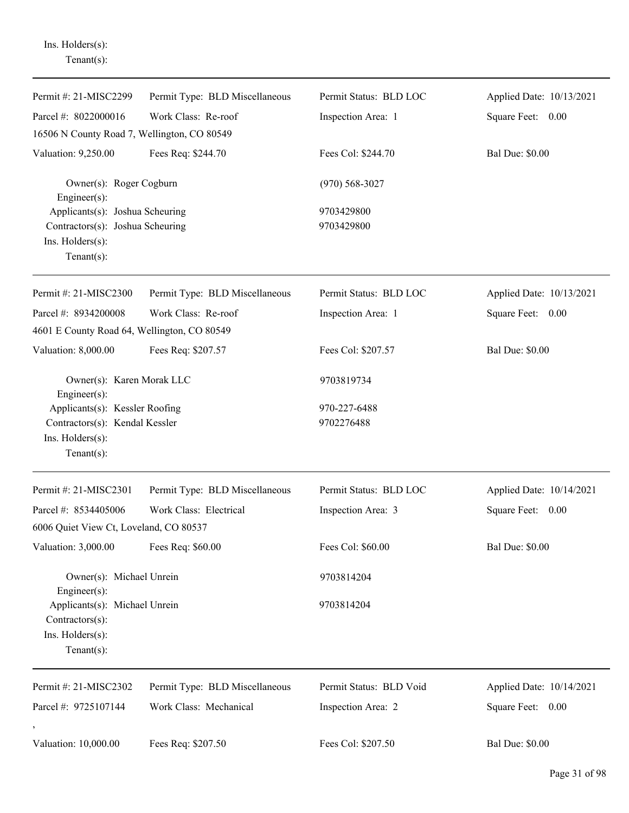Ins. Holders(s): Tenant(s):

| Permit #: 21-MISC2299                                                                                     | Permit Type: BLD Miscellaneous | Permit Status: BLD LOC   | Applied Date: 10/13/2021 |
|-----------------------------------------------------------------------------------------------------------|--------------------------------|--------------------------|--------------------------|
| Parcel #: 8022000016                                                                                      | Work Class: Re-roof            | Inspection Area: 1       | Square Feet: 0.00        |
| 16506 N County Road 7, Wellington, CO 80549                                                               |                                |                          |                          |
| Valuation: 9,250.00                                                                                       | Fees Req: \$244.70             | Fees Col: \$244.70       | <b>Bal Due: \$0.00</b>   |
| Owner(s): Roger Cogburn<br>Engineer(s):                                                                   |                                | $(970) 568 - 3027$       |                          |
| Applicants(s): Joshua Scheuring<br>Contractors(s): Joshua Scheuring<br>Ins. Holders(s):<br>Tenant $(s)$ : |                                | 9703429800<br>9703429800 |                          |
| Permit #: 21-MISC2300                                                                                     | Permit Type: BLD Miscellaneous | Permit Status: BLD LOC   | Applied Date: 10/13/2021 |
| Parcel #: 8934200008                                                                                      | Work Class: Re-roof            | Inspection Area: 1       | Square Feet: 0.00        |
| 4601 E County Road 64, Wellington, CO 80549                                                               |                                |                          |                          |
| Valuation: 8,000.00                                                                                       | Fees Req: \$207.57             | Fees Col: \$207.57       | <b>Bal Due: \$0.00</b>   |
| Owner(s): Karen Morak LLC<br>Engineer(s):                                                                 |                                | 9703819734               |                          |
| Applicants(s): Kessler Roofing                                                                            |                                | 970-227-6488             |                          |
| Contractors(s): Kendal Kessler<br>Ins. Holders(s):<br>Tenant $(s)$ :                                      |                                | 9702276488               |                          |
| Permit #: 21-MISC2301                                                                                     | Permit Type: BLD Miscellaneous | Permit Status: BLD LOC   | Applied Date: 10/14/2021 |
| Parcel #: 8534405006                                                                                      | Work Class: Electrical         | Inspection Area: 3       | Square Feet: 0.00        |
| 6006 Quiet View Ct, Loveland, CO 80537                                                                    |                                |                          |                          |
| Valuation: 3,000.00                                                                                       | Fees Req: \$60.00              | Fees Col: \$60.00        | <b>Bal Due: \$0.00</b>   |
| Owner(s): Michael Unrein<br>Engineer(s):                                                                  |                                | 9703814204               |                          |
| Applicants(s): Michael Unrein<br>Contractors(s):                                                          |                                | 9703814204               |                          |
| Ins. Holders(s):<br>Tenant $(s)$ :                                                                        |                                |                          |                          |
| Permit #: 21-MISC2302                                                                                     | Permit Type: BLD Miscellaneous | Permit Status: BLD Void  | Applied Date: 10/14/2021 |
| Parcel #: 9725107144                                                                                      | Work Class: Mechanical         | Inspection Area: 2       | Square Feet: 0.00        |
| Valuation: 10,000.00                                                                                      | Fees Req: \$207.50             | Fees Col: \$207.50       | <b>Bal Due: \$0.00</b>   |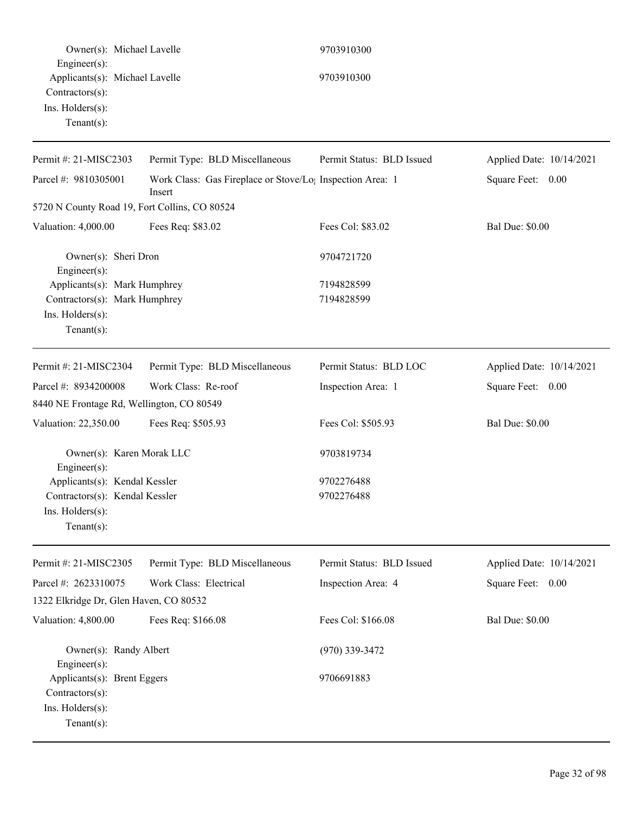| Owner(s): Michael Lavelle                      |                                                                       | 9703910300                |                          |
|------------------------------------------------|-----------------------------------------------------------------------|---------------------------|--------------------------|
| Engineer(s):<br>Applicants(s): Michael Lavelle |                                                                       | 9703910300                |                          |
| Contractors(s):<br>Ins. Holders(s):            |                                                                       |                           |                          |
| Tenant $(s)$ :                                 |                                                                       |                           |                          |
| Permit #: 21-MISC2303                          | Permit Type: BLD Miscellaneous                                        | Permit Status: BLD Issued | Applied Date: 10/14/2021 |
| Parcel #: 9810305001<br>Insert                 | Work Class: Gas Fireplace or Stove/Lo <sub>1</sub> Inspection Area: 1 |                           | Square Feet: 0.00        |
| 5720 N County Road 19, Fort Collins, CO 80524  |                                                                       |                           |                          |
| Valuation: 4,000.00                            | Fees Req: \$83.02                                                     | Fees Col: \$83.02         | <b>Bal Due: \$0.00</b>   |
| Owner(s): Sheri Dron<br>Engineer(s):           |                                                                       | 9704721720                |                          |
| Applicants(s): Mark Humphrey                   |                                                                       | 7194828599                |                          |
| Contractors(s): Mark Humphrey                  |                                                                       | 7194828599                |                          |
| Ins. Holders(s):                               |                                                                       |                           |                          |
| Tenant $(s)$ :                                 |                                                                       |                           |                          |
| Permit #: 21-MISC2304                          | Permit Type: BLD Miscellaneous                                        | Permit Status: BLD LOC    | Applied Date: 10/14/2021 |
| Parcel #: 8934200008                           | Work Class: Re-roof                                                   | Inspection Area: 1        | Square Feet: 0.00        |
| 8440 NE Frontage Rd, Wellington, CO 80549      |                                                                       |                           |                          |
| Valuation: 22,350.00                           | Fees Req: \$505.93                                                    | Fees Col: \$505.93        | <b>Bal Due: \$0.00</b>   |
| Owner(s): Karen Morak LLC                      |                                                                       | 9703819734                |                          |
| Engineer(s):<br>Applicants(s): Kendal Kessler  |                                                                       | 9702276488                |                          |
| Contractors(s): Kendal Kessler                 |                                                                       | 9702276488                |                          |
| $Ins.$ Holders $(s)$ :                         |                                                                       |                           |                          |
| Tenant $(s)$ :                                 |                                                                       |                           |                          |
| Permit #: 21-MISC2305                          | Permit Type: BLD Miscellaneous                                        | Permit Status: BLD Issued | Applied Date: 10/14/2021 |
| Parcel #: 2623310075                           | Work Class: Electrical                                                | Inspection Area: 4        | Square Feet: 0.00        |
| 1322 Elkridge Dr, Glen Haven, CO 80532         |                                                                       |                           |                          |
| Valuation: 4,800.00                            | Fees Req: \$166.08                                                    | Fees Col: \$166.08        | <b>Bal Due: \$0.00</b>   |
| Owner(s): Randy Albert<br>Engineer(s):         |                                                                       | $(970)$ 339-3472          |                          |
| Applicants(s): Brent Eggers                    |                                                                       | 9706691883                |                          |
| Contractors(s):                                |                                                                       |                           |                          |
|                                                |                                                                       |                           |                          |
| Ins. Holders(s):                               |                                                                       |                           |                          |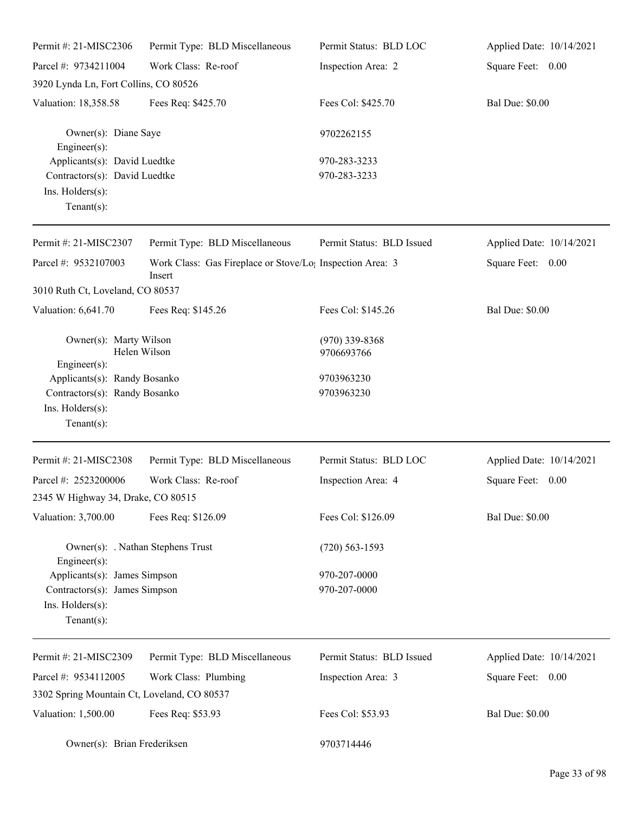| Permit #: 21-MISC2306                                 | Permit Type: BLD Miscellaneous                                                  | Permit Status: BLD LOC         | Applied Date: 10/14/2021 |
|-------------------------------------------------------|---------------------------------------------------------------------------------|--------------------------------|--------------------------|
| Parcel #: 9734211004                                  | Work Class: Re-roof                                                             | Inspection Area: 2             | Square Feet: 0.00        |
| 3920 Lynda Ln, Fort Collins, CO 80526                 |                                                                                 |                                |                          |
| Valuation: 18,358.58                                  | Fees Req: \$425.70                                                              | Fees Col: \$425.70             | <b>Bal Due: \$0.00</b>   |
| Owner(s): Diane Saye<br>$Engineering(s)$ :            |                                                                                 | 9702262155                     |                          |
| Applicants(s): David Luedtke                          |                                                                                 | 970-283-3233                   |                          |
| Contractors(s): David Luedtke                         |                                                                                 | 970-283-3233                   |                          |
| Ins. Holders(s):                                      |                                                                                 |                                |                          |
| Tenant $(s)$ :                                        |                                                                                 |                                |                          |
| Permit #: 21-MISC2307                                 | Permit Type: BLD Miscellaneous                                                  | Permit Status: BLD Issued      | Applied Date: 10/14/2021 |
| Parcel #: 9532107003                                  | Work Class: Gas Fireplace or Stove/Lo <sub>1</sub> Inspection Area: 3<br>Insert |                                | Square Feet: 0.00        |
| 3010 Ruth Ct, Loveland, CO 80537                      |                                                                                 |                                |                          |
| Valuation: 6,641.70                                   | Fees Req: \$145.26                                                              | Fees Col: \$145.26             | <b>Bal Due: \$0.00</b>   |
| Owner(s): Marty Wilson<br>Helen Wilson                |                                                                                 | $(970)$ 339-8368<br>9706693766 |                          |
| Engineer(s):                                          |                                                                                 |                                |                          |
| Applicants(s): Randy Bosanko                          |                                                                                 | 9703963230                     |                          |
| Contractors(s): Randy Bosanko                         |                                                                                 | 9703963230                     |                          |
| Ins. Holders(s):<br>Tenant $(s)$ :                    |                                                                                 |                                |                          |
|                                                       |                                                                                 |                                |                          |
| Permit #: 21-MISC2308                                 | Permit Type: BLD Miscellaneous                                                  | Permit Status: BLD LOC         | Applied Date: 10/14/2021 |
| Parcel #: 2523200006                                  | Work Class: Re-roof                                                             | Inspection Area: 4             | Square Feet:<br>0.00     |
| 2345 W Highway 34, Drake, CO 80515                    |                                                                                 |                                |                          |
| Valuation: 3,700.00                                   | Fees Req: \$126.09                                                              | Fees Col: \$126.09             | <b>Bal Due: \$0.00</b>   |
| Owner(s): . Nathan Stephens Trust<br>Engineer $(s)$ : |                                                                                 | $(720)$ 563-1593               |                          |
| Applicants(s): James Simpson                          |                                                                                 | 970-207-0000                   |                          |
| Contractors(s): James Simpson                         |                                                                                 | 970-207-0000                   |                          |
| Ins. Holders(s):<br>Tenant $(s)$ :                    |                                                                                 |                                |                          |
| Permit #: 21-MISC2309                                 | Permit Type: BLD Miscellaneous                                                  | Permit Status: BLD Issued      | Applied Date: 10/14/2021 |
| Parcel #: 9534112005                                  | Work Class: Plumbing                                                            | Inspection Area: 3             | Square Feet: 0.00        |
| 3302 Spring Mountain Ct, Loveland, CO 80537           |                                                                                 |                                |                          |
| Valuation: 1,500.00                                   | Fees Req: \$53.93                                                               | Fees Col: \$53.93              | <b>Bal Due: \$0.00</b>   |

Owner(s): Brian Frederiksen 9703714446

Page 33 of 98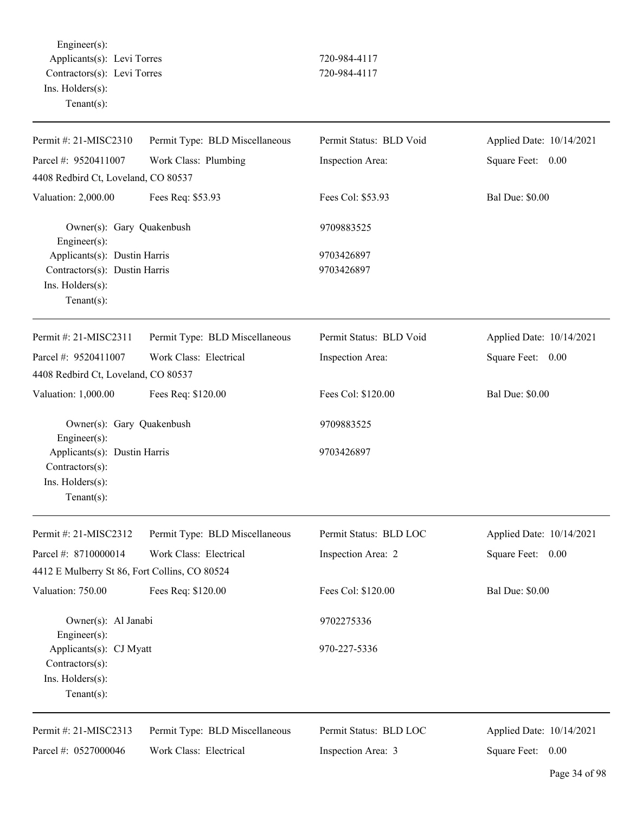Engineer(s): Applicants(s): Levi Torres 720-984-4117 Contractors(s): Levi Torres 720-984-4117 Ins. Holders(s): Tenant(s):

| Permit #: 21-MISC2310                           | Permit Type: BLD Miscellaneous | Permit Status: BLD Void | Applied Date: 10/14/2021 |
|-------------------------------------------------|--------------------------------|-------------------------|--------------------------|
| Parcel #: 9520411007                            | Work Class: Plumbing           | Inspection Area:        | Square Feet:<br>0.00     |
| 4408 Redbird Ct, Loveland, CO 80537             |                                |                         |                          |
| Valuation: 2,000.00                             | Fees Req: \$53.93              | Fees Col: \$53.93       | <b>Bal Due: \$0.00</b>   |
| Owner(s): Gary Quakenbush<br>$Engineer(s)$ :    |                                | 9709883525              |                          |
| Applicants(s): Dustin Harris                    |                                | 9703426897              |                          |
| Contractors(s): Dustin Harris                   |                                | 9703426897              |                          |
| Ins. Holders(s):                                |                                |                         |                          |
| Tenant $(s)$ :                                  |                                |                         |                          |
| Permit #: 21-MISC2311                           | Permit Type: BLD Miscellaneous | Permit Status: BLD Void | Applied Date: 10/14/2021 |
| Parcel #: 9520411007                            | Work Class: Electrical         | Inspection Area:        | Square Feet:<br>0.00     |
| 4408 Redbird Ct, Loveland, CO 80537             |                                |                         |                          |
| Valuation: 1,000.00                             | Fees Req: \$120.00             | Fees Col: \$120.00      | <b>Bal Due: \$0.00</b>   |
| Owner(s): Gary Quakenbush<br>Engineer(s):       |                                | 9709883525              |                          |
| Applicants(s): Dustin Harris<br>Contractors(s): |                                | 9703426897              |                          |
| Ins. Holders(s):<br>$Tenant(s)$ :               |                                |                         |                          |
|                                                 |                                |                         |                          |
| Permit #: 21-MISC2312                           | Permit Type: BLD Miscellaneous | Permit Status: BLD LOC  | Applied Date: 10/14/2021 |
| Parcel #: 8710000014                            | Work Class: Electrical         | Inspection Area: 2      | Square Feet:<br>0.00     |
| 4412 E Mulberry St 86, Fort Collins, CO 80524   |                                |                         |                          |
| Valuation: 750.00                               | Fees Req: \$120.00             | Fees Col: \$120.00      | <b>Bal Due: \$0.00</b>   |
| Owner(s): Al Janabi<br>Engineer $(s)$ :         |                                | 9702275336              |                          |
| Applicants(s): CJ Myatt<br>Contractors(s):      |                                | 970-227-5336            |                          |
| Ins. Holders(s):<br>Tenant $(s)$ :              |                                |                         |                          |
| Permit #: 21-MISC2313                           | Permit Type: BLD Miscellaneous | Permit Status: BLD LOC  | Applied Date: 10/14/2021 |
| Parcel #: 0527000046                            | Work Class: Electrical         | Inspection Area: 3      | Square Feet: 0.00        |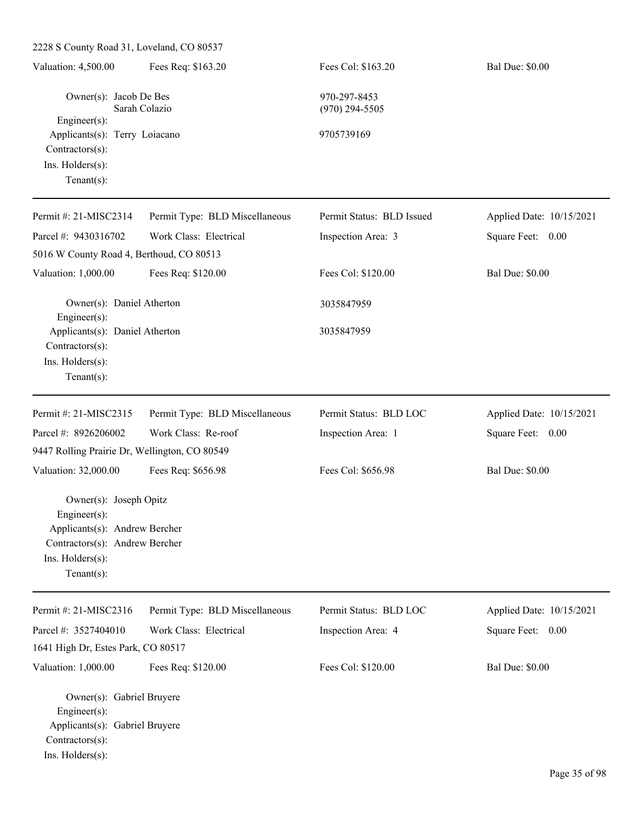2228 S County Road 31, Loveland, CO 80537 Valuation: 4,500.00 Fees Req: \$163.20 Fees Col: \$163.20 Bal Due: \$0.00 Owner(s): Jacob De Bes 970-297-8453 Sarah Colazio (970) 294-5505 Engineer(s): Applicants(s): Terry Loiacano 9705739169 Contractors(s): Ins. Holders(s): Tenant(s): Permit #: 21-MISC2314 Parcel #: 9430316702 Permit Type: BLD Miscellaneous Work Class: Electrical Permit Status: BLD Issued Inspection Area: 3 Applied Date: 10/15/2021 Square Feet: 0.00 5016 W County Road 4, Berthoud, CO 80513 Valuation: 1,000.00 Fees Req: \$120.00 Fees Col: \$120.00 Bal Due: \$0.00 Owner(s): Daniel Atherton 3035847959 Engineer(s): Applicants(s): Daniel Atherton 3035847959 Contractors(s): Ins. Holders(s): Tenant(s): Permit #: 21-MISC2315 Parcel #: 8926206002 Permit Type: BLD Miscellaneous Work Class: Re-roof Permit Status: BLD LOC Inspection Area: 1 Applied Date: 10/15/2021 Square Feet: 0.00 9447 Rolling Prairie Dr, Wellington, CO 80549 Valuation: 32,000.00 Fees Req: \$656.98 Fees Col: \$656.98 Bal Due: \$0.00 Owner(s): Joseph Opitz Engineer(s): Applicants(s): Andrew Bercher Contractors(s): Andrew Bercher Ins. Holders(s): Tenant(s): Permit #: 21-MISC2316 Parcel #: 3527404010 Permit Type: BLD Miscellaneous Work Class: Electrical Permit Status: BLD LOC Inspection Area: 4 Applied Date: 10/15/2021 Square Feet: 0.00 1641 High Dr, Estes Park, CO 80517 Valuation: 1,000.00 Fees Req: \$120.00 Fees Col: \$120.00 Bal Due: \$0.00 Owner(s): Gabriel Bruyere Engineer(s): Applicants(s): Gabriel Bruyere Contractors(s): Ins. Holders(s):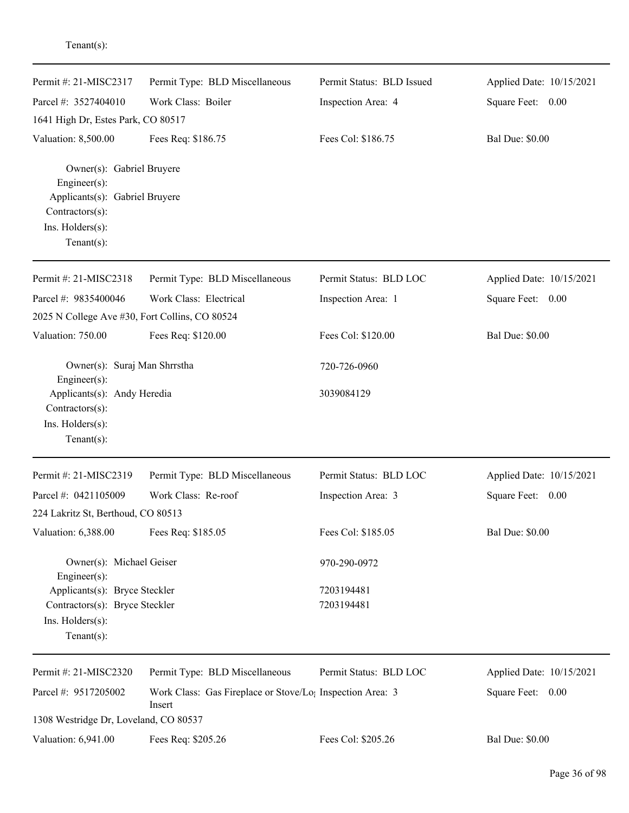| Permit #: 21-MISC2317<br>Parcel #: 3527404010<br>1641 High Dr, Estes Park, CO 80517                                                                         | Permit Type: BLD Miscellaneous<br>Work Class: Boiler                            | Permit Status: BLD Issued<br>Inspection Area: 4 | Applied Date: 10/15/2021<br>Square Feet: 0.00 |
|-------------------------------------------------------------------------------------------------------------------------------------------------------------|---------------------------------------------------------------------------------|-------------------------------------------------|-----------------------------------------------|
| Valuation: 8,500.00<br>Owner(s): Gabriel Bruyere<br>Engineer(s):<br>Applicants(s): Gabriel Bruyere<br>Contractors(s):<br>Ins. Holders(s):<br>Tenant $(s)$ : | Fees Req: \$186.75                                                              | Fees Col: \$186.75                              | <b>Bal Due: \$0.00</b>                        |
| Permit #: 21-MISC2318                                                                                                                                       | Permit Type: BLD Miscellaneous                                                  | Permit Status: BLD LOC                          | Applied Date: 10/15/2021                      |
| Parcel #: 9835400046<br>2025 N College Ave #30, Fort Collins, CO 80524                                                                                      | Work Class: Electrical                                                          | Inspection Area: 1                              | Square Feet: 0.00                             |
| Valuation: 750.00                                                                                                                                           | Fees Req: \$120.00                                                              | Fees Col: \$120.00                              | <b>Bal Due: \$0.00</b>                        |
| Owner(s): Suraj Man Shrrstha<br>Engineer(s):<br>Applicants(s): Andy Heredia<br>Contractors(s):<br>Ins. Holders(s):<br>Tenant $(s)$ :                        |                                                                                 | 720-726-0960<br>3039084129                      |                                               |
| Permit #: 21-MISC2319                                                                                                                                       | Permit Type: BLD Miscellaneous                                                  | Permit Status: BLD LOC                          | Applied Date: 10/15/2021                      |
| Parcel #: 0421105009                                                                                                                                        | Work Class: Re-roof                                                             | Inspection Area: 3                              | Square Feet: 0.00                             |
| 224 Lakritz St, Berthoud, CO 80513                                                                                                                          |                                                                                 |                                                 |                                               |
| Valuation: 6,388.00                                                                                                                                         | Fees Req: \$185.05                                                              | Fees Col: \$185.05                              | <b>Bal Due: \$0.00</b>                        |
| Owner(s): Michael Geiser<br>Engineer(s):<br>Applicants(s): Bryce Steckler<br>Contractors(s): Bryce Steckler                                                 |                                                                                 | 970-290-0972<br>7203194481<br>7203194481        |                                               |
| Ins. Holders(s):<br>Tenant $(s)$ :                                                                                                                          |                                                                                 |                                                 |                                               |
| Permit #: 21-MISC2320                                                                                                                                       | Permit Type: BLD Miscellaneous                                                  | Permit Status: BLD LOC                          | Applied Date: 10/15/2021                      |
| Parcel #: 9517205002                                                                                                                                        | Work Class: Gas Fireplace or Stove/Lo <sub>!</sub> Inspection Area: 3<br>Insert |                                                 | Square Feet: 0.00                             |
| 1308 Westridge Dr, Loveland, CO 80537                                                                                                                       |                                                                                 |                                                 |                                               |
| Valuation: 6,941.00                                                                                                                                         | Fees Req: \$205.26                                                              | Fees Col: \$205.26                              | <b>Bal Due: \$0.00</b>                        |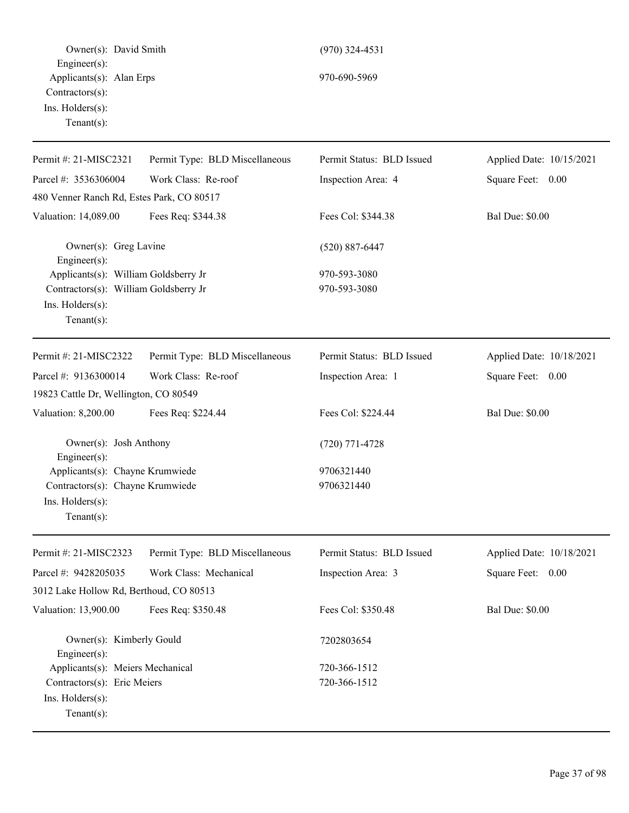Owner(s): David Smith (970) 324-4531 Engineer(s): Applicants(s): Alan Erps 970-690-5969 Contractors(s): Ins. Holders(s): Tenant(s):

Permit #: 21-MISC2321 Parcel #: 3536306004 Permit Type: BLD Miscellaneous Work Class: Re-roof Permit Status: BLD Issued Inspection Area: 4 Applied Date: 10/15/2021 Square Feet: 0.00 480 Venner Ranch Rd, Estes Park, CO 80517 Valuation: 14,089.00 Fees Req: \$344.38 Fees Col: \$344.38 Bal Due: \$0.00 Owner(s): Greg Lavine (520) 887-6447 Engineer(s): Applicants(s): William Goldsberry Jr 970-593-3080 Contractors(s): William Goldsberry Jr 970-593-3080 Ins. Holders(s): Tenant(s): Permit #: 21-MISC2322 Parcel #: 9136300014 Permit Type: BLD Miscellaneous Work Class: Re-roof Permit Status: BLD Issued Inspection Area: 1 Applied Date: 10/18/2021 Square Feet: 0.00

19823 Cattle Dr, Wellington, CO 80549 Valuation: 8,200.00 Fees Req: \$224.44 Fees Col: \$224.44 Bal Due: \$0.00 Owner(s): Josh Anthony (720) 771-4728 Engineer(s): Applicants(s): Chayne Krumwiede 9706321440 Contractors(s): Chayne Krumwiede 9706321440 Ins. Holders(s): Tenant(s):

Permit #: 21-MISC2323 Parcel #: 9428205035 Permit Type: BLD Miscellaneous Work Class: Mechanical Permit Status: BLD Issued Inspection Area: 3 Applied Date: 10/18/2021 Square Feet: 0.00 3012 Lake Hollow Rd, Berthoud, CO 80513 Valuation: 13,900.00 Fees Req: \$350.48 Fees Col: \$350.48 Bal Due: \$0.00 Owner(s): Kimberly Gould 7202803654 Engineer(s): Applicants(s): Meiers Mechanical 720-366-1512 Contractors(s): Eric Meiers 720-366-1512 Ins. Holders(s): Tenant(s):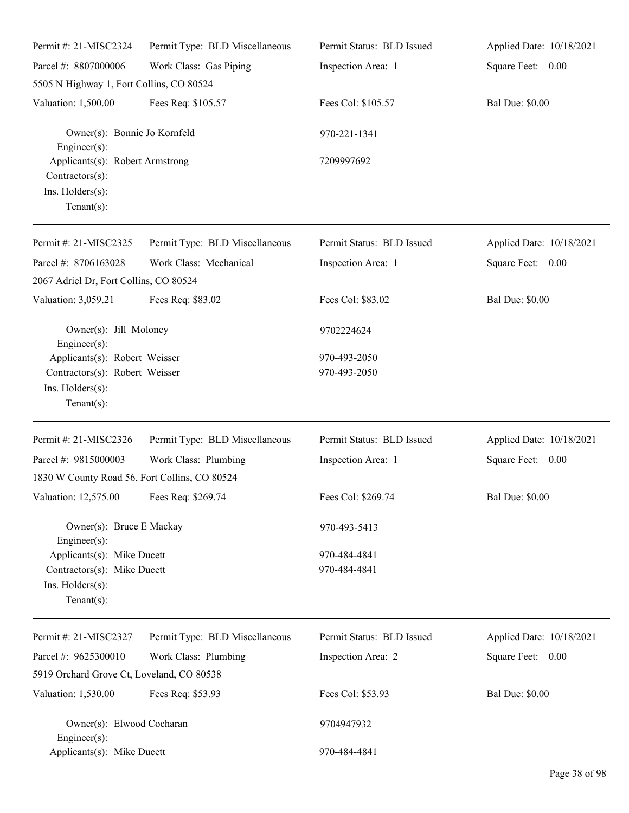| Permit #: 21-MISC2324                                                                           | Permit Type: BLD Miscellaneous | Permit Status: BLD Issued    | Applied Date: 10/18/2021 |
|-------------------------------------------------------------------------------------------------|--------------------------------|------------------------------|--------------------------|
| Parcel #: 8807000006                                                                            | Work Class: Gas Piping         | Inspection Area: 1           | Square Feet: 0.00        |
| 5505 N Highway 1, Fort Collins, CO 80524                                                        |                                |                              |                          |
| Valuation: 1,500.00                                                                             | Fees Req: \$105.57             | Fees Col: \$105.57           | <b>Bal Due: \$0.00</b>   |
| Owner(s): Bonnie Jo Kornfeld<br>$Engineering(s)$ :                                              |                                | 970-221-1341                 |                          |
| Applicants(s): Robert Armstrong<br>Contractors(s):<br>Ins. Holders(s):<br>Tenant $(s)$ :        |                                | 7209997692                   |                          |
| Permit #: 21-MISC2325                                                                           | Permit Type: BLD Miscellaneous | Permit Status: BLD Issued    | Applied Date: 10/18/2021 |
| Parcel #: 8706163028<br>2067 Adriel Dr, Fort Collins, CO 80524                                  | Work Class: Mechanical         | Inspection Area: 1           | Square Feet: 0.00        |
| Valuation: 3,059.21                                                                             | Fees Req: \$83.02              | Fees Col: \$83.02            | <b>Bal Due: \$0.00</b>   |
| Owner(s): Jill Moloney<br>$Engineering(s)$ :                                                    |                                | 9702224624                   |                          |
| Applicants(s): Robert Weisser                                                                   |                                | 970-493-2050                 |                          |
| Contractors(s): Robert Weisser<br>Ins. Holders(s):<br>Tenant $(s)$ :                            |                                | 970-493-2050                 |                          |
| Permit #: 21-MISC2326                                                                           | Permit Type: BLD Miscellaneous | Permit Status: BLD Issued    | Applied Date: 10/18/2021 |
| Parcel #: 9815000003                                                                            | Work Class: Plumbing           | Inspection Area: 1           | Square Feet: 0.00        |
| 1830 W County Road 56, Fort Collins, CO 80524                                                   |                                |                              |                          |
| Valuation: 12,575.00 Fees Req: \$269.74                                                         |                                | Fees Col: \$269.74           | <b>Bal Due: \$0.00</b>   |
| Owner(s): Bruce E Mackay<br>$Engineering(s)$ :                                                  |                                | 970-493-5413                 |                          |
| Applicants(s): Mike Ducett<br>Contractors(s): Mike Ducett<br>Ins. Holders(s):<br>Tenant $(s)$ : |                                | 970-484-4841<br>970-484-4841 |                          |
| Permit #: 21-MISC2327                                                                           | Permit Type: BLD Miscellaneous | Permit Status: BLD Issued    | Applied Date: 10/18/2021 |
| Parcel #: 9625300010                                                                            | Work Class: Plumbing           | Inspection Area: 2           | Square Feet: 0.00        |
| 5919 Orchard Grove Ct, Loveland, CO 80538                                                       |                                |                              |                          |
| Valuation: 1,530.00                                                                             | Fees Req: \$53.93              | Fees Col: \$53.93            | <b>Bal Due: \$0.00</b>   |
| Owner(s): Elwood Cocharan<br>$Engineering(s)$ :                                                 |                                | 9704947932                   |                          |
| Applicants(s): Mike Ducett                                                                      |                                | 970-484-4841                 |                          |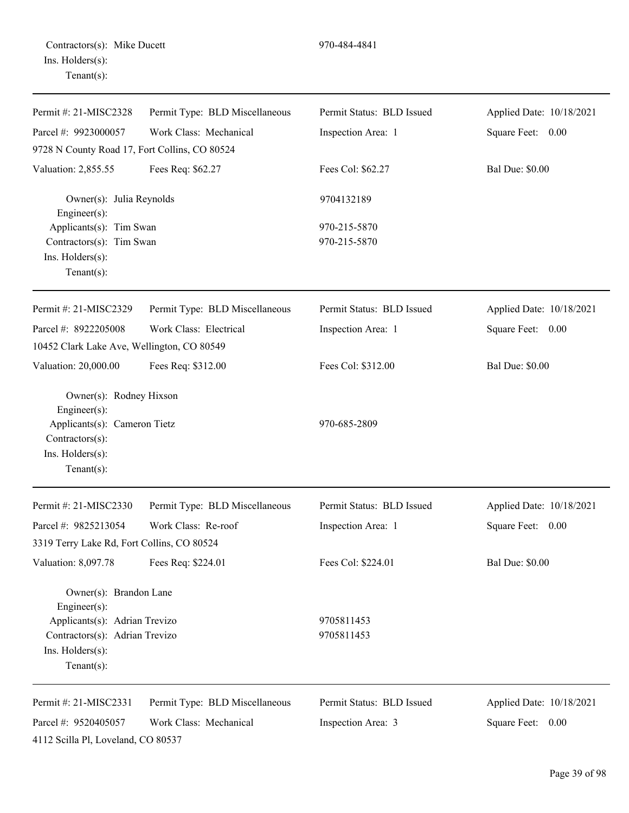Contractors(s): Mike Ducett 970-484-4841 Ins. Holders(s): Tenant(s):

| Permit #: 21-MISC2328                           | Permit Type: BLD Miscellaneous | Permit Status: BLD Issued | Applied Date: 10/18/2021 |
|-------------------------------------------------|--------------------------------|---------------------------|--------------------------|
| Parcel #: 9923000057                            | Work Class: Mechanical         | Inspection Area: 1        | Square Feet: 0.00        |
| 9728 N County Road 17, Fort Collins, CO 80524   |                                |                           |                          |
| Valuation: 2,855.55                             | Fees Req: \$62.27              | Fees Col: \$62.27         | <b>Bal Due: \$0.00</b>   |
| Owner(s): Julia Reynolds<br>Engineer(s):        |                                | 9704132189                |                          |
| Applicants(s): Tim Swan                         |                                | 970-215-5870              |                          |
| Contractors(s): Tim Swan                        |                                | 970-215-5870              |                          |
| Ins. Holders(s):                                |                                |                           |                          |
| Tenant $(s)$ :                                  |                                |                           |                          |
| Permit #: 21-MISC2329                           | Permit Type: BLD Miscellaneous | Permit Status: BLD Issued | Applied Date: 10/18/2021 |
| Parcel #: 8922205008                            | Work Class: Electrical         | Inspection Area: 1        | Square Feet: 0.00        |
| 10452 Clark Lake Ave, Wellington, CO 80549      |                                |                           |                          |
| Valuation: 20,000.00                            | Fees Req: \$312.00             | Fees Col: \$312.00        | <b>Bal Due: \$0.00</b>   |
| Owner(s): Rodney Hixson<br>Engineer(s):         |                                |                           |                          |
| Applicants(s): Cameron Tietz<br>Contractors(s): |                                | 970-685-2809              |                          |
| Ins. Holders(s):<br>Tenant $(s)$ :              |                                |                           |                          |
| Permit #: 21-MISC2330                           | Permit Type: BLD Miscellaneous | Permit Status: BLD Issued | Applied Date: 10/18/2021 |
| Parcel #: 9825213054                            | Work Class: Re-roof            | Inspection Area: 1        | Square Feet: 0.00        |
| 3319 Terry Lake Rd, Fort Collins, CO 80524      |                                |                           |                          |
| Valuation: 8,097.78                             | Fees Req: \$224.01             | Fees Col: \$224.01        | <b>Bal Due: \$0.00</b>   |
| Owner(s): Brandon Lane<br>Engineer(s):          |                                |                           |                          |
| Applicants(s): Adrian Trevizo                   |                                | 9705811453                |                          |
| Contractors(s): Adrian Trevizo                  |                                | 9705811453                |                          |
| Ins. Holders(s):<br>Tenant $(s)$ :              |                                |                           |                          |
| Permit #: 21-MISC2331                           | Permit Type: BLD Miscellaneous | Permit Status: BLD Issued | Applied Date: 10/18/2021 |
| Parcel #: 9520405057                            | Work Class: Mechanical         | Inspection Area: 3        | Square Feet: 0.00        |
| 4112 Scilla Pl, Loveland, CO 80537              |                                |                           |                          |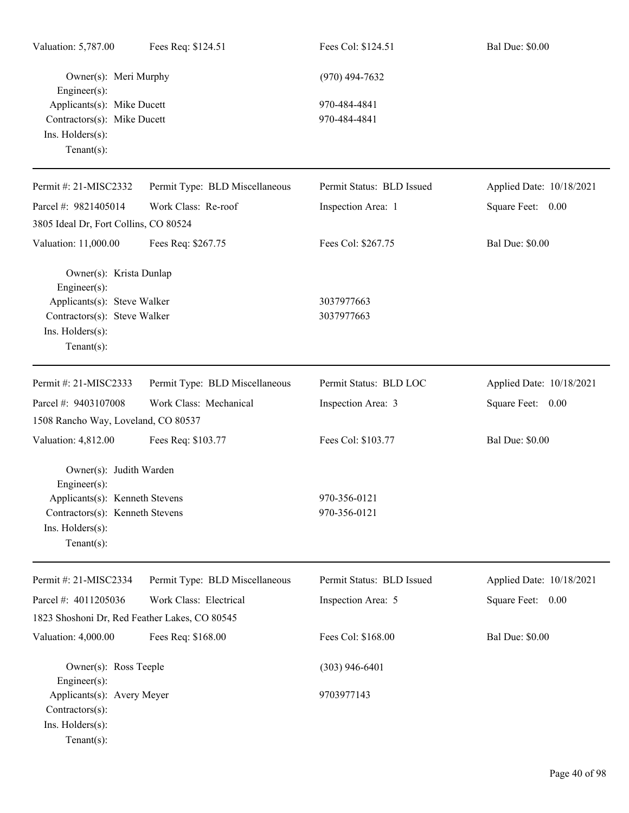| Valuation: 5,787.00                                                                             | Fees Req: \$124.51             | Fees Col: \$124.51           | <b>Bal Due: \$0.00</b>   |
|-------------------------------------------------------------------------------------------------|--------------------------------|------------------------------|--------------------------|
| Owner(s): Meri Murphy<br>Engineer(s):                                                           |                                | $(970)$ 494-7632             |                          |
| Applicants(s): Mike Ducett<br>Contractors(s): Mike Ducett<br>Ins. Holders(s):<br>Tenant $(s)$ : |                                | 970-484-4841<br>970-484-4841 |                          |
| Permit #: 21-MISC2332                                                                           | Permit Type: BLD Miscellaneous | Permit Status: BLD Issued    | Applied Date: 10/18/2021 |
| Parcel #: 9821405014                                                                            | Work Class: Re-roof            | Inspection Area: 1           | Square Feet: 0.00        |
| 3805 Ideal Dr, Fort Collins, CO 80524                                                           |                                |                              |                          |
| Valuation: 11,000.00                                                                            | Fees Req: \$267.75             | Fees Col: \$267.75           | <b>Bal Due: \$0.00</b>   |
| Owner(s): Krista Dunlap<br>Engineer(s):                                                         |                                |                              |                          |
| Applicants(s): Steve Walker                                                                     |                                | 3037977663                   |                          |
| Contractors(s): Steve Walker<br>Ins. Holders(s):<br>$Tenant(s)$ :                               |                                | 3037977663                   |                          |
| Permit #: 21-MISC2333                                                                           | Permit Type: BLD Miscellaneous | Permit Status: BLD LOC       | Applied Date: 10/18/2021 |
| Parcel #: 9403107008                                                                            | Work Class: Mechanical         | Inspection Area: 3           | Square Feet: 0.00        |
| 1508 Rancho Way, Loveland, CO 80537                                                             |                                |                              |                          |
| Valuation: 4,812.00                                                                             | Fees Req: \$103.77             | Fees Col: \$103.77           | <b>Bal Due: \$0.00</b>   |
| Owner(s): Judith Warden<br>$Engineering(s)$ :                                                   |                                |                              |                          |
| Applicants(s): Kenneth Stevens                                                                  |                                | 970-356-0121                 |                          |
| Contractors(s): Kenneth Stevens                                                                 |                                | 970-356-0121                 |                          |
| $Ins.$ Holders $(s)$ :<br>$Tenant(s)$ :                                                         |                                |                              |                          |
| Permit #: 21-MISC2334                                                                           | Permit Type: BLD Miscellaneous | Permit Status: BLD Issued    | Applied Date: 10/18/2021 |
| Parcel #: 4011205036                                                                            | Work Class: Electrical         | Inspection Area: 5           | Square Feet: 0.00        |
| 1823 Shoshoni Dr, Red Feather Lakes, CO 80545                                                   |                                |                              |                          |
| Valuation: 4,000.00                                                                             | Fees Req: \$168.00             | Fees Col: \$168.00           | <b>Bal Due: \$0.00</b>   |
| Owner(s): Ross Teeple<br>Engineer(s):                                                           |                                | $(303)$ 946-6401             |                          |
| Applicants(s): Avery Meyer<br>Contractors(s):<br>Ins. Holders(s):<br>$Tenant(s)$ :              |                                | 9703977143                   |                          |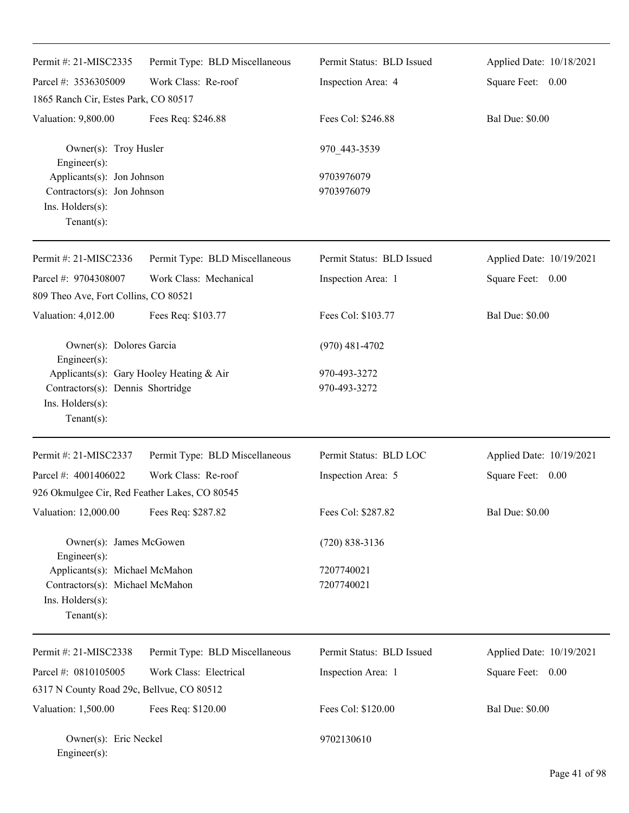| Permit #: 21-MISC2335                                                                                              | Permit Type: BLD Miscellaneous | Permit Status: BLD Issued    | Applied Date: 10/18/2021 |
|--------------------------------------------------------------------------------------------------------------------|--------------------------------|------------------------------|--------------------------|
| Parcel #: 3536305009                                                                                               | Work Class: Re-roof            | Inspection Area: 4           | Square Feet: 0.00        |
| 1865 Ranch Cir, Estes Park, CO 80517                                                                               |                                |                              |                          |
| Valuation: 9,800.00                                                                                                | Fees Req: \$246.88             | Fees Col: \$246.88           | <b>Bal Due: \$0.00</b>   |
| Owner(s): Troy Husler<br>Engineer(s):                                                                              |                                | 970 443-3539                 |                          |
| Applicants(s): Jon Johnson<br>Contractors(s): Jon Johnson<br>Ins. Holders(s):<br>$Tenant(s)$ :                     |                                | 9703976079<br>9703976079     |                          |
| Permit #: 21-MISC2336                                                                                              | Permit Type: BLD Miscellaneous | Permit Status: BLD Issued    | Applied Date: 10/19/2021 |
| Parcel #: 9704308007<br>809 Theo Ave, Fort Collins, CO 80521                                                       | Work Class: Mechanical         | Inspection Area: 1           | Square Feet: 0.00        |
| Valuation: 4,012.00                                                                                                | Fees Req: \$103.77             | Fees Col: \$103.77           | <b>Bal Due: \$0.00</b>   |
| Owner(s): Dolores Garcia<br>Engineer(s):                                                                           |                                | $(970)$ 481-4702             |                          |
| Applicants(s): Gary Hooley Heating & Air<br>Contractors(s): Dennis Shortridge<br>Ins. Holders(s):<br>$Tenant(s)$ : |                                | 970-493-3272<br>970-493-3272 |                          |
| Permit #: 21-MISC2337                                                                                              | Permit Type: BLD Miscellaneous | Permit Status: BLD LOC       | Applied Date: 10/19/2021 |
| Parcel #: 4001406022<br>926 Okmulgee Cir, Red Feather Lakes, CO 80545                                              | Work Class: Re-roof            | Inspection Area: 5           | Square Feet: 0.00        |
| Valuation: 12,000.00                                                                                               | Fees Req: \$287.82             | Fees Col: \$287.82           | <b>Bal Due: \$0.00</b>   |
| Owner(s): James McGowen<br>Engineer(s):                                                                            |                                | $(720)$ 838-3136             |                          |
| Applicants(s): Michael McMahon<br>Contractors(s): Michael McMahon<br>Ins. Holders(s):<br>$Tenant(s)$ :             |                                | 7207740021<br>7207740021     |                          |
| Permit #: 21-MISC2338                                                                                              | Permit Type: BLD Miscellaneous | Permit Status: BLD Issued    | Applied Date: 10/19/2021 |
| Parcel #: 0810105005                                                                                               | Work Class: Electrical         | Inspection Area: 1           | 0.00<br>Square Feet:     |
| 6317 N County Road 29c, Bellvue, CO 80512                                                                          |                                |                              |                          |
| Valuation: 1,500.00                                                                                                | Fees Req: \$120.00             | Fees Col: \$120.00           | <b>Bal Due: \$0.00</b>   |
| Owner(s): Eric Neckel<br>Engineer(s):                                                                              |                                | 9702130610                   |                          |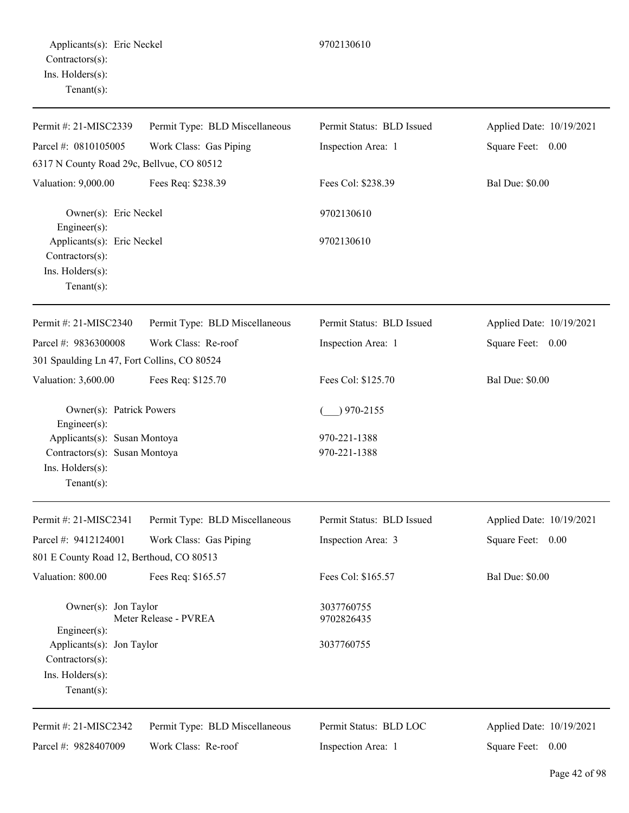| Permit #: 21-MISC2339                                                                               | Permit Type: BLD Miscellaneous | Permit Status: BLD Issued    | Applied Date: 10/19/2021 |
|-----------------------------------------------------------------------------------------------------|--------------------------------|------------------------------|--------------------------|
| Parcel #: 0810105005                                                                                | Work Class: Gas Piping         | Inspection Area: 1           | Square Feet: 0.00        |
| 6317 N County Road 29c, Bellvue, CO 80512                                                           |                                |                              |                          |
| Valuation: 9,000.00                                                                                 | Fees Req: \$238.39             | Fees Col: \$238.39           | <b>Bal Due: \$0.00</b>   |
| Owner(s): Eric Neckel<br>Engineer(s):                                                               |                                | 9702130610                   |                          |
| Applicants(s): Eric Neckel<br>Contractors(s):                                                       |                                | 9702130610                   |                          |
| Ins. Holders(s):<br>Tenant $(s)$ :                                                                  |                                |                              |                          |
| Permit #: 21-MISC2340                                                                               | Permit Type: BLD Miscellaneous | Permit Status: BLD Issued    | Applied Date: 10/19/2021 |
| Parcel #: 9836300008                                                                                | Work Class: Re-roof            | Inspection Area: 1           | Square Feet: 0.00        |
| 301 Spaulding Ln 47, Fort Collins, CO 80524                                                         |                                |                              |                          |
| Valuation: 3,600.00                                                                                 | Fees Req: \$125.70             | Fees Col: \$125.70           | <b>Bal Due: \$0.00</b>   |
| Owner(s): Patrick Powers<br>Engineer(s):                                                            |                                | $)$ 970-2155                 |                          |
| Applicants(s): Susan Montoya<br>Contractors(s): Susan Montoya<br>Ins. Holders(s):<br>Tenant $(s)$ : |                                | 970-221-1388<br>970-221-1388 |                          |
| Permit #: 21-MISC2341                                                                               | Permit Type: BLD Miscellaneous | Permit Status: BLD Issued    | Applied Date: 10/19/2021 |
| Parcel #: 9412124001                                                                                | Work Class: Gas Piping         | Inspection Area: 3           | Square Feet: 0.00        |
| 801 E County Road 12, Berthoud, CO 80513                                                            |                                |                              |                          |
| Valuation: 800.00                                                                                   | Fees Req: \$165.57             | Fees Col: \$165.57           | <b>Bal Due: \$0.00</b>   |
| Owner(s): Jon Taylor<br>$Engineering(s)$ :                                                          | Meter Release - PVREA          | 3037760755<br>9702826435     |                          |
| Applicants(s): Jon Taylor<br>Contractors(s):<br>Ins. Holders(s):<br>Tenant $(s)$ :                  |                                | 3037760755                   |                          |
| Permit #: 21-MISC2342                                                                               | Permit Type: BLD Miscellaneous | Permit Status: BLD LOC       | Applied Date: 10/19/2021 |
| Parcel #: 9828407009                                                                                | Work Class: Re-roof            | Inspection Area: 1           | Square Feet: 0.00        |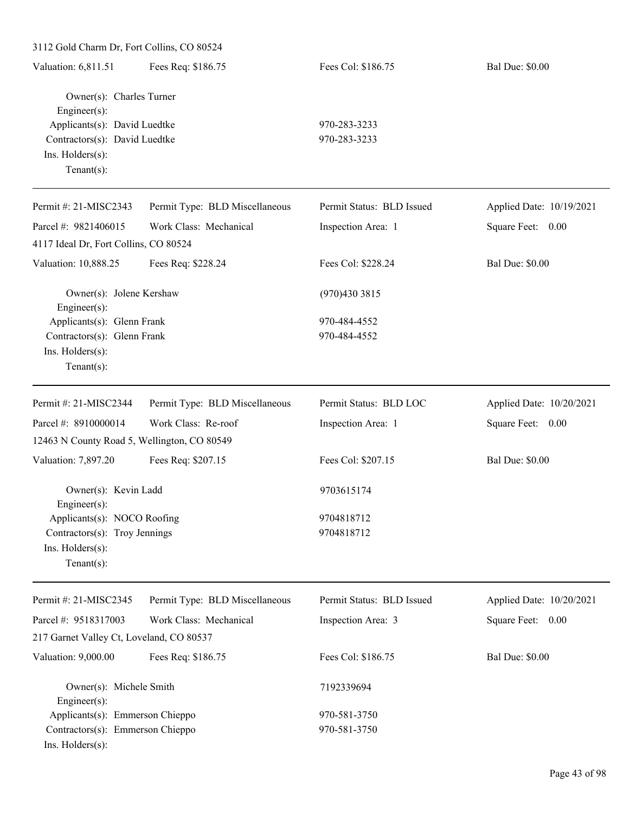| 3112 Gold Charm Dr, Fort Collins, CO 80524                                                         |                                |                           |                          |  |  |
|----------------------------------------------------------------------------------------------------|--------------------------------|---------------------------|--------------------------|--|--|
| Valuation: 6,811.51                                                                                | Fees Req: \$186.75             | Fees Col: \$186.75        | <b>Bal Due: \$0.00</b>   |  |  |
| Owner(s): Charles Turner<br>Engineer(s):                                                           |                                |                           |                          |  |  |
| Applicants(s): David Luedtke                                                                       |                                | 970-283-3233              |                          |  |  |
| Contractors(s): David Luedtke                                                                      |                                | 970-283-3233              |                          |  |  |
| Ins. Holders(s):<br>Tenant $(s)$ :                                                                 |                                |                           |                          |  |  |
| Permit #: 21-MISC2343                                                                              | Permit Type: BLD Miscellaneous | Permit Status: BLD Issued | Applied Date: 10/19/2021 |  |  |
| Parcel #: 9821406015                                                                               | Work Class: Mechanical         | Inspection Area: 1        | Square Feet: 0.00        |  |  |
| 4117 Ideal Dr, Fort Collins, CO 80524                                                              |                                |                           |                          |  |  |
| Valuation: 10,888.25                                                                               | Fees Req: \$228.24             | Fees Col: \$228.24        | <b>Bal Due: \$0.00</b>   |  |  |
| Owner(s): Jolene Kershaw<br>Engineer(s):                                                           |                                | (970)430 3815             |                          |  |  |
| Applicants(s): Glenn Frank                                                                         |                                | 970-484-4552              |                          |  |  |
| Contractors(s): Glenn Frank<br>Ins. Holders(s):<br>$Tenant(s)$ :                                   |                                | 970-484-4552              |                          |  |  |
| Permit #: 21-MISC2344                                                                              | Permit Type: BLD Miscellaneous | Permit Status: BLD LOC    | Applied Date: 10/20/2021 |  |  |
| Parcel #: 8910000014                                                                               | Work Class: Re-roof            | Inspection Area: 1        | Square Feet: 0.00        |  |  |
| 12463 N County Road 5, Wellington, CO 80549                                                        |                                |                           |                          |  |  |
| Valuation: 7,897.20                                                                                | Fees Req: \$207.15             | Fees Col: \$207.15        | <b>Bal Due: \$0.00</b>   |  |  |
| Owner(s): Kevin Ladd<br>Engineer(s):                                                               |                                | 9703615174                |                          |  |  |
| Applicants(s): NOCO Roofing<br>Contractors(s): Troy Jennings<br>Ins. Holders(s):<br>Tenant $(s)$ : |                                | 9704818712<br>9704818712  |                          |  |  |
| Permit #: 21-MISC2345                                                                              | Permit Type: BLD Miscellaneous | Permit Status: BLD Issued | Applied Date: 10/20/2021 |  |  |
| Parcel #: 9518317003                                                                               | Work Class: Mechanical         | Inspection Area: 3        | Square Feet: 0.00        |  |  |
| 217 Garnet Valley Ct, Loveland, CO 80537                                                           |                                |                           |                          |  |  |
| Valuation: 9,000.00                                                                                | Fees Req: \$186.75             | Fees Col: \$186.75        | <b>Bal Due: \$0.00</b>   |  |  |
| Owner(s): Michele Smith<br>Engineer(s):                                                            |                                | 7192339694                |                          |  |  |
| Applicants(s): Emmerson Chieppo                                                                    |                                | 970-581-3750              |                          |  |  |
| Contractors(s): Emmerson Chieppo<br>Ins. Holders(s):                                               |                                | 970-581-3750              |                          |  |  |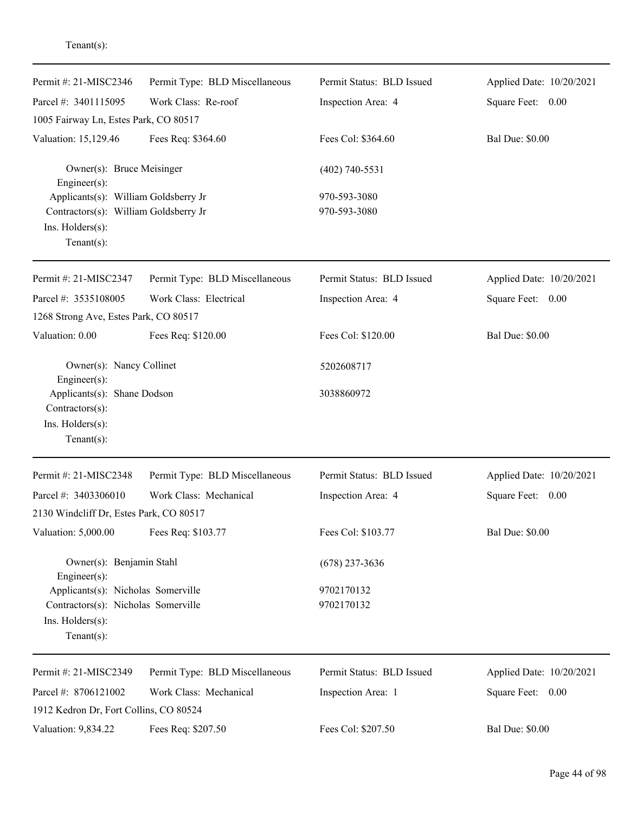| Permit #: 21-MISC2346                                                               | Permit Type: BLD Miscellaneous | Permit Status: BLD Issued | Applied Date: 10/20/2021 |
|-------------------------------------------------------------------------------------|--------------------------------|---------------------------|--------------------------|
| Parcel #: 3401115095                                                                | Work Class: Re-roof            | Inspection Area: 4        | Square Feet: 0.00        |
| 1005 Fairway Ln, Estes Park, CO 80517                                               |                                |                           |                          |
| Valuation: 15,129.46                                                                | Fees Req: \$364.60             | Fees Col: \$364.60        | <b>Bal Due: \$0.00</b>   |
| Owner(s): Bruce Meisinger<br>Engineer(s):                                           |                                | $(402)$ 740-5531          |                          |
| Applicants(s): William Goldsberry Jr                                                |                                | 970-593-3080              |                          |
| Contractors(s): William Goldsberry Jr<br>Ins. Holders(s):<br>Tenant $(s)$ :         |                                | 970-593-3080              |                          |
| Permit #: 21-MISC2347                                                               | Permit Type: BLD Miscellaneous | Permit Status: BLD Issued | Applied Date: 10/20/2021 |
| Parcel #: 3535108005                                                                | Work Class: Electrical         | Inspection Area: 4        | Square Feet: 0.00        |
| 1268 Strong Ave, Estes Park, CO 80517                                               |                                |                           |                          |
| Valuation: 0.00                                                                     | Fees Req: \$120.00             | Fees Col: \$120.00        | <b>Bal Due: \$0.00</b>   |
| Owner(s): Nancy Collinet<br>Engineer(s):                                            |                                | 5202608717                |                          |
| Applicants(s): Shane Dodson<br>Contractors(s):<br>Ins. Holders(s):<br>$Tenant(s)$ : |                                | 3038860972                |                          |
| Permit #: 21-MISC2348                                                               | Permit Type: BLD Miscellaneous | Permit Status: BLD Issued | Applied Date: 10/20/2021 |
| Parcel #: 3403306010                                                                | Work Class: Mechanical         | Inspection Area: 4        | Square Feet:<br>0.00     |
| 2130 Windcliff Dr, Estes Park, CO 80517                                             |                                |                           |                          |
| Valuation: 5,000.00                                                                 | Fees Req: \$103.77             | Fees Col: \$103.77        | <b>Bal Due: \$0.00</b>   |
| Owner(s): Benjamin Stahl<br>Engineer(s):                                            |                                | $(678)$ 237-3636          |                          |
| Applicants(s): Nicholas Somerville                                                  |                                | 9702170132                |                          |
| Contractors(s): Nicholas Somerville                                                 |                                | 9702170132                |                          |
| Ins. Holders(s):<br>Tenant $(s)$ :                                                  |                                |                           |                          |
| Permit #: 21-MISC2349                                                               | Permit Type: BLD Miscellaneous | Permit Status: BLD Issued | Applied Date: 10/20/2021 |
| Parcel #: 8706121002                                                                | Work Class: Mechanical         | Inspection Area: 1        | Square Feet: 0.00        |
| 1912 Kedron Dr, Fort Collins, CO 80524                                              |                                |                           |                          |
| Valuation: 9,834.22                                                                 | Fees Req: \$207.50             | Fees Col: \$207.50        | <b>Bal Due: \$0.00</b>   |

Tenant(s):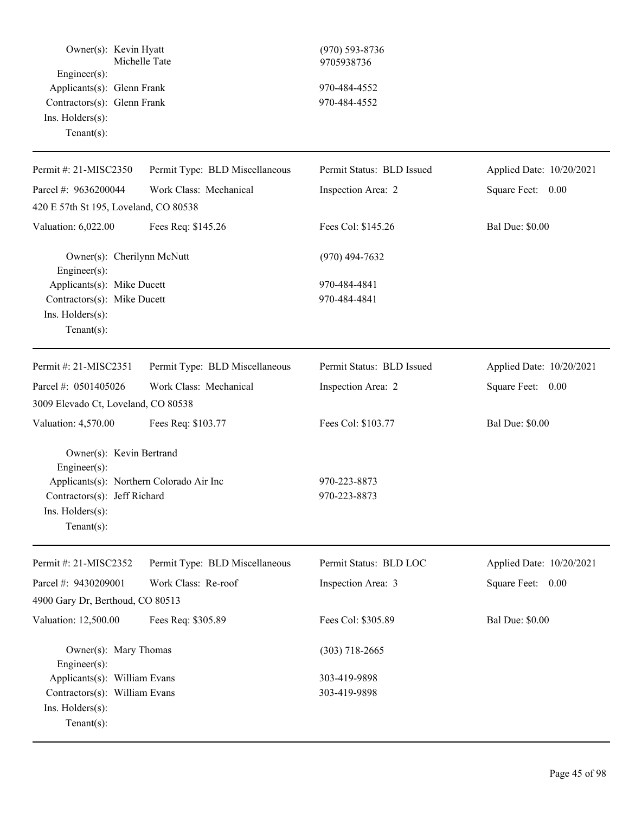| Owner(s): Kevin Hyatt                                                           | Michelle Tate                  | $(970) 593 - 8736$<br>9705938736 |                          |
|---------------------------------------------------------------------------------|--------------------------------|----------------------------------|--------------------------|
| $Engineering(s)$ :<br>Applicants(s): Glenn Frank<br>Contractors(s): Glenn Frank |                                | 970-484-4552                     |                          |
|                                                                                 |                                |                                  |                          |
|                                                                                 |                                | 970-484-4552                     |                          |
| Ins. Holders(s):                                                                |                                |                                  |                          |
| Tenant $(s)$ :                                                                  |                                |                                  |                          |
| Permit #: 21-MISC2350                                                           | Permit Type: BLD Miscellaneous | Permit Status: BLD Issued        | Applied Date: 10/20/2021 |
| Parcel #: 9636200044                                                            | Work Class: Mechanical         | Inspection Area: 2               | Square Feet: 0.00        |
| 420 E 57th St 195, Loveland, CO 80538                                           |                                |                                  |                          |
| Valuation: 6,022.00                                                             | Fees Req: \$145.26             | Fees Col: \$145.26               | <b>Bal Due: \$0.00</b>   |
| Owner(s): Cherilynn McNutt<br>Engineer(s):                                      |                                | $(970)$ 494-7632                 |                          |
| Applicants(s): Mike Ducett                                                      |                                | 970-484-4841                     |                          |
| Contractors(s): Mike Ducett                                                     |                                | 970-484-4841                     |                          |
| Ins. Holders(s):                                                                |                                |                                  |                          |
| Tenant $(s)$ :                                                                  |                                |                                  |                          |
| Permit #: 21-MISC2351                                                           | Permit Type: BLD Miscellaneous | Permit Status: BLD Issued        | Applied Date: 10/20/2021 |
| Parcel #: 0501405026                                                            | Work Class: Mechanical         | Inspection Area: 2               | Square Feet: 0.00        |
| 3009 Elevado Ct, Loveland, CO 80538                                             |                                |                                  |                          |
| Valuation: 4,570.00                                                             | Fees Req: \$103.77             | Fees Col: \$103.77               | <b>Bal Due: \$0.00</b>   |
| Owner(s): Kevin Bertrand<br>Engineer(s):                                        |                                |                                  |                          |
| Applicants(s): Northern Colorado Air Inc                                        |                                | 970-223-8873                     |                          |
| Contractors(s): Jeff Richard                                                    |                                | 970-223-8873                     |                          |
| Ins. Holders(s):                                                                |                                |                                  |                          |
| Tenant $(s)$ :                                                                  |                                |                                  |                          |
| Permit #: 21-MISC2352                                                           | Permit Type: BLD Miscellaneous | Permit Status: BLD LOC           | Applied Date: 10/20/2021 |
| Parcel #: 9430209001                                                            | Work Class: Re-roof            | Inspection Area: 3               | Square Feet: 0.00        |
| 4900 Gary Dr, Berthoud, CO 80513                                                |                                |                                  |                          |
| Valuation: 12,500.00                                                            | Fees Req: \$305.89             | Fees Col: \$305.89               | <b>Bal Due: \$0.00</b>   |
| Owner(s): Mary Thomas<br>Engineer(s):                                           |                                | $(303)$ 718-2665                 |                          |
| Applicants(s): William Evans                                                    |                                | 303-419-9898                     |                          |
| Contractors(s): William Evans                                                   |                                | 303-419-9898                     |                          |
| Ins. Holders(s):                                                                |                                |                                  |                          |
| $Tenant(s)$ :                                                                   |                                |                                  |                          |
|                                                                                 |                                |                                  |                          |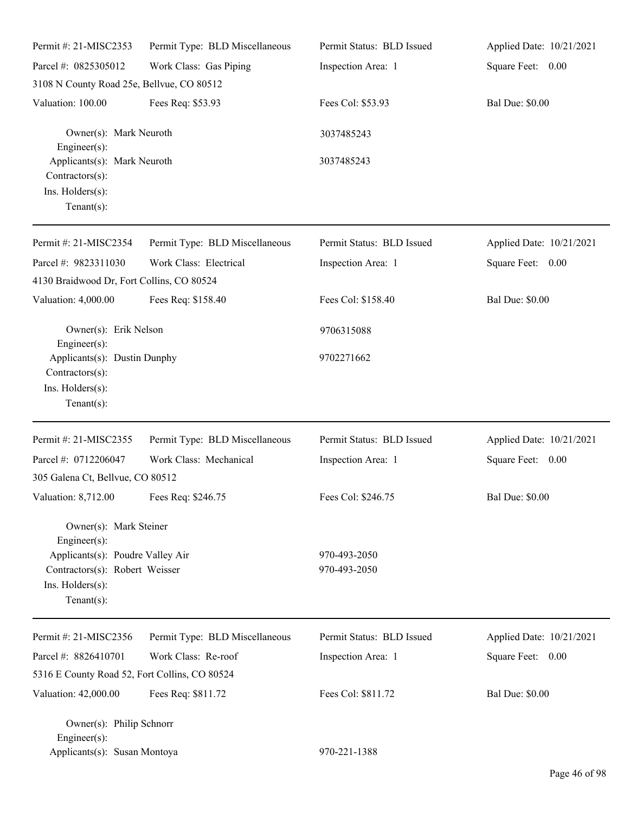| Permit #: 21-MISC2353                                                                                    | Permit Type: BLD Miscellaneous | Permit Status: BLD Issued    | Applied Date: 10/21/2021 |
|----------------------------------------------------------------------------------------------------------|--------------------------------|------------------------------|--------------------------|
| Parcel #: 0825305012                                                                                     | Work Class: Gas Piping         | Inspection Area: 1           | Square Feet: 0.00        |
| 3108 N County Road 25e, Bellvue, CO 80512                                                                |                                |                              |                          |
| Valuation: 100.00                                                                                        | Fees Req: \$53.93              | Fees Col: \$53.93            | <b>Bal Due: \$0.00</b>   |
| Owner(s): Mark Neuroth<br>Engineer $(s)$ :                                                               |                                | 3037485243                   |                          |
| Applicants(s): Mark Neuroth<br>Contractors(s):<br>Ins. Holders(s):<br>Tenant $(s)$ :                     |                                | 3037485243                   |                          |
| Permit #: 21-MISC2354                                                                                    | Permit Type: BLD Miscellaneous | Permit Status: BLD Issued    | Applied Date: 10/21/2021 |
| Parcel #: 9823311030<br>4130 Braidwood Dr, Fort Collins, CO 80524                                        | Work Class: Electrical         | Inspection Area: 1           | Square Feet: 0.00        |
| Valuation: 4,000.00                                                                                      | Fees Req: \$158.40             | Fees Col: \$158.40           | <b>Bal Due: \$0.00</b>   |
| Owner(s): Erik Nelson<br>Engineer(s):                                                                    |                                | 9706315088                   |                          |
| Applicants(s): Dustin Dunphy<br>Contractors(s):<br>Ins. Holders(s):<br>Tenant $(s)$ :                    |                                | 9702271662                   |                          |
| Permit #: 21-MISC2355                                                                                    | Permit Type: BLD Miscellaneous | Permit Status: BLD Issued    | Applied Date: 10/21/2021 |
| Parcel #: 0712206047                                                                                     | Work Class: Mechanical         | Inspection Area: 1           | Square Feet: 0.00        |
| 305 Galena Ct, Bellvue, CO 80512                                                                         |                                |                              |                          |
| Valuation: 8,712.00 Fees Req: \$246.75                                                                   |                                | Fees Col: \$246.75           | <b>Bal Due: \$0.00</b>   |
| Owner(s): Mark Steiner<br>Engineer(s):                                                                   |                                |                              |                          |
| Applicants(s): Poudre Valley Air<br>Contractors(s): Robert Weisser<br>Ins. Holders(s):<br>Tenant $(s)$ : |                                | 970-493-2050<br>970-493-2050 |                          |
| Permit #: 21-MISC2356                                                                                    | Permit Type: BLD Miscellaneous | Permit Status: BLD Issued    | Applied Date: 10/21/2021 |
| Parcel #: 8826410701                                                                                     | Work Class: Re-roof            | Inspection Area: 1           | Square Feet: 0.00        |
| 5316 E County Road 52, Fort Collins, CO 80524                                                            |                                |                              |                          |
| Valuation: 42,000.00                                                                                     | Fees Req: \$811.72             | Fees Col: \$811.72           | <b>Bal Due: \$0.00</b>   |
| Owner(s): Philip Schnorr<br>Engineer $(s)$ :                                                             |                                |                              |                          |
| Applicants(s): Susan Montoya                                                                             |                                | 970-221-1388                 |                          |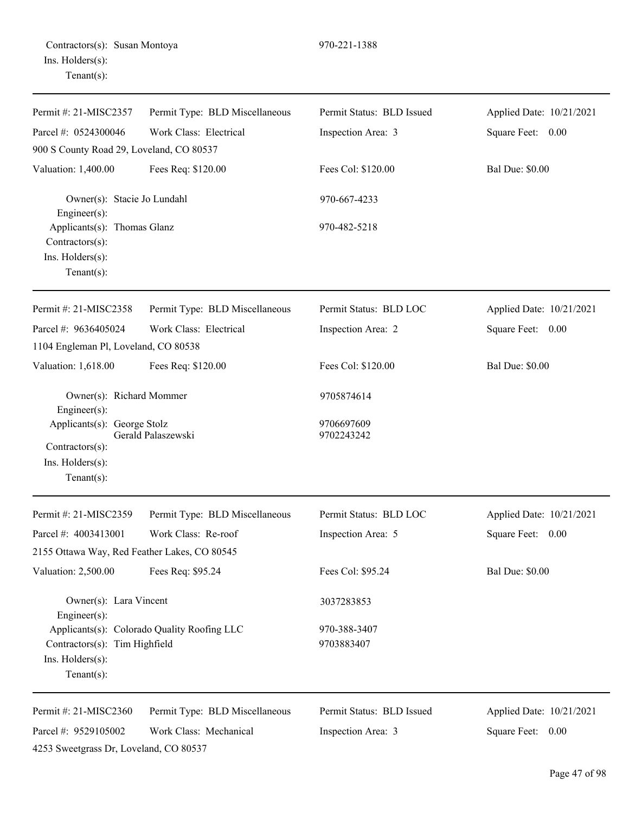| Permit #: 21-MISC2357                                                                   | Permit Type: BLD Miscellaneous              | Permit Status: BLD Issued  | Applied Date: 10/21/2021 |
|-----------------------------------------------------------------------------------------|---------------------------------------------|----------------------------|--------------------------|
| Parcel #: 0524300046                                                                    | Work Class: Electrical                      | Inspection Area: 3         | Square Feet: 0.00        |
| 900 S County Road 29, Loveland, CO 80537                                                |                                             |                            |                          |
| Valuation: 1,400.00                                                                     | Fees Req: \$120.00                          | Fees Col: \$120.00         | <b>Bal Due: \$0.00</b>   |
| Owner(s): Stacie Jo Lundahl<br>Engineer $(s)$ :                                         |                                             | 970-667-4233               |                          |
| Applicants(s): Thomas Glanz<br>$Contractors(s)$ :<br>Ins. Holders(s):<br>Tenant $(s)$ : |                                             | 970-482-5218               |                          |
| Permit #: 21-MISC2358                                                                   | Permit Type: BLD Miscellaneous              | Permit Status: BLD LOC     | Applied Date: 10/21/2021 |
| Parcel #: 9636405024                                                                    | Work Class: Electrical                      | Inspection Area: 2         | Square Feet: 0.00        |
| 1104 Engleman Pl, Loveland, CO 80538                                                    |                                             |                            |                          |
| Valuation: 1,618.00                                                                     | Fees Req: \$120.00                          | Fees Col: \$120.00         | <b>Bal Due: \$0.00</b>   |
| Owner(s): Richard Mommer<br>$Engineering(s)$ :                                          |                                             | 9705874614                 |                          |
| Applicants(s): George Stolz<br>Contractors(s):<br>Ins. Holders(s):<br>Tenant $(s)$ :    | Gerald Palaszewski                          | 9706697609<br>9702243242   |                          |
| Permit #: 21-MISC2359                                                                   | Permit Type: BLD Miscellaneous              | Permit Status: BLD LOC     | Applied Date: 10/21/2021 |
| Parcel #: 4003413001                                                                    | Work Class: Re-roof                         | Inspection Area: 5         | Square Feet: 0.00        |
| 2155 Ottawa Way, Red Feather Lakes, CO 80545                                            |                                             |                            |                          |
| Valuation: 2,500.00                                                                     | Fees Req: \$95.24                           | Fees Col: \$95.24          | <b>Bal Due: \$0.00</b>   |
| Owner(s): Lara Vincent<br>Engineer $(s)$ :                                              |                                             | 3037283853                 |                          |
| Contractors(s): Tim Highfield<br>Ins. Holders(s):<br>Tenant $(s)$ :                     | Applicants(s): Colorado Quality Roofing LLC | 970-388-3407<br>9703883407 |                          |
| Permit #: 21-MISC2360                                                                   | Permit Type: BLD Miscellaneous              | Permit Status: BLD Issued  | Applied Date: 10/21/2021 |
| Parcel #: 9529105002<br>4253 Sweetgrass Dr, Loveland, CO 80537                          | Work Class: Mechanical                      | Inspection Area: 3         | Square Feet: 0.00        |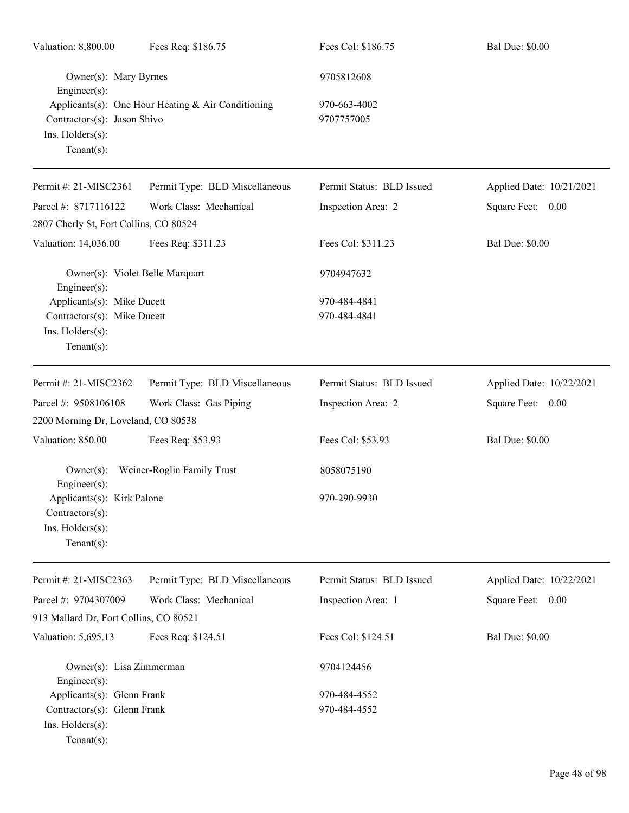| Valuation: 8,800.00                                                                             | Fees Req: \$186.75                                 | Fees Col: \$186.75           | <b>Bal Due: \$0.00</b>   |
|-------------------------------------------------------------------------------------------------|----------------------------------------------------|------------------------------|--------------------------|
| Owner(s): Mary Byrnes<br>$Engineering(s)$ :                                                     |                                                    | 9705812608                   |                          |
| Contractors(s): Jason Shivo<br>Ins. Holders(s):<br>Tenant $(s)$ :                               | Applicants(s): One Hour Heating & Air Conditioning | 970-663-4002<br>9707757005   |                          |
| Permit #: 21-MISC2361                                                                           | Permit Type: BLD Miscellaneous                     | Permit Status: BLD Issued    | Applied Date: 10/21/2021 |
| Parcel #: 8717116122                                                                            | Work Class: Mechanical                             | Inspection Area: 2           | Square Feet: 0.00        |
| 2807 Cherly St, Fort Collins, CO 80524                                                          |                                                    |                              |                          |
| Valuation: 14,036.00                                                                            | Fees Req: \$311.23                                 | Fees Col: \$311.23           | <b>Bal Due: \$0.00</b>   |
| Owner(s): Violet Belle Marquart<br>$Engineering(s)$ :                                           |                                                    | 9704947632                   |                          |
| Applicants(s): Mike Ducett                                                                      |                                                    | 970-484-4841                 |                          |
| Contractors(s): Mike Ducett<br>Ins. Holders(s):<br>Tenant $(s)$ :                               |                                                    | 970-484-4841                 |                          |
| Permit #: 21-MISC2362                                                                           | Permit Type: BLD Miscellaneous                     | Permit Status: BLD Issued    | Applied Date: 10/22/2021 |
| Parcel #: 9508106108                                                                            | Work Class: Gas Piping                             | Inspection Area: 2           | Square Feet: 0.00        |
| 2200 Morning Dr, Loveland, CO 80538                                                             |                                                    |                              |                          |
| Valuation: 850.00                                                                               | Fees Req: \$53.93                                  | Fees Col: \$53.93            | <b>Bal Due: \$0.00</b>   |
| $Owner(s)$ :<br>Engineer(s):                                                                    | Weiner-Roglin Family Trust                         | 8058075190                   |                          |
| Applicants(s): Kirk Palone<br>Contractors(s):<br>Ins. Holders(s):<br>Tenant $(s)$ :             |                                                    | 970-290-9930                 |                          |
| Permit #: 21-MISC2363                                                                           | Permit Type: BLD Miscellaneous                     | Permit Status: BLD Issued    | Applied Date: 10/22/2021 |
| Parcel #: 9704307009                                                                            | Work Class: Mechanical                             | Inspection Area: 1           | Square Feet: 0.00        |
| 913 Mallard Dr, Fort Collins, CO 80521                                                          |                                                    |                              |                          |
| Valuation: 5,695.13                                                                             | Fees Req: \$124.51                                 | Fees Col: \$124.51           | <b>Bal Due: \$0.00</b>   |
| Owner(s): Lisa Zimmerman<br>$Engineering(s)$ :                                                  |                                                    | 9704124456                   |                          |
| Applicants(s): Glenn Frank<br>Contractors(s): Glenn Frank<br>Ins. Holders(s):<br>Tenant $(s)$ : |                                                    | 970-484-4552<br>970-484-4552 |                          |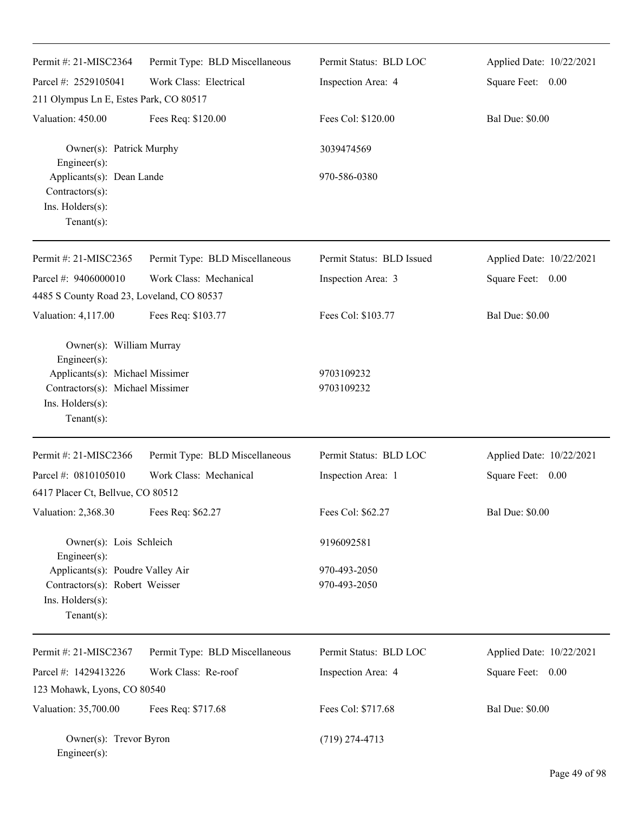| Permit #: 21-MISC2364                                                                                                                                 | Permit Type: BLD Miscellaneous | Permit Status: BLD LOC       | Applied Date: 10/22/2021 |
|-------------------------------------------------------------------------------------------------------------------------------------------------------|--------------------------------|------------------------------|--------------------------|
| Parcel #: 2529105041                                                                                                                                  | Work Class: Electrical         | Inspection Area: 4           | Square Feet: 0.00        |
| 211 Olympus Ln E, Estes Park, CO 80517                                                                                                                |                                |                              |                          |
| Valuation: 450.00                                                                                                                                     | Fees Req: \$120.00             | Fees Col: \$120.00           | <b>Bal Due: \$0.00</b>   |
| Owner(s): Patrick Murphy<br>Engineer $(s)$ :                                                                                                          |                                | 3039474569                   |                          |
| Applicants(s): Dean Lande<br>Contractors(s):<br>Ins. Holders(s):<br>Tenant $(s)$ :                                                                    |                                | 970-586-0380                 |                          |
| Permit #: 21-MISC2365                                                                                                                                 | Permit Type: BLD Miscellaneous | Permit Status: BLD Issued    | Applied Date: 10/22/2021 |
| Parcel #: 9406000010                                                                                                                                  | Work Class: Mechanical         | Inspection Area: 3           | Square Feet: 0.00        |
| 4485 S County Road 23, Loveland, CO 80537                                                                                                             |                                |                              |                          |
| Valuation: 4,117.00                                                                                                                                   | Fees Req: \$103.77             | Fees Col: \$103.77           | <b>Bal Due: \$0.00</b>   |
| Owner(s): William Murray<br>Engineer(s):<br>Applicants(s): Michael Missimer<br>Contractors(s): Michael Missimer<br>Ins. Holders(s):<br>Tenant $(s)$ : |                                | 9703109232<br>9703109232     |                          |
| Permit #: 21-MISC2366                                                                                                                                 | Permit Type: BLD Miscellaneous | Permit Status: BLD LOC       | Applied Date: 10/22/2021 |
| Parcel #: 0810105010                                                                                                                                  | Work Class: Mechanical         | Inspection Area: 1           | Square Feet: 0.00        |
| 6417 Placer Ct, Bellvue, CO 80512                                                                                                                     |                                |                              |                          |
| Valuation: 2,368.30                                                                                                                                   | Fees Req: \$62.27              | Fees Col: \$62.27            | <b>Bal Due: \$0.00</b>   |
| Owner(s): Lois Schleich<br>Engineer(s):                                                                                                               |                                | 9196092581                   |                          |
| Applicants(s): Poudre Valley Air<br>Contractors(s): Robert Weisser<br>Ins. Holders(s):<br>Tenant $(s)$ :                                              |                                | 970-493-2050<br>970-493-2050 |                          |
| Permit #: 21-MISC2367                                                                                                                                 | Permit Type: BLD Miscellaneous | Permit Status: BLD LOC       | Applied Date: 10/22/2021 |
| Parcel #: 1429413226                                                                                                                                  | Work Class: Re-roof            | Inspection Area: 4           | Square Feet: 0.00        |
| 123 Mohawk, Lyons, CO 80540                                                                                                                           |                                |                              |                          |
| Valuation: 35,700.00                                                                                                                                  | Fees Req: \$717.68             | Fees Col: \$717.68           | <b>Bal Due: \$0.00</b>   |
| Owner(s): Trevor Byron<br>Engineer(s):                                                                                                                |                                | $(719)$ 274-4713             |                          |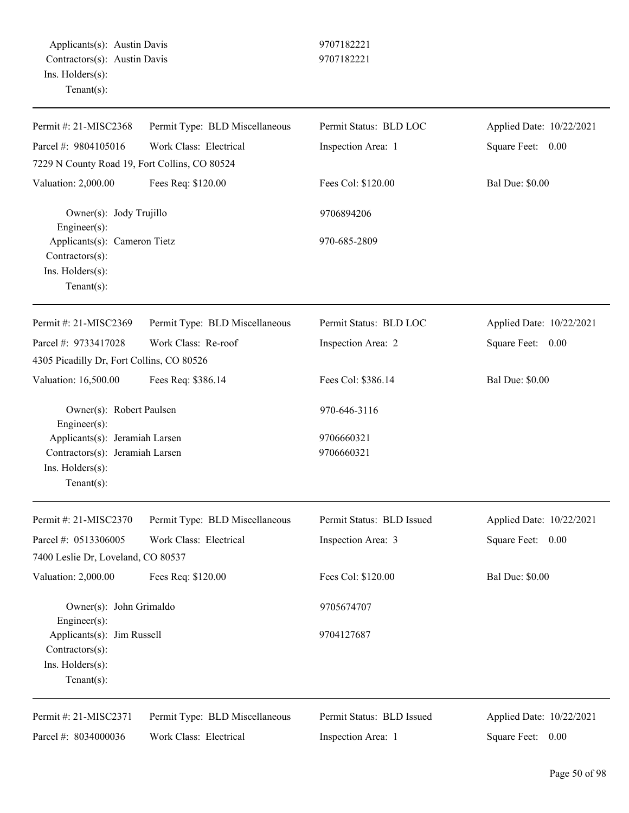| Permit #: 21-MISC2368                                                                                   | Permit Type: BLD Miscellaneous | Permit Status: BLD LOC    | Applied Date: 10/22/2021 |
|---------------------------------------------------------------------------------------------------------|--------------------------------|---------------------------|--------------------------|
| Parcel #: 9804105016                                                                                    | Work Class: Electrical         | Inspection Area: 1        | Square Feet: 0.00        |
| 7229 N County Road 19, Fort Collins, CO 80524                                                           |                                |                           |                          |
| Valuation: 2,000.00                                                                                     | Fees Req: \$120.00             | Fees Col: \$120.00        | <b>Bal Due: \$0.00</b>   |
| Owner(s): Jody Trujillo<br>Engineer(s):                                                                 |                                | 9706894206                |                          |
| Applicants(s): Cameron Tietz<br>Contractors(s):<br>Ins. Holders(s):<br>Tenant $(s)$ :                   |                                | 970-685-2809              |                          |
| Permit #: 21-MISC2369                                                                                   | Permit Type: BLD Miscellaneous | Permit Status: BLD LOC    | Applied Date: 10/22/2021 |
| Parcel #: 9733417028                                                                                    | Work Class: Re-roof            | Inspection Area: 2        | Square Feet: 0.00        |
| 4305 Picadilly Dr, Fort Collins, CO 80526                                                               |                                |                           |                          |
| Valuation: 16,500.00                                                                                    | Fees Req: \$386.14             | Fees Col: \$386.14        | <b>Bal Due: \$0.00</b>   |
| Owner(s): Robert Paulsen<br>Engineer(s):                                                                |                                | 970-646-3116              |                          |
| Applicants(s): Jeramiah Larsen<br>Contractors(s): Jeramiah Larsen<br>Ins. Holders(s):<br>Tenant $(s)$ : |                                | 9706660321<br>9706660321  |                          |
| Permit #: 21-MISC2370                                                                                   | Permit Type: BLD Miscellaneous | Permit Status: BLD Issued | Applied Date: 10/22/2021 |
| Parcel #: 0513306005                                                                                    | Work Class: Electrical         | Inspection Area: 3        | Square Feet: 0.00        |
| 7400 Leslie Dr, Loveland, CO 80537                                                                      |                                |                           |                          |
| Valuation: 2,000.00                                                                                     | Fees Req: \$120.00             | Fees Col: \$120.00        | <b>Bal Due: \$0.00</b>   |
| Owner(s): John Grimaldo<br>Engineer(s):                                                                 |                                | 9705674707                |                          |
| Applicants(s): Jim Russell<br>Contractors(s):<br>Ins. Holders(s):<br>$Tenant(s)$ :                      |                                | 9704127687                |                          |
| Permit #: 21-MISC2371                                                                                   | Permit Type: BLD Miscellaneous | Permit Status: BLD Issued | Applied Date: 10/22/2021 |
| Parcel #: 8034000036                                                                                    | Work Class: Electrical         | Inspection Area: 1        | Square Feet:<br>0.00     |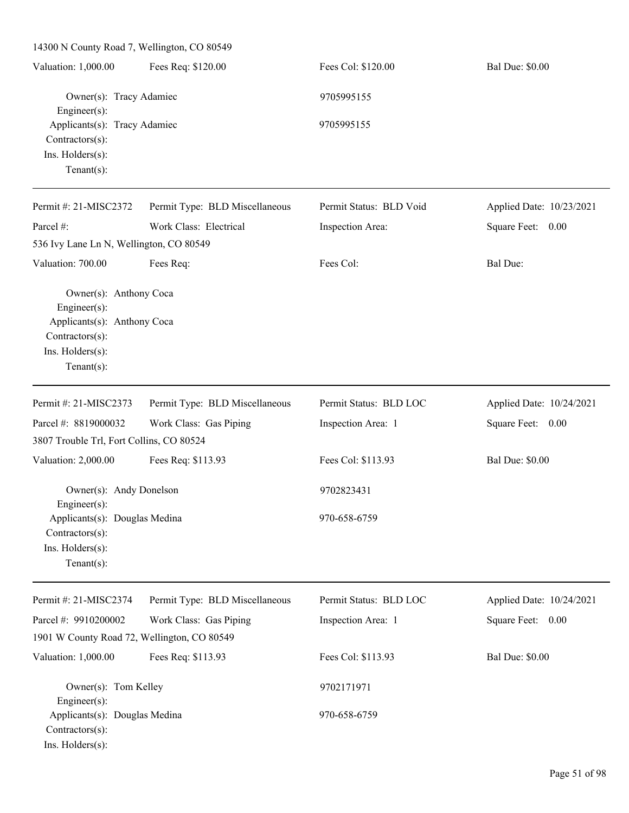14300 N County Road 7, Wellington, CO 80549 Valuation: 1,000.00 Fees Req: \$120.00 Fees Col: \$120.00 Bal Due: \$0.00 Owner(s): Tracy Adamiec 9705995155 Engineer(s): Applicants(s): Tracy Adamiec 9705995155 Contractors(s): Ins. Holders(s): Tenant(s): Permit #: 21-MISC2372 Parcel #: Permit Type: BLD Miscellaneous Work Class: Electrical Permit Status: BLD Void Inspection Area: Applied Date: 10/23/2021 Square Feet: 0.00 536 Ivy Lane Ln N, Wellington, CO 80549 Valuation: 700.00 Fees Req: Fees Col: Fees Col: Bal Due: Owner(s): Anthony Coca Engineer(s): Applicants(s): Anthony Coca Contractors(s): Ins. Holders(s): Tenant(s): Permit #: 21-MISC2373 Parcel #: 8819000032 Permit Type: BLD Miscellaneous Work Class: Gas Piping Permit Status: BLD LOC Inspection Area: 1 Applied Date: 10/24/2021 Square Feet: 0.00 3807 Trouble Trl, Fort Collins, CO 80524 Valuation: 2,000.00 Fees Req: \$113.93 Fees Col: \$113.93 Bal Due: \$0.00 Owner(s): Andy Donelson 9702823431 Engineer(s): Applicants(s): Douglas Medina 970-658-6759 Contractors(s): Ins. Holders(s): Tenant(s): Permit #: 21-MISC2374 Parcel #: 9910200002 Permit Type: BLD Miscellaneous Work Class: Gas Piping Permit Status: BLD LOC Inspection Area: 1 Applied Date: 10/24/2021 Square Feet: 0.00 1901 W County Road 72, Wellington, CO 80549 Valuation: 1,000.00 Fees Req: \$113.93 Fees Col: \$113.93 Bal Due: \$0.00 Owner(s): Tom Kelley 9702171971 Engineer(s): Applicants(s): Douglas Medina 970-658-6759 Contractors(s):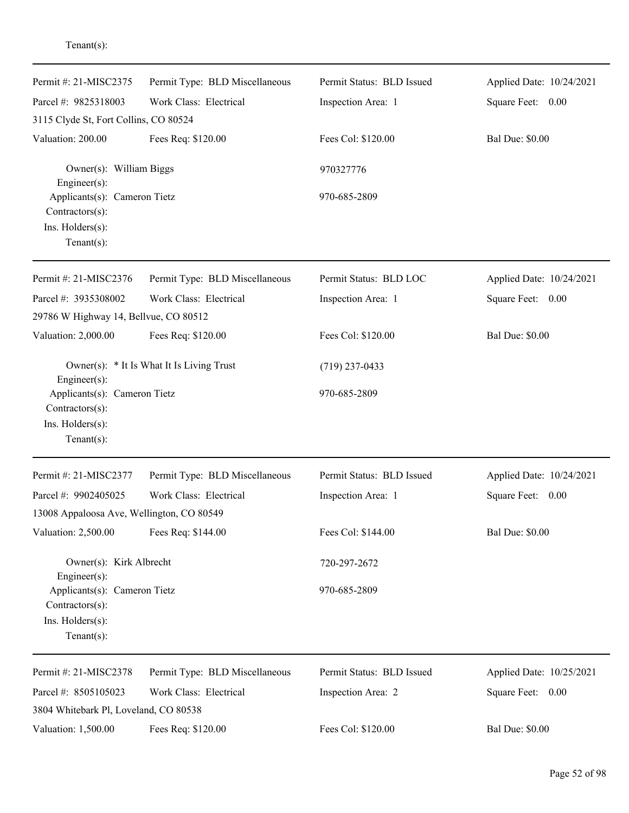| Permit #: 21-MISC2375                                                                | Permit Type: BLD Miscellaneous | Permit Status: BLD Issued | Applied Date: 10/24/2021 |
|--------------------------------------------------------------------------------------|--------------------------------|---------------------------|--------------------------|
| Parcel #: 9825318003                                                                 | Work Class: Electrical         | Inspection Area: 1        | Square Feet: 0.00        |
| 3115 Clyde St, Fort Collins, CO 80524                                                |                                |                           |                          |
| Valuation: 200.00                                                                    | Fees Req: \$120.00             | Fees Col: \$120.00        | <b>Bal Due: \$0.00</b>   |
| Owner(s): William Biggs<br>Engineer(s):                                              |                                | 970327776                 |                          |
| Applicants(s): Cameron Tietz<br>Contractors(s):<br>Ins. Holders(s):<br>$Tenant(s)$ : |                                | 970-685-2809              |                          |
| Permit #: 21-MISC2376                                                                | Permit Type: BLD Miscellaneous | Permit Status: BLD LOC    | Applied Date: 10/24/2021 |
| Parcel #: 3935308002                                                                 | Work Class: Electrical         | Inspection Area: 1        | Square Feet: 0.00        |
| 29786 W Highway 14, Bellvue, CO 80512                                                |                                |                           |                          |
| Valuation: 2,000.00                                                                  | Fees Req: \$120.00             | Fees Col: \$120.00        | <b>Bal Due: \$0.00</b>   |
| Owner(s): * It Is What It Is Living Trust<br>Engineer(s):                            |                                | $(719)$ 237-0433          |                          |
| Applicants(s): Cameron Tietz<br>Contractors(s):<br>Ins. Holders(s):<br>$Tenant(s)$ : |                                | 970-685-2809              |                          |
| Permit #: 21-MISC2377                                                                | Permit Type: BLD Miscellaneous | Permit Status: BLD Issued | Applied Date: 10/24/2021 |
| Parcel #: 9902405025                                                                 | Work Class: Electrical         | Inspection Area: 1        | Square Feet:<br>0.00     |
| 13008 Appaloosa Ave, Wellington, CO 80549                                            |                                |                           |                          |
| Valuation: 2,500.00                                                                  | Fees Req: \$144.00             | Fees Col: \$144.00        | <b>Bal Due: \$0.00</b>   |
| Owner(s): Kirk Albrecht<br>Engineer(s):                                              |                                | 720-297-2672              |                          |
| Applicants(s): Cameron Tietz<br>Contractors(s):<br>Ins. Holders(s):<br>$Tenant(s)$ : |                                | 970-685-2809              |                          |
| Permit #: 21-MISC2378                                                                | Permit Type: BLD Miscellaneous | Permit Status: BLD Issued | Applied Date: 10/25/2021 |
| Parcel #: 8505105023<br>3804 Whitebark Pl, Loveland, CO 80538                        | Work Class: Electrical         | Inspection Area: 2        | Square Feet: 0.00        |
| Valuation: 1,500.00                                                                  | Fees Req: \$120.00             | Fees Col: \$120.00        | <b>Bal Due: \$0.00</b>   |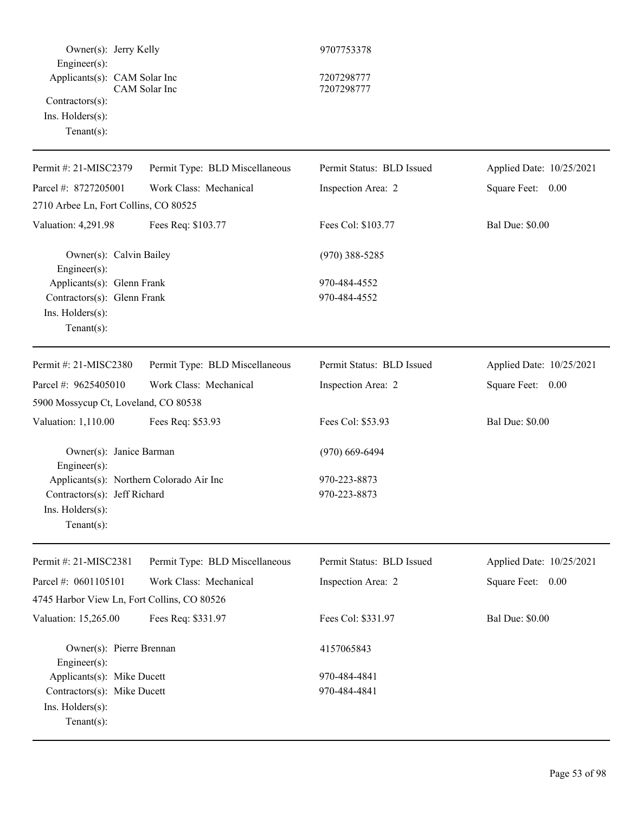| Owner(s): Jerry Kelly                                                                                       |                                | 9707753378                   |                          |
|-------------------------------------------------------------------------------------------------------------|--------------------------------|------------------------------|--------------------------|
| Engineer(s):<br>Applicants(s): CAM Solar Inc<br>Contractors(s):<br>$Ins.$ Holders $(s)$ :<br>Tenant $(s)$ : | CAM Solar Inc                  | 7207298777<br>7207298777     |                          |
| Permit #: 21-MISC2379                                                                                       | Permit Type: BLD Miscellaneous | Permit Status: BLD Issued    | Applied Date: 10/25/2021 |
| Parcel #: 8727205001                                                                                        | Work Class: Mechanical         | Inspection Area: 2           | Square Feet: 0.00        |
| 2710 Arbee Ln, Fort Collins, CO 80525                                                                       |                                |                              |                          |
| Valuation: 4,291.98                                                                                         | Fees Req: \$103.77             | Fees Col: \$103.77           | <b>Bal Due: \$0.00</b>   |
| Owner(s): Calvin Bailey<br>Engineer(s):                                                                     |                                | $(970)$ 388-5285             |                          |
| Applicants(s): Glenn Frank<br>Contractors(s): Glenn Frank<br>Ins. Holders(s):<br>Tenant $(s)$ :             |                                | 970-484-4552<br>970-484-4552 |                          |
| Permit #: 21-MISC2380                                                                                       | Permit Type: BLD Miscellaneous | Permit Status: BLD Issued    | Applied Date: 10/25/2021 |
| Parcel #: 9625405010                                                                                        | Work Class: Mechanical         | Inspection Area: 2           | Square Feet: 0.00        |
| 5900 Mossycup Ct, Loveland, CO 80538                                                                        |                                |                              |                          |
| Valuation: 1,110.00                                                                                         | Fees Req: \$53.93              | Fees Col: \$53.93            | <b>Bal Due: \$0.00</b>   |
| Owner(s): Janice Barman<br>$Engineering(s)$ :                                                               |                                | $(970)$ 669-6494             |                          |
| Applicants(s): Northern Colorado Air Inc                                                                    |                                | 970-223-8873                 |                          |
| Contractors(s): Jeff Richard                                                                                |                                | 970-223-8873                 |                          |
| $Ins.$ Holders $(s)$ :<br>Tenant $(s)$ :                                                                    |                                |                              |                          |
| Permit #: 21-MISC2381                                                                                       | Permit Type: BLD Miscellaneous | Permit Status: BLD Issued    | Applied Date: 10/25/2021 |
| Parcel #: 0601105101                                                                                        | Work Class: Mechanical         | Inspection Area: 2           | Square Feet: 0.00        |
| 4745 Harbor View Ln, Fort Collins, CO 80526                                                                 |                                |                              |                          |
| Valuation: 15,265.00                                                                                        | Fees Req: \$331.97             | Fees Col: \$331.97           | <b>Bal Due: \$0.00</b>   |
| Owner(s): Pierre Brennan<br>Engineer(s):                                                                    |                                | 4157065843                   |                          |
| Applicants(s): Mike Ducett                                                                                  |                                | 970-484-4841                 |                          |
| Contractors(s): Mike Ducett<br>Ins. Holders(s):<br>$Tenant(s)$ :                                            |                                | 970-484-4841                 |                          |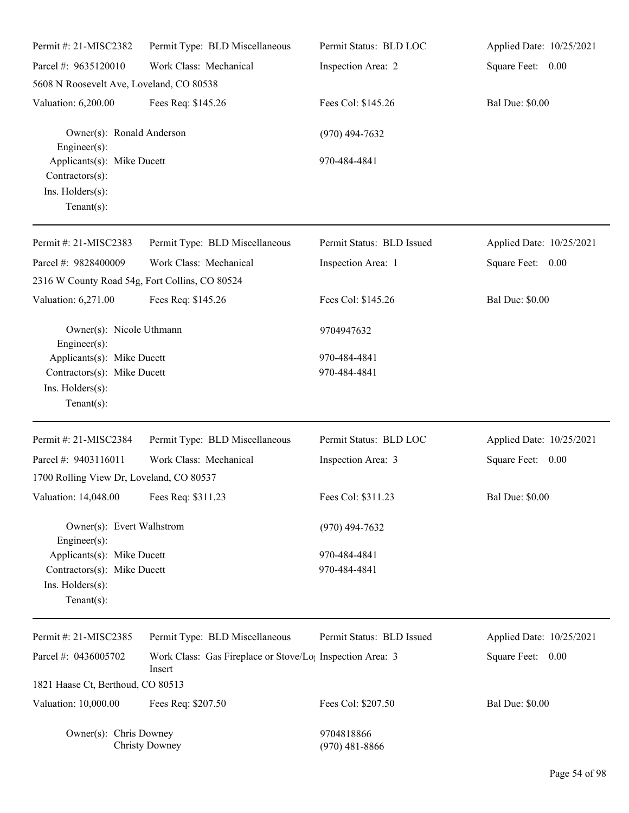| Permit #: 21-MISC2382                                                               | Permit Type: BLD Miscellaneous                                                  | Permit Status: BLD LOC         | Applied Date: 10/25/2021 |
|-------------------------------------------------------------------------------------|---------------------------------------------------------------------------------|--------------------------------|--------------------------|
| Parcel #: 9635120010                                                                | Work Class: Mechanical                                                          | Inspection Area: 2             | Square Feet: 0.00        |
| 5608 N Roosevelt Ave, Loveland, CO 80538                                            |                                                                                 |                                |                          |
| Valuation: 6,200.00                                                                 | Fees Req: \$145.26                                                              | Fees Col: \$145.26             | <b>Bal Due: \$0.00</b>   |
| Owner(s): Ronald Anderson<br>Engineer $(s)$ :                                       |                                                                                 | $(970)$ 494-7632               |                          |
| Applicants(s): Mike Ducett<br>Contractors(s):<br>Ins. Holders(s):<br>Tenant $(s)$ : |                                                                                 | 970-484-4841                   |                          |
| Permit #: 21-MISC2383                                                               | Permit Type: BLD Miscellaneous                                                  | Permit Status: BLD Issued      | Applied Date: 10/25/2021 |
| Parcel #: 9828400009                                                                | Work Class: Mechanical                                                          | Inspection Area: 1             | Square Feet: 0.00        |
| 2316 W County Road 54g, Fort Collins, CO 80524                                      |                                                                                 |                                |                          |
| Valuation: 6,271.00                                                                 | Fees Req: \$145.26                                                              | Fees Col: \$145.26             | <b>Bal Due: \$0.00</b>   |
| Owner(s): Nicole Uthmann<br>$Engineering(s)$ :                                      |                                                                                 | 9704947632                     |                          |
| Applicants(s): Mike Ducett                                                          |                                                                                 | 970-484-4841                   |                          |
| Contractors(s): Mike Ducett                                                         |                                                                                 | 970-484-4841                   |                          |
| Ins. Holders(s):<br>$Tenant(s)$ :                                                   |                                                                                 |                                |                          |
|                                                                                     |                                                                                 |                                |                          |
| Permit #: 21-MISC2384                                                               | Permit Type: BLD Miscellaneous                                                  | Permit Status: BLD LOC         | Applied Date: 10/25/2021 |
| Parcel #: 9403116011                                                                | Work Class: Mechanical                                                          | Inspection Area: 3             | Square Feet: 0.00        |
| 1700 Rolling View Dr, Loveland, CO 80537                                            |                                                                                 |                                |                          |
| Valuation: 14,048.00 Fees Req: \$311.23                                             |                                                                                 | Fees Col: \$311.23             | <b>Bal Due: \$0.00</b>   |
| Owner(s): Evert Walhstrom<br>$Engineering(s)$ :                                     |                                                                                 | $(970)$ 494-7632               |                          |
| Applicants(s): Mike Ducett                                                          |                                                                                 | 970-484-4841                   |                          |
| Contractors(s): Mike Ducett                                                         |                                                                                 | 970-484-4841                   |                          |
| Ins. Holders(s):<br>Tenant $(s)$ :                                                  |                                                                                 |                                |                          |
| Permit #: 21-MISC2385                                                               | Permit Type: BLD Miscellaneous                                                  | Permit Status: BLD Issued      | Applied Date: 10/25/2021 |
| Parcel #: 0436005702                                                                | Work Class: Gas Fireplace or Stove/Lo <sub>1</sub> Inspection Area: 3<br>Insert |                                | Square Feet: 0.00        |
| 1821 Haase Ct, Berthoud, CO 80513                                                   |                                                                                 |                                |                          |
| Valuation: 10,000.00                                                                | Fees Req: \$207.50                                                              | Fees Col: \$207.50             | <b>Bal Due: \$0.00</b>   |
| Owner(s): Chris Downey                                                              | <b>Christy Downey</b>                                                           | 9704818866<br>$(970)$ 481-8866 |                          |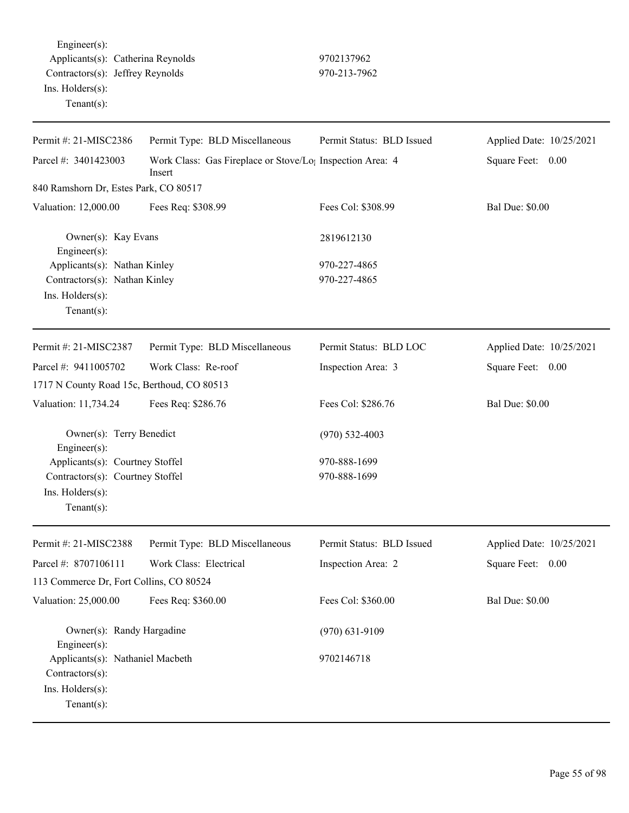Engineer(s): Applicants(s): Catherina Reynolds 9702137962 Contractors(s): Jeffrey Reynolds 970-213-7962 Ins. Holders(s): Tenant(s):

| Permit #: 21-MISC2386                                                                     | Permit Type: BLD Miscellaneous                                                  | Permit Status: BLD Issued | Applied Date: 10/25/2021 |
|-------------------------------------------------------------------------------------------|---------------------------------------------------------------------------------|---------------------------|--------------------------|
| Parcel #: 3401423003                                                                      | Work Class: Gas Fireplace or Stove/Lo <sub>!</sub> Inspection Area: 4<br>Insert |                           | Square Feet: 0.00        |
| 840 Ramshorn Dr, Estes Park, CO 80517                                                     |                                                                                 |                           |                          |
| Valuation: 12,000.00                                                                      | Fees Req: \$308.99                                                              | Fees Col: \$308.99        | <b>Bal Due: \$0.00</b>   |
| Owner(s): Kay Evans<br>Engineer(s):                                                       |                                                                                 | 2819612130                |                          |
| Applicants(s): Nathan Kinley                                                              |                                                                                 | 970-227-4865              |                          |
| Contractors(s): Nathan Kinley                                                             |                                                                                 | 970-227-4865              |                          |
| Ins. Holders(s):<br>$Tenant(s)$ :                                                         |                                                                                 |                           |                          |
| Permit #: 21-MISC2387                                                                     | Permit Type: BLD Miscellaneous                                                  | Permit Status: BLD LOC    | Applied Date: 10/25/2021 |
| Parcel #: 9411005702                                                                      | Work Class: Re-roof                                                             | Inspection Area: 3        | Square Feet: 0.00        |
| 1717 N County Road 15c, Berthoud, CO 80513                                                |                                                                                 |                           |                          |
| Valuation: 11,734.24                                                                      | Fees Req: \$286.76                                                              | Fees Col: \$286.76        | <b>Bal Due: \$0.00</b>   |
| Owner(s): Terry Benedict<br>Engineer $(s)$ :                                              |                                                                                 | $(970)$ 532-4003          |                          |
| Applicants(s): Courtney Stoffel                                                           |                                                                                 | 970-888-1699              |                          |
| Contractors(s): Courtney Stoffel                                                          |                                                                                 | 970-888-1699              |                          |
| Ins. Holders(s):                                                                          |                                                                                 |                           |                          |
| Tenant $(s)$ :                                                                            |                                                                                 |                           |                          |
| Permit #: 21-MISC2388                                                                     | Permit Type: BLD Miscellaneous                                                  | Permit Status: BLD Issued | Applied Date: 10/25/2021 |
| Parcel #: 8707106111                                                                      | Work Class: Electrical                                                          | Inspection Area: 2        | Square Feet: 0.00        |
| 113 Commerce Dr, Fort Collins, CO 80524                                                   |                                                                                 |                           |                          |
| Valuation: 25,000.00                                                                      | Fees Req: \$360.00                                                              | Fees Col: \$360.00        | <b>Bal Due: \$0.00</b>   |
| Owner(s): Randy Hargadine<br>Engineer $(s)$ :                                             |                                                                                 | $(970) 631 - 9109$        |                          |
| Applicants(s): Nathaniel Macbeth<br>Contractors(s):<br>Ins. Holders(s):<br>Tenant $(s)$ : |                                                                                 | 9702146718                |                          |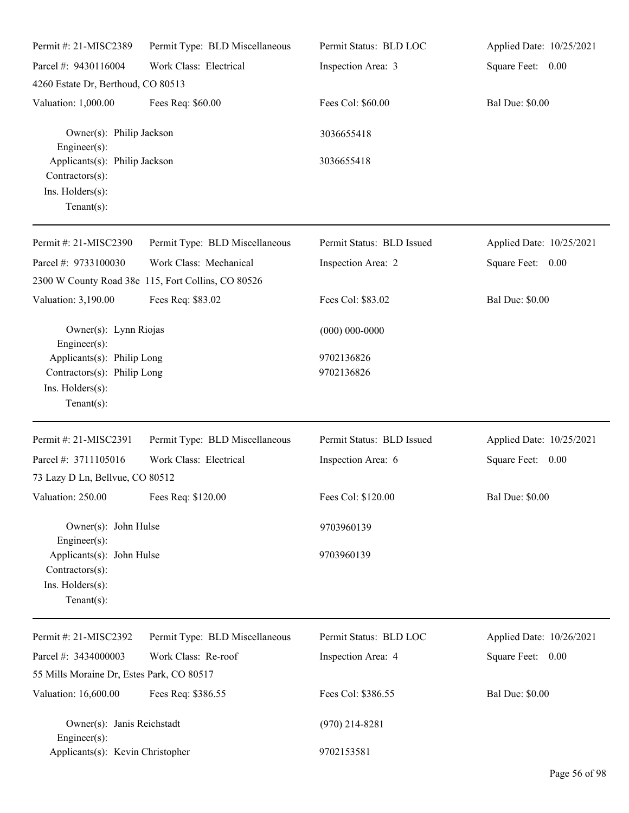| Permit #: 21-MISC2389                                                                                    | Permit Type: BLD Miscellaneous                                               | Permit Status: BLD LOC    | Applied Date: 10/25/2021 |
|----------------------------------------------------------------------------------------------------------|------------------------------------------------------------------------------|---------------------------|--------------------------|
| Parcel #: 9430116004                                                                                     | Work Class: Electrical                                                       | Inspection Area: 3        | Square Feet: 0.00        |
| 4260 Estate Dr, Berthoud, CO 80513                                                                       |                                                                              |                           |                          |
| Valuation: 1,000.00                                                                                      | Fees Req: \$60.00                                                            | Fees Col: \$60.00         | <b>Bal Due: \$0.00</b>   |
| Owner(s): Philip Jackson<br>Engineer(s):                                                                 |                                                                              | 3036655418                |                          |
| Applicants(s): Philip Jackson<br>Contractors(s):<br>Ins. Holders(s):<br>Tenant $(s)$ :                   |                                                                              | 3036655418                |                          |
| Permit #: 21-MISC2390                                                                                    | Permit Type: BLD Miscellaneous                                               | Permit Status: BLD Issued | Applied Date: 10/25/2021 |
| Parcel #: 9733100030                                                                                     | Work Class: Mechanical<br>2300 W County Road 38e 115, Fort Collins, CO 80526 | Inspection Area: 2        | Square Feet: 0.00        |
| Valuation: 3,190.00                                                                                      | Fees Req: \$83.02                                                            | Fees Col: \$83.02         | <b>Bal Due: \$0.00</b>   |
| Owner(s): Lynn Riojas<br>Engineer(s):                                                                    |                                                                              | $(000) 000 - 0000$        |                          |
| Applicants(s): Philip Long<br>Contractors(s): Philip Long<br>Ins. Holders(s):<br>Tenant $(s)$ :          |                                                                              | 9702136826<br>9702136826  |                          |
| Permit #: 21-MISC2391                                                                                    | Permit Type: BLD Miscellaneous                                               | Permit Status: BLD Issued | Applied Date: 10/25/2021 |
| Parcel #: 3711105016<br>73 Lazy D Ln, Bellvue, CO 80512                                                  | Work Class: Electrical                                                       | Inspection Area: 6        | Square Feet: 0.00        |
| Valuation: 250.00                                                                                        | Fees Req: \$120.00                                                           | Fees Col: \$120.00        | <b>Bal Due: \$0.00</b>   |
| Owner(s): John Hulse                                                                                     |                                                                              | 9703960139                |                          |
| $Engineering(s)$ :<br>Applicants(s): John Hulse<br>Contractors(s):<br>Ins. Holders(s):<br>Tenant $(s)$ : |                                                                              | 9703960139                |                          |
| Permit #: 21-MISC2392                                                                                    | Permit Type: BLD Miscellaneous                                               | Permit Status: BLD LOC    | Applied Date: 10/26/2021 |
| Parcel #: 3434000003                                                                                     | Work Class: Re-roof                                                          | Inspection Area: 4        | Square Feet: 0.00        |
| 55 Mills Moraine Dr, Estes Park, CO 80517                                                                |                                                                              |                           |                          |
| Valuation: 16,600.00                                                                                     | Fees Req: \$386.55                                                           | Fees Col: \$386.55        | <b>Bal Due: \$0.00</b>   |
| Owner(s): Janis Reichstadt<br>Engineer $(s)$ :                                                           |                                                                              | $(970)$ 214-8281          |                          |
| Applicants(s): Kevin Christopher                                                                         |                                                                              | 9702153581                |                          |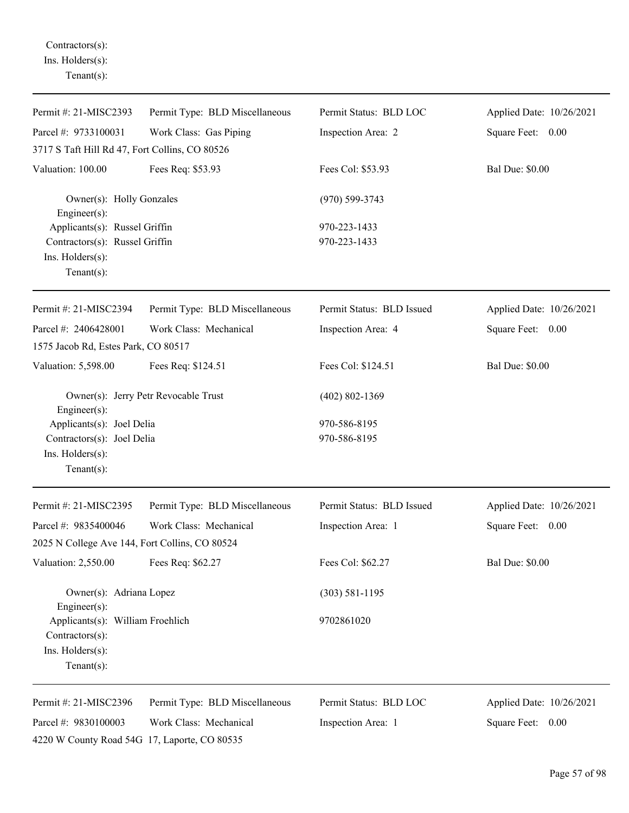Contractors(s): Ins. Holders(s): Tenant(s):

| Permit #: 21-MISC2393                                   | Permit Type: BLD Miscellaneous       | Permit Status: BLD LOC    | Applied Date: 10/26/2021 |
|---------------------------------------------------------|--------------------------------------|---------------------------|--------------------------|
| Parcel #: 9733100031                                    | Work Class: Gas Piping               | Inspection Area: 2        | Square Feet: 0.00        |
| 3717 S Taft Hill Rd 47, Fort Collins, CO 80526          |                                      |                           |                          |
| Valuation: 100.00                                       | Fees Req: \$53.93                    | Fees Col: \$53.93         | <b>Bal Due: \$0.00</b>   |
| Owner(s): Holly Gonzales<br>$Engineering(s)$ :          |                                      | $(970)$ 599-3743          |                          |
| Applicants(s): Russel Griffin                           |                                      | 970-223-1433              |                          |
| Contractors(s): Russel Griffin                          |                                      | 970-223-1433              |                          |
| Ins. Holders(s):                                        |                                      |                           |                          |
| Tenant $(s)$ :                                          |                                      |                           |                          |
| Permit #: 21-MISC2394                                   | Permit Type: BLD Miscellaneous       | Permit Status: BLD Issued | Applied Date: 10/26/2021 |
| Parcel #: 2406428001                                    | Work Class: Mechanical               | Inspection Area: 4        | Square Feet: 0.00        |
| 1575 Jacob Rd, Estes Park, CO 80517                     |                                      |                           |                          |
| Valuation: 5,598.00                                     | Fees Req: \$124.51                   | Fees Col: \$124.51        | <b>Bal Due: \$0.00</b>   |
| Engineer $(s)$ :                                        | Owner(s): Jerry Petr Revocable Trust | $(402) 802 - 1369$        |                          |
| Applicants(s): Joel Delia<br>Contractors(s): Joel Delia |                                      | 970-586-8195              |                          |
|                                                         |                                      | 970-586-8195              |                          |
| Ins. Holders(s):                                        |                                      |                           |                          |
| Tenant $(s)$ :                                          |                                      |                           |                          |
| Permit #: 21-MISC2395                                   | Permit Type: BLD Miscellaneous       | Permit Status: BLD Issued | Applied Date: 10/26/2021 |
| Parcel #: 9835400046                                    | Work Class: Mechanical               | Inspection Area: 1        | Square Feet: 0.00        |
| 2025 N College Ave 144, Fort Collins, CO 80524          |                                      |                           |                          |
| Valuation: 2,550.00                                     | Fees Req: \$62.27                    | Fees Col: \$62.27         | <b>Bal Due: \$0.00</b>   |
| Owner(s): Adriana Lopez<br>Engineer(s):                 |                                      | $(303) 581 - 1195$        |                          |
| Applicants(s): William Froehlich                        |                                      | 9702861020                |                          |
| Contractors(s):                                         |                                      |                           |                          |
| Ins. Holders(s):<br>Tenant $(s)$ :                      |                                      |                           |                          |
| Permit #: 21-MISC2396                                   | Permit Type: BLD Miscellaneous       | Permit Status: BLD LOC    | Applied Date: 10/26/2021 |
| Parcel #: 9830100003                                    | Work Class: Mechanical               | Inspection Area: 1        | Square Feet:<br>0.00     |
| 4220 W County Road 54G 17, Laporte, CO 80535            |                                      |                           |                          |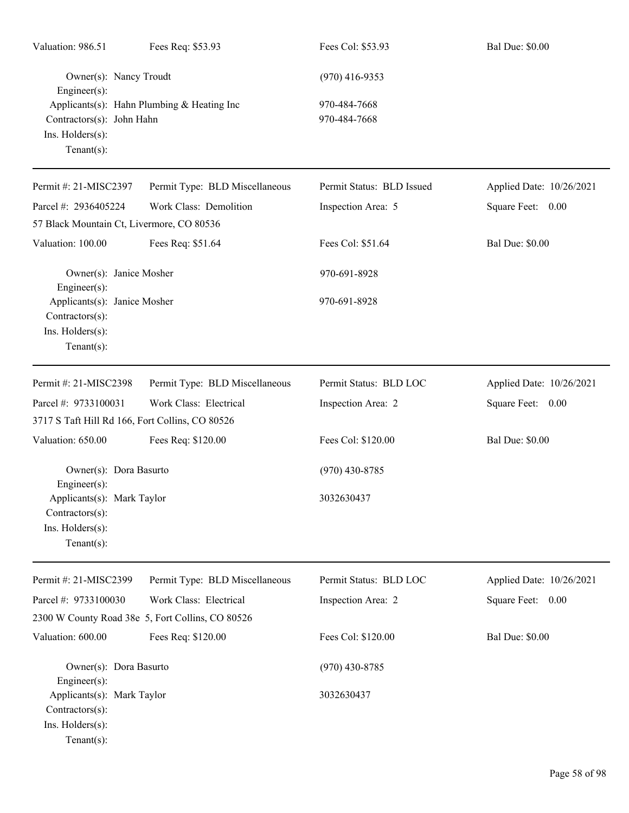| Valuation: 986.51                                                                     | Fees Req: \$53.93                                | Fees Col: \$53.93            | <b>Bal Due: \$0.00</b>   |
|---------------------------------------------------------------------------------------|--------------------------------------------------|------------------------------|--------------------------|
| Owner(s): Nancy Troudt<br>Engineer(s):                                                |                                                  | $(970)$ 416-9353             |                          |
| Contractors(s): John Hahn<br>Ins. Holders(s):<br>$Tenant(s)$ :                        | Applicants(s): Hahn Plumbing & Heating Inc       | 970-484-7668<br>970-484-7668 |                          |
| Permit #: 21-MISC2397                                                                 | Permit Type: BLD Miscellaneous                   | Permit Status: BLD Issued    | Applied Date: 10/26/2021 |
| Parcel #: 2936405224                                                                  | Work Class: Demolition                           | Inspection Area: 5           | Square Feet: 0.00        |
| 57 Black Mountain Ct, Livermore, CO 80536                                             |                                                  |                              |                          |
| Valuation: 100.00                                                                     | Fees Req: \$51.64                                | Fees Col: \$51.64            | <b>Bal Due: \$0.00</b>   |
| Owner(s): Janice Mosher<br>Engineer(s):                                               |                                                  | 970-691-8928                 |                          |
| Applicants(s): Janice Mosher<br>Contractors(s):<br>Ins. Holders(s):<br>Tenant $(s)$ : |                                                  | 970-691-8928                 |                          |
| Permit #: 21-MISC2398                                                                 | Permit Type: BLD Miscellaneous                   | Permit Status: BLD LOC       | Applied Date: 10/26/2021 |
| Parcel #: 9733100031                                                                  | Work Class: Electrical                           | Inspection Area: 2           | Square Feet: 0.00        |
| 3717 S Taft Hill Rd 166, Fort Collins, CO 80526                                       |                                                  |                              |                          |
| Valuation: 650.00                                                                     | Fees Req: \$120.00                               | Fees Col: \$120.00           | <b>Bal Due: \$0.00</b>   |
| Owner(s): Dora Basurto<br>Engineer $(s)$ :                                            |                                                  | $(970)$ 430-8785             |                          |
| Applicants(s): Mark Taylor<br>Contractors(s):<br>Ins. Holders(s):<br>Tenant $(s)$ :   |                                                  | 3032630437                   |                          |
| Permit #: 21-MISC2399                                                                 | Permit Type: BLD Miscellaneous                   | Permit Status: BLD LOC       | Applied Date: 10/26/2021 |
| Parcel #: 9733100030                                                                  | Work Class: Electrical                           | Inspection Area: 2           | Square Feet: 0.00        |
|                                                                                       | 2300 W County Road 38e 5, Fort Collins, CO 80526 |                              |                          |
| Valuation: 600.00                                                                     | Fees Req: \$120.00                               | Fees Col: \$120.00           | <b>Bal Due: \$0.00</b>   |
| Owner(s): Dora Basurto<br>Engineer(s):                                                |                                                  | $(970)$ 430-8785             |                          |
| Applicants(s): Mark Taylor<br>Contractors(s):<br>Ins. Holders(s):<br>Tenant $(s)$ :   |                                                  | 3032630437                   |                          |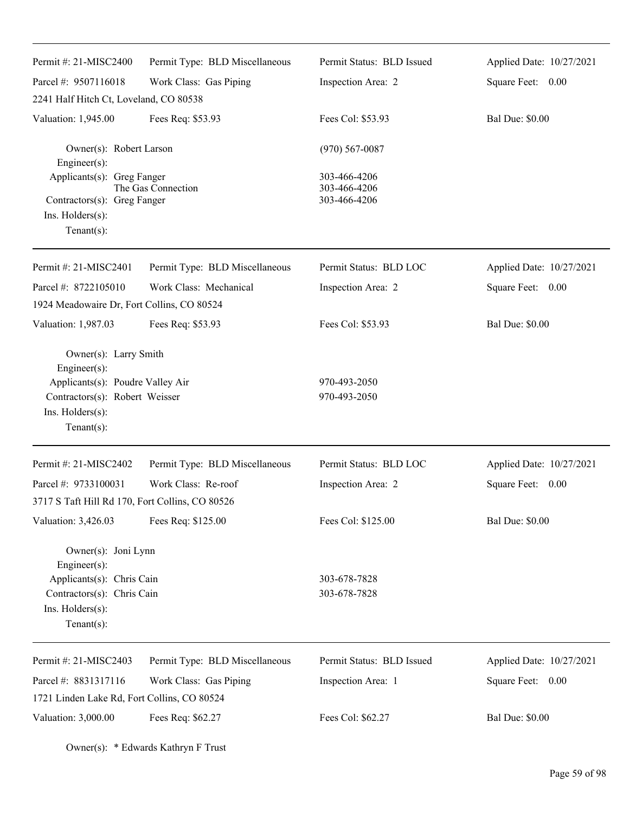| Permit #: $21-MISC2400$                          | Permit Type: BLD Miscellaneous | Permit Status: BLD Issued    | Applied Date: 10/27/2021 |
|--------------------------------------------------|--------------------------------|------------------------------|--------------------------|
| Parcel #: 9507116018                             | Work Class: Gas Piping         | Inspection Area: 2           | Square Feet: 0.00        |
| 2241 Half Hitch Ct, Loveland, CO 80538           |                                |                              |                          |
| Valuation: 1,945.00                              | Fees Req: \$53.93              | Fees Col: \$53.93            | <b>Bal Due: \$0.00</b>   |
| Owner(s): Robert Larson<br>Engineer(s):          |                                | $(970) 567 - 0087$           |                          |
| Applicants(s): Greg Fanger                       |                                | 303-466-4206                 |                          |
| Contractors(s): Greg Fanger                      | The Gas Connection             | 303-466-4206<br>303-466-4206 |                          |
| Ins. Holders(s):                                 |                                |                              |                          |
| $Tenant(s)$ :                                    |                                |                              |                          |
| Permit #: 21-MISC2401                            | Permit Type: BLD Miscellaneous | Permit Status: BLD LOC       | Applied Date: 10/27/2021 |
| Parcel #: 8722105010                             | Work Class: Mechanical         | Inspection Area: 2           | Square Feet: 0.00        |
| 1924 Meadowaire Dr, Fort Collins, CO 80524       |                                |                              |                          |
| Valuation: 1,987.03                              | Fees Req: \$53.93              | Fees Col: \$53.93            | <b>Bal Due: \$0.00</b>   |
| Owner(s): Larry Smith                            |                                |                              |                          |
| Engineer(s):<br>Applicants(s): Poudre Valley Air |                                | 970-493-2050                 |                          |
| Contractors(s): Robert Weisser                   |                                | 970-493-2050                 |                          |
| Ins. Holders(s):                                 |                                |                              |                          |
| $Tenant(s)$ :                                    |                                |                              |                          |
| Permit #: 21-MISC2402                            | Permit Type: BLD Miscellaneous | Permit Status: BLD LOC       | Applied Date: 10/27/2021 |
| Parcel #: 9733100031                             | Work Class: Re-roof            | Inspection Area: 2           | Square Feet:<br>0.00     |
| 3717 S Taft Hill Rd 170, Fort Collins, CO 80526  |                                |                              |                          |
| Valuation: 3,426.03                              | Fees Req: \$125.00             | Fees Col: \$125.00           | <b>Bal Due: \$0.00</b>   |
| Owner(s): Joni Lynn                              |                                |                              |                          |
| Engineer(s):<br>Applicants(s): Chris Cain        |                                | 303-678-7828                 |                          |
| Contractors(s): Chris Cain                       |                                | 303-678-7828                 |                          |
| Ins. Holders(s):                                 |                                |                              |                          |
| Tenant $(s)$ :                                   |                                |                              |                          |
| Permit #: 21-MISC2403                            | Permit Type: BLD Miscellaneous | Permit Status: BLD Issued    | Applied Date: 10/27/2021 |
| Parcel #: 8831317116                             | Work Class: Gas Piping         | Inspection Area: 1           | Square Feet: 0.00        |
| 1721 Linden Lake Rd, Fort Collins, CO 80524      |                                |                              |                          |
| Valuation: 3,000.00                              | Fees Req: \$62.27              | Fees Col: \$62.27            | <b>Bal Due: \$0.00</b>   |

Owner(s): \* Edwards Kathryn F Trust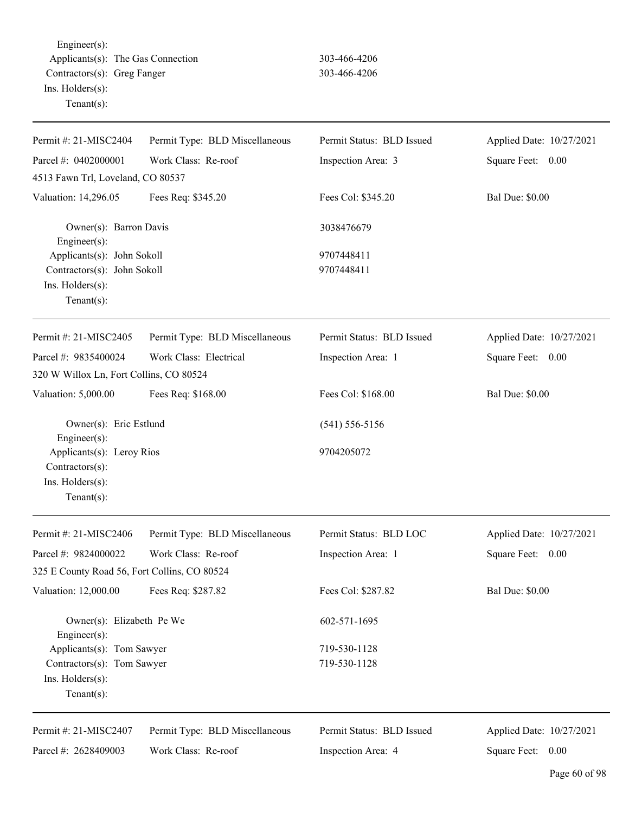Engineer(s): Applicants(s): The Gas Connection 303-466-4206 Contractors(s): Greg Fanger 303-466-4206 Ins. Holders(s): Tenant(s):

| Parcel #: 0402000001<br>Work Class: Re-roof<br>Inspection Area: 3<br>Square Feet: 0.00<br>4513 Fawn Trl, Loveland, CO 80537<br>Valuation: 14,296.05<br>Fees Req: \$345.20<br>Fees Col: \$345.20<br><b>Bal Due: \$0.00</b><br>Owner(s): Barron Davis<br>3038476679<br>$Engineering(s)$ :<br>Applicants(s): John Sokoll<br>9707448411<br>Contractors(s): John Sokoll<br>9707448411<br>Ins. Holders(s):<br>Tenant $(s)$ :<br>Permit Type: BLD Miscellaneous<br>Permit Status: BLD Issued<br>Applied Date: 10/27/2021<br>Permit #: 21-MISC2405<br>Parcel #: 9835400024<br>Work Class: Electrical<br>Inspection Area: 1<br>Square Feet: 0.00 | Permit #: 21-MISC2404 | Permit Type: BLD Miscellaneous | Permit Status: BLD Issued | Applied Date: 10/27/2021 |
|-----------------------------------------------------------------------------------------------------------------------------------------------------------------------------------------------------------------------------------------------------------------------------------------------------------------------------------------------------------------------------------------------------------------------------------------------------------------------------------------------------------------------------------------------------------------------------------------------------------------------------------------|-----------------------|--------------------------------|---------------------------|--------------------------|
|                                                                                                                                                                                                                                                                                                                                                                                                                                                                                                                                                                                                                                         |                       |                                |                           |                          |
|                                                                                                                                                                                                                                                                                                                                                                                                                                                                                                                                                                                                                                         |                       |                                |                           |                          |
|                                                                                                                                                                                                                                                                                                                                                                                                                                                                                                                                                                                                                                         |                       |                                |                           |                          |
|                                                                                                                                                                                                                                                                                                                                                                                                                                                                                                                                                                                                                                         |                       |                                |                           |                          |
|                                                                                                                                                                                                                                                                                                                                                                                                                                                                                                                                                                                                                                         |                       |                                |                           |                          |
|                                                                                                                                                                                                                                                                                                                                                                                                                                                                                                                                                                                                                                         |                       |                                |                           |                          |
|                                                                                                                                                                                                                                                                                                                                                                                                                                                                                                                                                                                                                                         |                       |                                |                           |                          |
|                                                                                                                                                                                                                                                                                                                                                                                                                                                                                                                                                                                                                                         |                       |                                |                           |                          |
|                                                                                                                                                                                                                                                                                                                                                                                                                                                                                                                                                                                                                                         |                       |                                |                           |                          |
|                                                                                                                                                                                                                                                                                                                                                                                                                                                                                                                                                                                                                                         |                       |                                |                           |                          |
|                                                                                                                                                                                                                                                                                                                                                                                                                                                                                                                                                                                                                                         |                       |                                |                           |                          |
| 320 W Willox Ln, Fort Collins, CO 80524                                                                                                                                                                                                                                                                                                                                                                                                                                                                                                                                                                                                 |                       |                                |                           |                          |
| Fees Col: \$168.00<br><b>Bal Due: \$0.00</b><br>Valuation: 5,000.00<br>Fees Req: \$168.00                                                                                                                                                                                                                                                                                                                                                                                                                                                                                                                                               |                       |                                |                           |                          |
| Owner(s): Eric Estlund<br>$(541) 556 - 5156$<br>Engineer $(s)$ :                                                                                                                                                                                                                                                                                                                                                                                                                                                                                                                                                                        |                       |                                |                           |                          |
| Applicants(s): Leroy Rios<br>9704205072<br>Contractors(s):                                                                                                                                                                                                                                                                                                                                                                                                                                                                                                                                                                              |                       |                                |                           |                          |
| Ins. Holders(s):                                                                                                                                                                                                                                                                                                                                                                                                                                                                                                                                                                                                                        |                       |                                |                           |                          |
| Tenant $(s)$ :                                                                                                                                                                                                                                                                                                                                                                                                                                                                                                                                                                                                                          |                       |                                |                           |                          |
| Permit #: 21-MISC2406<br>Permit Type: BLD Miscellaneous<br>Permit Status: BLD LOC<br>Applied Date: 10/27/2021                                                                                                                                                                                                                                                                                                                                                                                                                                                                                                                           |                       |                                |                           |                          |
| Work Class: Re-roof<br>Parcel #: 9824000022<br>Square Feet: 0.00<br>Inspection Area: 1                                                                                                                                                                                                                                                                                                                                                                                                                                                                                                                                                  |                       |                                |                           |                          |
| 325 E County Road 56, Fort Collins, CO 80524                                                                                                                                                                                                                                                                                                                                                                                                                                                                                                                                                                                            |                       |                                |                           |                          |
| Valuation: 12,000.00<br>Fees Col: \$287.82<br><b>Bal Due: \$0.00</b><br>Fees Req: \$287.82                                                                                                                                                                                                                                                                                                                                                                                                                                                                                                                                              |                       |                                |                           |                          |
| Owner(s): Elizabeth Pe We<br>602-571-1695<br>Engineer(s):                                                                                                                                                                                                                                                                                                                                                                                                                                                                                                                                                                               |                       |                                |                           |                          |
| Applicants(s): Tom Sawyer<br>719-530-1128                                                                                                                                                                                                                                                                                                                                                                                                                                                                                                                                                                                               |                       |                                |                           |                          |
| 719-530-1128<br>Contractors(s): Tom Sawyer                                                                                                                                                                                                                                                                                                                                                                                                                                                                                                                                                                                              |                       |                                |                           |                          |
| Ins. Holders(s):                                                                                                                                                                                                                                                                                                                                                                                                                                                                                                                                                                                                                        |                       |                                |                           |                          |
| Tenant $(s)$ :                                                                                                                                                                                                                                                                                                                                                                                                                                                                                                                                                                                                                          |                       |                                |                           |                          |
| Permit #: 21-MISC2407<br>Permit Type: BLD Miscellaneous<br>Permit Status: BLD Issued<br>Applied Date: 10/27/2021                                                                                                                                                                                                                                                                                                                                                                                                                                                                                                                        |                       |                                |                           |                          |
| Parcel #: 2628409003<br>Work Class: Re-roof<br>Square Feet: 0.00<br>Inspection Area: 4                                                                                                                                                                                                                                                                                                                                                                                                                                                                                                                                                  |                       |                                |                           |                          |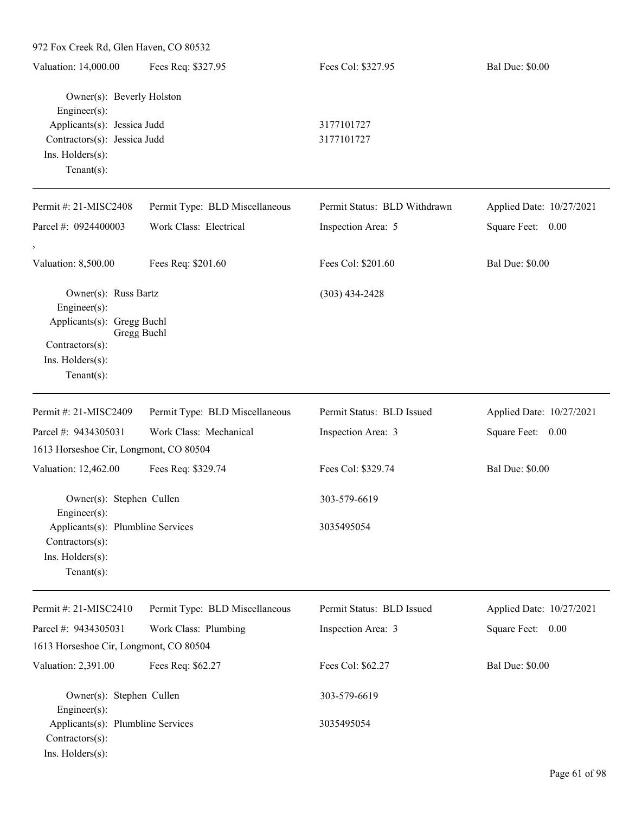| 972 Fox Creek Rd, Glen Haven, CO 80532                                                    |                                |                              |                          |
|-------------------------------------------------------------------------------------------|--------------------------------|------------------------------|--------------------------|
| Valuation: 14,000.00                                                                      | Fees Req: \$327.95             | Fees Col: \$327.95           | <b>Bal Due: \$0.00</b>   |
| Owner(s): Beverly Holston<br>Engineer(s):                                                 |                                |                              |                          |
| Applicants(s): Jessica Judd                                                               |                                | 3177101727                   |                          |
| Contractors(s): Jessica Judd<br>Ins. Holders(s):<br>$Tenant(s)$ :                         |                                | 3177101727                   |                          |
| Permit #: 21-MISC2408                                                                     | Permit Type: BLD Miscellaneous | Permit Status: BLD Withdrawn | Applied Date: 10/27/2021 |
| Parcel #: 0924400003                                                                      | Work Class: Electrical         | Inspection Area: 5           | Square Feet: 0.00        |
| Valuation: 8,500.00                                                                       | Fees Req: \$201.60             | Fees Col: \$201.60           | <b>Bal Due: \$0.00</b>   |
| Owner(s): Russ Bartz<br>Engineer(s):                                                      |                                | $(303)$ 434-2428             |                          |
| Applicants(s): Gregg Buchl<br>Contractors(s):<br>Ins. Holders(s):<br>$Tenant(s)$ :        | Gregg Buchl                    |                              |                          |
| Permit #: 21-MISC2409                                                                     | Permit Type: BLD Miscellaneous | Permit Status: BLD Issued    | Applied Date: 10/27/2021 |
| Parcel #: 9434305031                                                                      | Work Class: Mechanical         | Inspection Area: 3           | Square Feet: 0.00        |
| 1613 Horseshoe Cir, Longmont, CO 80504                                                    |                                |                              |                          |
| Valuation: 12,462.00                                                                      | Fees Req: \$329.74             | Fees Col: \$329.74           | <b>Bal Due: \$0.00</b>   |
| Owner(s): Stephen Cullen<br>Engineer(s):                                                  |                                | 303-579-6619                 |                          |
| Applicants(s): Plumbline Services<br>Contractors(s):<br>Ins. Holders(s):<br>$Tenant(s)$ : |                                | 3035495054                   |                          |
| Permit #: 21-MISC2410                                                                     | Permit Type: BLD Miscellaneous | Permit Status: BLD Issued    | Applied Date: 10/27/2021 |
| Parcel #: 9434305031                                                                      | Work Class: Plumbing           | Inspection Area: 3           | Square Feet: 0.00        |
| 1613 Horseshoe Cir, Longmont, CO 80504                                                    |                                |                              |                          |
| Valuation: 2,391.00                                                                       | Fees Req: \$62.27              | Fees Col: \$62.27            | <b>Bal Due: \$0.00</b>   |
| Owner(s): Stephen Cullen<br>Engineer(s):                                                  |                                | 303-579-6619                 |                          |
| Applicants(s): Plumbline Services<br>Contractors(s):<br>Ins. Holders(s):                  |                                | 3035495054                   |                          |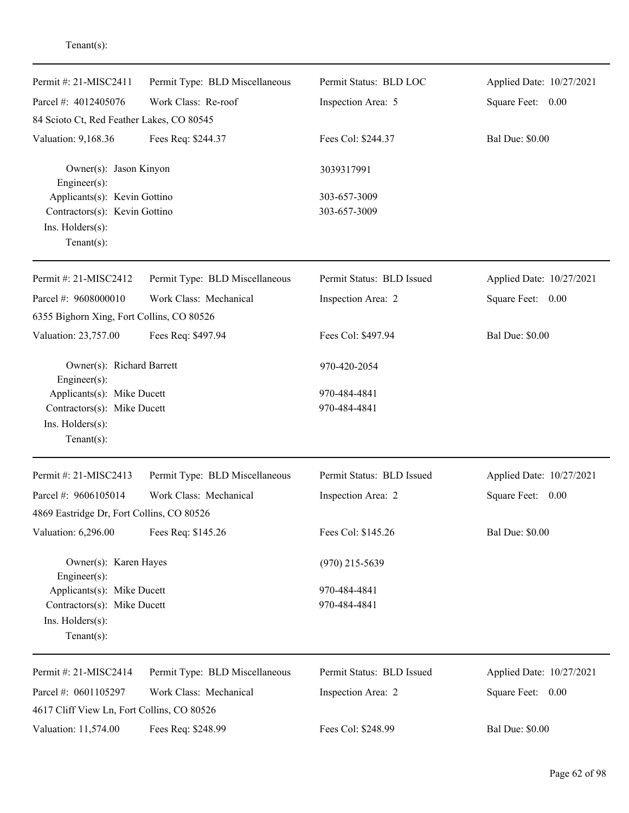| Permit #: 21-MISC2411                                     | Permit Type: BLD Miscellaneous | Permit Status: BLD LOC    | Applied Date: 10/27/2021 |
|-----------------------------------------------------------|--------------------------------|---------------------------|--------------------------|
| Parcel #: 4012405076                                      | Work Class: Re-roof            | Inspection Area: 5        | Square Feet: 0.00        |
| 84 Scioto Ct, Red Feather Lakes, CO 80545                 |                                |                           |                          |
| Valuation: 9,168.36                                       | Fees Req: \$244.37             | Fees Col: \$244.37        | <b>Bal Due: \$0.00</b>   |
| Owner(s): Jason Kinyon<br>Engineer(s):                    |                                | 3039317991                |                          |
| Applicants(s): Kevin Gottino                              |                                | 303-657-3009              |                          |
| Contractors(s): Kevin Gottino                             |                                | 303-657-3009              |                          |
| Ins. $H$ olders $(s)$ :                                   |                                |                           |                          |
| Tenant $(s)$ :                                            |                                |                           |                          |
| Permit #: 21-MISC2412                                     | Permit Type: BLD Miscellaneous | Permit Status: BLD Issued | Applied Date: 10/27/2021 |
| Parcel #: 9608000010                                      | Work Class: Mechanical         | Inspection Area: 2        | Square Feet: 0.00        |
| 6355 Bighorn Xing, Fort Collins, CO 80526                 |                                |                           |                          |
| Valuation: 23,757.00                                      | Fees Req: \$497.94             | Fees Col: \$497.94        | <b>Bal Due: \$0.00</b>   |
| Owner(s): Richard Barrett                                 |                                | 970-420-2054              |                          |
| Engineer(s):                                              |                                | 970-484-4841              |                          |
| Applicants(s): Mike Ducett<br>Contractors(s): Mike Ducett |                                | 970-484-4841              |                          |
| Ins. Holders(s):                                          |                                |                           |                          |
| Tenant $(s)$ :                                            |                                |                           |                          |
| Permit #: 21-MISC2413                                     | Permit Type: BLD Miscellaneous | Permit Status: BLD Issued | Applied Date: 10/27/2021 |
| Parcel #: 9606105014                                      | Work Class: Mechanical         | Inspection Area: 2        | Square Feet: 0.00        |
| 4869 Eastridge Dr, Fort Collins, CO 80526                 |                                |                           |                          |
| Valuation: 6,296.00                                       | Fees Req: \$145.26             | Fees Col: \$145.26        | <b>Bal Due: \$0.00</b>   |
| Owner(s): Karen Hayes<br>Engineer(s):                     |                                | $(970)$ 215-5639          |                          |
| Applicants(s): Mike Ducett                                |                                | 970-484-4841              |                          |
| Contractors(s): Mike Ducett                               |                                | 970-484-4841              |                          |
| Ins. Holders(s):<br>$Tenant(s)$ :                         |                                |                           |                          |
| Permit #: 21-MISC2414                                     | Permit Type: BLD Miscellaneous | Permit Status: BLD Issued | Applied Date: 10/27/2021 |
| Parcel #: 0601105297                                      | Work Class: Mechanical         | Inspection Area: 2        | Square Feet: 0.00        |
| 4617 Cliff View Ln, Fort Collins, CO 80526                |                                |                           |                          |
| Valuation: 11,574.00                                      | Fees Req: \$248.99             | Fees Col: \$248.99        | <b>Bal Due: \$0.00</b>   |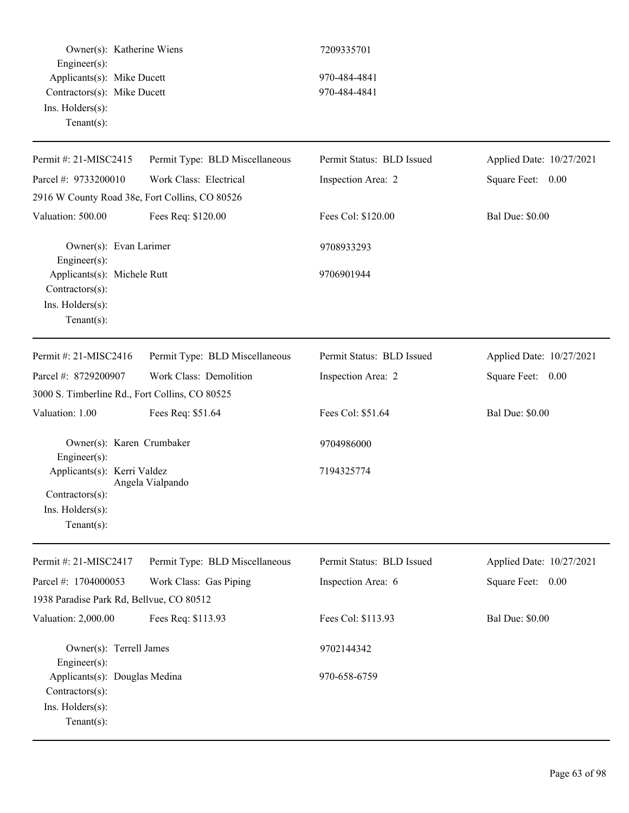Owner(s): Katherine Wiens 7209335701 Engineer(s): Applicants(s): Mike Ducett 970-484-4841 Contractors(s): Mike Ducett 970-484-4841 Ins. Holders(s): Tenant(s): Permit #: 21-MISC2415 Parcel #: 9733200010 Permit Type: BLD Miscellaneous Work Class: Electrical Permit Status: BLD Issued Inspection Area: 2 Applied Date: 10/27/2021 Square Feet: 0.00 2916 W County Road 38e, Fort Collins, CO 80526 Valuation: 500.00 Fees Req: \$120.00 Fees Col: \$120.00 Bal Due: \$0.00 Owner(s): Evan Larimer 9708933293 Engineer(s): Applicants(s): Michele Rutt 9706901944 Contractors(s): Ins. Holders(s): Tenant(s): Permit #: 21-MISC2416 Parcel #: 8729200907 Permit Type: BLD Miscellaneous Work Class: Demolition Permit Status: BLD Issued Inspection Area: 2 Applied Date: 10/27/2021 Square Feet: 0.00 3000 S. Timberline Rd., Fort Collins, CO 80525 Valuation: 1.00 Fees Req: \$51.64 Fees Col: \$51.64 Bal Due: \$0.00 Owner(s): Karen Crumbaker 9704986000 Engineer(s): Applicants(s): Kerri Valdez 7194325774 Angela Vialpando Contractors(s): Ins. Holders(s): Tenant(s): Permit #: 21-MISC2417 Parcel #: 1704000053 Permit Type: BLD Miscellaneous Work Class: Gas Piping Permit Status: BLD Issued Inspection Area: 6 Applied Date: 10/27/2021 Square Feet: 0.00 1938 Paradise Park Rd, Bellvue, CO 80512 Valuation: 2,000.00 Fees Req: \$113.93 Fees Col: \$113.93 Bal Due: \$0.00 Owner(s): Terrell James 9702144342 Engineer(s): Applicants(s): Douglas Medina 970-658-6759 Contractors(s): Ins. Holders(s): Tenant(s):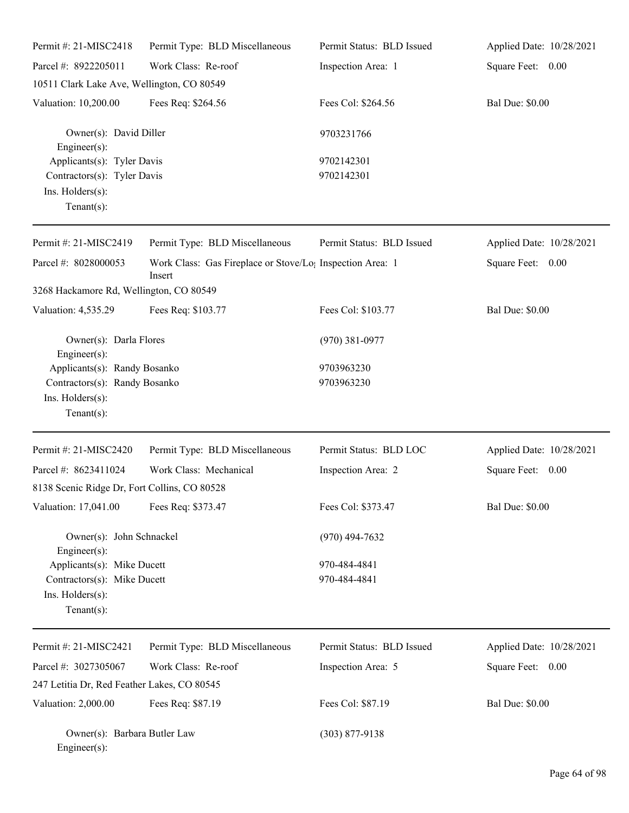| Permit #: 21-MISC2418                                                                               | Permit Type: BLD Miscellaneous                                                  | Permit Status: BLD Issued    | Applied Date: 10/28/2021 |
|-----------------------------------------------------------------------------------------------------|---------------------------------------------------------------------------------|------------------------------|--------------------------|
| Parcel #: 8922205011                                                                                | Work Class: Re-roof                                                             | Inspection Area: 1           | Square Feet: 0.00        |
| 10511 Clark Lake Ave, Wellington, CO 80549                                                          |                                                                                 |                              |                          |
| Valuation: 10,200.00                                                                                | Fees Req: \$264.56                                                              | Fees Col: \$264.56           | <b>Bal Due: \$0.00</b>   |
| Owner(s): David Diller<br>Engineer(s):                                                              |                                                                                 | 9703231766                   |                          |
| Applicants(s): Tyler Davis<br>Contractors(s): Tyler Davis<br>Ins. Holders(s):<br>Tenant $(s)$ :     |                                                                                 | 9702142301<br>9702142301     |                          |
| Permit #: 21-MISC2419                                                                               | Permit Type: BLD Miscellaneous                                                  | Permit Status: BLD Issued    | Applied Date: 10/28/2021 |
| Parcel #: 8028000053                                                                                | Work Class: Gas Fireplace or Stove/Lo <sub>1</sub> Inspection Area: 1<br>Insert |                              | Square Feet: 0.00        |
| 3268 Hackamore Rd, Wellington, CO 80549                                                             |                                                                                 |                              |                          |
| Valuation: 4,535.29                                                                                 | Fees Req: \$103.77                                                              | Fees Col: \$103.77           | <b>Bal Due: \$0.00</b>   |
| Owner(s): Darla Flores<br>Engineer(s):                                                              |                                                                                 | $(970)$ 381-0977             |                          |
| Applicants(s): Randy Bosanko<br>Contractors(s): Randy Bosanko<br>Ins. Holders(s):<br>Tenant $(s)$ : |                                                                                 | 9703963230<br>9703963230     |                          |
| Permit #: 21-MISC2420                                                                               | Permit Type: BLD Miscellaneous                                                  | Permit Status: BLD LOC       | Applied Date: 10/28/2021 |
| Parcel #: 8623411024<br>8138 Scenic Ridge Dr, Fort Collins, CO 80528                                | Work Class: Mechanical                                                          | Inspection Area: 2           | Square Feet: 0.00        |
| Valuation: 17,041.00                                                                                | Fees Req: \$373.47                                                              | Fees Col: \$373.47           | <b>Bal Due: \$0.00</b>   |
| Owner(s): John Schnackel<br>Engineer(s):                                                            |                                                                                 | $(970)$ 494-7632             |                          |
| Applicants(s): Mike Ducett<br>Contractors(s): Mike Ducett<br>Ins. Holders(s):<br>$Tenant(s)$ :      |                                                                                 | 970-484-4841<br>970-484-4841 |                          |
| Permit#: 21-MISC2421                                                                                | Permit Type: BLD Miscellaneous                                                  | Permit Status: BLD Issued    | Applied Date: 10/28/2021 |
| Parcel #: 3027305067                                                                                | Work Class: Re-roof                                                             | Inspection Area: 5           | Square Feet: 0.00        |
| 247 Letitia Dr, Red Feather Lakes, CO 80545                                                         |                                                                                 |                              |                          |
| Valuation: 2,000.00                                                                                 | Fees Req: \$87.19                                                               | Fees Col: \$87.19            | <b>Bal Due: \$0.00</b>   |
| Owner(s): Barbara Butler Law<br>Engineer(s):                                                        |                                                                                 | $(303)$ 877-9138             |                          |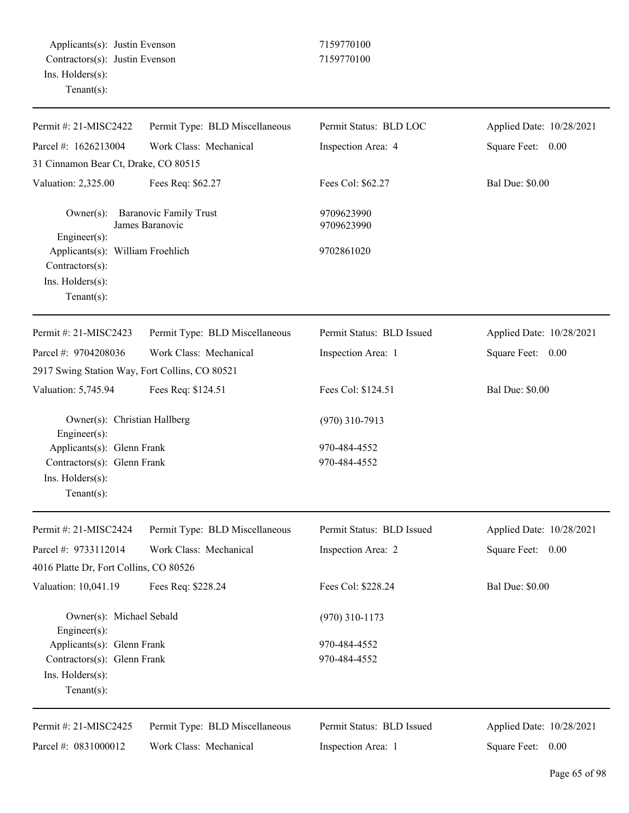| Permit #: 21-MISC2422                                                                           | Permit Type: BLD Miscellaneous                   | Permit Status: BLD LOC       | Applied Date: 10/28/2021 |
|-------------------------------------------------------------------------------------------------|--------------------------------------------------|------------------------------|--------------------------|
| Parcel #: 1626213004                                                                            | Work Class: Mechanical                           | Inspection Area: 4           | Square Feet: 0.00        |
| 31 Cinnamon Bear Ct, Drake, CO 80515                                                            |                                                  |                              |                          |
| Valuation: 2,325.00                                                                             | Fees Req: \$62.27                                | Fees Col: \$62.27            | <b>Bal Due: \$0.00</b>   |
| $Owner(s)$ :<br>Engineer(s):                                                                    | <b>Baranovic Family Trust</b><br>James Baranovic | 9709623990<br>9709623990     |                          |
| Applicants(s): William Froehlich<br>Contractors(s):<br>Ins. Holders(s):<br>Tenant $(s)$ :       |                                                  | 9702861020                   |                          |
| Permit #: 21-MISC2423                                                                           | Permit Type: BLD Miscellaneous                   | Permit Status: BLD Issued    | Applied Date: 10/28/2021 |
| Parcel #: 9704208036                                                                            | Work Class: Mechanical                           | Inspection Area: 1           | Square Feet: 0.00        |
| 2917 Swing Station Way, Fort Collins, CO 80521                                                  |                                                  |                              |                          |
| Valuation: 5,745.94                                                                             | Fees Req: \$124.51                               | Fees Col: \$124.51           | <b>Bal Due: \$0.00</b>   |
| Owner(s): Christian Hallberg<br>Engineer(s):                                                    |                                                  | $(970)$ 310-7913             |                          |
| Applicants(s): Glenn Frank<br>Contractors(s): Glenn Frank<br>Ins. Holders(s):<br>Tenant $(s)$ : |                                                  | 970-484-4552<br>970-484-4552 |                          |
| Permit #: 21-MISC2424                                                                           | Permit Type: BLD Miscellaneous                   | Permit Status: BLD Issued    | Applied Date: 10/28/2021 |
| Parcel #: 9733112014<br>4016 Platte Dr, Fort Collins, CO 80526                                  | Work Class: Mechanical                           | Inspection Area: 2           | Square Feet:<br>0.00     |
| Valuation: 10,041.19                                                                            | Fees Req: \$228.24                               | Fees Col: \$228.24           | <b>Bal Due: \$0.00</b>   |
| Owner(s): Michael Sebald<br>Engineer(s):                                                        |                                                  | $(970)$ 310-1173             |                          |
| Applicants(s): Glenn Frank<br>Contractors(s): Glenn Frank<br>Ins. Holders(s):<br>Tenant $(s)$ : |                                                  | 970-484-4552<br>970-484-4552 |                          |
| Permit #: 21-MISC2425                                                                           | Permit Type: BLD Miscellaneous                   | Permit Status: BLD Issued    | Applied Date: 10/28/2021 |
| Parcel #: 0831000012                                                                            | Work Class: Mechanical                           | Inspection Area: 1           | Square Feet: 0.00        |

Square Feet: 0.00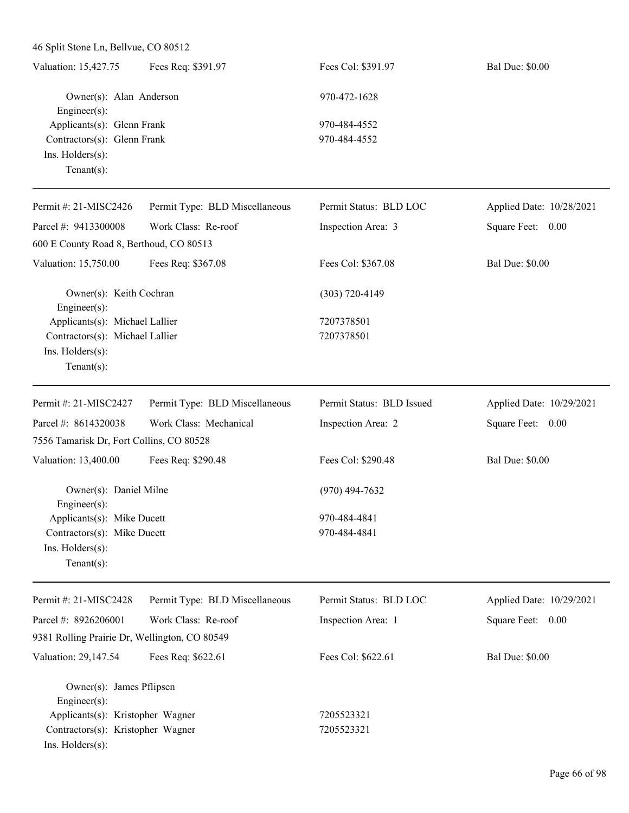| Valuation: 15,427.75        | Fees Req: \$391.97      | Fees Col: \$391.97 | <b>Bal Due: \$0.00</b> |
|-----------------------------|-------------------------|--------------------|------------------------|
|                             | Owner(s): Alan Anderson | 970-472-1628       |                        |
| Engineer $(s)$ :            |                         |                    |                        |
| Applicants(s): Glenn Frank  |                         | 970-484-4552       |                        |
| Contractors(s): Glenn Frank |                         | 970-484-4552       |                        |
| $Ins.$ Holders $(s)$ :      |                         |                    |                        |
| Tenant $(s)$ :              |                         |                    |                        |

| Permit #: 21-MISC2426                                             | Permit Type: BLD Miscellaneous | Permit Status: BLD LOC    | Applied Date: 10/28/2021 |
|-------------------------------------------------------------------|--------------------------------|---------------------------|--------------------------|
| Parcel #: 9413300008                                              | Work Class: Re-roof            | Inspection Area: 3        | Square Feet: 0.00        |
| 600 E County Road 8, Berthoud, CO 80513                           |                                |                           |                          |
| Valuation: 15,750.00                                              | Fees Req: \$367.08             | Fees Col: \$367.08        | <b>Bal Due: \$0.00</b>   |
| Owner(s): Keith Cochran<br>Engineer $(s)$ :                       |                                | $(303) 720 - 4149$        |                          |
| Applicants(s): Michael Lallier<br>Contractors(s): Michael Lallier |                                | 7207378501<br>7207378501  |                          |
|                                                                   |                                |                           |                          |
| $Ins.$ Holders $(s)$ :                                            |                                |                           |                          |
| $Tenant(s)$ :                                                     |                                |                           |                          |
| Permit #: $21-MISC2427$                                           | Permit Type: BLD Miscellaneous | Permit Status: BLD Issued | Applied Date: 10/29/2021 |
| Parcel #: 8614320038                                              | Work Class: Mechanical         | Inspection Area: 2        | Square Feet: 0.00        |
| 7556 Tamarisk Dr, Fort Collins, CO 80528                          |                                |                           |                          |
| Valuation: 13,400.00                                              | Fees Req: \$290.48             | Fees Col: \$290.48        | <b>Bal Due: \$0.00</b>   |
| Owner(s): Daniel Milne                                            |                                | $(970)$ 494-7632          |                          |

Engineer(s): Applicants(s): Mike Ducett 970-484-4841 Contractors(s): Mike Ducett 970-484-4841 Ins. Holders(s): Tenant(s):

Applied Date: 10/29/2021 Square Feet: 0.00

9381 Rolling Prairie Dr, Wellington, CO 80549

Permit Type: BLD Miscellaneous

Work Class: Re-roof

Valuation: 29,147.54 Fees Req: \$622.61 Fees Col: \$622.61 Bal Due: \$0.00

Owner(s): James Pflipsen Engineer(s): Applicants(s): Kristopher Wagner 7205523321 Contractors(s): Kristopher Wagner 7205523321

Ins. Holders(s):

Permit #: 21-MISC2428

Parcel #: 8926206001

Inspection Area: 1

Permit Status: BLD LOC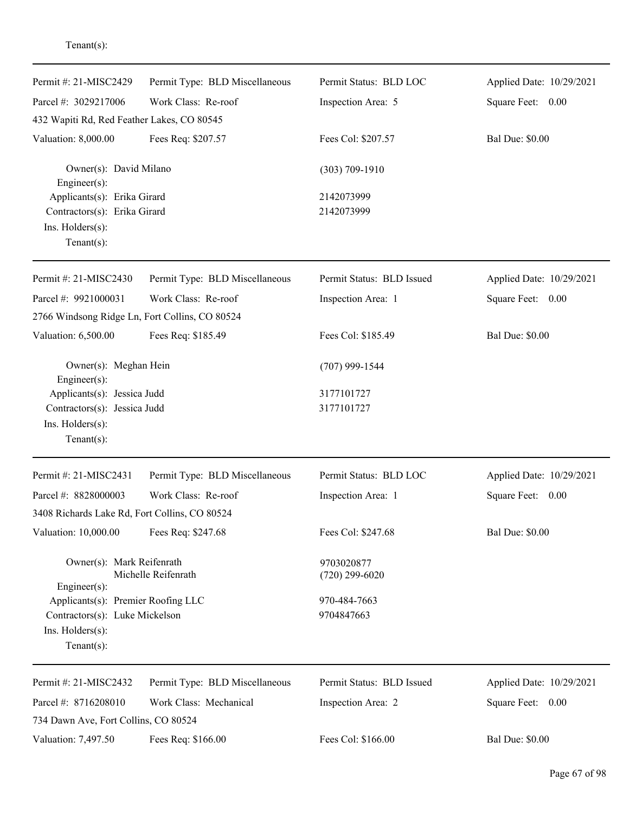| Permit #: 21-MISC2429                           | Permit Type: BLD Miscellaneous       | Permit Status: BLD LOC         | Applied Date: 10/29/2021 |  |
|-------------------------------------------------|--------------------------------------|--------------------------------|--------------------------|--|
| Parcel #: 3029217006                            | Work Class: Re-roof                  | Inspection Area: 5             | Square Feet: 0.00        |  |
| 432 Wapiti Rd, Red Feather Lakes, CO 80545      |                                      |                                |                          |  |
| Valuation: 8,000.00                             | Fees Req: \$207.57                   | Fees Col: \$207.57             | <b>Bal Due: \$0.00</b>   |  |
| Owner(s): David Milano<br>Engineer $(s)$ :      |                                      | $(303) 709 - 1910$             |                          |  |
| Applicants(s): Erika Girard                     |                                      | 2142073999                     |                          |  |
| Contractors(s): Erika Girard                    |                                      | 2142073999                     |                          |  |
| Ins. Holders(s):<br>Tenant $(s)$ :              |                                      |                                |                          |  |
| Permit #: 21-MISC2430                           | Permit Type: BLD Miscellaneous       | Permit Status: BLD Issued      | Applied Date: 10/29/2021 |  |
| Parcel #: 9921000031                            | Work Class: Re-roof                  | Inspection Area: 1             | Square Feet: 0.00        |  |
| 2766 Windsong Ridge Ln, Fort Collins, CO 80524  |                                      |                                |                          |  |
| Valuation: 6,500.00                             | Fees Req: \$185.49                   | Fees Col: \$185.49             | <b>Bal Due: \$0.00</b>   |  |
| Owner(s): Meghan Hein<br>Engineer(s):           |                                      | $(707)$ 999-1544               |                          |  |
| Applicants(s): Jessica Judd                     |                                      | 3177101727                     |                          |  |
| Contractors(s): Jessica Judd                    |                                      | 3177101727                     |                          |  |
| Ins. Holders(s):<br>Tenant $(s)$ :              |                                      |                                |                          |  |
| Permit #: 21-MISC2431                           | Permit Type: BLD Miscellaneous       | Permit Status: BLD LOC         | Applied Date: 10/29/2021 |  |
| Parcel #: 8828000003                            | Work Class: Re-roof                  | Inspection Area: 1             | Square Feet: 0.00        |  |
| 3408 Richards Lake Rd, Fort Collins, CO 80524   |                                      |                                |                          |  |
| Valuation: 10,000.00                            | Fees Req: \$247.68                   | Fees Col: \$247.68             | <b>Bal Due: \$0.00</b>   |  |
| Owner(s): Mark Reifenrath<br>$Engineering(s)$ : | Michelle Reifenrath                  | 9703020877<br>$(720)$ 299-6020 |                          |  |
| Applicants(s): Premier Roofing LLC              |                                      | 970-484-7663                   |                          |  |
| Contractors(s): Luke Mickelson                  |                                      | 9704847663                     |                          |  |
| Ins. Holders(s):<br>Tenant $(s)$ :              |                                      |                                |                          |  |
| Permit #: 21-MISC2432                           | Permit Type: BLD Miscellaneous       | Permit Status: BLD Issued      | Applied Date: 10/29/2021 |  |
| Parcel #: 8716208010                            | Work Class: Mechanical               | Inspection Area: 2             | Square Feet: 0.00        |  |
|                                                 | 734 Dawn Ave, Fort Collins, CO 80524 |                                |                          |  |
| Valuation: 7,497.50                             | Fees Req: \$166.00                   | Fees Col: \$166.00             | <b>Bal Due: \$0.00</b>   |  |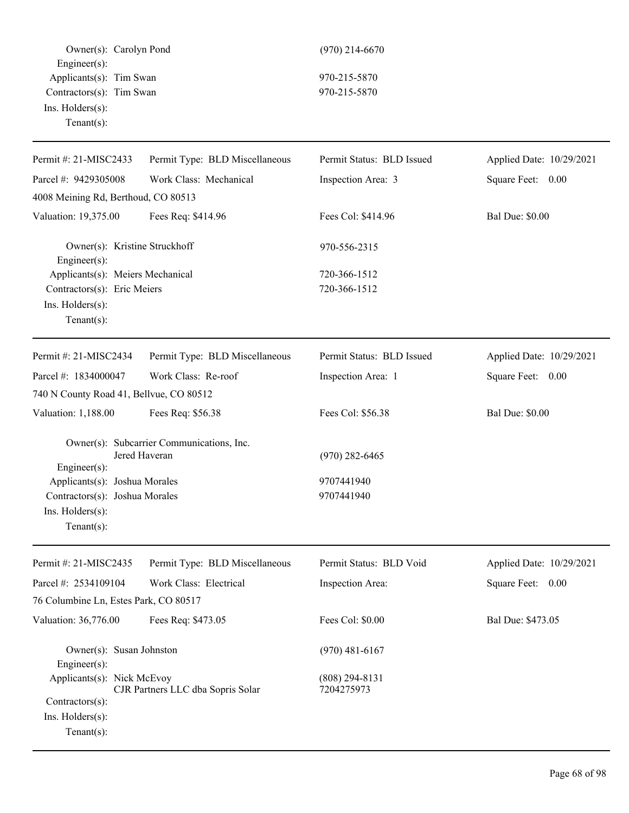Owner(s): Carolyn Pond (970) 214-6670 Engineer(s): Applicants(s): Tim Swan 970-215-5870 Contractors(s): Tim Swan 970-215-5870 Ins. Holders(s): Tenant(s):

| Permit #: 21-MISC2433                                             | Permit Type: BLD Miscellaneous                             | Permit Status: BLD Issued      | Applied Date: 10/29/2021 |
|-------------------------------------------------------------------|------------------------------------------------------------|--------------------------------|--------------------------|
| Parcel #: 9429305008                                              | Work Class: Mechanical                                     | Inspection Area: 3             | Square Feet: 0.00        |
| 4008 Meining Rd, Berthoud, CO 80513                               |                                                            |                                |                          |
| Valuation: 19,375.00                                              | Fees Req: \$414.96                                         | Fees Col: \$414.96             | <b>Bal Due: \$0.00</b>   |
| Owner(s): Kristine Struckhoff<br>Engineer(s):                     |                                                            | 970-556-2315                   |                          |
| Applicants(s): Meiers Mechanical                                  |                                                            | 720-366-1512                   |                          |
| Contractors(s): Eric Meiers<br>Ins. Holders(s):<br>Tenant $(s)$ : |                                                            | 720-366-1512                   |                          |
| Permit #: 21-MISC2434                                             | Permit Type: BLD Miscellaneous                             | Permit Status: BLD Issued      | Applied Date: 10/29/2021 |
| Parcel #: 1834000047                                              | Work Class: Re-roof                                        | Inspection Area: 1             | Square Feet: 0.00        |
| 740 N County Road 41, Bellvue, CO 80512                           |                                                            |                                |                          |
| Valuation: 1,188.00                                               | Fees Req: \$56.38                                          | Fees Col: \$56.38              | <b>Bal Due: \$0.00</b>   |
| Engineer(s):                                                      | Owner(s): Subcarrier Communications, Inc.<br>Jered Haveran | $(970)$ 282-6465               |                          |
| Applicants(s): Joshua Morales                                     |                                                            | 9707441940                     |                          |
| Contractors(s): Joshua Morales                                    |                                                            | 9707441940                     |                          |
| Ins. Holders(s):<br>$Tenant(s)$ :                                 |                                                            |                                |                          |
| Permit #: 21-MISC2435                                             | Permit Type: BLD Miscellaneous                             | Permit Status: BLD Void        | Applied Date: 10/29/2021 |
| Parcel #: 2534109104                                              | Work Class: Electrical                                     | Inspection Area:               | Square Feet:<br>0.00     |
| 76 Columbine Ln, Estes Park, CO 80517                             |                                                            |                                |                          |
| Valuation: 36,776.00                                              | Fees Req: \$473.05                                         | Fees Col: \$0.00               | Bal Due: \$473.05        |
| Owner(s): Susan Johnston<br>Engineer(s):                          |                                                            | $(970)$ 481-6167               |                          |
| Applicants(s): Nick McEvoy<br>Contractors(s):<br>Ins. Holders(s): | CJR Partners LLC dba Sopris Solar                          | $(808)$ 294-8131<br>7204275973 |                          |
| Tenant $(s)$ :                                                    |                                                            |                                |                          |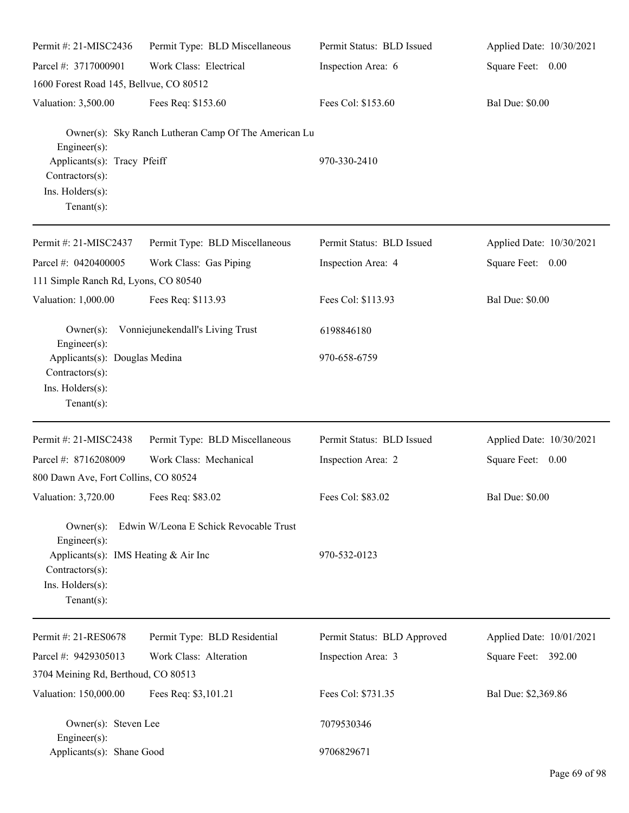| Permit #: 21-MISC2436                                                                                                        | Permit Type: BLD Miscellaneous                       | Permit Status: BLD Issued   | Applied Date: 10/30/2021 |
|------------------------------------------------------------------------------------------------------------------------------|------------------------------------------------------|-----------------------------|--------------------------|
| Parcel #: 3717000901                                                                                                         | Work Class: Electrical                               | Inspection Area: 6          | Square Feet: 0.00        |
| 1600 Forest Road 145, Bellvue, CO 80512                                                                                      |                                                      |                             |                          |
| Valuation: 3,500.00                                                                                                          | Fees Req: \$153.60                                   | Fees Col: \$153.60          | <b>Bal Due: \$0.00</b>   |
| Engineer(s):<br>Applicants(s): Tracy Pfeiff<br>Contractors(s):<br>Ins. Holders(s):<br>$Tenant(s)$ :                          | Owner(s): Sky Ranch Lutheran Camp Of The American Lu | 970-330-2410                |                          |
| Permit #: 21-MISC2437                                                                                                        | Permit Type: BLD Miscellaneous                       | Permit Status: BLD Issued   | Applied Date: 10/30/2021 |
| Parcel #: 0420400005<br>111 Simple Ranch Rd, Lyons, CO 80540                                                                 | Work Class: Gas Piping                               | Inspection Area: 4          | Square Feet: 0.00        |
| Valuation: 1,000.00                                                                                                          | Fees Req: \$113.93                                   | Fees Col: \$113.93          | <b>Bal Due: \$0.00</b>   |
| $Owner(s)$ :<br>Engineer(s):                                                                                                 | Vonniejunekendall's Living Trust                     | 6198846180                  |                          |
| Applicants(s): Douglas Medina<br>Contractors(s):<br>Ins. Holders(s):<br>$Tenant(s)$ :                                        |                                                      | 970-658-6759                |                          |
| Permit #: 21-MISC2438                                                                                                        | Permit Type: BLD Miscellaneous                       | Permit Status: BLD Issued   | Applied Date: 10/30/2021 |
| Parcel #: 8716208009                                                                                                         | Work Class: Mechanical                               | Inspection Area: 2          | Square Feet: 0.00        |
| 800 Dawn Ave, Fort Collins, CO 80524                                                                                         |                                                      |                             |                          |
| Valuation: 3,720.00 Fees Req: \$83.02                                                                                        |                                                      | Fees Col: \$83.02           | <b>Bal Due: \$0.00</b>   |
| $Owner(s)$ :<br>Engineer(s):<br>Applicants(s): IMS Heating & Air Inc<br>Contractors(s):<br>Ins. Holders(s):<br>$Tenant(s)$ : | Edwin W/Leona E Schick Revocable Trust               | 970-532-0123                |                          |
| Permit #: 21-RES0678                                                                                                         | Permit Type: BLD Residential                         | Permit Status: BLD Approved | Applied Date: 10/01/2021 |
| Parcel #: 9429305013                                                                                                         | Work Class: Alteration                               | Inspection Area: 3          | Square Feet: 392.00      |
| 3704 Meining Rd, Berthoud, CO 80513                                                                                          |                                                      |                             |                          |
| Valuation: 150,000.00                                                                                                        | Fees Req: \$3,101.21                                 | Fees Col: \$731.35          | Bal Due: \$2,369.86      |
| Owner(s): Steven Lee<br>Engineer(s):                                                                                         |                                                      | 7079530346                  |                          |
| Applicants(s): Shane Good                                                                                                    |                                                      | 9706829671                  |                          |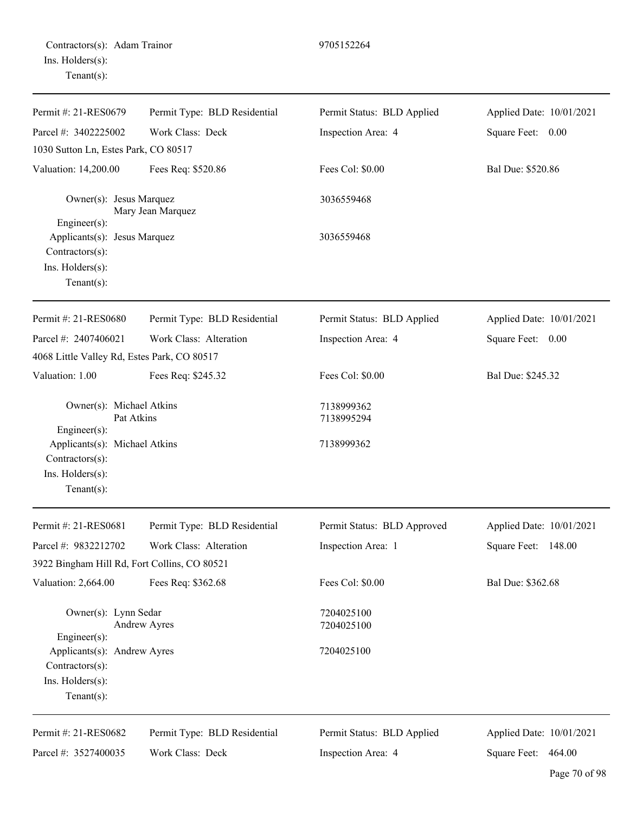| Contractors(s): Adam Trainor |  |
|------------------------------|--|
| Ins. Holders(s):             |  |
| $Tenant(s)$ :                |  |

| Permit #: 21-RES0679                                                                 | Permit Type: BLD Residential | Permit Status: BLD Applied  | Applied Date: 10/01/2021 |
|--------------------------------------------------------------------------------------|------------------------------|-----------------------------|--------------------------|
| Parcel #: 3402225002                                                                 | Work Class: Deck             | Inspection Area: 4          | Square Feet:<br>0.00     |
| 1030 Sutton Ln, Estes Park, CO 80517                                                 |                              |                             |                          |
| Valuation: 14,200.00                                                                 | Fees Req: \$520.86           | Fees Col: \$0.00            | Bal Due: \$520.86        |
| Owner(s): Jesus Marquez<br>Engineer $(s)$ :                                          | Mary Jean Marquez            | 3036559468                  |                          |
| Applicants(s): Jesus Marquez<br>Contractors(s):<br>Ins. Holders(s):<br>$Tenant(s)$ : |                              | 3036559468                  |                          |
| Permit #: 21-RES0680                                                                 | Permit Type: BLD Residential | Permit Status: BLD Applied  | Applied Date: 10/01/2021 |
| Parcel #: 2407406021                                                                 | Work Class: Alteration       | Inspection Area: 4          | Square Feet: 0.00        |
| 4068 Little Valley Rd, Estes Park, CO 80517                                          |                              |                             |                          |
| Valuation: 1.00                                                                      | Fees Req: \$245.32           | Fees Col: \$0.00            | Bal Due: \$245.32        |
| Owner(s): Michael Atkins<br>Pat Atkins                                               |                              | 7138999362<br>7138995294    |                          |
| Engineer(s):<br>Applicants(s): Michael Atkins<br>Contractors(s):                     |                              | 7138999362                  |                          |
| Ins. Holders(s):<br>$Tenant(s)$ :                                                    |                              |                             |                          |
| Permit #: 21-RES0681                                                                 | Permit Type: BLD Residential | Permit Status: BLD Approved | Applied Date: 10/01/2021 |
| Parcel #: 9832212702                                                                 | Work Class: Alteration       | Inspection Area: 1          | Square Feet: 148.00      |
| 3922 Bingham Hill Rd, Fort Collins, CO 80521                                         |                              |                             |                          |
| Valuation: 2,664.00                                                                  | Fees Req: \$362.68           | Fees Col: \$0.00            | Bal Due: \$362.68        |
| Owner(s): Lynn Sedar<br>Engineer(s):                                                 | <b>Andrew Ayres</b>          | 7204025100<br>7204025100    |                          |
| Applicants(s): Andrew Ayres<br>Contractors(s):<br>Ins. Holders(s):<br>Tenant $(s)$ : |                              | 7204025100                  |                          |
| Permit #: 21-RES0682                                                                 | Permit Type: BLD Residential | Permit Status: BLD Applied  | Applied Date: 10/01/2021 |
| Parcel #: 3527400035                                                                 | Work Class: Deck             | Inspection Area: 4          | 464.00<br>Square Feet:   |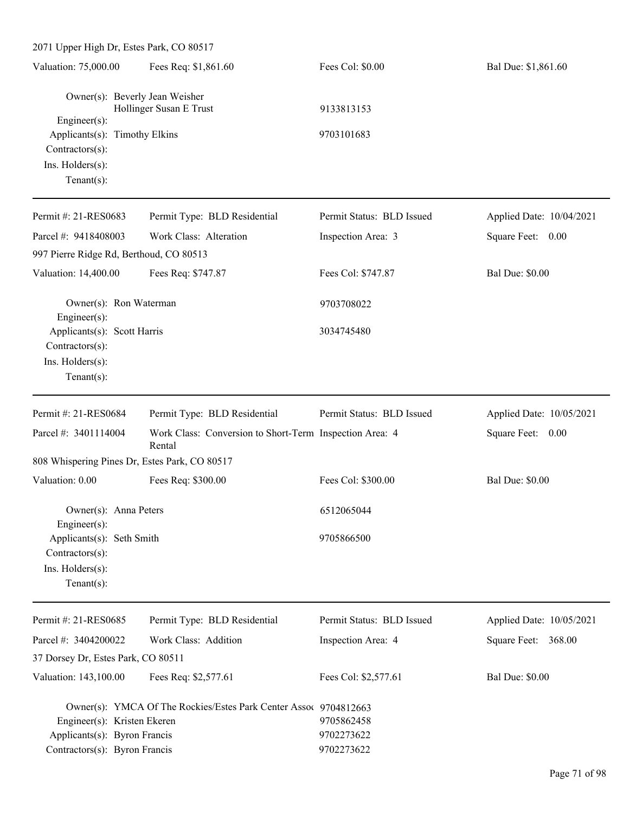| 2071 Upper High Dr, Estes Park, CO 80517                                                                                                |                                                                   |                                        |                          |
|-----------------------------------------------------------------------------------------------------------------------------------------|-------------------------------------------------------------------|----------------------------------------|--------------------------|
| Valuation: 75,000.00                                                                                                                    | Fees Req: \$1,861.60                                              | Fees Col: \$0.00                       | Bal Due: \$1,861.60      |
| Owner(s): Beverly Jean Weisher<br>Engineer(s):<br>Applicants(s): Timothy Elkins<br>Contractors(s):<br>Ins. Holders(s):<br>$Tenant(s)$ : | Hollinger Susan E Trust                                           | 9133813153<br>9703101683               |                          |
| Permit #: 21-RES0683                                                                                                                    | Permit Type: BLD Residential                                      | Permit Status: BLD Issued              | Applied Date: 10/04/2021 |
| Parcel #: 9418408003<br>997 Pierre Ridge Rd, Berthoud, CO 80513                                                                         | Work Class: Alteration                                            | Inspection Area: 3                     | Square Feet: 0.00        |
| Valuation: 14,400.00                                                                                                                    | Fees Req: \$747.87                                                | Fees Col: \$747.87                     | <b>Bal Due: \$0.00</b>   |
| Owner(s): Ron Waterman<br>Engineer(s):                                                                                                  |                                                                   | 9703708022                             |                          |
| Applicants(s): Scott Harris<br>Contractors(s):<br>Ins. Holders(s):<br>$Tenant(s)$ :                                                     |                                                                   | 3034745480                             |                          |
| Permit #: 21-RES0684                                                                                                                    | Permit Type: BLD Residential                                      | Permit Status: BLD Issued              | Applied Date: 10/05/2021 |
| Parcel #: 3401114004                                                                                                                    | Work Class: Conversion to Short-Term Inspection Area: 4<br>Rental |                                        | Square Feet: 0.00        |
| 808 Whispering Pines Dr, Estes Park, CO 80517                                                                                           |                                                                   |                                        |                          |
| Valuation: 0.00                                                                                                                         | Fees Req: \$300.00                                                | Fees Col: \$300.00                     | <b>Bal Due: \$0.00</b>   |
| Owner(s): Anna Peters<br>Engineer(s):                                                                                                   |                                                                   | 6512065044                             |                          |
| Applicants(s): Seth Smith<br>Contractors(s):<br>Ins. Holders(s):<br>$Tenant(s)$ :                                                       |                                                                   | 9705866500                             |                          |
| Permit #: 21-RES0685                                                                                                                    | Permit Type: BLD Residential                                      | Permit Status: BLD Issued              | Applied Date: 10/05/2021 |
| Parcel #: 3404200022                                                                                                                    | Work Class: Addition                                              | Inspection Area: 4                     | Square Feet: 368.00      |
| 37 Dorsey Dr, Estes Park, CO 80511                                                                                                      |                                                                   |                                        |                          |
| Valuation: 143,100.00                                                                                                                   | Fees Req: \$2,577.61                                              | Fees Col: \$2,577.61                   | <b>Bal Due: \$0.00</b>   |
| Engineer(s): Kristen Ekeren<br>Applicants(s): Byron Francis<br>Contractors(s): Byron Francis                                            | Owner(s): YMCA Of The Rockies/Estes Park Center Assoc 9704812663  | 9705862458<br>9702273622<br>9702273622 |                          |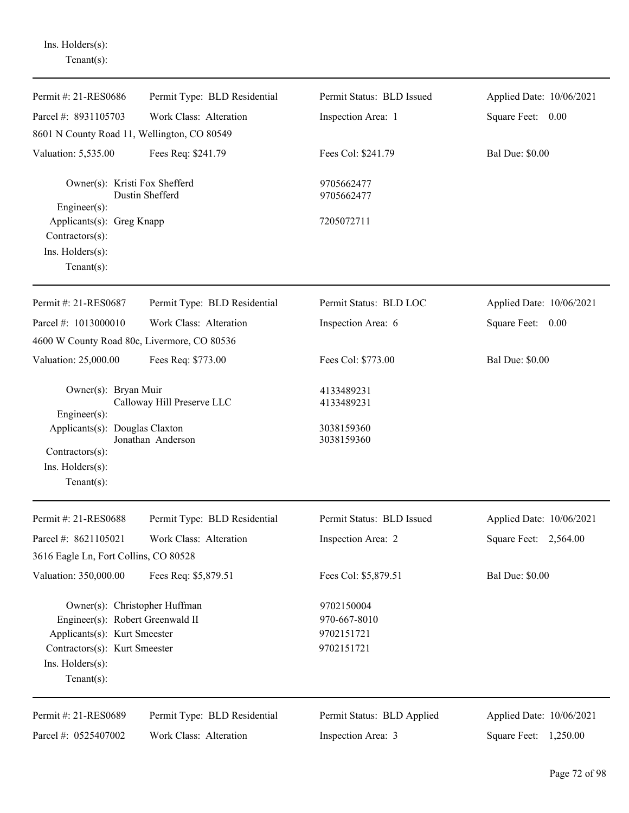Ins. Holders(s): Tenant(s):

| Permit #: 21-RES0686                                                                                                                                                     | Permit Type: BLD Residential | Permit Status: BLD Issued                              | Applied Date: 10/06/2021 |
|--------------------------------------------------------------------------------------------------------------------------------------------------------------------------|------------------------------|--------------------------------------------------------|--------------------------|
| Parcel #: 8931105703                                                                                                                                                     | Work Class: Alteration       | Inspection Area: 1                                     | Square Feet:<br>0.00     |
| 8601 N County Road 11, Wellington, CO 80549                                                                                                                              |                              |                                                        |                          |
| Valuation: 5,535.00                                                                                                                                                      | Fees Req: \$241.79           | Fees Col: \$241.79                                     | <b>Bal Due: \$0.00</b>   |
| Owner(s): Kristi Fox Shefferd<br>Engineer(s):                                                                                                                            | Dustin Shefferd              | 9705662477<br>9705662477                               |                          |
| Applicants(s): Greg Knapp<br>Contractors(s):<br>Ins. Holders(s):<br>Tenant $(s)$ :                                                                                       |                              | 7205072711                                             |                          |
| Permit #: 21-RES0687                                                                                                                                                     | Permit Type: BLD Residential | Permit Status: BLD LOC                                 | Applied Date: 10/06/2021 |
| Parcel #: 1013000010                                                                                                                                                     | Work Class: Alteration       | Inspection Area: 6                                     | Square Feet:<br>0.00     |
| 4600 W County Road 80c, Livermore, CO 80536                                                                                                                              |                              |                                                        |                          |
| Valuation: 25,000.00                                                                                                                                                     | Fees Req: \$773.00           | Fees Col: \$773.00                                     | <b>Bal Due: \$0.00</b>   |
| Owner(s): Bryan Muir<br>Engineer(s):                                                                                                                                     | Calloway Hill Preserve LLC   | 4133489231<br>4133489231                               |                          |
| Applicants(s): Douglas Claxton<br>Contractors(s):<br>Ins. Holders(s):<br>Tenant $(s)$ :                                                                                  | Jonathan Anderson            | 3038159360<br>3038159360                               |                          |
| Permit #: 21-RES0688                                                                                                                                                     | Permit Type: BLD Residential | Permit Status: BLD Issued                              | Applied Date: 10/06/2021 |
| Parcel #: 8621105021<br>3616 Eagle Ln, Fort Collins, CO 80528                                                                                                            | Work Class: Alteration       | Inspection Area: 2                                     | Square Feet: 2,564.00    |
| Valuation: 350,000.00                                                                                                                                                    | Fees Req: \$5,879.51         | Fees Col: \$5,879.51                                   | <b>Bal Due: \$0.00</b>   |
| Owner(s): Christopher Huffman<br>Engineer(s): Robert Greenwald II<br>Applicants(s): Kurt Smeester<br>Contractors(s): Kurt Smeester<br>Ins. Holders(s):<br>Tenant $(s)$ : |                              | 9702150004<br>970-667-8010<br>9702151721<br>9702151721 |                          |
| Permit #: 21-RES0689                                                                                                                                                     | Permit Type: BLD Residential | Permit Status: BLD Applied                             | Applied Date: 10/06/2021 |
| Parcel #: 0525407002                                                                                                                                                     | Work Class: Alteration       | Inspection Area: 3                                     | Square Feet:<br>1,250.00 |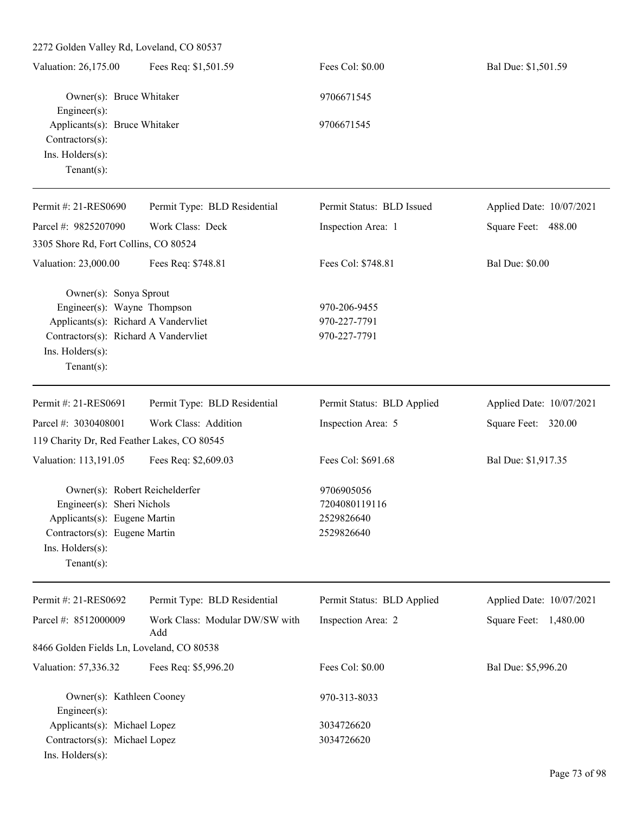| 2272 Golden Valley Rd, Loveland, CO 80537                                                                                                                                    |                                       |                                                         |                          |  |
|------------------------------------------------------------------------------------------------------------------------------------------------------------------------------|---------------------------------------|---------------------------------------------------------|--------------------------|--|
| Valuation: 26,175.00                                                                                                                                                         | Fees Req: \$1,501.59                  | Fees Col: \$0.00                                        | Bal Due: \$1,501.59      |  |
| Owner(s): Bruce Whitaker<br>Engineer(s):                                                                                                                                     |                                       | 9706671545                                              |                          |  |
| Applicants(s): Bruce Whitaker<br>Contractors(s):<br>Ins. Holders(s):<br>Tenant $(s)$ :                                                                                       |                                       | 9706671545                                              |                          |  |
| Permit #: 21-RES0690                                                                                                                                                         | Permit Type: BLD Residential          | Permit Status: BLD Issued                               | Applied Date: 10/07/2021 |  |
| Parcel #: 9825207090                                                                                                                                                         | Work Class: Deck                      | Inspection Area: 1                                      | Square Feet: 488.00      |  |
| 3305 Shore Rd, Fort Collins, CO 80524                                                                                                                                        |                                       |                                                         |                          |  |
| Valuation: 23,000.00                                                                                                                                                         | Fees Req: \$748.81                    | Fees Col: \$748.81                                      | <b>Bal Due: \$0.00</b>   |  |
| Owner(s): Sonya Sprout<br>Engineer(s): Wayne Thompson<br>Applicants(s): Richard A Vandervliet<br>Contractors(s): Richard A Vandervliet<br>Ins. Holders(s):<br>Tenant $(s)$ : |                                       | 970-206-9455<br>970-227-7791<br>970-227-7791            |                          |  |
| Permit #: 21-RES0691                                                                                                                                                         | Permit Type: BLD Residential          | Permit Status: BLD Applied                              | Applied Date: 10/07/2021 |  |
| Parcel #: 3030408001                                                                                                                                                         | Work Class: Addition                  | Inspection Area: 5                                      | Square Feet: 320.00      |  |
| 119 Charity Dr, Red Feather Lakes, CO 80545                                                                                                                                  |                                       |                                                         |                          |  |
| Valuation: 113,191.05                                                                                                                                                        | Fees Req: \$2,609.03                  | Fees Col: \$691.68                                      | Bal Due: \$1,917.35      |  |
| Owner(s): Robert Reichelderfer<br>Engineer(s): Sheri Nichols<br>Applicants(s): Eugene Martin<br>Contractors(s): Eugene Martin<br>Ins. Holders(s):<br>$Tenant(s)$ :           |                                       | 9706905056<br>7204080119116<br>2529826640<br>2529826640 |                          |  |
| Permit #: 21-RES0692                                                                                                                                                         | Permit Type: BLD Residential          | Permit Status: BLD Applied                              | Applied Date: 10/07/2021 |  |
| Parcel #: 8512000009                                                                                                                                                         | Work Class: Modular DW/SW with<br>Add | Inspection Area: 2                                      | Square Feet: 1,480.00    |  |
| 8466 Golden Fields Ln, Loveland, CO 80538                                                                                                                                    |                                       |                                                         |                          |  |
| Valuation: 57,336.32                                                                                                                                                         | Fees Req: \$5,996.20                  | Fees Col: \$0.00                                        | Bal Due: \$5,996.20      |  |
| Owner(s): Kathleen Cooney<br>Engineer(s):                                                                                                                                    |                                       | 970-313-8033                                            |                          |  |
| Applicants(s): Michael Lopez<br>Contractors(s): Michael Lopez<br>Ins. Holders(s):                                                                                            |                                       | 3034726620<br>3034726620                                |                          |  |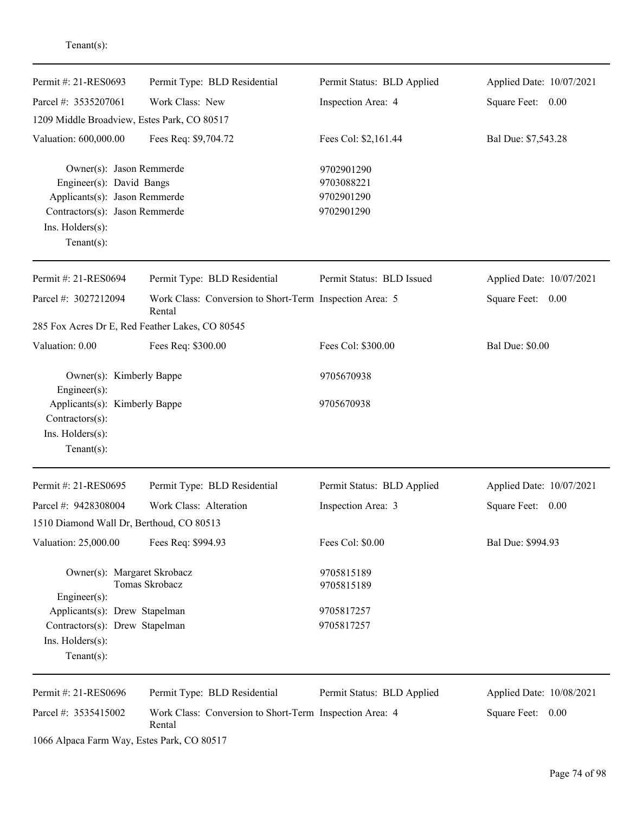| Permit #: 21-RES0693                                                                                                                                          | Permit Type: BLD Residential                                      | Permit Status: BLD Applied                           | Applied Date: 10/07/2021 |
|---------------------------------------------------------------------------------------------------------------------------------------------------------------|-------------------------------------------------------------------|------------------------------------------------------|--------------------------|
| Parcel #: 3535207061                                                                                                                                          | Work Class: New                                                   | Inspection Area: 4                                   | Square Feet: 0.00        |
| 1209 Middle Broadview, Estes Park, CO 80517                                                                                                                   |                                                                   |                                                      |                          |
| Valuation: 600,000.00                                                                                                                                         | Fees Req: \$9,704.72                                              | Fees Col: \$2,161.44                                 | Bal Due: \$7,543.28      |
| Owner(s): Jason Remmerde<br>Engineer(s): David Bangs<br>Applicants(s): Jason Remmerde<br>Contractors(s): Jason Remmerde<br>Ins. Holders(s):<br>Tenant $(s)$ : |                                                                   | 9702901290<br>9703088221<br>9702901290<br>9702901290 |                          |
| Permit #: 21-RES0694                                                                                                                                          | Permit Type: BLD Residential                                      | Permit Status: BLD Issued                            | Applied Date: 10/07/2021 |
| Parcel #: 3027212094                                                                                                                                          | Work Class: Conversion to Short-Term Inspection Area: 5<br>Rental |                                                      | Square Feet: 0.00        |
|                                                                                                                                                               | 285 Fox Acres Dr E, Red Feather Lakes, CO 80545                   |                                                      |                          |
| Valuation: 0.00                                                                                                                                               | Fees Req: \$300.00                                                | Fees Col: \$300.00                                   | <b>Bal Due: \$0.00</b>   |
| Owner(s): Kimberly Bappe<br>Engineer(s):                                                                                                                      |                                                                   | 9705670938                                           |                          |
| Applicants(s): Kimberly Bappe<br>Contractors(s):<br>Ins. Holders(s):<br>$Tenant(s)$ :                                                                         |                                                                   | 9705670938                                           |                          |
| Permit #: 21-RES0695                                                                                                                                          | Permit Type: BLD Residential                                      | Permit Status: BLD Applied                           | Applied Date: 10/07/2021 |
| Parcel #: 9428308004<br>1510 Diamond Wall Dr, Berthoud, CO 80513                                                                                              | Work Class: Alteration                                            | Inspection Area: 3                                   | Square Feet:<br>0.00     |
| Valuation: 25,000.00                                                                                                                                          | Fees Req: \$994.93                                                | Fees Col: \$0.00                                     | Bal Due: \$994.93        |
| Owner(s): Margaret Skrobacz<br>$Engineering(s)$ :<br>Applicants(s): Drew Stapelman<br>Contractors(s): Drew Stapelman<br>Ins. Holders(s):                      | Tomas Skrobacz                                                    | 9705815189<br>9705815189<br>9705817257<br>9705817257 |                          |
| Tenant $(s)$ :                                                                                                                                                |                                                                   |                                                      |                          |
| Permit #: 21-RES0696                                                                                                                                          | Permit Type: BLD Residential                                      | Permit Status: BLD Applied                           | Applied Date: 10/08/2021 |
| Parcel #: 3535415002                                                                                                                                          | Work Class: Conversion to Short-Term Inspection Area: 4<br>Rental |                                                      | Square Feet: 0.00        |
| 1066 Alpaca Farm Way, Estes Park, CO 80517                                                                                                                    |                                                                   |                                                      |                          |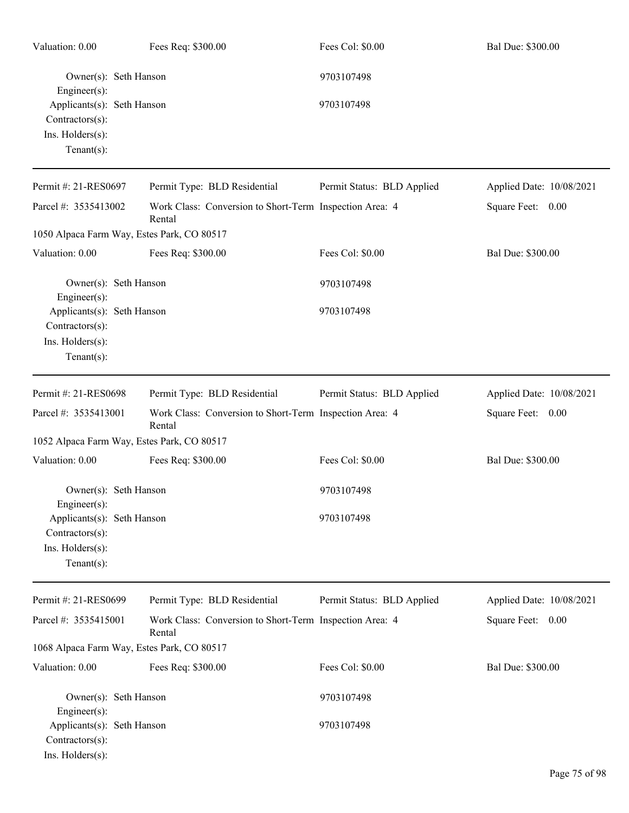| Valuation: 0.00                                                                     | Fees Req: \$300.00                                                | Fees Col: \$0.00           | Bal Due: \$300.00        |
|-------------------------------------------------------------------------------------|-------------------------------------------------------------------|----------------------------|--------------------------|
| Owner(s): Seth Hanson<br>Engineer(s):                                               |                                                                   | 9703107498                 |                          |
| Applicants(s): Seth Hanson<br>Contractors(s):<br>Ins. Holders(s):<br>Tenant $(s)$ : |                                                                   | 9703107498                 |                          |
| Permit #: 21-RES0697                                                                | Permit Type: BLD Residential                                      | Permit Status: BLD Applied | Applied Date: 10/08/2021 |
| Parcel #: 3535413002                                                                | Work Class: Conversion to Short-Term Inspection Area: 4<br>Rental |                            | Square Feet: 0.00        |
| 1050 Alpaca Farm Way, Estes Park, CO 80517                                          |                                                                   |                            |                          |
| Valuation: 0.00                                                                     | Fees Req: \$300.00                                                | Fees Col: \$0.00           | Bal Due: \$300.00        |
| Owner(s): Seth Hanson<br>Engineer(s):                                               |                                                                   | 9703107498                 |                          |
| Applicants(s): Seth Hanson<br>Contractors(s):<br>Ins. Holders(s):<br>Tenant $(s)$ : |                                                                   | 9703107498                 |                          |
| Permit #: 21-RES0698                                                                | Permit Type: BLD Residential                                      | Permit Status: BLD Applied | Applied Date: 10/08/2021 |
| Parcel #: 3535413001                                                                | Work Class: Conversion to Short-Term Inspection Area: 4<br>Rental |                            | Square Feet: 0.00        |
| 1052 Alpaca Farm Way, Estes Park, CO 80517                                          |                                                                   |                            |                          |
| Valuation: 0.00                                                                     | Fees Req: \$300.00                                                | Fees Col: \$0.00           | Bal Due: \$300.00        |
| Owner(s): Seth Hanson<br>Engineer(s):                                               |                                                                   | 9703107498                 |                          |
| Applicants(s): Seth Hanson<br>Contractors(s):<br>Ins. Holders(s):<br>Tenant $(s)$ : |                                                                   | 9703107498                 |                          |
| Permit #: 21-RES0699                                                                | Permit Type: BLD Residential                                      | Permit Status: BLD Applied | Applied Date: 10/08/2021 |
| Parcel #: 3535415001                                                                | Work Class: Conversion to Short-Term Inspection Area: 4<br>Rental |                            | Square Feet: 0.00        |
| 1068 Alpaca Farm Way, Estes Park, CO 80517                                          |                                                                   |                            |                          |
| Valuation: 0.00                                                                     | Fees Req: \$300.00                                                | Fees Col: \$0.00           | Bal Due: \$300.00        |
| Owner(s): Seth Hanson<br>Engineer(s):                                               |                                                                   | 9703107498                 |                          |
| Applicants(s): Seth Hanson<br>Contractors(s):<br>Ins. Holders(s):                   |                                                                   | 9703107498                 |                          |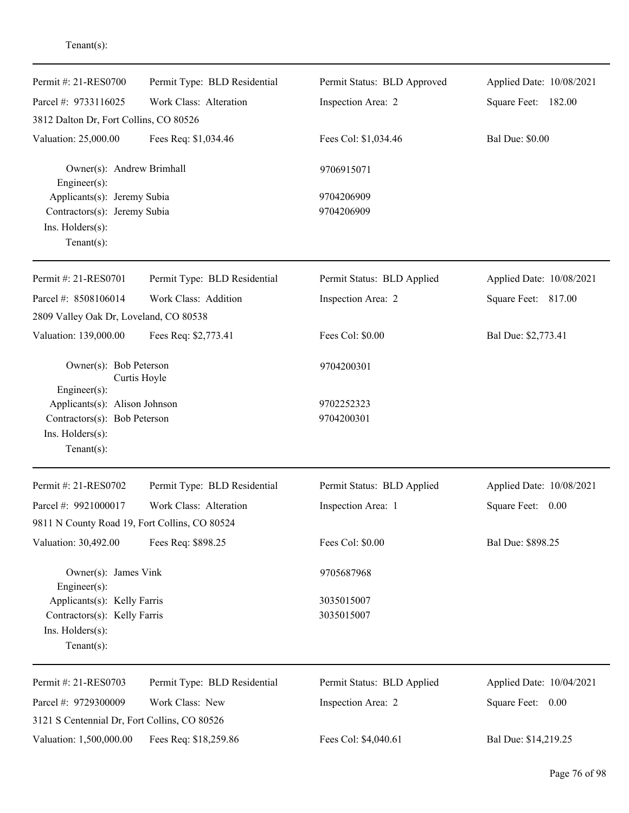| Permit #: 21-RES0700                                                                                  | Permit Type: BLD Residential | Permit Status: BLD Approved | Applied Date: 10/08/2021 |
|-------------------------------------------------------------------------------------------------------|------------------------------|-----------------------------|--------------------------|
| Parcel #: 9733116025                                                                                  | Work Class: Alteration       | Inspection Area: 2          | Square Feet: 182.00      |
| 3812 Dalton Dr, Fort Collins, CO 80526                                                                |                              |                             |                          |
| Valuation: 25,000.00                                                                                  | Fees Req: \$1,034.46         | Fees Col: \$1,034.46        | <b>Bal Due: \$0.00</b>   |
| Owner(s): Andrew Brimhall<br>Engineer(s):                                                             |                              | 9706915071                  |                          |
| Applicants(s): Jeremy Subia                                                                           |                              | 9704206909                  |                          |
| Contractors(s): Jeremy Subia                                                                          |                              | 9704206909                  |                          |
| Ins. Holders(s):<br>Tenant $(s)$ :                                                                    |                              |                             |                          |
| Permit #: 21-RES0701                                                                                  | Permit Type: BLD Residential | Permit Status: BLD Applied  | Applied Date: 10/08/2021 |
| Parcel #: 8508106014                                                                                  | Work Class: Addition         | Inspection Area: 2          | Square Feet: 817.00      |
| 2809 Valley Oak Dr, Loveland, CO 80538                                                                |                              |                             |                          |
| Valuation: 139,000.00                                                                                 | Fees Req: \$2,773.41         | Fees Col: \$0.00            | Bal Due: \$2,773.41      |
| Owner(s): Bob Peterson<br>Curtis Hoyle<br>$Engineering(s)$ :                                          |                              | 9704200301                  |                          |
| Applicants(s): Alison Johnson                                                                         |                              | 9702252323                  |                          |
| Contractors(s): Bob Peterson                                                                          |                              | 9704200301                  |                          |
| Ins. Holders(s):                                                                                      |                              |                             |                          |
| Tenant $(s)$ :                                                                                        |                              |                             |                          |
| Permit #: 21-RES0702                                                                                  | Permit Type: BLD Residential | Permit Status: BLD Applied  | Applied Date: 10/08/2021 |
| Parcel #: 9921000017                                                                                  | Work Class: Alteration       | Inspection Area: 1          | Square Feet:<br>0.00     |
| 9811 N County Road 19, Fort Collins, CO 80524                                                         |                              |                             |                          |
| Valuation: 30,492.00                                                                                  | Fees Req: \$898.25           | Fees Col: \$0.00            | Bal Due: \$898.25        |
| Owner(s): James Vink                                                                                  |                              | 9705687968                  |                          |
| $Engineering(s)$ :<br>Applicants(s): Kelly Farris<br>Contractors(s): Kelly Farris<br>Ins. Holders(s): |                              | 3035015007<br>3035015007    |                          |
| Tenant $(s)$ :                                                                                        |                              |                             |                          |
| Permit #: 21-RES0703                                                                                  | Permit Type: BLD Residential | Permit Status: BLD Applied  | Applied Date: 10/04/2021 |
| Parcel #: 9729300009                                                                                  | Work Class: New              | Inspection Area: 2          | Square Feet: 0.00        |
| 3121 S Centennial Dr, Fort Collins, CO 80526                                                          |                              |                             |                          |
| Valuation: 1,500,000.00                                                                               | Fees Req: \$18,259.86        | Fees Col: \$4,040.61        | Bal Due: \$14,219.25     |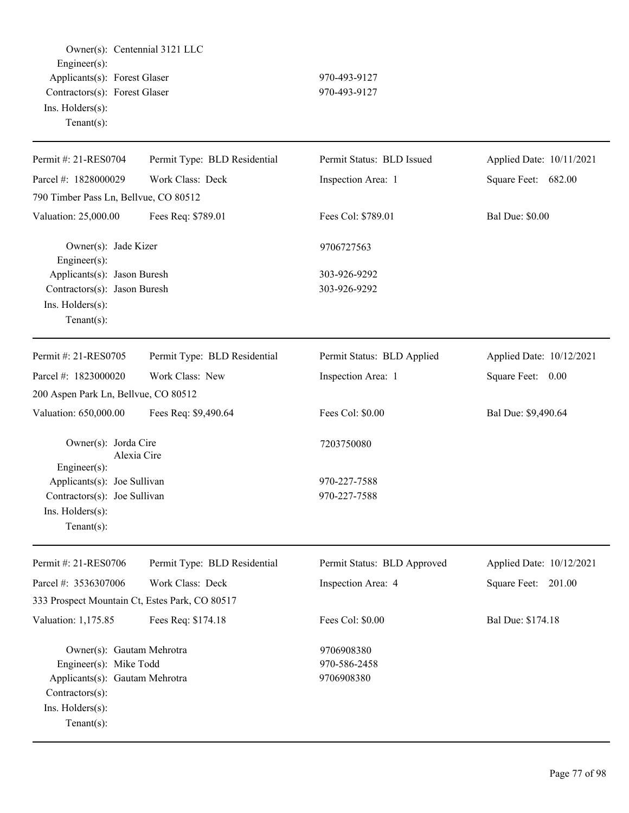Owner(s): Centennial 3121 LLC Engineer(s): Applicants(s): Forest Glaser 970-493-9127 Contractors(s): Forest Glaser 970-493-9127 Ins. Holders(s): Tenant(s):

| Permit #: 21-RES0704                           | Permit Type: BLD Residential | Permit Status: BLD Issued   | Applied Date: 10/11/2021 |
|------------------------------------------------|------------------------------|-----------------------------|--------------------------|
| Parcel #: 1828000029                           | Work Class: Deck             | Inspection Area: 1          | Square Feet: 682.00      |
| 790 Timber Pass Ln, Bellvue, CO 80512          |                              |                             |                          |
| Valuation: 25,000.00                           | Fees Req: \$789.01           | Fees Col: \$789.01          | <b>Bal Due: \$0.00</b>   |
| Owner(s): Jade Kizer<br>Engineer(s):           |                              | 9706727563                  |                          |
| Applicants(s): Jason Buresh                    |                              | 303-926-9292                |                          |
| Contractors(s): Jason Buresh                   |                              | 303-926-9292                |                          |
| Ins. Holders(s):<br>$Tenant(s)$ :              |                              |                             |                          |
| Permit #: 21-RES0705                           | Permit Type: BLD Residential | Permit Status: BLD Applied  | Applied Date: 10/12/2021 |
| Parcel #: 1823000020                           | Work Class: New              | Inspection Area: 1          | Square Feet: 0.00        |
| 200 Aspen Park Ln, Bellvue, CO 80512           |                              |                             |                          |
| Valuation: 650,000.00                          | Fees Req: \$9,490.64         | Fees Col: \$0.00            | Bal Due: \$9,490.64      |
| Owner(s): Jorda Cire<br>Engineer(s):           | Alexia Cire                  | 7203750080                  |                          |
| Applicants(s): Joe Sullivan                    |                              | 970-227-7588                |                          |
| Contractors(s): Joe Sullivan                   |                              | 970-227-7588                |                          |
| Ins. Holders(s):                               |                              |                             |                          |
| $Tenant(s)$ :                                  |                              |                             |                          |
| Permit #: 21-RES0706                           | Permit Type: BLD Residential | Permit Status: BLD Approved | Applied Date: 10/12/2021 |
| Parcel #: 3536307006                           | Work Class: Deck             | Inspection Area: 4          | Square Feet:<br>201.00   |
| 333 Prospect Mountain Ct, Estes Park, CO 80517 |                              |                             |                          |
| Valuation: 1,175.85                            | Fees Req: \$174.18           | Fees Col: \$0.00            | Bal Due: \$174.18        |
| Owner(s): Gautam Mehrotra                      |                              | 9706908380                  |                          |
| Engineer(s): Mike Todd                         |                              | 970-586-2458                |                          |
| Applicants(s): Gautam Mehrotra                 |                              | 9706908380                  |                          |
| Contractors(s):                                |                              |                             |                          |
| Ins. Holders(s):                               |                              |                             |                          |
| $Tenant(s)$ :                                  |                              |                             |                          |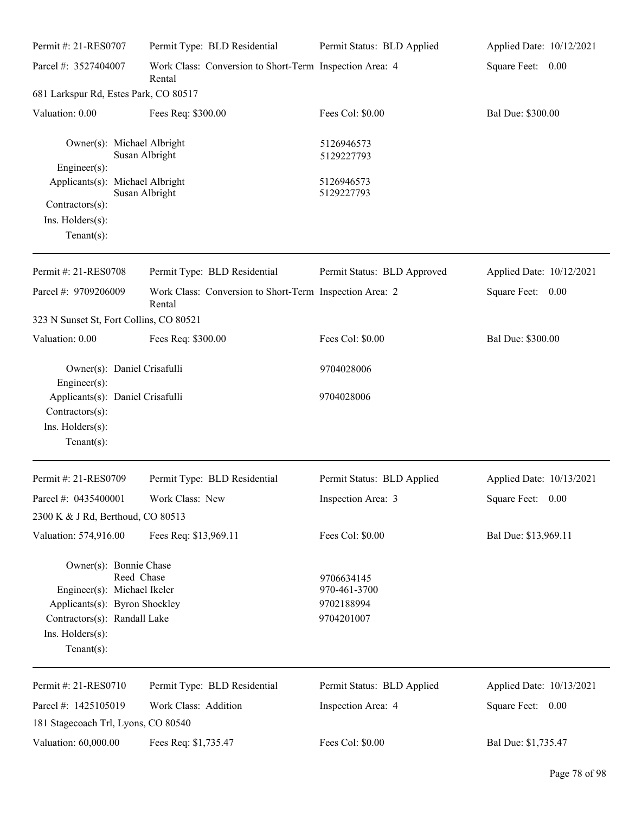| Permit #: 21-RES0707                                                                                                                                         | Permit Type: BLD Residential                                      | Permit Status: BLD Applied                             | Applied Date: 10/12/2021 |
|--------------------------------------------------------------------------------------------------------------------------------------------------------------|-------------------------------------------------------------------|--------------------------------------------------------|--------------------------|
| Parcel #: 3527404007                                                                                                                                         | Work Class: Conversion to Short-Term Inspection Area: 4<br>Rental |                                                        | Square Feet: 0.00        |
| 681 Larkspur Rd, Estes Park, CO 80517                                                                                                                        |                                                                   |                                                        |                          |
| Valuation: 0.00                                                                                                                                              | Fees Req: \$300.00                                                | Fees Col: \$0.00                                       | Bal Due: \$300.00        |
| Owner(s): Michael Albright<br>Engineer(s):                                                                                                                   | Susan Albright                                                    | 5126946573<br>5129227793                               |                          |
| Applicants(s): Michael Albright<br>Contractors(s):<br>Ins. Holders(s):<br>$Tenant(s)$ :                                                                      | Susan Albright                                                    | 5126946573<br>5129227793                               |                          |
| Permit #: 21-RES0708                                                                                                                                         | Permit Type: BLD Residential                                      | Permit Status: BLD Approved                            | Applied Date: 10/12/2021 |
| Parcel #: 9709206009                                                                                                                                         | Work Class: Conversion to Short-Term Inspection Area: 2<br>Rental |                                                        | Square Feet: 0.00        |
| 323 N Sunset St, Fort Collins, CO 80521                                                                                                                      |                                                                   |                                                        |                          |
| Valuation: 0.00                                                                                                                                              | Fees Req: \$300.00                                                | Fees Col: \$0.00                                       | Bal Due: \$300.00        |
| Owner(s): Daniel Crisafulli<br>Engineer(s):                                                                                                                  |                                                                   | 9704028006                                             |                          |
| Applicants(s): Daniel Crisafulli<br>Contractors(s):<br>Ins. Holders(s):<br>$Tenant(s)$ :                                                                     |                                                                   | 9704028006                                             |                          |
| Permit #: 21-RES0709                                                                                                                                         | Permit Type: BLD Residential                                      | Permit Status: BLD Applied                             | Applied Date: 10/13/2021 |
| Parcel #: 0435400001<br>2300 K & J Rd, Berthoud, CO 80513                                                                                                    | Work Class: New                                                   | Inspection Area: 3                                     | Square Feet: 0.00        |
| Valuation: 574,916.00                                                                                                                                        | Fees Req: \$13,969.11                                             | Fees Col: \$0.00                                       | Bal Due: \$13,969.11     |
| Owner(s): Bonnie Chase<br>Engineer(s): Michael Ikeler<br>Applicants(s): Byron Shockley<br>Contractors(s): Randall Lake<br>Ins. Holders(s):<br>Tenant $(s)$ : | Reed Chase                                                        | 9706634145<br>970-461-3700<br>9702188994<br>9704201007 |                          |
| Permit #: 21-RES0710                                                                                                                                         | Permit Type: BLD Residential                                      | Permit Status: BLD Applied                             | Applied Date: 10/13/2021 |
| Parcel #: 1425105019                                                                                                                                         | Work Class: Addition                                              | Inspection Area: 4                                     | Square Feet: 0.00        |
| 181 Stagecoach Trl, Lyons, CO 80540<br>Valuation: 60,000.00                                                                                                  | Fees Req: \$1,735.47                                              | Fees Col: \$0.00                                       | Bal Due: \$1,735.47      |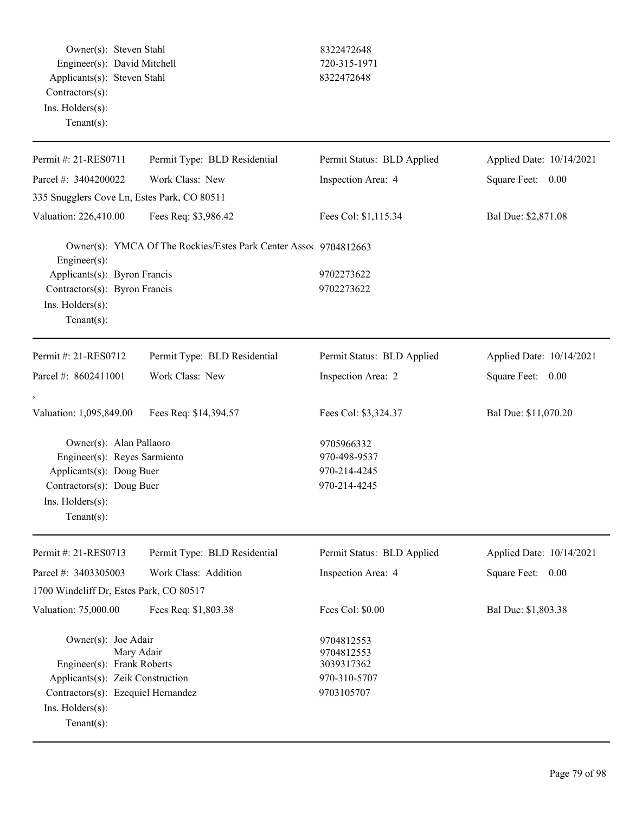Owner(s): Steven Stahl 8322472648 Engineer(s): David Mitchell 720-315-1971 Applicants(s): Steven Stahl 8322472648 Contractors(s): Ins. Holders(s):

Tenant(s):

Ins. Holders(s): Tenant(s):

| Permit #: 21-RES0711                                            | Permit Type: BLD Residential                                     | Permit Status: BLD Applied             | Applied Date: 10/14/2021 |
|-----------------------------------------------------------------|------------------------------------------------------------------|----------------------------------------|--------------------------|
| Parcel #: 3404200022                                            | Work Class: New<br>Inspection Area: 4                            |                                        | Square Feet: 0.00        |
| 335 Snugglers Cove Ln, Estes Park, CO 80511                     |                                                                  |                                        |                          |
| Valuation: 226,410.00                                           | Fees Req: \$3,986.42                                             | Fees Col: \$1,115.34                   | Bal Due: \$2,871.08      |
| $Engineering(s)$ :                                              | Owner(s): YMCA Of The Rockies/Estes Park Center Assoc 9704812663 |                                        |                          |
| Applicants(s): Byron Francis                                    |                                                                  | 9702273622                             |                          |
| Contractors(s): Byron Francis                                   |                                                                  | 9702273622                             |                          |
| Ins. Holders(s):                                                |                                                                  |                                        |                          |
| Tenant $(s)$ :                                                  |                                                                  |                                        |                          |
| Permit #: 21-RES0712                                            | Permit Type: BLD Residential                                     | Permit Status: BLD Applied             | Applied Date: 10/14/2021 |
| Parcel #: 8602411001                                            | Work Class: New                                                  | Inspection Area: 2                     | Square Feet: 0.00        |
|                                                                 |                                                                  |                                        |                          |
| Valuation: 1,095,849.00                                         | Fees Req: \$14,394.57                                            | Fees Col: \$3,324.37                   | Bal Due: \$11,070.20     |
| Owner(s): Alan Pallaoro                                         |                                                                  | 9705966332                             |                          |
| Engineer(s): Reyes Sarmiento                                    |                                                                  | 970-498-9537                           |                          |
| Applicants(s): Doug Buer                                        |                                                                  | 970-214-4245                           |                          |
| Contractors(s): Doug Buer                                       |                                                                  | 970-214-4245                           |                          |
| Ins. $H$ olders $(s)$ :                                         |                                                                  |                                        |                          |
| Tenant $(s)$ :                                                  |                                                                  |                                        |                          |
| Permit #: 21-RES0713                                            | Permit Type: BLD Residential                                     | Permit Status: BLD Applied             | Applied Date: 10/14/2021 |
| Parcel #: 3403305003                                            | Work Class: Addition                                             | Inspection Area: 4                     | Square Feet: 0.00        |
| 1700 Windcliff Dr, Estes Park, CO 80517                         |                                                                  |                                        |                          |
| Valuation: 75,000.00                                            | Fees Req: \$1,803.38                                             | Fees Col: \$0.00                       | Bal Due: \$1,803.38      |
| Owner(s): Joe Adair<br>Mary Adair<br>Engineer(s): Frank Roberts |                                                                  | 9704812553<br>9704812553<br>3039317362 |                          |
| Applicants(s): Zeik Construction                                |                                                                  | 970-310-5707                           |                          |
| Contractors(s): Ezequiel Hernandez                              |                                                                  | 9703105707                             |                          |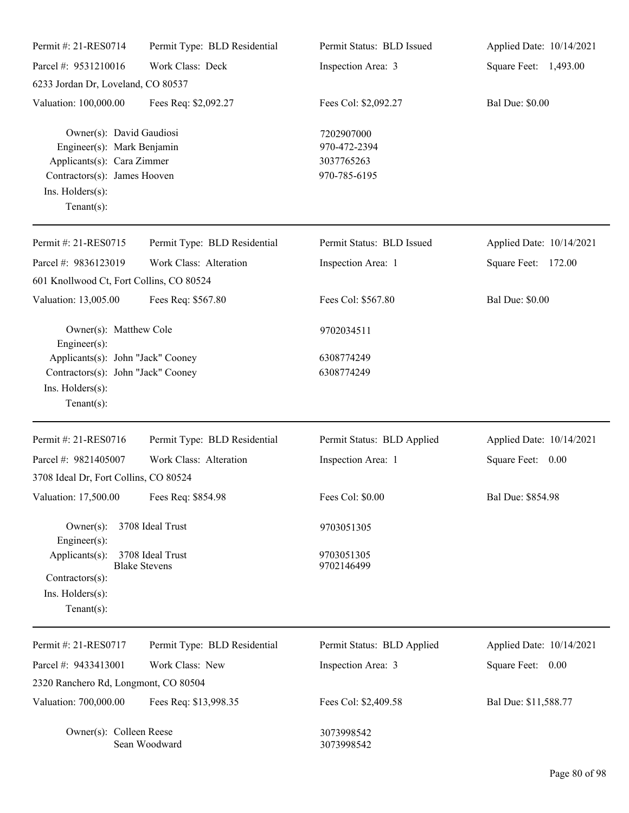| Permit #: 21-RES0714                                                                                                                                       | Permit Type: BLD Residential             | Permit Status: BLD Issued                                | Applied Date: 10/14/2021 |
|------------------------------------------------------------------------------------------------------------------------------------------------------------|------------------------------------------|----------------------------------------------------------|--------------------------|
| Parcel #: 9531210016                                                                                                                                       | Work Class: Deck                         | Inspection Area: 3                                       | Square Feet: 1,493.00    |
| 6233 Jordan Dr, Loveland, CO 80537                                                                                                                         |                                          |                                                          |                          |
| Valuation: 100,000.00                                                                                                                                      | Fees Req: \$2,092.27                     | Fees Col: \$2,092.27                                     | <b>Bal Due: \$0.00</b>   |
| Owner(s): David Gaudiosi<br>Engineer(s): Mark Benjamin<br>Applicants(s): Cara Zimmer<br>Contractors(s): James Hooven<br>Ins. Holders(s):<br>Tenant $(s)$ : |                                          | 7202907000<br>970-472-2394<br>3037765263<br>970-785-6195 |                          |
| Permit #: 21-RES0715                                                                                                                                       | Permit Type: BLD Residential             | Permit Status: BLD Issued                                | Applied Date: 10/14/2021 |
| Parcel #: 9836123019                                                                                                                                       | Work Class: Alteration                   | Inspection Area: 1                                       | Square Feet: 172.00      |
| 601 Knollwood Ct, Fort Collins, CO 80524                                                                                                                   |                                          |                                                          |                          |
| Valuation: 13,005.00                                                                                                                                       | Fees Req: \$567.80                       | Fees Col: \$567.80                                       | <b>Bal Due: \$0.00</b>   |
| Owner(s): Matthew Cole<br>Engineer(s):                                                                                                                     |                                          | 9702034511                                               |                          |
| Applicants(s): John "Jack" Cooney                                                                                                                          |                                          | 6308774249                                               |                          |
| Contractors(s): John "Jack" Cooney<br>Ins. Holders(s):<br>Tenant $(s)$ :                                                                                   |                                          | 6308774249                                               |                          |
| Permit #: 21-RES0716                                                                                                                                       | Permit Type: BLD Residential             | Permit Status: BLD Applied                               | Applied Date: 10/14/2021 |
| Parcel #: 9821405007                                                                                                                                       | Work Class: Alteration                   | Inspection Area: 1                                       | Square Feet: 0.00        |
| 3708 Ideal Dr, Fort Collins, CO 80524                                                                                                                      |                                          |                                                          |                          |
| Valuation: 17,500.00                                                                                                                                       | Fees Req: \$854.98                       | Fees Col: \$0.00                                         | Bal Due: \$854.98        |
| $Owner(s)$ :                                                                                                                                               | 3708 Ideal Trust                         | 9703051305                                               |                          |
| Engineer(s):<br>Applicants(s):<br>Contractors(s):<br>Ins. Holders(s):<br>$Tenant(s)$ :                                                                     | 3708 Ideal Trust<br><b>Blake Stevens</b> | 9703051305<br>9702146499                                 |                          |
| Permit #: 21-RES0717                                                                                                                                       | Permit Type: BLD Residential             | Permit Status: BLD Applied                               | Applied Date: 10/14/2021 |
| Parcel #: 9433413001                                                                                                                                       | Work Class: New                          | Inspection Area: 3                                       | Square Feet: 0.00        |
| 2320 Ranchero Rd, Longmont, CO 80504                                                                                                                       |                                          |                                                          |                          |
| Valuation: 700,000.00                                                                                                                                      | Fees Req: \$13,998.35                    | Fees Col: \$2,409.58                                     | Bal Due: \$11,588.77     |
| Owner(s): Colleen Reese                                                                                                                                    | Sean Woodward                            | 3073998542<br>3073998542                                 |                          |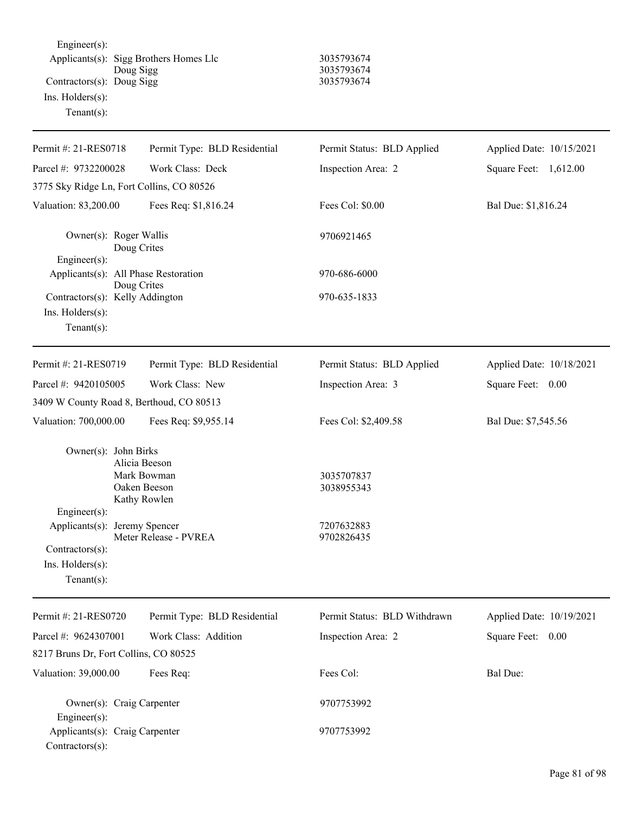Engineer(s): Applicants(s): Sigg Brothers Homes Llc 3035793674 Doug Sigg 3035793674 Contractors(s): Doug Sigg 3035793674 Ins. Holders(s): Tenant(s):

| Permit #: 21-RES0718                                                                                                           | Permit Type: BLD Residential                                                          | Permit Status: BLD Applied                           | Applied Date: 10/15/2021 |
|--------------------------------------------------------------------------------------------------------------------------------|---------------------------------------------------------------------------------------|------------------------------------------------------|--------------------------|
|                                                                                                                                |                                                                                       |                                                      |                          |
| Parcel #: 9732200028                                                                                                           | Work Class: Deck                                                                      | Inspection Area: 2                                   | Square Feet: 1,612.00    |
| 3775 Sky Ridge Ln, Fort Collins, CO 80526                                                                                      |                                                                                       |                                                      |                          |
| Valuation: 83,200.00                                                                                                           | Fees Req: \$1,816.24                                                                  | Fees Col: \$0.00                                     | Bal Due: \$1,816.24      |
| Owner(s): Roger Wallis                                                                                                         | Doug Crites                                                                           | 9706921465                                           |                          |
| Engineer(s):<br>Applicants(s): All Phase Restoration                                                                           | Doug Crites                                                                           | 970-686-6000                                         |                          |
| Contractors(s): Kelly Addington<br>Ins. $H$ olders $(s)$ :<br>Tenant $(s)$ :                                                   |                                                                                       | 970-635-1833                                         |                          |
| Permit #: 21-RES0719                                                                                                           | Permit Type: BLD Residential                                                          | Permit Status: BLD Applied                           | Applied Date: 10/18/2021 |
| Parcel #: 9420105005                                                                                                           | Work Class: New                                                                       | Inspection Area: 3                                   | Square Feet: 0.00        |
| 3409 W County Road 8, Berthoud, CO 80513                                                                                       |                                                                                       |                                                      |                          |
| Valuation: 700,000.00                                                                                                          | Fees Req: \$9,955.14                                                                  | Fees Col: \$2,409.58                                 | Bal Due: \$7,545.56      |
| Owner(s): John Birks<br>Engineer(s):<br>Applicants(s): Jeremy Spencer<br>Contractors(s):<br>Ins. Holders(s):<br>Tenant $(s)$ : | Alicia Beeson<br>Mark Bowman<br>Oaken Beeson<br>Kathy Rowlen<br>Meter Release - PVREA | 3035707837<br>3038955343<br>7207632883<br>9702826435 |                          |
| Permit #: 21-RES0720                                                                                                           | Permit Type: BLD Residential                                                          | Permit Status: BLD Withdrawn                         | Applied Date: 10/19/2021 |
| Parcel #: 9624307001                                                                                                           | Work Class: Addition                                                                  | Inspection Area: 2                                   | Square Feet: 0.00        |
| 8217 Bruns Dr, Fort Collins, CO 80525                                                                                          |                                                                                       |                                                      |                          |
| Valuation: 39,000.00                                                                                                           | Fees Req:                                                                             | Fees Col:                                            | <b>Bal Due:</b>          |
| Owner(s): Craig Carpenter<br>Engineer(s):                                                                                      |                                                                                       | 9707753992                                           |                          |
| Applicants(s): Craig Carpenter<br>Contractors(s):                                                                              |                                                                                       | 9707753992                                           |                          |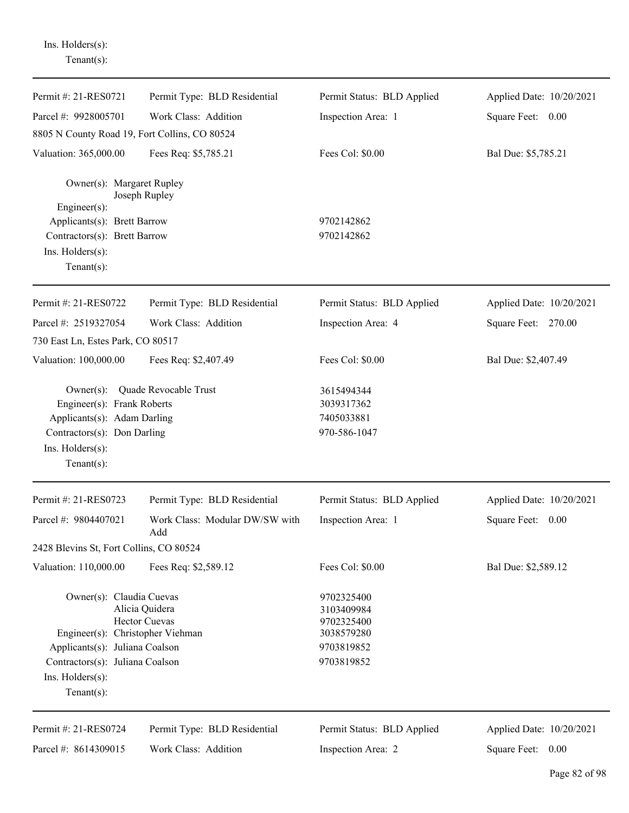| Permit #: 21-RES0721                                                                                                                                                    | Permit Type: BLD Residential           | Permit Status: BLD Applied                                                       | Applied Date: 10/20/2021 |
|-------------------------------------------------------------------------------------------------------------------------------------------------------------------------|----------------------------------------|----------------------------------------------------------------------------------|--------------------------|
| Parcel #: 9928005701                                                                                                                                                    | Work Class: Addition                   | Inspection Area: 1                                                               | Square Feet: 0.00        |
| 8805 N County Road 19, Fort Collins, CO 80524                                                                                                                           |                                        |                                                                                  |                          |
| Valuation: 365,000.00                                                                                                                                                   | Fees Req: \$5,785.21                   | Fees Col: \$0.00                                                                 | Bal Due: \$5,785.21      |
| Owner(s): Margaret Rupley<br>Engineer(s):                                                                                                                               | Joseph Rupley                          |                                                                                  |                          |
| Applicants(s): Brett Barrow                                                                                                                                             |                                        | 9702142862                                                                       |                          |
| Contractors(s): Brett Barrow                                                                                                                                            |                                        | 9702142862                                                                       |                          |
| Ins. Holders(s):<br>Tenant $(s)$ :                                                                                                                                      |                                        |                                                                                  |                          |
| Permit #: 21-RES0722                                                                                                                                                    | Permit Type: BLD Residential           | Permit Status: BLD Applied                                                       | Applied Date: 10/20/2021 |
| Parcel #: 2519327054                                                                                                                                                    | Work Class: Addition                   | Inspection Area: 4                                                               | Square Feet: 270.00      |
| 730 East Ln, Estes Park, CO 80517                                                                                                                                       |                                        |                                                                                  |                          |
| Valuation: 100,000.00                                                                                                                                                   | Fees Req: \$2,407.49                   | Fees Col: \$0.00                                                                 | Bal Due: \$2,407.49      |
| $Owner(s)$ :<br>Engineer(s): Frank Roberts<br>Applicants(s): Adam Darling<br>Contractors(s): Don Darling<br>Ins. Holders(s):<br>Tenant $(s)$ :                          | Quade Revocable Trust                  | 3615494344<br>3039317362<br>7405033881<br>970-586-1047                           |                          |
| Permit #: 21-RES0723                                                                                                                                                    | Permit Type: BLD Residential           | Permit Status: BLD Applied                                                       | Applied Date: 10/20/2021 |
| Parcel #: 9804407021                                                                                                                                                    | Work Class: Modular DW/SW with<br>Add  | Inspection Area: 1                                                               | Square Feet: 0.00        |
| 2428 Blevins St, Fort Collins, CO 80524                                                                                                                                 |                                        |                                                                                  |                          |
| Valuation: 110,000.00                                                                                                                                                   | Fees Req: \$2,589.12                   | Fees Col: \$0.00                                                                 | Bal Due: \$2,589.12      |
| Owner(s): Claudia Cuevas<br>Engineer(s): Christopher Viehman<br>Applicants(s): Juliana Coalson<br>Contractors(s): Juliana Coalson<br>Ins. Holders(s):<br>Tenant $(s)$ : | Alicia Quidera<br><b>Hector Cuevas</b> | 9702325400<br>3103409984<br>9702325400<br>3038579280<br>9703819852<br>9703819852 |                          |
| Permit #: 21-RES0724                                                                                                                                                    | Permit Type: BLD Residential           | Permit Status: BLD Applied                                                       | Applied Date: 10/20/2021 |
| Parcel #: 8614309015                                                                                                                                                    | Work Class: Addition                   | Inspection Area: 2                                                               | Square Feet: 0.00        |

Ins. Holders(s): Tenant(s):

J.

÷,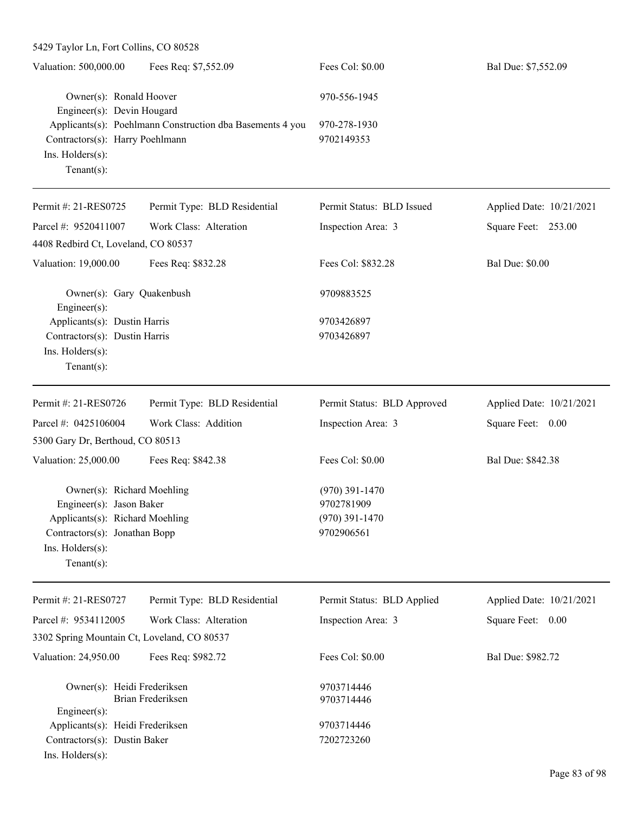| 5429 Taylor Ln, Fort Collins, CO 80528                                |                                                           |                                |                          |
|-----------------------------------------------------------------------|-----------------------------------------------------------|--------------------------------|--------------------------|
| Valuation: 500,000.00                                                 | Fees Req: \$7,552.09                                      | Fees Col: \$0.00               | Bal Due: \$7,552.09      |
| Owner(s): Ronald Hoover<br>Engineer(s): Devin Hougard                 |                                                           | 970-556-1945                   |                          |
| Contractors(s): Harry Poehlmann<br>Ins. Holders(s):<br>Tenant $(s)$ : | Applicants(s): Poehlmann Construction dba Basements 4 you | 970-278-1930<br>9702149353     |                          |
| Permit #: 21-RES0725                                                  | Permit Type: BLD Residential                              | Permit Status: BLD Issued      | Applied Date: 10/21/2021 |
| Parcel #: 9520411007                                                  | Work Class: Alteration                                    | Inspection Area: 3             | Square Feet: 253.00      |
| 4408 Redbird Ct, Loveland, CO 80537                                   |                                                           |                                |                          |
| Valuation: 19,000.00                                                  | Fees Req: \$832.28                                        | Fees Col: \$832.28             | <b>Bal Due: \$0.00</b>   |
| Owner(s): Gary Quakenbush<br>Engineer(s):                             |                                                           | 9709883525                     |                          |
| Applicants(s): Dustin Harris                                          |                                                           | 9703426897                     |                          |
| Contractors(s): Dustin Harris                                         |                                                           | 9703426897                     |                          |
| Ins. Holders(s):<br>$Tenant(s)$ :                                     |                                                           |                                |                          |
| Permit #: 21-RES0726                                                  | Permit Type: BLD Residential                              | Permit Status: BLD Approved    | Applied Date: 10/21/2021 |
| Parcel #: 0425106004                                                  | Work Class: Addition                                      | Inspection Area: 3             | Square Feet: 0.00        |
| 5300 Gary Dr, Berthoud, CO 80513                                      |                                                           |                                |                          |
| Valuation: 25,000.00                                                  | Fees Req: \$842.38                                        | Fees Col: \$0.00               | Bal Due: \$842.38        |
| Owner(s): Richard Moehling                                            |                                                           | $(970)$ 391-1470               |                          |
| Engineer(s): Jason Baker<br>Applicants(s): Richard Moehling           |                                                           | 9702781909<br>$(970)$ 391-1470 |                          |
| Contractors(s): Jonathan Bopp                                         |                                                           | 9702906561                     |                          |
| Ins. Holders(s):<br>Tenant $(s)$ :                                    |                                                           |                                |                          |
| Permit #: 21-RES0727                                                  | Permit Type: BLD Residential                              | Permit Status: BLD Applied     | Applied Date: 10/21/2021 |
| Parcel #: 9534112005                                                  | Work Class: Alteration                                    | Inspection Area: 3             | Square Feet: 0.00        |
| 3302 Spring Mountain Ct, Loveland, CO 80537                           |                                                           |                                |                          |
| Valuation: 24,950.00                                                  | Fees Req: \$982.72                                        | Fees Col: \$0.00               | Bal Due: \$982.72        |
| Owner(s): Heidi Frederiksen                                           | Brian Frederiksen                                         | 9703714446<br>9703714446       |                          |
| $Engineering(s)$ :                                                    |                                                           |                                |                          |
| Applicants(s): Heidi Frederiksen                                      |                                                           | 9703714446                     |                          |
| Contractors(s): Dustin Baker<br>Ins. Holders(s):                      |                                                           | 7202723260                     |                          |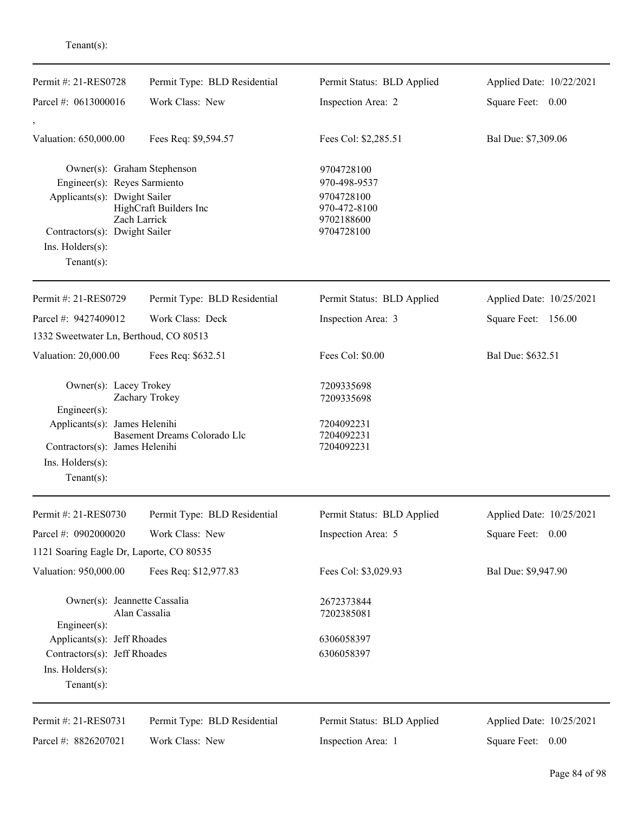| enant(s) |  |  |
|----------|--|--|
|          |  |  |

| Permit #: 21-RES0728                                                                                                         | Permit Type: BLD Residential           | Permit Status: BLD Applied                                                           | Applied Date: 10/22/2021 |
|------------------------------------------------------------------------------------------------------------------------------|----------------------------------------|--------------------------------------------------------------------------------------|--------------------------|
| Parcel #: 0613000016                                                                                                         | Work Class: New                        | Inspection Area: 2                                                                   | Square Feet: 0.00        |
| Valuation: 650,000.00                                                                                                        | Fees Req: \$9,594.57                   | Fees Col: \$2,285.51                                                                 | Bal Due: \$7,309.06      |
| Owner(s): Graham Stephenson<br>Engineer(s): Reyes Sarmiento<br>Applicants(s): Dwight Sailer<br>Contractors(s): Dwight Sailer | HighCraft Builders Inc<br>Zach Larrick | 9704728100<br>970-498-9537<br>9704728100<br>970-472-8100<br>9702188600<br>9704728100 |                          |
| Ins. Holders(s):<br>Tenant $(s)$ :                                                                                           |                                        |                                                                                      |                          |
| Permit #: 21-RES0729                                                                                                         | Permit Type: BLD Residential           | Permit Status: BLD Applied                                                           | Applied Date: 10/25/2021 |
| Parcel #: 9427409012                                                                                                         | Work Class: Deck                       | Inspection Area: 3                                                                   | Square Feet: 156.00      |
| 1332 Sweetwater Ln, Berthoud, CO 80513                                                                                       |                                        |                                                                                      |                          |
| Valuation: 20,000.00                                                                                                         | Fees Req: \$632.51                     | Fees Col: \$0.00                                                                     | Bal Due: \$632.51        |
| Owner(s): Lacey Trokey<br>$Engineering(s)$ :                                                                                 | Zachary Trokey                         | 7209335698<br>7209335698                                                             |                          |
| Applicants(s): James Helenihi<br>Contractors(s): James Helenihi<br>Ins. $H$ olders $(s)$ :<br>Tenant $(s)$ :                 | Basement Dreams Colorado Llc           | 7204092231<br>7204092231<br>7204092231                                               |                          |
| Permit #: 21-RES0730                                                                                                         | Permit Type: BLD Residential           | Permit Status: BLD Applied                                                           | Applied Date: 10/25/2021 |
| Parcel #: 0902000020                                                                                                         | Work Class: New                        | Inspection Area: 5                                                                   | Square Feet:<br>0.00     |
| 1121 Soaring Eagle Dr, Laporte, CO 80535                                                                                     |                                        |                                                                                      |                          |
| Valuation: 950,000.00                                                                                                        | Fees Req: \$12,977.83                  | Fees Col: \$3,029.93                                                                 | Bal Due: \$9,947.90      |
| Owner(s): Jeannette Cassalia                                                                                                 | Alan Cassalia                          | 2672373844<br>7202385081                                                             |                          |
| Engineer(s):<br>Applicants(s): Jeff Rhoades<br>Contractors(s): Jeff Rhoades<br>$Ins.$ Holders $(s)$ :<br>Tenant $(s)$ :      |                                        | 6306058397<br>6306058397                                                             |                          |
| Permit #: 21-RES0731                                                                                                         | Permit Type: BLD Residential           | Permit Status: BLD Applied                                                           | Applied Date: 10/25/2021 |
| Parcel #: 8826207021                                                                                                         | Work Class: New                        | Inspection Area: 1                                                                   | Square Feet: 0.00        |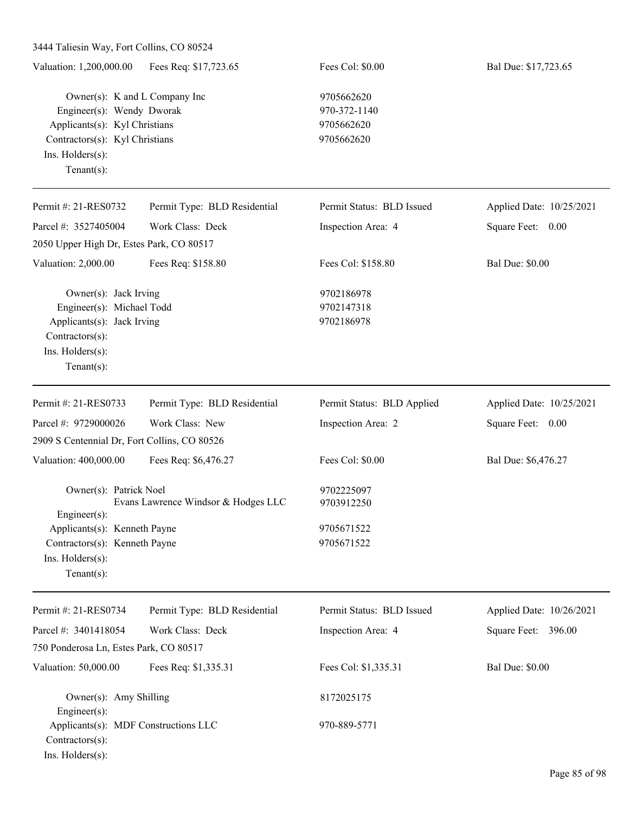3444 Taliesin Way, Fort Collins, CO 80524 Valuation: 1,200,000.00 Fees Req: \$17,723.65 Fees Col: \$0.00 Bal Due: \$17,723.65 Owner(s): K and L Company Inc 9705662620 Engineer(s): Wendy Dworak 970-372-1140 Applicants(s): Kyl Christians 9705662620 Contractors(s): Kyl Christians 9705662620 Ins. Holders(s): Tenant(s): Permit #: 21-RES0732 Parcel #: 3527405004 Permit Type: BLD Residential Work Class: Deck Permit Status: BLD Issued Inspection Area: 4 Applied Date: 10/25/2021 Square Feet: 0.00 2050 Upper High Dr, Estes Park, CO 80517 Valuation: 2,000.00 Fees Req: \$158.80 Fees Col: \$158.80 Bal Due: \$0.00 Owner(s): Jack Irving 9702186978 Engineer(s): Michael Todd 9702147318 Applicants(s): Jack Irving 9702186978 Contractors(s): Ins. Holders(s): Tenant(s): Permit #: 21-RES0733 Parcel #: 9729000026 Permit Type: BLD Residential Work Class: New Permit Status: BLD Applied Inspection Area: 2 Applied Date: 10/25/2021 Square Feet: 0.00 2909 S Centennial Dr, Fort Collins, CO 80526 Valuation: 400,000.00 Fees Req: \$6,476.27 Fees Col: \$0.00 Bal Due: \$6,476.27 Owner(s): Patrick Noel 9702225097 Evans Lawrence Windsor & Hodges LLC 9703912250 Engineer(s): Applicants(s): Kenneth Payne 9705671522 Contractors(s): Kenneth Payne 9705671522 Ins. Holders(s): Tenant(s): Permit #: 21-RES0734 Parcel #: 3401418054 Permit Type: BLD Residential Work Class: Deck Permit Status: BLD Issued Inspection Area: 4 Applied Date: 10/26/2021 Square Feet: 396.00 750 Ponderosa Ln, Estes Park, CO 80517 Valuation: 50,000.00 Fees Req: \$1,335.31 Fees Col: \$1,335.31 Bal Due: \$0.00 Owner(s): Amy Shilling 8172025175 Engineer(s): Applicants(s): MDF Constructions LLC 970-889-5771 Contractors(s):

Ins. Holders(s):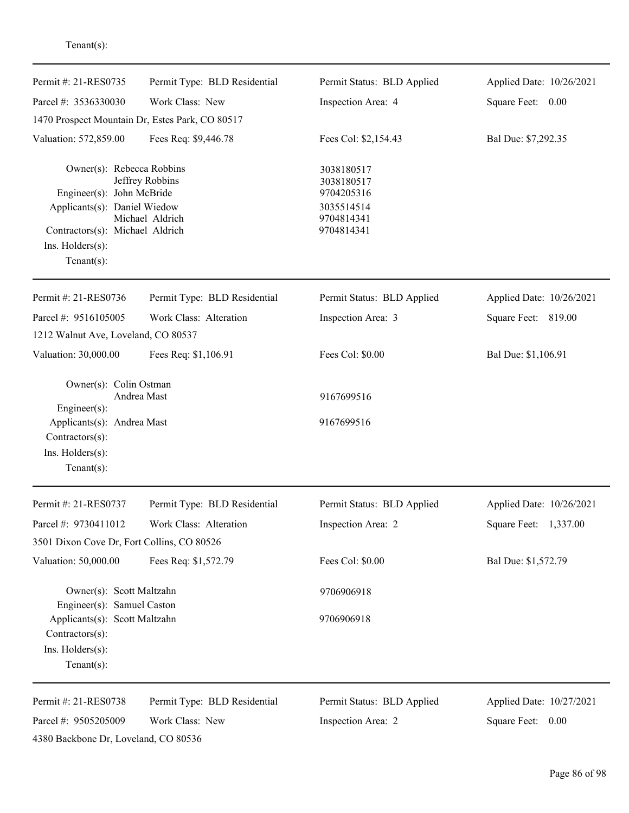| Permit #: 21-RES0735                                                                                                                                           | Permit Type: BLD Residential                    | Permit Status: BLD Applied                                                       | Applied Date: 10/26/2021 |
|----------------------------------------------------------------------------------------------------------------------------------------------------------------|-------------------------------------------------|----------------------------------------------------------------------------------|--------------------------|
| Parcel #: 3536330030                                                                                                                                           | Work Class: New                                 | Inspection Area: 4                                                               | Square Feet: 0.00        |
|                                                                                                                                                                | 1470 Prospect Mountain Dr, Estes Park, CO 80517 |                                                                                  |                          |
| Valuation: 572,859.00                                                                                                                                          | Fees Req: \$9,446.78                            | Fees Col: \$2,154.43                                                             | Bal Due: \$7,292.35      |
| Owner(s): Rebecca Robbins<br>Engineer(s): John McBride<br>Applicants(s): Daniel Wiedow<br>Contractors(s): Michael Aldrich<br>Ins. Holders(s):<br>$Tenant(s)$ : | Jeffrey Robbins<br>Michael Aldrich              | 3038180517<br>3038180517<br>9704205316<br>3035514514<br>9704814341<br>9704814341 |                          |
| Permit #: 21-RES0736                                                                                                                                           | Permit Type: BLD Residential                    | Permit Status: BLD Applied                                                       | Applied Date: 10/26/2021 |
| Parcel #: 9516105005                                                                                                                                           | Work Class: Alteration                          | Inspection Area: 3                                                               | Square Feet: 819.00      |
| 1212 Walnut Ave, Loveland, CO 80537                                                                                                                            |                                                 |                                                                                  |                          |
| Valuation: 30,000.00                                                                                                                                           | Fees Req: \$1,106.91                            | Fees Col: \$0.00                                                                 | Bal Due: \$1,106.91      |
| Owner(s): Colin Ostman<br>Engineer(s):<br>Applicants(s): Andrea Mast<br>Contractors(s):<br>Ins. Holders(s):<br>$Tenant(s)$ :                                   | Andrea Mast                                     | 9167699516<br>9167699516                                                         |                          |
| Permit #: 21-RES0737                                                                                                                                           | Permit Type: BLD Residential                    | Permit Status: BLD Applied                                                       | Applied Date: 10/26/2021 |
| Parcel #: 9730411012                                                                                                                                           | Work Class: Alteration                          | Inspection Area: 2                                                               | Square Feet: 1,337.00    |
| 3501 Dixon Cove Dr, Fort Collins, CO 80526                                                                                                                     |                                                 |                                                                                  |                          |
| Valuation: 50,000.00                                                                                                                                           | Fees Req: \$1,572.79                            | Fees Col: \$0.00                                                                 | Bal Due: \$1,572.79      |
| Owner(s): Scott Maltzahn<br>Engineer(s): Samuel Caston                                                                                                         |                                                 | 9706906918                                                                       |                          |
| Applicants(s): Scott Maltzahn<br>Contractors(s):<br>Ins. Holders(s):<br>Tenant $(s)$ :                                                                         |                                                 | 9706906918                                                                       |                          |
| Permit #: 21-RES0738                                                                                                                                           | Permit Type: BLD Residential                    | Permit Status: BLD Applied                                                       | Applied Date: 10/27/2021 |
| Parcel #: 9505205009<br>4380 Backbone Dr, Loveland, CO 80536                                                                                                   | Work Class: New                                 | Inspection Area: 2                                                               | Square Feet: 0.00        |
|                                                                                                                                                                |                                                 |                                                                                  |                          |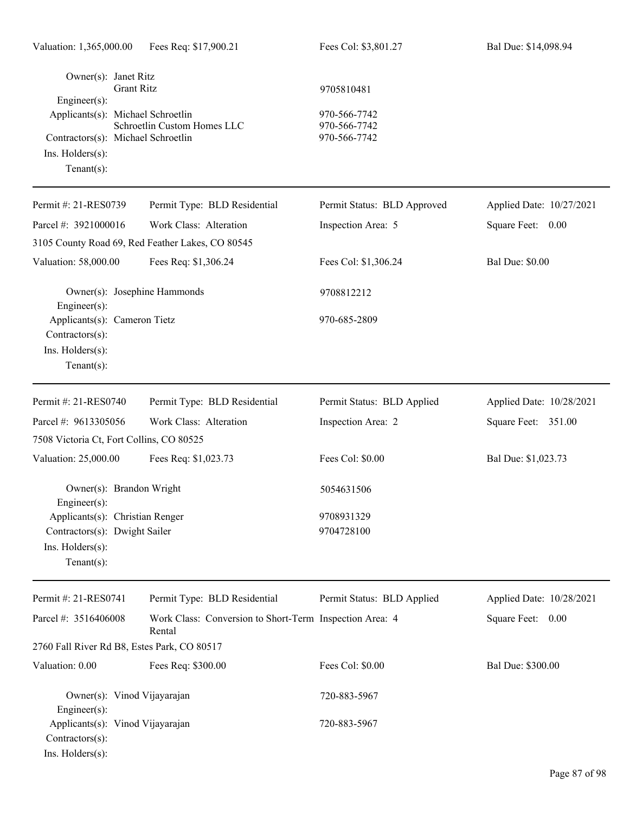| Owner(s): Janet Ritz<br>Engineer(s):<br>Applicants(s): Michael Schroetlin<br>Contractors(s): Michael Schroetlin<br>Ins. Holders(s):<br>Tenant $(s)$ : | <b>Grant Ritz</b><br>Schroetlin Custom Homes LLC                  | 9705810481<br>970-566-7742<br>970-566-7742<br>970-566-7742 |                          |
|-------------------------------------------------------------------------------------------------------------------------------------------------------|-------------------------------------------------------------------|------------------------------------------------------------|--------------------------|
| Permit #: 21-RES0739                                                                                                                                  | Permit Type: BLD Residential                                      | Permit Status: BLD Approved                                | Applied Date: 10/27/2021 |
| Parcel #: 3921000016                                                                                                                                  | Work Class: Alteration                                            | Inspection Area: 5                                         | Square Feet: 0.00        |
|                                                                                                                                                       | 3105 County Road 69, Red Feather Lakes, CO 80545                  |                                                            |                          |
| Valuation: 58,000.00                                                                                                                                  | Fees Req: \$1,306.24                                              | Fees Col: \$1,306.24                                       | <b>Bal Due: \$0.00</b>   |
| $Engineering(s)$ :                                                                                                                                    | Owner(s): Josephine Hammonds                                      | 9708812212                                                 |                          |
| Applicants(s): Cameron Tietz<br>Contractors(s):<br>Ins. Holders(s):<br>Tenant $(s)$ :                                                                 |                                                                   | 970-685-2809                                               |                          |
| Permit #: 21-RES0740                                                                                                                                  | Permit Type: BLD Residential                                      | Permit Status: BLD Applied                                 | Applied Date: 10/28/2021 |
| Parcel #: 9613305056                                                                                                                                  | Work Class: Alteration                                            | Inspection Area: 2                                         | Square Feet: 351.00      |
| 7508 Victoria Ct, Fort Collins, CO 80525                                                                                                              |                                                                   |                                                            |                          |
| Valuation: 25,000.00                                                                                                                                  | Fees Req: \$1,023.73                                              | Fees Col: \$0.00                                           | Bal Due: \$1,023.73      |
| Owner(s): Brandon Wright<br>$Engineering(s)$ :                                                                                                        |                                                                   | 5054631506                                                 |                          |
| Applicants(s): Christian Renger                                                                                                                       |                                                                   | 9708931329                                                 |                          |
| Contractors(s): Dwight Sailer<br>Ins. Holders(s):<br>$Tenant(s)$ :                                                                                    |                                                                   | 9704728100                                                 |                          |
| Permit #: 21-RES0741                                                                                                                                  | Permit Type: BLD Residential                                      | Permit Status: BLD Applied                                 | Applied Date: 10/28/2021 |
| Parcel #: 3516406008                                                                                                                                  | Work Class: Conversion to Short-Term Inspection Area: 4<br>Rental |                                                            | Square Feet: 0.00        |
|                                                                                                                                                       | 2760 Fall River Rd B8, Estes Park, CO 80517                       |                                                            |                          |
| Valuation: 0.00                                                                                                                                       | Fees Req: \$300.00                                                | Fees Col: \$0.00                                           | Bal Due: \$300.00        |
| $Engineering(s)$ :                                                                                                                                    | Owner(s): Vinod Vijayarajan                                       | 720-883-5967                                               |                          |
| Applicants(s): Vinod Vijayarajan<br>Contractors(s):<br>Ins. Holders(s):                                                                               |                                                                   | 720-883-5967                                               |                          |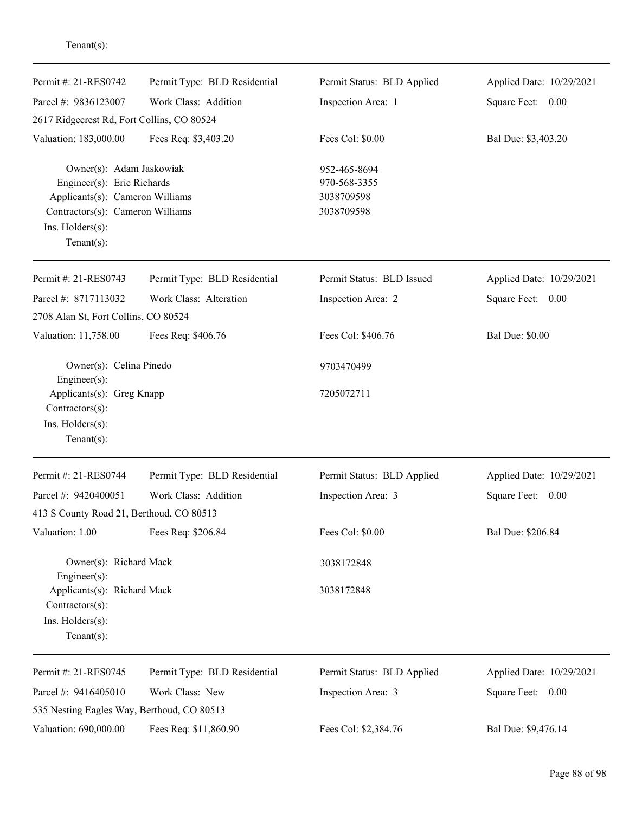| Permit #: 21-RES0742                                                                 | Permit Type: BLD Residential | Permit Status: BLD Applied | Applied Date: 10/29/2021 |
|--------------------------------------------------------------------------------------|------------------------------|----------------------------|--------------------------|
| Parcel #: 9836123007                                                                 | Work Class: Addition         | Inspection Area: 1         | Square Feet: 0.00        |
| 2617 Ridgecrest Rd, Fort Collins, CO 80524                                           |                              |                            |                          |
| Valuation: 183,000.00                                                                | Fees Req: \$3,403.20         | Fees Col: \$0.00           | Bal Due: \$3,403.20      |
| Owner(s): Adam Jaskowiak                                                             |                              | 952-465-8694               |                          |
| Engineer(s): Eric Richards<br>Applicants(s): Cameron Williams                        |                              | 970-568-3355               |                          |
|                                                                                      |                              | 3038709598                 |                          |
| Contractors(s): Cameron Williams                                                     |                              | 3038709598                 |                          |
| Ins. Holders(s):<br>$Tenant(s)$ :                                                    |                              |                            |                          |
| Permit #: 21-RES0743                                                                 | Permit Type: BLD Residential | Permit Status: BLD Issued  | Applied Date: 10/29/2021 |
| Parcel #: 8717113032                                                                 | Work Class: Alteration       | Inspection Area: 2         | Square Feet: 0.00        |
| 2708 Alan St, Fort Collins, CO 80524                                                 |                              |                            |                          |
| Valuation: 11,758.00                                                                 | Fees Req: \$406.76           | Fees Col: \$406.76         | <b>Bal Due: \$0.00</b>   |
| Owner(s): Celina Pinedo<br>Engineer(s):                                              |                              | 9703470499                 |                          |
| Applicants(s): Greg Knapp<br>Contractors(s):<br>Ins. Holders(s):<br>$Tenant(s)$ :    |                              | 7205072711                 |                          |
| Permit #: 21-RES0744                                                                 | Permit Type: BLD Residential | Permit Status: BLD Applied | Applied Date: 10/29/2021 |
| Parcel #: 9420400051                                                                 | Work Class: Addition         | Inspection Area: 3         | Square Feet: 0.00        |
| 413 S County Road 21, Berthoud, CO 80513                                             |                              |                            |                          |
| Valuation: 1.00                                                                      | Fees Req: \$206.84           | Fees Col: \$0.00           | Bal Due: \$206.84        |
| Owner(s): Richard Mack<br>Engineer(s):                                               |                              | 3038172848                 |                          |
| Applicants(s): Richard Mack<br>Contractors(s):<br>Ins. Holders(s):<br>Tenant $(s)$ : |                              | 3038172848                 |                          |
| Permit #: 21-RES0745                                                                 | Permit Type: BLD Residential | Permit Status: BLD Applied | Applied Date: 10/29/2021 |
| Parcel #: 9416405010                                                                 | Work Class: New              | Inspection Area: 3         | Square Feet: 0.00        |
| 535 Nesting Eagles Way, Berthoud, CO 80513                                           |                              |                            |                          |
| Valuation: 690,000.00                                                                | Fees Req: \$11,860.90        | Fees Col: \$2,384.76       | Bal Due: \$9,476.14      |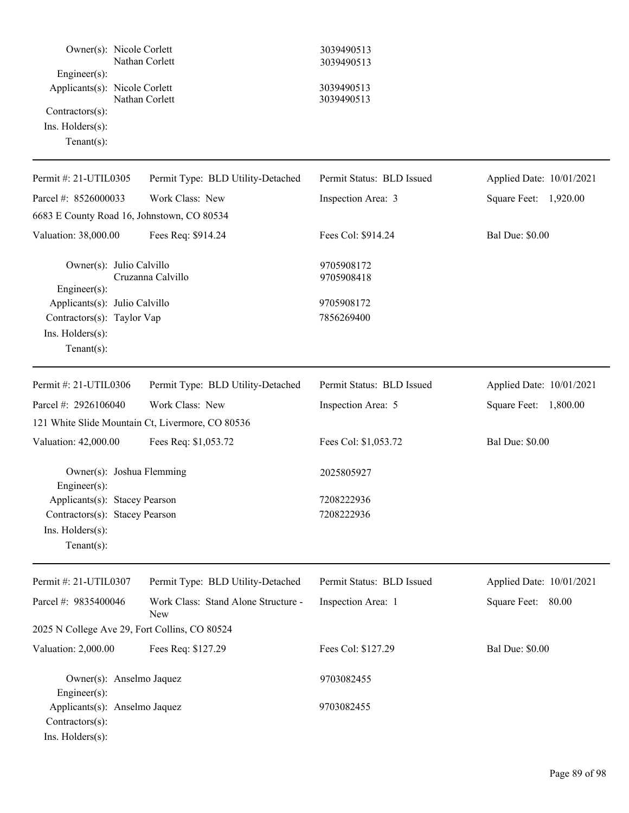| Owner(s): Nicole Corlett<br>Nathan Corlett<br>Engineer(s):<br>Applicants(s): Nicole Corlett<br>Nathan Corlett<br>Contractors(s):<br>Ins. Holders(s):<br>Tenant $(s)$ : |                                            | 3039490513<br>3039490513<br>3039490513<br>3039490513 |                          |
|------------------------------------------------------------------------------------------------------------------------------------------------------------------------|--------------------------------------------|------------------------------------------------------|--------------------------|
| Permit #: 21-UTIL0305                                                                                                                                                  | Permit Type: BLD Utility-Detached          | Permit Status: BLD Issued                            | Applied Date: 10/01/2021 |
| Parcel #: 8526000033<br>6683 E County Road 16, Johnstown, CO 80534                                                                                                     | Work Class: New                            | Inspection Area: 3                                   | Square Feet: 1,920.00    |
| Valuation: 38,000.00                                                                                                                                                   | Fees Req: \$914.24                         | Fees Col: \$914.24                                   | <b>Bal Due: \$0.00</b>   |
| Owner(s): Julio Calvillo<br>Engineer(s):                                                                                                                               | Cruzanna Calvillo                          | 9705908172<br>9705908418                             |                          |
| Applicants(s): Julio Calvillo<br>Contractors(s): Taylor Vap<br>Ins. Holders(s):<br>$Tenant(s)$ :                                                                       |                                            | 9705908172<br>7856269400                             |                          |
| Permit #: 21-UTIL0306                                                                                                                                                  | Permit Type: BLD Utility-Detached          | Permit Status: BLD Issued                            | Applied Date: 10/01/2021 |
| Parcel #: 2926106040<br>121 White Slide Mountain Ct, Livermore, CO 80536                                                                                               | Work Class: New                            | Inspection Area: 5                                   | Square Feet: 1,800.00    |
| Valuation: 42,000.00                                                                                                                                                   | Fees Req: \$1,053.72                       | Fees Col: \$1,053.72                                 | <b>Bal Due: \$0.00</b>   |
| Owner(s): Joshua Flemming<br>Engineer(s):<br>Applicants(s): Stacey Pearson<br>Contractors(s): Stacey Pearson<br>Ins. Holders(s):<br>$Tenant(s)$ :                      |                                            | 2025805927<br>7208222936<br>7208222936               |                          |
| Permit #: 21-UTIL0307                                                                                                                                                  | Permit Type: BLD Utility-Detached          | Permit Status: BLD Issued                            | Applied Date: 10/01/2021 |
| Parcel #: 9835400046                                                                                                                                                   | Work Class: Stand Alone Structure -<br>New | Inspection Area: 1                                   | Square Feet: 80.00       |
| 2025 N College Ave 29, Fort Collins, CO 80524                                                                                                                          |                                            |                                                      |                          |
| Valuation: 2,000.00                                                                                                                                                    | Fees Req: \$127.29                         | Fees Col: \$127.29                                   | <b>Bal Due: \$0.00</b>   |
| Owner(s): Anselmo Jaquez<br>$Engineering(s)$ :<br>Applicants(s): Anselmo Jaquez<br>Contractors(s):<br>Ins. Holders(s):                                                 |                                            | 9703082455<br>9703082455                             |                          |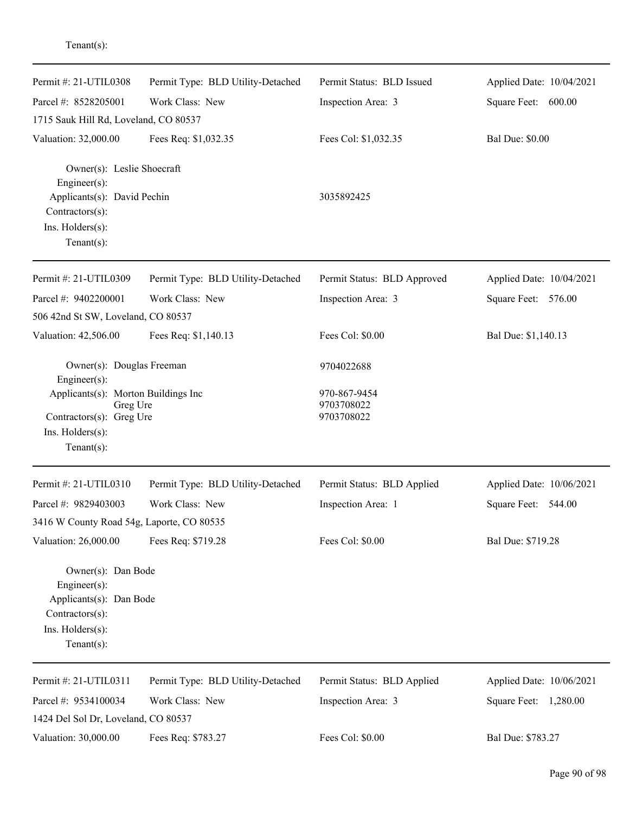| Permit #: 21-UTIL0308                                                                                                                    | Permit Type: BLD Utility-Detached | Permit Status: BLD Issued                | Applied Date: 10/04/2021 |
|------------------------------------------------------------------------------------------------------------------------------------------|-----------------------------------|------------------------------------------|--------------------------|
| Parcel #: 8528205001                                                                                                                     | Work Class: New                   | Inspection Area: 3                       | Square Feet: 600.00      |
| 1715 Sauk Hill Rd, Loveland, CO 80537                                                                                                    |                                   |                                          |                          |
| Valuation: 32,000.00                                                                                                                     | Fees Req: \$1,032.35              | Fees Col: \$1,032.35                     | <b>Bal Due: \$0.00</b>   |
| Owner(s): Leslie Shoecraft<br>$Engineering(s)$ :<br>Applicants(s): David Pechin<br>Contractors(s):<br>Ins. Holders(s):<br>Tenant $(s)$ : |                                   | 3035892425                               |                          |
| Permit #: 21-UTIL0309                                                                                                                    | Permit Type: BLD Utility-Detached | Permit Status: BLD Approved              | Applied Date: 10/04/2021 |
| Parcel #: 9402200001                                                                                                                     | Work Class: New                   | Inspection Area: 3                       | Square Feet: 576.00      |
| 506 42nd St SW, Loveland, CO 80537                                                                                                       |                                   |                                          |                          |
| Valuation: 42,506.00                                                                                                                     | Fees Req: \$1,140.13              | Fees Col: \$0.00                         | Bal Due: \$1,140.13      |
| Owner(s): Douglas Freeman<br>$Engineering(s)$ :                                                                                          |                                   | 9704022688                               |                          |
| Applicants(s): Morton Buildings Inc<br>Greg Ure<br>Contractors(s): Greg Ure<br>Ins. Holders(s):<br>Tenant $(s)$ :                        |                                   | 970-867-9454<br>9703708022<br>9703708022 |                          |
| Permit #: 21-UTIL0310                                                                                                                    | Permit Type: BLD Utility-Detached | Permit Status: BLD Applied               | Applied Date: 10/06/2021 |
| Parcel #: 9829403003                                                                                                                     | Work Class: New                   | Inspection Area: 1                       | Square Feet: 544.00      |
| 3416 W County Road 54g, Laporte, CO 80535                                                                                                |                                   |                                          |                          |
| Valuation: 26,000.00                                                                                                                     | Fees Req: \$719.28                | Fees Col: \$0.00                         | Bal Due: \$719.28        |
| Owner(s): Dan Bode<br>$Engineering(s)$ :<br>Applicants(s): Dan Bode<br>Contractors(s):<br>Ins. Holders(s):<br>Tenant(s):                 |                                   |                                          |                          |
| Permit #: 21-UTIL0311                                                                                                                    | Permit Type: BLD Utility-Detached | Permit Status: BLD Applied               | Applied Date: 10/06/2021 |
| Parcel #: 9534100034                                                                                                                     | Work Class: New                   | Inspection Area: 3                       | Square Feet: 1,280.00    |
| 1424 Del Sol Dr, Loveland, CO 80537                                                                                                      |                                   |                                          |                          |
| Valuation: 30,000.00                                                                                                                     | Fees Req: \$783.27                | Fees Col: \$0.00                         | Bal Due: \$783.27        |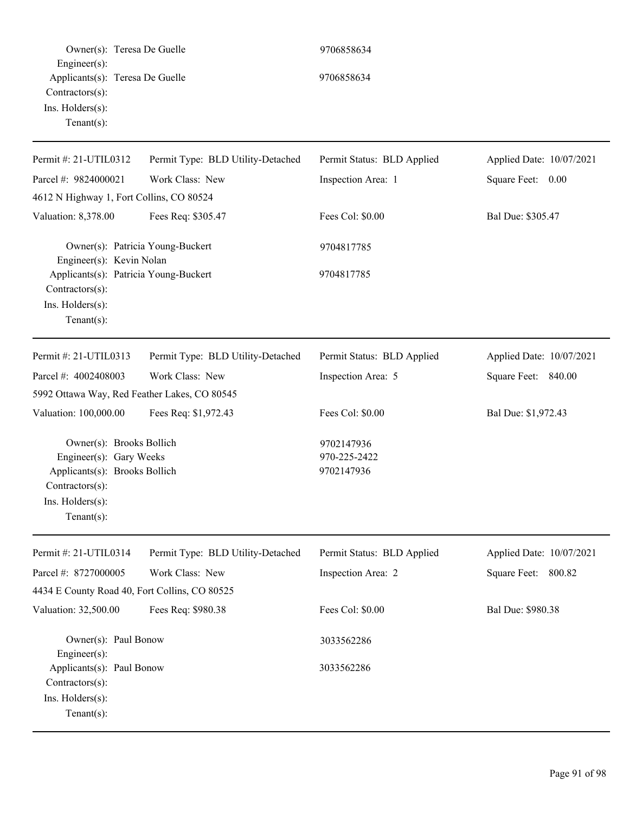| Owner(s): Teresa De Guelle                                                                                                                    |                                   | 9706858634                               |                          |
|-----------------------------------------------------------------------------------------------------------------------------------------------|-----------------------------------|------------------------------------------|--------------------------|
| Engineer $(s)$ :<br>Applicants(s): Teresa De Guelle<br>Contractors(s):<br>Ins. Holders(s):<br>Tenant $(s)$ :                                  |                                   | 9706858634                               |                          |
| Permit #: 21-UTIL0312                                                                                                                         | Permit Type: BLD Utility-Detached | Permit Status: BLD Applied               | Applied Date: 10/07/2021 |
| Parcel #: 9824000021                                                                                                                          | Work Class: New                   | Inspection Area: 1                       | Square Feet: 0.00        |
| 4612 N Highway 1, Fort Collins, CO 80524                                                                                                      |                                   |                                          |                          |
| Valuation: 8,378.00                                                                                                                           | Fees Req: \$305.47                | Fees Col: \$0.00                         | Bal Due: \$305.47        |
| Owner(s): Patricia Young-Buckert<br>Engineer(s): Kevin Nolan                                                                                  |                                   | 9704817785                               |                          |
| Applicants(s): Patricia Young-Buckert<br>Contractors(s):<br>Ins. Holders(s):<br>Tenant $(s)$ :                                                |                                   | 9704817785                               |                          |
| Permit #: 21-UTIL0313                                                                                                                         | Permit Type: BLD Utility-Detached | Permit Status: BLD Applied               | Applied Date: 10/07/2021 |
| Parcel #: 4002408003                                                                                                                          | Work Class: New                   | Inspection Area: 5                       | Square Feet: 840.00      |
| 5992 Ottawa Way, Red Feather Lakes, CO 80545                                                                                                  |                                   |                                          |                          |
| Valuation: 100,000.00                                                                                                                         | Fees Req: \$1,972.43              | Fees Col: \$0.00                         | Bal Due: \$1,972.43      |
| Owner(s): Brooks Bollich<br>Engineer(s): Gary Weeks<br>Applicants(s): Brooks Bollich<br>Contractors(s):<br>Ins. Holders(s):<br>Tenant $(s)$ : |                                   | 9702147936<br>970-225-2422<br>9702147936 |                          |
| Permit #: 21-UTIL0314                                                                                                                         | Permit Type: BLD Utility-Detached | Permit Status: BLD Applied               | Applied Date: 10/07/2021 |
| Parcel #: 8727000005                                                                                                                          | Work Class: New                   | Inspection Area: 2                       | Square Feet: 800.82      |
| 4434 E County Road 40, Fort Collins, CO 80525                                                                                                 |                                   |                                          |                          |
| Valuation: 32,500.00                                                                                                                          | Fees Req: \$980.38                | Fees Col: \$0.00                         | Bal Due: \$980.38        |
| Owner(s): Paul Bonow<br>$Engineering(s)$ :                                                                                                    |                                   | 3033562286                               |                          |
| Applicants(s): Paul Bonow<br>Contractors(s):<br>Ins. Holders(s):<br>Tenant $(s)$ :                                                            |                                   | 3033562286                               |                          |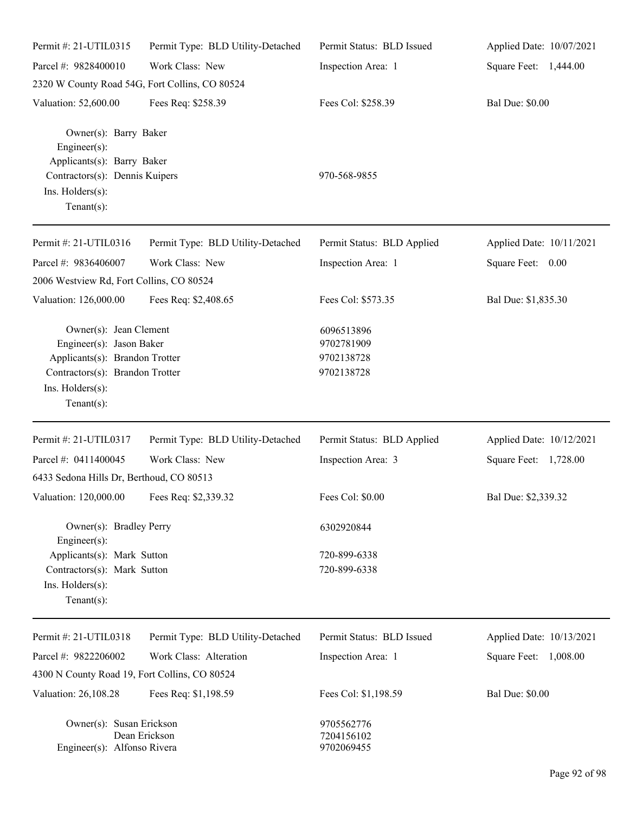| Permit #: 21-UTIL0315                                                                                                   | Permit Type: BLD Utility-Detached | Permit Status: BLD Issued                            | Applied Date: 10/07/2021 |
|-------------------------------------------------------------------------------------------------------------------------|-----------------------------------|------------------------------------------------------|--------------------------|
| Parcel #: 9828400010                                                                                                    | Work Class: New                   | Inspection Area: 1                                   | Square Feet: 1,444.00    |
| 2320 W County Road 54G, Fort Collins, CO 80524                                                                          |                                   |                                                      |                          |
| Valuation: 52,600.00                                                                                                    | Fees Req: \$258.39                | Fees Col: \$258.39                                   | <b>Bal Due: \$0.00</b>   |
| Owner(s): Barry Baker<br>Engineer(s):<br>Applicants(s): Barry Baker                                                     |                                   |                                                      |                          |
| Contractors(s): Dennis Kuipers<br>Ins. Holders(s):<br>$Tenant(s)$ :                                                     |                                   | 970-568-9855                                         |                          |
| Permit #: 21-UTIL0316                                                                                                   | Permit Type: BLD Utility-Detached | Permit Status: BLD Applied                           | Applied Date: 10/11/2021 |
| Parcel #: 9836406007                                                                                                    | Work Class: New                   | Inspection Area: 1                                   | Square Feet: 0.00        |
| 2006 Westview Rd, Fort Collins, CO 80524                                                                                |                                   |                                                      |                          |
| Valuation: 126,000.00                                                                                                   | Fees Req: \$2,408.65              | Fees Col: \$573.35                                   | Bal Due: \$1,835.30      |
| Owner(s): Jean Clement<br>Engineer(s): Jason Baker<br>Applicants(s): Brandon Trotter<br>Contractors(s): Brandon Trotter |                                   | 6096513896<br>9702781909<br>9702138728<br>9702138728 |                          |
| Ins. Holders(s):<br>$Tenant(s)$ :                                                                                       |                                   |                                                      |                          |
| Permit #: 21-UTIL0317                                                                                                   | Permit Type: BLD Utility-Detached | Permit Status: BLD Applied                           | Applied Date: 10/12/2021 |
| Parcel #: 0411400045                                                                                                    | Work Class: New                   | Inspection Area: 3                                   | Square Feet: 1,728.00    |
| 6433 Sedona Hills Dr, Berthoud, CO 80513                                                                                |                                   |                                                      |                          |
| Valuation: 120,000.00                                                                                                   | Fees Req: \$2,339.32              | Fees Col: \$0.00                                     | Bal Due: \$2,339.32      |
| Owner(s): Bradley Perry<br>Engineer(s):                                                                                 |                                   | 6302920844                                           |                          |
| Applicants(s): Mark Sutton                                                                                              |                                   | 720-899-6338                                         |                          |
| Contractors(s): Mark Sutton                                                                                             |                                   | 720-899-6338                                         |                          |
| Ins. Holders(s):                                                                                                        |                                   |                                                      |                          |
| $Tenant(s)$ :                                                                                                           |                                   |                                                      |                          |
| Permit #: 21-UTIL0318                                                                                                   | Permit Type: BLD Utility-Detached | Permit Status: BLD Issued                            | Applied Date: 10/13/2021 |
| Parcel #: 9822206002                                                                                                    | Work Class: Alteration            | Inspection Area: 1                                   | Square Feet: 1,008.00    |
| 4300 N County Road 19, Fort Collins, CO 80524                                                                           |                                   |                                                      |                          |
| Valuation: 26,108.28                                                                                                    | Fees Req: \$1,198.59              | Fees Col: \$1,198.59                                 | <b>Bal Due: \$0.00</b>   |
| Owner(s): Susan Erickson<br>Engineer(s): Alfonso Rivera                                                                 | Dean Erickson                     | 9705562776<br>7204156102<br>9702069455               |                          |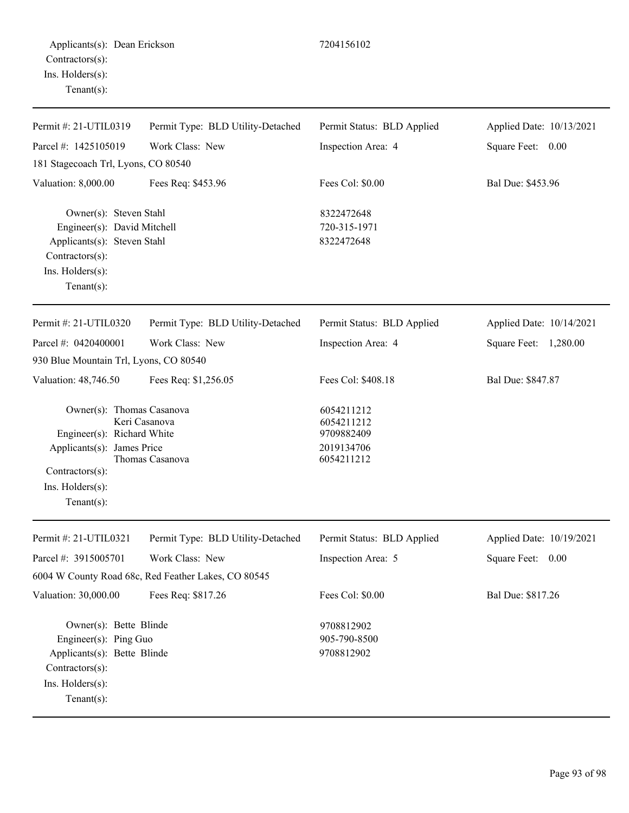| Permit #: 21-UTIL0319                                                                                                                          | Permit Type: BLD Utility-Detached                   | Permit Status: BLD Applied                                         | Applied Date: 10/13/2021 |
|------------------------------------------------------------------------------------------------------------------------------------------------|-----------------------------------------------------|--------------------------------------------------------------------|--------------------------|
| Parcel #: 1425105019                                                                                                                           | Work Class: New                                     | Inspection Area: 4                                                 | Square Feet: 0.00        |
| 181 Stagecoach Trl, Lyons, CO 80540                                                                                                            |                                                     |                                                                    |                          |
| Valuation: 8,000.00                                                                                                                            | Fees Req: \$453.96                                  | Fees Col: \$0.00                                                   | Bal Due: \$453.96        |
| Owner(s): Steven Stahl<br>Engineer(s): David Mitchell<br>Applicants(s): Steven Stahl<br>Contractors(s):<br>Ins. Holders(s):<br>Tenant $(s)$ :  |                                                     | 8322472648<br>720-315-1971<br>8322472648                           |                          |
| Permit #: 21-UTIL0320                                                                                                                          | Permit Type: BLD Utility-Detached                   | Permit Status: BLD Applied                                         | Applied Date: 10/14/2021 |
| Parcel #: 0420400001                                                                                                                           | Work Class: New                                     | Inspection Area: 4                                                 | Square Feet: 1,280.00    |
| 930 Blue Mountain Trl, Lyons, CO 80540                                                                                                         |                                                     |                                                                    |                          |
| Valuation: 48,746.50                                                                                                                           | Fees Req: \$1,256.05                                | Fees Col: \$408.18                                                 | Bal Due: \$847.87        |
| Owner(s): Thomas Casanova<br>Engineer(s): Richard White<br>Applicants(s): James Price<br>Contractors(s):<br>Ins. Holders(s):<br>Tenant $(s)$ : | Keri Casanova<br>Thomas Casanova                    | 6054211212<br>6054211212<br>9709882409<br>2019134706<br>6054211212 |                          |
| Permit #: 21-UTIL0321                                                                                                                          | Permit Type: BLD Utility-Detached                   | Permit Status: BLD Applied                                         | Applied Date: 10/19/2021 |
| Parcel #: 3915005701                                                                                                                           | Work Class: New                                     | Inspection Area: 5                                                 | Square Feet: 0.00        |
|                                                                                                                                                | 6004 W County Road 68c, Red Feather Lakes, CO 80545 |                                                                    |                          |
| Valuation: 30,000.00                                                                                                                           | Fees Req: \$817.26                                  | Fees Col: \$0.00                                                   | Bal Due: \$817.26        |
| Owner(s): Bette Blinde<br>Engineer(s): Ping Guo<br>Applicants(s): Bette Blinde<br>Contractors(s):                                              |                                                     | 9708812902<br>905-790-8500<br>9708812902                           |                          |

Ins. Holders(s):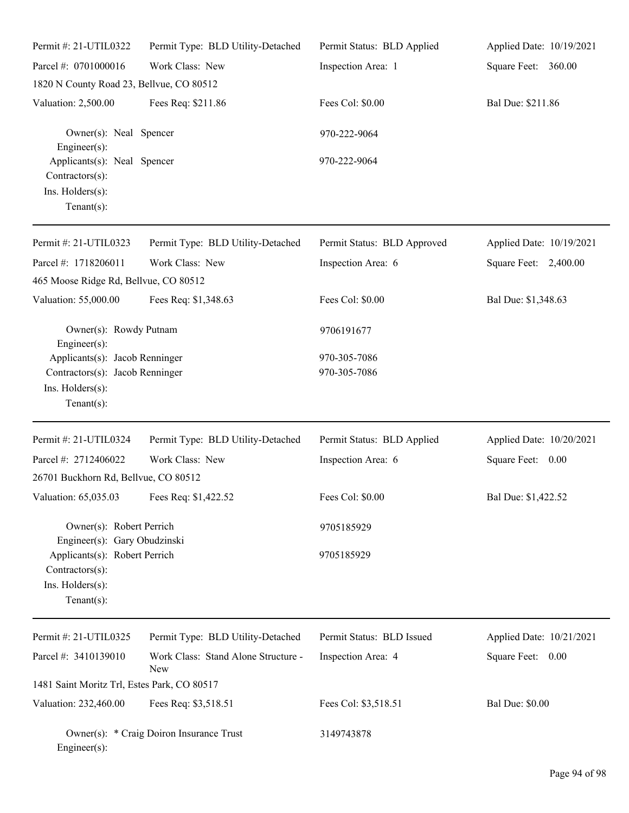| Permit #: 21-UTIL0322                                                                | Permit Type: BLD Utility-Detached          | Permit Status: BLD Applied  | Applied Date: 10/19/2021 |
|--------------------------------------------------------------------------------------|--------------------------------------------|-----------------------------|--------------------------|
| Parcel #: 0701000016                                                                 | Work Class: New                            | Inspection Area: 1          | Square Feet: 360.00      |
| 1820 N County Road 23, Bellvue, CO 80512                                             |                                            |                             |                          |
| Valuation: 2,500.00                                                                  | Fees Req: \$211.86                         | Fees Col: \$0.00            | Bal Due: \$211.86        |
| Owner(s): Neal Spencer<br>Engineer(s):                                               |                                            | 970-222-9064                |                          |
| Applicants(s): Neal Spencer<br>Contractors(s):<br>Ins. Holders(s):<br>Tenant $(s)$ : |                                            | 970-222-9064                |                          |
| Permit #: 21-UTIL0323                                                                | Permit Type: BLD Utility-Detached          | Permit Status: BLD Approved | Applied Date: 10/19/2021 |
| Parcel #: 1718206011                                                                 | Work Class: New                            | Inspection Area: 6          | Square Feet: 2,400.00    |
| 465 Moose Ridge Rd, Bellvue, CO 80512                                                |                                            |                             |                          |
| Valuation: 55,000.00                                                                 | Fees Req: \$1,348.63                       | Fees Col: \$0.00            | Bal Due: \$1,348.63      |
| Owner(s): Rowdy Putnam<br>Engineer $(s)$ :                                           |                                            | 9706191677                  |                          |
| Applicants(s): Jacob Renninger                                                       |                                            | 970-305-7086                |                          |
| Contractors(s): Jacob Renninger<br>Ins. Holders(s):<br>Tenant $(s)$ :                |                                            | 970-305-7086                |                          |
| Permit #: 21-UTIL0324                                                                | Permit Type: BLD Utility-Detached          | Permit Status: BLD Applied  | Applied Date: 10/20/2021 |
| Parcel #: 2712406022                                                                 | Work Class: New                            |                             |                          |
| 26701 Buckhorn Rd, Bellvue, CO 80512                                                 |                                            | Inspection Area: 6          | Square Feet: 0.00        |
| Valuation: 65,035.03 Fees Req: \$1,422.52                                            |                                            | Fees Col: \$0.00            | Bal Due: \$1,422.52      |
| Owner(s): Robert Perrich                                                             |                                            | 9705185929                  |                          |
| Engineer(s): Gary Obudzinski<br>Applicants(s): Robert Perrich<br>$Contractors(s)$ :  |                                            | 9705185929                  |                          |
| Ins. Holders(s):<br>Tenant $(s)$ :                                                   |                                            |                             |                          |
| Permit #: 21-UTIL0325                                                                | Permit Type: BLD Utility-Detached          | Permit Status: BLD Issued   | Applied Date: 10/21/2021 |
| Parcel #: 3410139010                                                                 | Work Class: Stand Alone Structure -<br>New | Inspection Area: 4          | Square Feet: 0.00        |
| 1481 Saint Moritz Trl, Estes Park, CO 80517                                          |                                            |                             |                          |
| Valuation: 232,460.00                                                                | Fees Req: \$3,518.51                       | Fees Col: \$3,518.51        | <b>Bal Due: \$0.00</b>   |
| Engineer(s):                                                                         | Owner(s): * Craig Doiron Insurance Trust   | 3149743878                  |                          |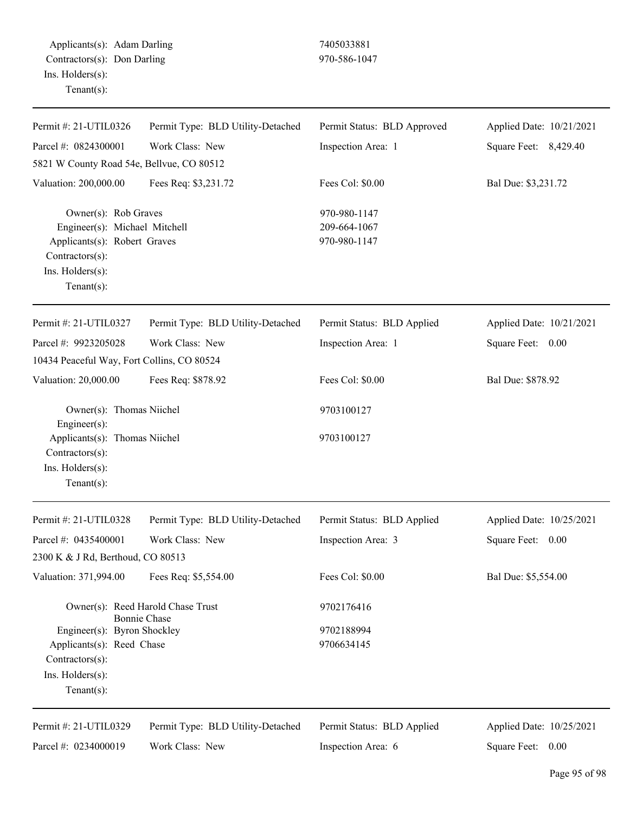Applicants(s): Adam Darling 7405033881 Contractors(s): Don Darling 970-586-1047 Ins. Holders(s): Tenant(s):

| Permit #: 21-UTIL0326                                                                                                                         | Permit Type: BLD Utility-Detached                        | Permit Status: BLD Approved                  | Applied Date: 10/21/2021 |
|-----------------------------------------------------------------------------------------------------------------------------------------------|----------------------------------------------------------|----------------------------------------------|--------------------------|
| Parcel #: 0824300001                                                                                                                          | Work Class: New                                          | Inspection Area: 1                           | Square Feet: 8,429.40    |
| 5821 W County Road 54e, Bellvue, CO 80512                                                                                                     |                                                          |                                              |                          |
| Valuation: 200,000.00                                                                                                                         | Fees Req: \$3,231.72                                     | Fees Col: \$0.00                             | Bal Due: \$3,231.72      |
| Owner(s): Rob Graves<br>Engineer(s): Michael Mitchell<br>Applicants(s): Robert Graves<br>Contractors(s):<br>Ins. Holders(s):<br>$Tenant(s)$ : |                                                          | 970-980-1147<br>209-664-1067<br>970-980-1147 |                          |
| Permit #: 21-UTIL0327                                                                                                                         | Permit Type: BLD Utility-Detached                        | Permit Status: BLD Applied                   | Applied Date: 10/21/2021 |
| Parcel #: 9923205028                                                                                                                          | Work Class: New                                          | Inspection Area: 1                           | Square Feet: 0.00        |
| 10434 Peaceful Way, Fort Collins, CO 80524                                                                                                    |                                                          |                                              |                          |
| Valuation: 20,000.00                                                                                                                          | Fees Req: \$878.92                                       | Fees Col: \$0.00                             | Bal Due: \$878.92        |
| Owner(s): Thomas Niichel<br>Engineer(s):                                                                                                      |                                                          | 9703100127                                   |                          |
| Applicants(s): Thomas Niichel<br>Contractors(s):<br>Ins. Holders(s):<br>$Tenant(s)$ :                                                         |                                                          | 9703100127                                   |                          |
| Permit #: 21-UTIL0328                                                                                                                         | Permit Type: BLD Utility-Detached                        | Permit Status: BLD Applied                   | Applied Date: 10/25/2021 |
| Parcel #: 0435400001                                                                                                                          | Work Class: New                                          | Inspection Area: 3                           | Square Feet: 0.00        |
| 2300 K & J Rd, Berthoud, CO 80513                                                                                                             |                                                          |                                              |                          |
| Valuation: 371,994.00                                                                                                                         | Fees Req: \$5,554.00                                     | Fees Col: \$0.00                             | Bal Due: \$5,554.00      |
|                                                                                                                                               | Owner(s): Reed Harold Chase Trust<br><b>Bonnie Chase</b> | 9702176416                                   |                          |
| Engineer(s): Byron Shockley<br>Applicants(s): Reed Chase<br>Contractors(s):<br>Ins. Holders(s):<br>Tenant $(s)$ :                             |                                                          | 9702188994<br>9706634145                     |                          |
| Permit #: 21-UTIL0329                                                                                                                         | Permit Type: BLD Utility-Detached                        | Permit Status: BLD Applied                   | Applied Date: 10/25/2021 |
| Parcel #: 0234000019                                                                                                                          | Work Class: New                                          | Inspection Area: 6                           | Square Feet: 0.00        |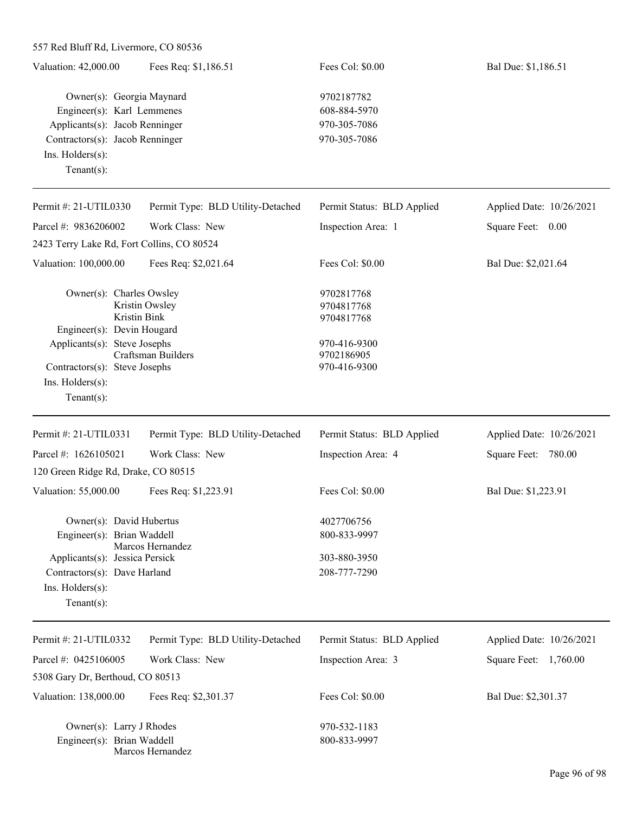| 557 Red Bluff Rd, Livermore, CO 80536 |  |  |  |
|---------------------------------------|--|--|--|
|---------------------------------------|--|--|--|

| Valuation: 42,000.00                                                                                              | Fees Req: \$1,186.51              | Fees Col: \$0.00                           | Bal Due: \$1,186.51      |
|-------------------------------------------------------------------------------------------------------------------|-----------------------------------|--------------------------------------------|--------------------------|
| Owner(s): Georgia Maynard<br>Engineer(s): Karl Lemmenes                                                           |                                   | 9702187782<br>608-884-5970                 |                          |
| Applicants(s): Jacob Renninger<br>Contractors(s): Jacob Renninger                                                 |                                   | 970-305-7086                               |                          |
|                                                                                                                   |                                   | 970-305-7086                               |                          |
| $Ins.$ Holders $(s)$ :                                                                                            |                                   |                                            |                          |
| Tenant $(s)$ :                                                                                                    |                                   |                                            |                          |
| Permit #: $21$ -UTIL0330                                                                                          | Permit Type: BLD Utility-Detached | Permit Status: BLD Applied                 | Applied Date: 10/26/2021 |
| Parcel #: 9836206002                                                                                              | Work Class: New                   | Inspection Area: 1                         | Square Feet:<br>0.00     |
| 2423 Terry Lake Rd, Fort Collins, CO 80524                                                                        |                                   |                                            |                          |
| Valuation: 100,000.00                                                                                             | Fees Req: \$2,021.64              | Fees Col: \$0.00                           | Bal Due: \$2,021.64      |
| Owner(s): Charles Owsley<br>Kristin Bink                                                                          | Kristin Owsley                    | 9702817768<br>9704817768<br>9704817768     |                          |
| Engineer(s): Devin Hougard<br>Applicants(s): Steve Josephs<br>Craftsman Builders<br>Contractors(s): Steve Josephs |                                   | 970-416-9300<br>9702186905<br>970-416-9300 |                          |

Ins. Holders(s):

| Permit #: $21$ -UTIL0331            | Permit Type: BLD Utility-Detached | Permit Status: BLD Applied | Applied Date: 10/26/2021 |
|-------------------------------------|-----------------------------------|----------------------------|--------------------------|
| Parcel #: $1626105021$              | Work Class: New                   | Inspection Area: 4         | 780.00<br>Square Feet:   |
| 120 Green Ridge Rd, Drake, CO 80515 |                                   |                            |                          |
| Valuation: 55,000.00                | Fees Req: \$1,223.91              | Fees Col: $$0.00$          | Bal Due: \$1,223.91      |
|                                     | Owner(s): David Hubertus          | 4027706756                 |                          |
| Engineer(s): Brian Waddell          | Marcos Hernandez                  | 800-833-9997               |                          |
| Applicants(s): Jessica Persick      |                                   | 303-880-3950               |                          |
| Contractors(s): Dave Harland        |                                   | 208-777-7290               |                          |
| $Ins.$ Holders $(s)$ :              |                                   |                            |                          |
| Tenant $(s)$ :                      |                                   |                            |                          |

| Permit #: 21-UTIL0332            | Permit Type: BLD Utility-Detached | Permit Status: BLD Applied | Applied Date: 10/26/2021 |
|----------------------------------|-----------------------------------|----------------------------|--------------------------|
| Parcel #: $0425106005$           | Work Class: New                   | Inspection Area: 3         | Square Feet:<br>1,760.00 |
| 5308 Gary Dr, Berthoud, CO 80513 |                                   |                            |                          |
| Valuation: 138,000.00            | Fees Req: \$2,301.37              | Fees Col: \$0.00           | Bal Due: \$2,301.37      |
| Owner(s): Larry J Rhodes         |                                   | 970-532-1183               |                          |
| Engineer(s): Brian Waddell       |                                   | 800-833-9997               |                          |
|                                  | Marcos Hernandez                  |                            |                          |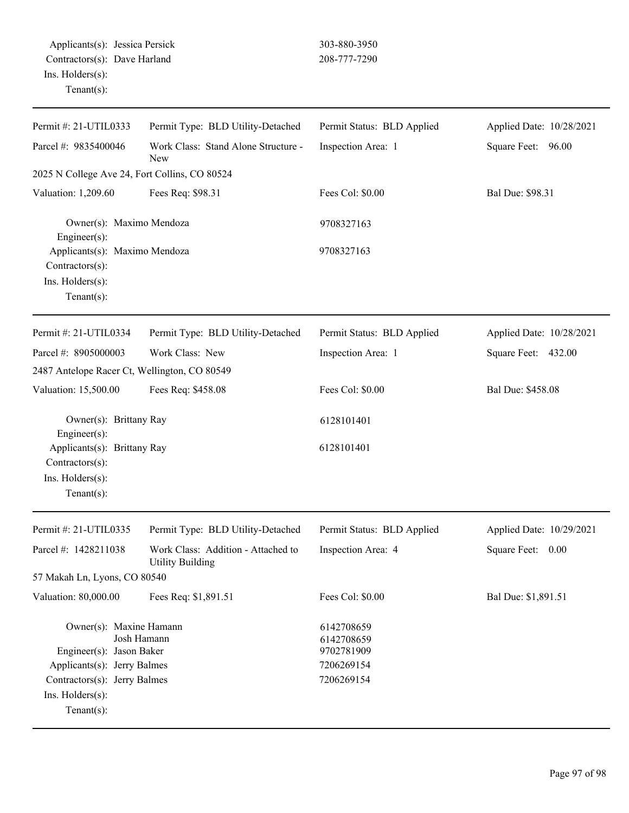| Permit #: 21-UTIL0333                                                                                                                                                   | Permit Type: BLD Utility-Detached                             | Permit Status: BLD Applied                                         | Applied Date: 10/28/2021 |
|-------------------------------------------------------------------------------------------------------------------------------------------------------------------------|---------------------------------------------------------------|--------------------------------------------------------------------|--------------------------|
| Parcel #: 9835400046                                                                                                                                                    | Work Class: Stand Alone Structure -<br>New                    | Inspection Area: 1                                                 | Square Feet: 96.00       |
| 2025 N College Ave 24, Fort Collins, CO 80524                                                                                                                           |                                                               |                                                                    |                          |
| Valuation: 1,209.60                                                                                                                                                     | Fees Req: \$98.31                                             | Fees Col: \$0.00                                                   | Bal Due: \$98.31         |
| Engineer(s):                                                                                                                                                            | Owner(s): Maximo Mendoza                                      |                                                                    |                          |
| Applicants(s): Maximo Mendoza<br>Contractors(s):<br>Ins. Holders(s):<br>Tenant $(s)$ :                                                                                  |                                                               | 9708327163                                                         |                          |
| Permit #: 21-UTIL0334                                                                                                                                                   | Permit Type: BLD Utility-Detached                             | Permit Status: BLD Applied                                         | Applied Date: 10/28/2021 |
| Parcel #: 8905000003                                                                                                                                                    | Work Class: New                                               | Inspection Area: 1                                                 | Square Feet: 432.00      |
| 2487 Antelope Racer Ct, Wellington, CO 80549                                                                                                                            |                                                               |                                                                    |                          |
| Valuation: 15,500.00                                                                                                                                                    | Fees Req: \$458.08                                            | Fees Col: \$0.00                                                   | Bal Due: \$458.08        |
| Owner(s): Brittany Ray<br>Engineer(s):                                                                                                                                  |                                                               | 6128101401                                                         |                          |
| Applicants(s): Brittany Ray<br>Contractors(s):<br>Ins. Holders(s):<br>$Tenant(s)$ :                                                                                     |                                                               | 6128101401                                                         |                          |
| Permit #: 21-UTIL0335                                                                                                                                                   | Permit Type: BLD Utility-Detached                             | Permit Status: BLD Applied                                         | Applied Date: 10/29/2021 |
| Parcel #: 1428211038                                                                                                                                                    | Work Class: Addition - Attached to<br><b>Utility Building</b> | Inspection Area: 4                                                 | Square Feet:<br>0.00     |
| 57 Makah Ln, Lyons, CO 80540                                                                                                                                            |                                                               |                                                                    |                          |
| Valuation: 80,000.00                                                                                                                                                    | Fees Req: \$1,891.51                                          | Fees Col: \$0.00                                                   | Bal Due: \$1,891.51      |
| Owner(s): Maxine Hamann<br>Josh Hamann<br>Engineer(s): Jason Baker<br>Applicants(s): Jerry Balmes<br>Contractors(s): Jerry Balmes<br>Ins. Holders(s):<br>Tenant $(s)$ : |                                                               | 6142708659<br>6142708659<br>9702781909<br>7206269154<br>7206269154 |                          |